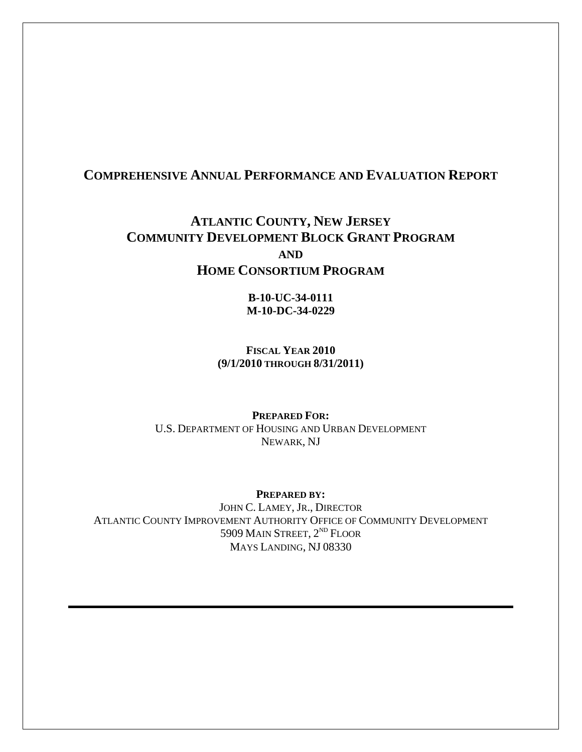# **COMPREHENSIVE ANNUAL PERFORMANCE AND EVALUATION REPORT**

# **ATLANTIC COUNTY, NEW JERSEY COMMUNITY DEVELOPMENT BLOCK GRANT PROGRAM AND HOME CONSORTIUM PROGRAM**

**B-10-UC-34-0111 M-10-DC-34-0229** 

**FISCAL YEAR 2010 (9/1/2010 THROUGH 8/31/2011)** 

**PREPARED FOR:**  U.S. DEPARTMENT OF HOUSING AND URBAN DEVELOPMENT NEWARK, NJ

**PREPARED BY:**  JOHN C. LAMEY, JR., DIRECTOR ATLANTIC COUNTY IMPROVEMENT AUTHORITY OFFICE OF COMMUNITY DEVELOPMENT 5909 MAIN STREET, 2<sup>ND</sup> FLOOR MAYS LANDING, NJ 08330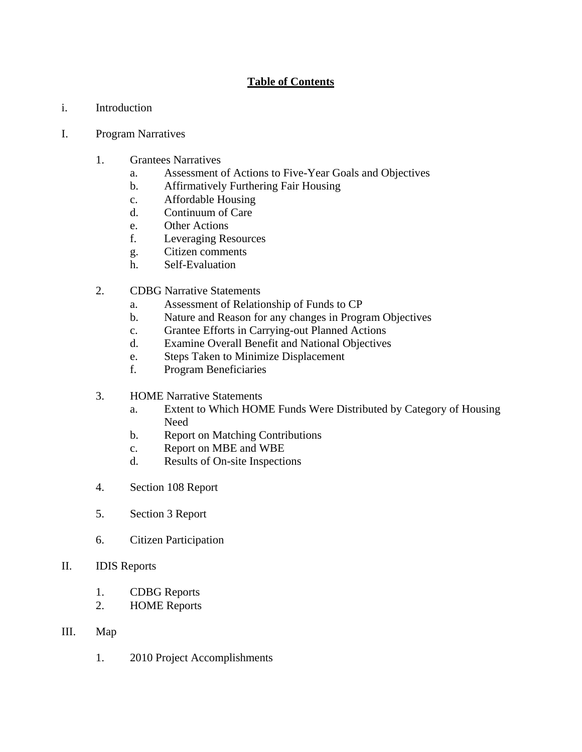# **Table of Contents**

i. Introduction

#### I. Program Narratives

- 1. Grantees Narratives
	- a. Assessment of Actions to Five-Year Goals and Objectives
	- b. Affirmatively Furthering Fair Housing
	- c. Affordable Housing
	- d. Continuum of Care
	- e. Other Actions
	- f. Leveraging Resources
	- g. Citizen comments
	- h. Self-Evaluation
- 2. CDBG Narrative Statements
	- a. Assessment of Relationship of Funds to CP
	- b. Nature and Reason for any changes in Program Objectives
	- c. Grantee Efforts in Carrying-out Planned Actions
	- d. Examine Overall Benefit and National Objectives
	- e. Steps Taken to Minimize Displacement
	- f. Program Beneficiaries
- 3. HOME Narrative Statements
	- a. Extent to Which HOME Funds Were Distributed by Category of Housing Need
	- b. Report on Matching Contributions
	- c. Report on MBE and WBE
	- d. Results of On-site Inspections
- 4. Section 108 Report
- 5. Section 3 Report
- 6. Citizen Participation
- II. IDIS Reports
	- 1. CDBG Reports
	- 2. HOME Reports

#### III. Map

1. 2010 Project Accomplishments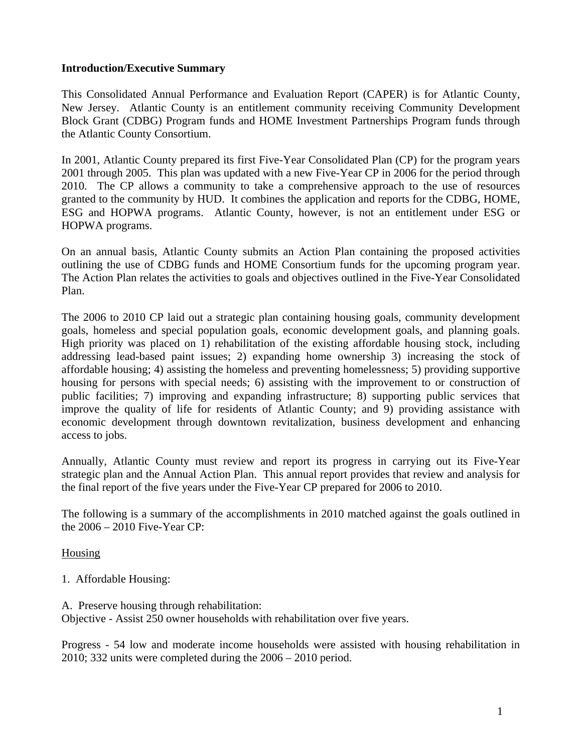#### **Introduction/Executive Summary**

This Consolidated Annual Performance and Evaluation Report (CAPER) is for Atlantic County, New Jersey. Atlantic County is an entitlement community receiving Community Development Block Grant (CDBG) Program funds and HOME Investment Partnerships Program funds through the Atlantic County Consortium.

In 2001, Atlantic County prepared its first Five-Year Consolidated Plan (CP) for the program years 2001 through 2005. This plan was updated with a new Five-Year CP in 2006 for the period through 2010. The CP allows a community to take a comprehensive approach to the use of resources granted to the community by HUD. It combines the application and reports for the CDBG, HOME, ESG and HOPWA programs. Atlantic County, however, is not an entitlement under ESG or HOPWA programs.

On an annual basis, Atlantic County submits an Action Plan containing the proposed activities outlining the use of CDBG funds and HOME Consortium funds for the upcoming program year. The Action Plan relates the activities to goals and objectives outlined in the Five-Year Consolidated Plan.

The 2006 to 2010 CP laid out a strategic plan containing housing goals, community development goals, homeless and special population goals, economic development goals, and planning goals. High priority was placed on 1) rehabilitation of the existing affordable housing stock, including addressing lead-based paint issues; 2) expanding home ownership 3) increasing the stock of affordable housing; 4) assisting the homeless and preventing homelessness; 5) providing supportive housing for persons with special needs; 6) assisting with the improvement to or construction of public facilities; 7) improving and expanding infrastructure; 8) supporting public services that improve the quality of life for residents of Atlantic County; and 9) providing assistance with economic development through downtown revitalization, business development and enhancing access to jobs.

Annually, Atlantic County must review and report its progress in carrying out its Five-Year strategic plan and the Annual Action Plan. This annual report provides that review and analysis for the final report of the five years under the Five-Year CP prepared for 2006 to 2010.

The following is a summary of the accomplishments in 2010 matched against the goals outlined in the 2006 – 2010 Five-Year CP:

Housing

- 1. Affordable Housing:
- A. Preserve housing through rehabilitation:

Objective - Assist 250 owner households with rehabilitation over five years.

Progress - 54 low and moderate income households were assisted with housing rehabilitation in 2010; 332 units were completed during the 2006 – 2010 period.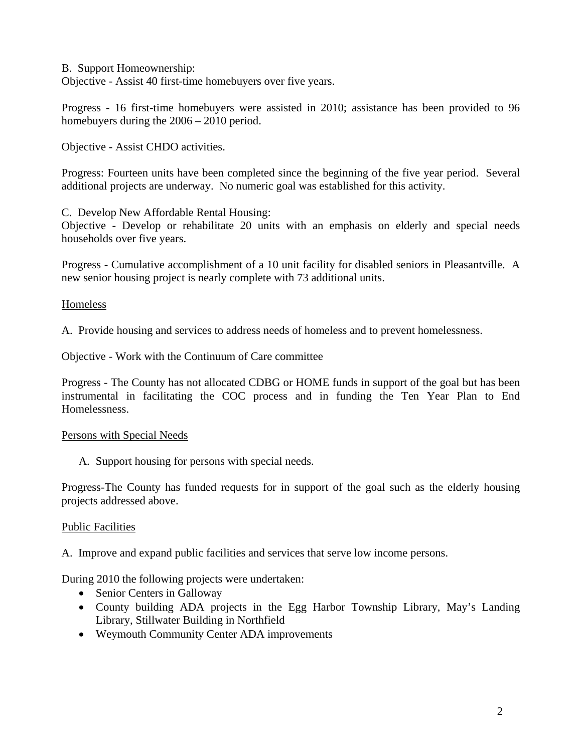B. Support Homeownership:

Objective - Assist 40 first-time homebuyers over five years.

Progress - 16 first-time homebuyers were assisted in 2010; assistance has been provided to 96 homebuyers during the  $2006 - 2010$  period.

Objective - Assist CHDO activities.

Progress: Fourteen units have been completed since the beginning of the five year period. Several additional projects are underway. No numeric goal was established for this activity.

C. Develop New Affordable Rental Housing:

Objective - Develop or rehabilitate 20 units with an emphasis on elderly and special needs households over five years.

Progress - Cumulative accomplishment of a 10 unit facility for disabled seniors in Pleasantville. A new senior housing project is nearly complete with 73 additional units.

**Homeless** 

A. Provide housing and services to address needs of homeless and to prevent homelessness.

Objective - Work with the Continuum of Care committee

Progress - The County has not allocated CDBG or HOME funds in support of the goal but has been instrumental in facilitating the COC process and in funding the Ten Year Plan to End Homelessness.

#### Persons with Special Needs

A. Support housing for persons with special needs.

Progress-The County has funded requests for in support of the goal such as the elderly housing projects addressed above.

#### Public Facilities

A. Improve and expand public facilities and services that serve low income persons.

During 2010 the following projects were undertaken:

- Senior Centers in Galloway
- County building ADA projects in the Egg Harbor Township Library, May's Landing Library, Stillwater Building in Northfield
- Weymouth Community Center ADA improvements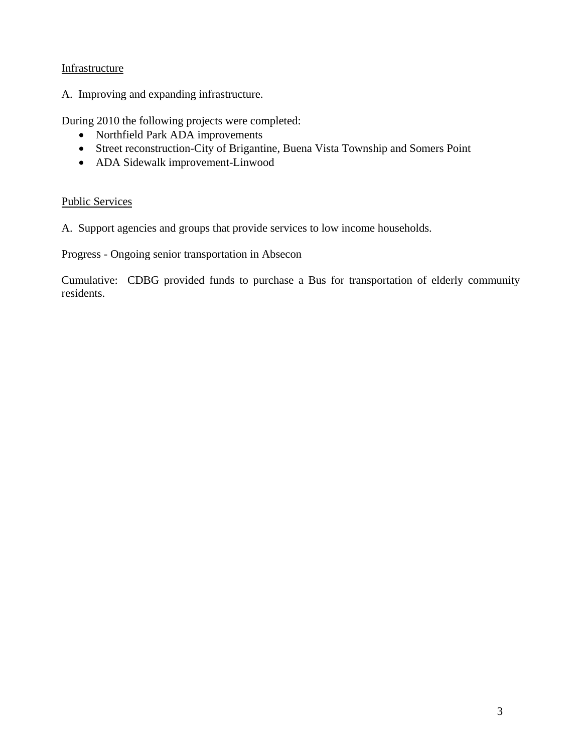#### Infrastructure

A. Improving and expanding infrastructure.

During 2010 the following projects were completed:

- Northfield Park ADA improvements
- Street reconstruction-City of Brigantine, Buena Vista Township and Somers Point
- ADA Sidewalk improvement-Linwood

#### Public Services

A. Support agencies and groups that provide services to low income households.

Progress - Ongoing senior transportation in Absecon

Cumulative: CDBG provided funds to purchase a Bus for transportation of elderly community residents.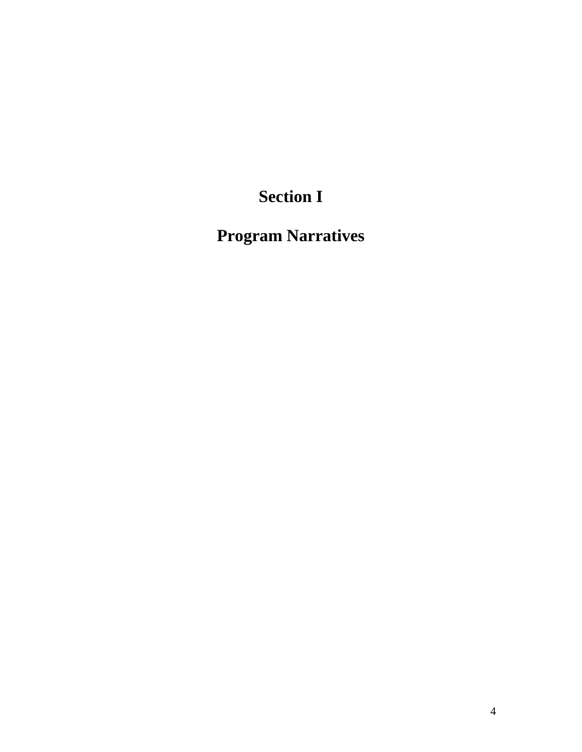# **Section I**

**Program Narratives**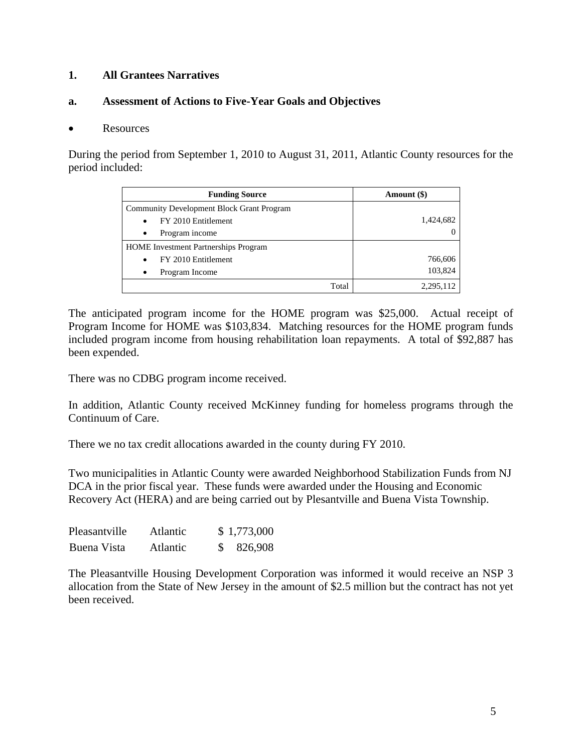# **1. All Grantees Narratives**

#### **a. Assessment of Actions to Five-Year Goals and Objectives**

#### • Resources

During the period from September 1, 2010 to August 31, 2011, Atlantic County resources for the period included:

| <b>Funding Source</b>                       | Amount (\$) |
|---------------------------------------------|-------------|
| Community Development Block Grant Program   |             |
| FY 2010 Entitlement                         | 1,424,682   |
| Program income                              | 0           |
| <b>HOME</b> Investment Partnerships Program |             |
| FY 2010 Entitlement                         | 766,606     |
| Program Income                              | 103,824     |
| Total                                       | 2.295.112   |

The anticipated program income for the HOME program was \$25,000. Actual receipt of Program Income for HOME was \$103,834. Matching resources for the HOME program funds included program income from housing rehabilitation loan repayments. A total of \$92,887 has been expended.

There was no CDBG program income received.

In addition, Atlantic County received McKinney funding for homeless programs through the Continuum of Care.

There we no tax credit allocations awarded in the county during FY 2010.

Two municipalities in Atlantic County were awarded Neighborhood Stabilization Funds from NJ DCA in the prior fiscal year. These funds were awarded under the Housing and Economic Recovery Act (HERA) and are being carried out by Plesantville and Buena Vista Township.

| Pleasantville | <b>Atlantic</b> | \$1,773,000 |
|---------------|-----------------|-------------|
| Buena Vista   | <b>Atlantic</b> | 826,908     |

The Pleasantville Housing Development Corporation was informed it would receive an NSP 3 allocation from the State of New Jersey in the amount of \$2.5 million but the contract has not yet been received.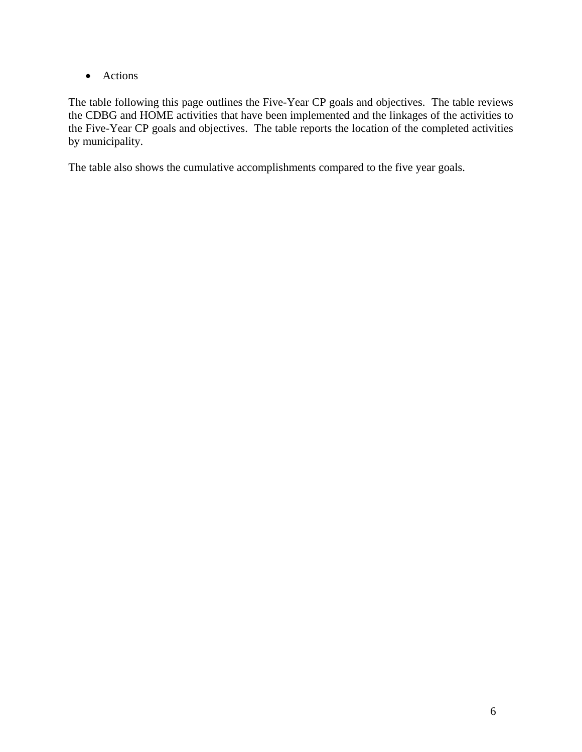• Actions

The table following this page outlines the Five-Year CP goals and objectives. The table reviews the CDBG and HOME activities that have been implemented and the linkages of the activities to the Five-Year CP goals and objectives. The table reports the location of the completed activities by municipality.

The table also shows the cumulative accomplishments compared to the five year goals.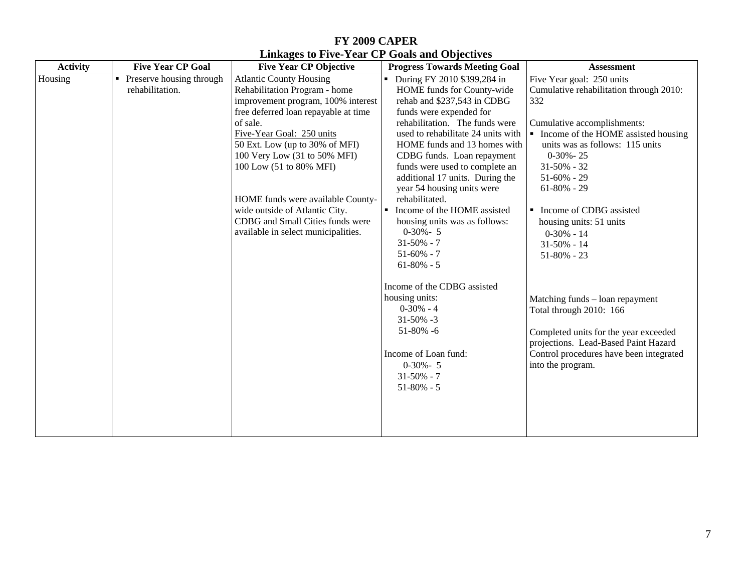# **FY 2009 CAPER Linkages to Five-Year CP Goals and Objectives**

| <b>Activity</b> | <b>Five Year CP Goal</b>                    | <b>Five Year CP Objective</b>                                                                                                                                                                                                                                                                                                                                                                                                         | <b>Progress Towards Meeting Goal</b>                                                                                                                                                                                                                                                                                                                                                                                                                                                                               | <b>Assessment</b>                                                                                                                                                                                                                                                                                                                                                          |
|-----------------|---------------------------------------------|---------------------------------------------------------------------------------------------------------------------------------------------------------------------------------------------------------------------------------------------------------------------------------------------------------------------------------------------------------------------------------------------------------------------------------------|--------------------------------------------------------------------------------------------------------------------------------------------------------------------------------------------------------------------------------------------------------------------------------------------------------------------------------------------------------------------------------------------------------------------------------------------------------------------------------------------------------------------|----------------------------------------------------------------------------------------------------------------------------------------------------------------------------------------------------------------------------------------------------------------------------------------------------------------------------------------------------------------------------|
| Housing         | Preserve housing through<br>rehabilitation. | <b>Atlantic County Housing</b><br>Rehabilitation Program - home<br>improvement program, 100% interest<br>free deferred loan repayable at time<br>of sale.<br>Five-Year Goal: 250 units<br>50 Ext. Low (up to 30% of MFI)<br>100 Very Low (31 to 50% MFI)<br>100 Low (51 to 80% MFI)<br>HOME funds were available County-<br>wide outside of Atlantic City.<br>CDBG and Small Cities funds were<br>available in select municipalities. | During FY 2010 \$399,284 in<br>HOME funds for County-wide<br>rehab and \$237,543 in CDBG<br>funds were expended for<br>rehabilitation. The funds were<br>used to rehabilitate 24 units with<br>HOME funds and 13 homes with<br>CDBG funds. Loan repayment<br>funds were used to complete an<br>additional 17 units. During the<br>year 54 housing units were<br>rehabilitated.<br>Income of the HOME assisted<br>housing units was as follows:<br>$0-30% - 5$<br>$31 - 50\% - 7$<br>$51-60\% - 7$<br>$61-80\% - 5$ | Five Year goal: 250 units<br>Cumulative rehabilitation through 2010:<br>332<br>Cumulative accomplishments:<br>• Income of the HOME assisted housing<br>units was as follows: 115 units<br>$0-30% - 25$<br>$31-50\% - 32$<br>$51-60\% - 29$<br>$61-80\% - 29$<br>• Income of CDBG assisted<br>housing units: 51 units<br>$0-30% - 14$<br>$31 - 50\% - 14$<br>$51-80\% - 23$ |
|                 |                                             |                                                                                                                                                                                                                                                                                                                                                                                                                                       | Income of the CDBG assisted<br>housing units:<br>$0-30% - 4$<br>$31 - 50\% - 3$<br>$51-80\% -6$<br>Income of Loan fund:<br>$0-30% - 5$<br>$31 - 50\% - 7$<br>$51-80% - 5$                                                                                                                                                                                                                                                                                                                                          | Matching funds - loan repayment<br>Total through 2010: 166<br>Completed units for the year exceeded<br>projections. Lead-Based Paint Hazard<br>Control procedures have been integrated<br>into the program.                                                                                                                                                                |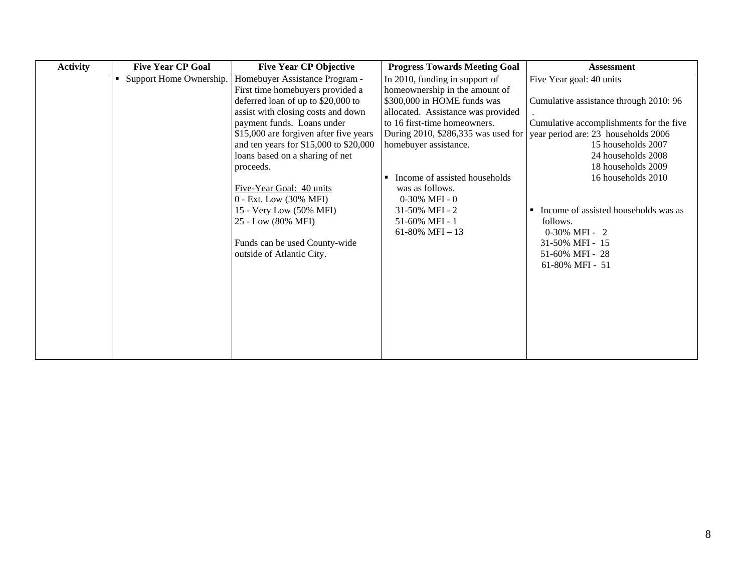| <b>Activity</b> | <b>Five Year CP Goal</b>  | <b>Five Year CP Objective</b>          | <b>Progress Towards Meeting Goal</b>            | <b>Assessment</b>                       |
|-----------------|---------------------------|----------------------------------------|-------------------------------------------------|-----------------------------------------|
|                 | • Support Home Ownership. | Homebuyer Assistance Program -         | In 2010, funding in support of                  | Five Year goal: 40 units                |
|                 |                           | First time homebuyers provided a       | homeownership in the amount of                  |                                         |
|                 |                           | deferred loan of up to \$20,000 to     | \$300,000 in HOME funds was                     | Cumulative assistance through 2010: 96  |
|                 |                           | assist with closing costs and down     | allocated. Assistance was provided              |                                         |
|                 |                           | payment funds. Loans under             | to 16 first-time homeowners.                    | Cumulative accomplishments for the five |
|                 |                           | \$15,000 are forgiven after five years | During 2010, \$286,335 was used for             | year period are: 23 households 2006     |
|                 |                           | and ten years for \$15,000 to \$20,000 | homebuyer assistance.                           | 15 households 2007                      |
|                 |                           | loans based on a sharing of net        |                                                 | 24 households 2008                      |
|                 |                           | proceeds.                              |                                                 | 18 households 2009                      |
|                 |                           |                                        | Income of assisted households<br>$\blacksquare$ | 16 households 2010                      |
|                 |                           | Five-Year Goal: 40 units               | was as follows.                                 |                                         |
|                 |                           | 0 - Ext. Low (30% MFI)                 | $0-30\%$ MFI - 0                                |                                         |
|                 |                           | 15 - Very Low (50% MFI)                | 31-50% MFI - 2                                  | Income of assisted households was as    |
|                 |                           | 25 - Low (80% MFI)                     | 51-60% MFI - 1                                  | follows.                                |
|                 |                           |                                        | 61-80% MFI $-13$                                | 0-30% MFI - 2                           |
|                 |                           | Funds can be used County-wide          |                                                 | 31-50% MFI - 15                         |
|                 |                           | outside of Atlantic City.              |                                                 | 51-60% MFI - 28                         |
|                 |                           |                                        |                                                 | 61-80% MFI - 51                         |
|                 |                           |                                        |                                                 |                                         |
|                 |                           |                                        |                                                 |                                         |
|                 |                           |                                        |                                                 |                                         |
|                 |                           |                                        |                                                 |                                         |
|                 |                           |                                        |                                                 |                                         |
|                 |                           |                                        |                                                 |                                         |
|                 |                           |                                        |                                                 |                                         |
|                 |                           |                                        |                                                 |                                         |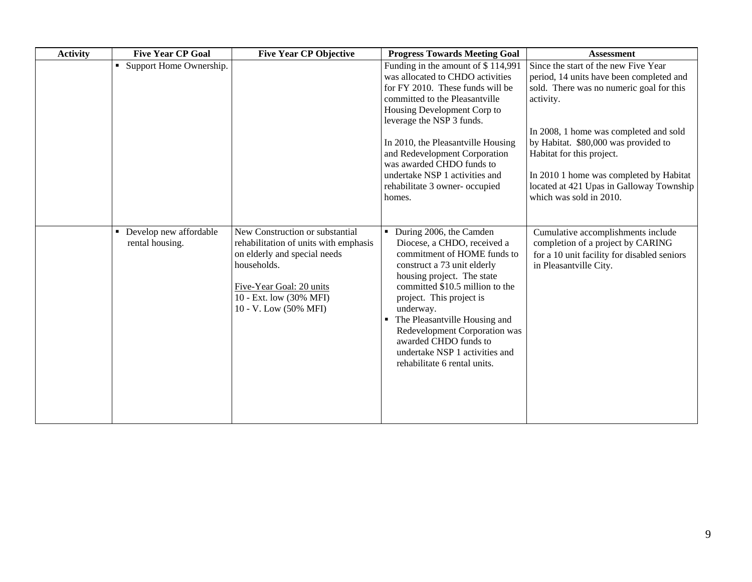| <b>Activity</b> | <b>Five Year CP Goal</b>                                    | <b>Five Year CP Objective</b>                                                                                                                                                                           | <b>Progress Towards Meeting Goal</b>                                                                                                                                                                                                                                                                                                                                                        | <b>Assessment</b>                                                                                                                                                                                                                                                                                                                                                          |
|-----------------|-------------------------------------------------------------|---------------------------------------------------------------------------------------------------------------------------------------------------------------------------------------------------------|---------------------------------------------------------------------------------------------------------------------------------------------------------------------------------------------------------------------------------------------------------------------------------------------------------------------------------------------------------------------------------------------|----------------------------------------------------------------------------------------------------------------------------------------------------------------------------------------------------------------------------------------------------------------------------------------------------------------------------------------------------------------------------|
|                 | Support Home Ownership.                                     |                                                                                                                                                                                                         | Funding in the amount of \$114,991<br>was allocated to CHDO activities<br>for FY 2010. These funds will be<br>committed to the Pleasantville<br>Housing Development Corp to<br>leverage the NSP 3 funds.<br>In 2010, the Pleasantville Housing<br>and Redevelopment Corporation<br>was awarded CHDO funds to<br>undertake NSP 1 activities and<br>rehabilitate 3 owner- occupied<br>homes.  | Since the start of the new Five Year<br>period, 14 units have been completed and<br>sold. There was no numeric goal for this<br>activity.<br>In 2008, 1 home was completed and sold<br>by Habitat. \$80,000 was provided to<br>Habitat for this project.<br>In 2010 1 home was completed by Habitat<br>located at 421 Upas in Galloway Township<br>which was sold in 2010. |
|                 | Develop new affordable<br>$\blacksquare$<br>rental housing. | New Construction or substantial<br>rehabilitation of units with emphasis<br>on elderly and special needs<br>households.<br>Five-Year Goal: 20 units<br>10 - Ext. low (30% MFI)<br>10 - V. Low (50% MFI) | During 2006, the Camden<br>Diocese, a CHDO, received a<br>commitment of HOME funds to<br>construct a 73 unit elderly<br>housing project. The state<br>committed \$10.5 million to the<br>project. This project is<br>underway.<br>The Pleasantville Housing and<br>Redevelopment Corporation was<br>awarded CHDO funds to<br>undertake NSP 1 activities and<br>rehabilitate 6 rental units. | Cumulative accomplishments include<br>completion of a project by CARING<br>for a 10 unit facility for disabled seniors<br>in Pleasantville City.                                                                                                                                                                                                                           |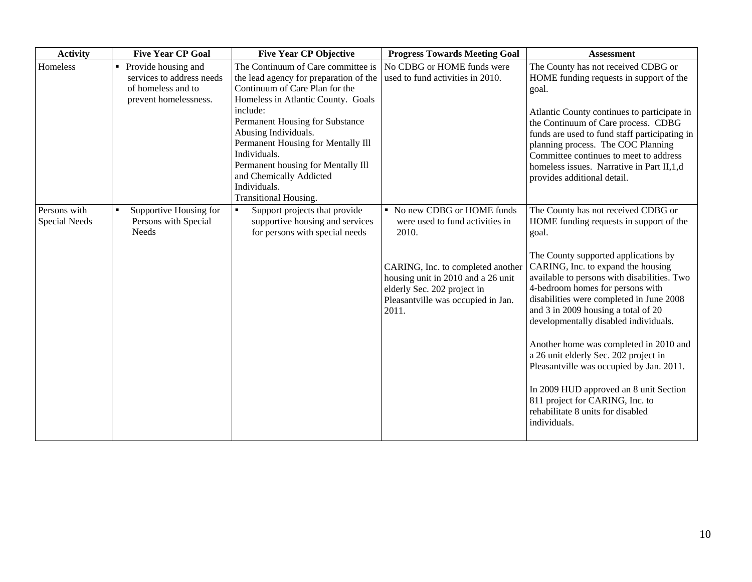| <b>Activity</b>               | <b>Five Year CP Goal</b>                                                                             | <b>Five Year CP Objective</b>                                                                                                                                                                                                              | <b>Progress Towards Meeting Goal</b>                                                                                                                  | <b>Assessment</b>                                                                                                                                                                                                                                                                                 |
|-------------------------------|------------------------------------------------------------------------------------------------------|--------------------------------------------------------------------------------------------------------------------------------------------------------------------------------------------------------------------------------------------|-------------------------------------------------------------------------------------------------------------------------------------------------------|---------------------------------------------------------------------------------------------------------------------------------------------------------------------------------------------------------------------------------------------------------------------------------------------------|
| Homeless                      | Provide housing and<br>٠<br>services to address needs<br>of homeless and to<br>prevent homelessness. | The Continuum of Care committee is<br>the lead agency for preparation of the<br>Continuum of Care Plan for the<br>Homeless in Atlantic County. Goals                                                                                       | No CDBG or HOME funds were<br>used to fund activities in 2010.                                                                                        | The County has not received CDBG or<br>HOME funding requests in support of the<br>goal.                                                                                                                                                                                                           |
|                               |                                                                                                      | include:<br>Permanent Housing for Substance<br>Abusing Individuals.<br>Permanent Housing for Mentally Ill<br>Individuals.<br>Permanent housing for Mentally Ill<br>and Chemically Addicted<br>Individuals.<br><b>Transitional Housing.</b> |                                                                                                                                                       | Atlantic County continues to participate in<br>the Continuum of Care process. CDBG<br>funds are used to fund staff participating in<br>planning process. The COC Planning<br>Committee continues to meet to address<br>homeless issues. Narrative in Part II, 1, d<br>provides additional detail. |
| Persons with<br>Special Needs | Supportive Housing for<br>Persons with Special<br><b>Needs</b>                                       | Support projects that provide<br>supportive housing and services<br>for persons with special needs                                                                                                                                         | • No new CDBG or HOME funds<br>were used to fund activities in<br>2010.                                                                               | The County has not received CDBG or<br>HOME funding requests in support of the<br>goal.                                                                                                                                                                                                           |
|                               |                                                                                                      |                                                                                                                                                                                                                                            | CARING, Inc. to completed another<br>housing unit in 2010 and a 26 unit<br>elderly Sec. 202 project in<br>Pleasantville was occupied in Jan.<br>2011. | The County supported applications by<br>CARING, Inc. to expand the housing<br>available to persons with disabilities. Two<br>4-bedroom homes for persons with<br>disabilities were completed in June 2008<br>and 3 in 2009 housing a total of 20<br>developmentally disabled individuals.         |
|                               |                                                                                                      |                                                                                                                                                                                                                                            |                                                                                                                                                       | Another home was completed in 2010 and<br>a 26 unit elderly Sec. 202 project in<br>Pleasantville was occupied by Jan. 2011.                                                                                                                                                                       |
|                               |                                                                                                      |                                                                                                                                                                                                                                            |                                                                                                                                                       | In 2009 HUD approved an 8 unit Section<br>811 project for CARING, Inc. to<br>rehabilitate 8 units for disabled<br>individuals.                                                                                                                                                                    |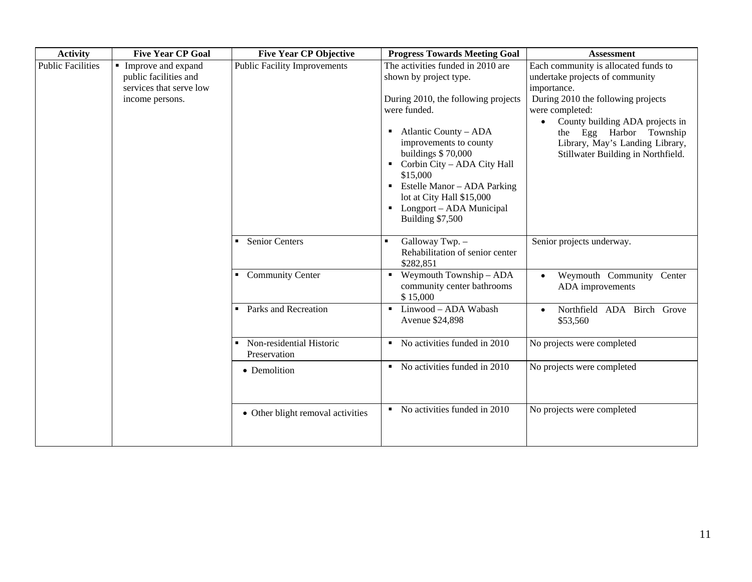| <b>Activity</b>          | <b>Five Year CP Goal</b>                                                                  | <b>Five Year CP Objective</b>            | <b>Progress Towards Meeting Goal</b>                                                                                                                                                                                                                                                                                                                                | <b>Assessment</b>                                                                                                                                                                                                                                                                      |
|--------------------------|-------------------------------------------------------------------------------------------|------------------------------------------|---------------------------------------------------------------------------------------------------------------------------------------------------------------------------------------------------------------------------------------------------------------------------------------------------------------------------------------------------------------------|----------------------------------------------------------------------------------------------------------------------------------------------------------------------------------------------------------------------------------------------------------------------------------------|
| <b>Public Facilities</b> | Improve and expand<br>public facilities and<br>services that serve low<br>income persons. | <b>Public Facility Improvements</b>      | The activities funded in 2010 are<br>shown by project type.<br>During 2010, the following projects<br>were funded.<br>Atlantic County – ADA<br>improvements to county<br>buildings \$70,000<br>Corbin City - ADA City Hall<br>\$15,000<br>$\blacksquare$ Estelle Manor – ADA Parking<br>lot at City Hall \$15,000<br>• Longport – ADA Municipal<br>Building \$7,500 | Each community is allocated funds to<br>undertake projects of community<br>importance.<br>During 2010 the following projects<br>were completed:<br>County building ADA projects in<br>the Egg Harbor Township<br>Library, May's Landing Library,<br>Stillwater Building in Northfield. |
|                          |                                                                                           | Senior Centers<br>• Community Center     | Galloway Twp. -<br>Rehabilitation of senior center<br>\$282,851<br>$\blacksquare$ Weymouth Township - ADA                                                                                                                                                                                                                                                           | Senior projects underway.<br>Weymouth Community Center                                                                                                                                                                                                                                 |
|                          |                                                                                           |                                          | community center bathrooms<br>\$15,000                                                                                                                                                                                                                                                                                                                              | ADA improvements                                                                                                                                                                                                                                                                       |
|                          |                                                                                           | • Parks and Recreation                   | Linwood - ADA Wabash<br>Avenue \$24,898                                                                                                                                                                                                                                                                                                                             | Northfield ADA Birch Grove<br>\$53,560                                                                                                                                                                                                                                                 |
|                          |                                                                                           | Non-residential Historic<br>Preservation | No activities funded in 2010<br>$\blacksquare$                                                                                                                                                                                                                                                                                                                      | No projects were completed                                                                                                                                                                                                                                                             |
|                          |                                                                                           | • Demolition                             | No activities funded in 2010<br>$\blacksquare$                                                                                                                                                                                                                                                                                                                      | No projects were completed                                                                                                                                                                                                                                                             |
|                          |                                                                                           | • Other blight removal activities        | No activities funded in 2010<br>٠                                                                                                                                                                                                                                                                                                                                   | No projects were completed                                                                                                                                                                                                                                                             |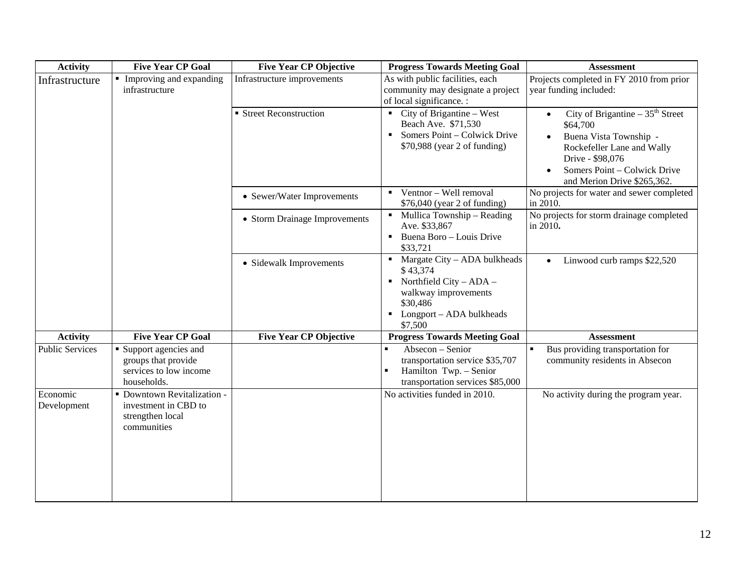| <b>Activity</b>         | <b>Five Year CP Goal</b>                                                               | <b>Five Year CP Objective</b> | <b>Progress Towards Meeting Goal</b>                                                                                                                             | <b>Assessment</b>                                                                                                                                                                                     |
|-------------------------|----------------------------------------------------------------------------------------|-------------------------------|------------------------------------------------------------------------------------------------------------------------------------------------------------------|-------------------------------------------------------------------------------------------------------------------------------------------------------------------------------------------------------|
| Infrastructure          | • Improving and expanding<br>infrastructure                                            | Infrastructure improvements   | As with public facilities, each<br>community may designate a project<br>of local significance. :                                                                 | Projects completed in FY 2010 from prior<br>year funding included:                                                                                                                                    |
|                         |                                                                                        | ■ Street Reconstruction       | $\blacksquare$ City of Brigantine – West<br>Beach Ave. \$71,530<br>Somers Point – Colwick Drive<br>\$70,988 (year 2 of funding)                                  | City of Brigantine $-35th$ Street<br>$\bullet$<br>\$64,700<br>Buena Vista Township -<br>Rockefeller Lane and Wally<br>Drive - \$98,076<br>Somers Point - Colwick Drive<br>and Merion Drive \$265,362. |
|                         |                                                                                        | • Sewer/Water Improvements    | Ventnor - Well removal<br>\$76,040 (year 2 of funding)                                                                                                           | No projects for water and sewer completed<br>in 2010.                                                                                                                                                 |
|                         |                                                                                        | • Storm Drainage Improvements | Mullica Township - Reading<br>$\blacksquare$<br>Ave. \$33,867<br>Buena Boro - Louis Drive<br>٠<br>\$33,721                                                       | No projects for storm drainage completed<br>in 2010.                                                                                                                                                  |
|                         |                                                                                        | • Sidewalk Improvements       | Margate City - ADA bulkheads<br>$\blacksquare$<br>\$43,374<br>Northfield City - ADA -<br>walkway improvements<br>\$30,486<br>Longport - ADA bulkheads<br>\$7,500 | Linwood curb ramps \$22,520<br>$\bullet$                                                                                                                                                              |
| <b>Activity</b>         | <b>Five Year CP Goal</b>                                                               | <b>Five Year CP Objective</b> | <b>Progress Towards Meeting Goal</b>                                                                                                                             | <b>Assessment</b>                                                                                                                                                                                     |
| <b>Public Services</b>  | • Support agencies and<br>groups that provide<br>services to low income<br>households. |                               | Absecon - Senior<br>transportation service \$35,707<br>Hamilton Twp. - Senior<br>transportation services \$85,000                                                | Bus providing transportation for<br>$\blacksquare$<br>community residents in Absecon                                                                                                                  |
| Economic<br>Development | · Downtown Revitalization -<br>investment in CBD to<br>strengthen local<br>communities |                               | No activities funded in 2010.                                                                                                                                    | No activity during the program year.                                                                                                                                                                  |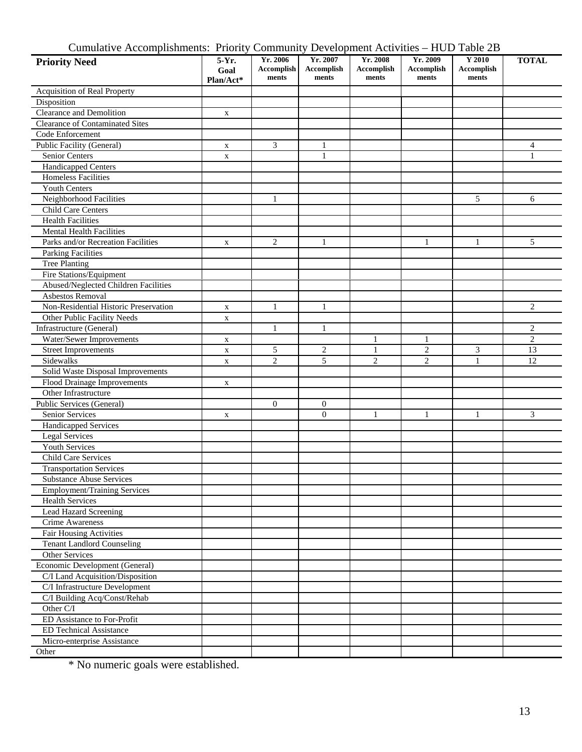| Cumulative Accomplishments: Priority Community Development Activities – HUD Table 2B |  |  |  |  |  |  |
|--------------------------------------------------------------------------------------|--|--|--|--|--|--|
|--------------------------------------------------------------------------------------|--|--|--|--|--|--|

| $\alpha$<br><b>Priority Need</b>                    | 5-Yr.<br>Goal | $\sim$ $\sim$ $\sim$ $\sim$ $\sim$ $\sim$<br>Yr. 2006<br>Accomplish | Yr. 2007<br><b>Accomplish</b> | $E_{\rm t}$ . $\epsilon$ . $\epsilon$ . $\epsilon$ . The state $\epsilon$ is the state state $\epsilon$<br>Yr. 2008<br><b>Accomplish</b> | $\cdots$<br>Yr. 2009<br><b>Accomplish</b> | ***** <i>**</i><br>Y 2010<br><b>Accomplish</b> | <b>TOTAL</b>   |
|-----------------------------------------------------|---------------|---------------------------------------------------------------------|-------------------------------|------------------------------------------------------------------------------------------------------------------------------------------|-------------------------------------------|------------------------------------------------|----------------|
|                                                     | Plan/Act*     | ments                                                               | ments                         | ments                                                                                                                                    | ments                                     | ments                                          |                |
| Acquisition of Real Property                        |               |                                                                     |                               |                                                                                                                                          |                                           |                                                |                |
| Disposition                                         |               |                                                                     |                               |                                                                                                                                          |                                           |                                                |                |
| Clearance and Demolition                            | $\mathbf X$   |                                                                     |                               |                                                                                                                                          |                                           |                                                |                |
| <b>Clearance of Contaminated Sites</b>              |               |                                                                     |                               |                                                                                                                                          |                                           |                                                |                |
| Code Enforcement                                    |               |                                                                     |                               |                                                                                                                                          |                                           |                                                |                |
| Public Facility (General)                           | $\mathbf X$   | 3                                                                   | $\mathbf{1}$                  |                                                                                                                                          |                                           |                                                | $\overline{4}$ |
| Senior Centers                                      | $\mathbf X$   |                                                                     | $\mathbf{1}$                  |                                                                                                                                          |                                           |                                                | $\mathbf{1}$   |
| Handicapped Centers                                 |               |                                                                     |                               |                                                                                                                                          |                                           |                                                |                |
| <b>Homeless Facilities</b>                          |               |                                                                     |                               |                                                                                                                                          |                                           |                                                |                |
| <b>Youth Centers</b>                                |               |                                                                     |                               |                                                                                                                                          |                                           |                                                |                |
| Neighborhood Facilities                             |               | 1                                                                   |                               |                                                                                                                                          |                                           | 5                                              | 6              |
| Child Care Centers                                  |               |                                                                     |                               |                                                                                                                                          |                                           |                                                |                |
| <b>Health Facilities</b>                            |               |                                                                     |                               |                                                                                                                                          |                                           |                                                |                |
| <b>Mental Health Facilities</b>                     |               |                                                                     |                               |                                                                                                                                          |                                           |                                                |                |
| Parks and/or Recreation Facilities                  | $\mathbf X$   | $\overline{c}$                                                      | 1                             |                                                                                                                                          | 1                                         | 1                                              | 5              |
| <b>Parking Facilities</b>                           |               |                                                                     |                               |                                                                                                                                          |                                           |                                                |                |
| <b>Tree Planting</b>                                |               |                                                                     |                               |                                                                                                                                          |                                           |                                                |                |
| Fire Stations/Equipment                             |               |                                                                     |                               |                                                                                                                                          |                                           |                                                |                |
| Abused/Neglected Children Facilities                |               |                                                                     |                               |                                                                                                                                          |                                           |                                                |                |
| Asbestos Removal                                    |               |                                                                     |                               |                                                                                                                                          |                                           |                                                |                |
| Non-Residential Historic Preservation               | $\mathbf X$   | 1                                                                   | $\mathbf{1}$                  |                                                                                                                                          |                                           |                                                | $\overline{2}$ |
| Other Public Facility Needs                         | $\mathbf X$   |                                                                     |                               |                                                                                                                                          |                                           |                                                |                |
| Infrastructure (General)                            |               | $\mathbf{1}$                                                        | 1                             |                                                                                                                                          |                                           |                                                | $\overline{c}$ |
| Water/Sewer Improvements                            |               |                                                                     |                               | 1                                                                                                                                        | $\mathbf{1}$                              |                                                | $\overline{2}$ |
| <b>Street Improvements</b>                          | $\mathbf X$   | 5                                                                   | $\mathbf{2}$                  | $\mathbf{1}$                                                                                                                             | $\mathbf{2}$                              | 3                                              | 13             |
| Sidewalks                                           | $\mathbf X$   | $\overline{c}$                                                      | 5                             | $\overline{c}$                                                                                                                           | 2                                         | $\mathbf{1}$                                   | 12             |
| Solid Waste Disposal Improvements                   | $\mathbf X$   |                                                                     |                               |                                                                                                                                          |                                           |                                                |                |
|                                                     |               |                                                                     |                               |                                                                                                                                          |                                           |                                                |                |
| Flood Drainage Improvements<br>Other Infrastructure | $\mathbf X$   |                                                                     |                               |                                                                                                                                          |                                           |                                                |                |
| Public Services (General)                           |               | $\mathbf{0}$                                                        | $\mathbf{0}$                  |                                                                                                                                          |                                           |                                                |                |
| Senior Services                                     |               |                                                                     | $\theta$                      | $\mathbf{1}$                                                                                                                             | $\mathbf{1}$                              | $\mathbf{1}$                                   | 3              |
|                                                     | X             |                                                                     |                               |                                                                                                                                          |                                           |                                                |                |
| Handicapped Services                                |               |                                                                     |                               |                                                                                                                                          |                                           |                                                |                |
| <b>Legal Services</b><br><b>Youth Services</b>      |               |                                                                     |                               |                                                                                                                                          |                                           |                                                |                |
|                                                     |               |                                                                     |                               |                                                                                                                                          |                                           |                                                |                |
| Child Care Services                                 |               |                                                                     |                               |                                                                                                                                          |                                           |                                                |                |
| <b>Transportation Services</b>                      |               |                                                                     |                               |                                                                                                                                          |                                           |                                                |                |
| Substance Abuse Services                            |               |                                                                     |                               |                                                                                                                                          |                                           |                                                |                |
| <b>Employment/Training Services</b>                 |               |                                                                     |                               |                                                                                                                                          |                                           |                                                |                |
| <b>Health Services</b>                              |               |                                                                     |                               |                                                                                                                                          |                                           |                                                |                |
| <b>Lead Hazard Screening</b>                        |               |                                                                     |                               |                                                                                                                                          |                                           |                                                |                |
| <b>Crime Awareness</b>                              |               |                                                                     |                               |                                                                                                                                          |                                           |                                                |                |
| <b>Fair Housing Activities</b>                      |               |                                                                     |                               |                                                                                                                                          |                                           |                                                |                |
| <b>Tenant Landlord Counseling</b>                   |               |                                                                     |                               |                                                                                                                                          |                                           |                                                |                |
| Other Services                                      |               |                                                                     |                               |                                                                                                                                          |                                           |                                                |                |
| Economic Development (General)                      |               |                                                                     |                               |                                                                                                                                          |                                           |                                                |                |
| C/I Land Acquisition/Disposition                    |               |                                                                     |                               |                                                                                                                                          |                                           |                                                |                |
| C/I Infrastructure Development                      |               |                                                                     |                               |                                                                                                                                          |                                           |                                                |                |
| C/I Building Acq/Const/Rehab                        |               |                                                                     |                               |                                                                                                                                          |                                           |                                                |                |
| Other C/I                                           |               |                                                                     |                               |                                                                                                                                          |                                           |                                                |                |
| ED Assistance to For-Profit                         |               |                                                                     |                               |                                                                                                                                          |                                           |                                                |                |
| <b>ED</b> Technical Assistance                      |               |                                                                     |                               |                                                                                                                                          |                                           |                                                |                |
| Micro-enterprise Assistance                         |               |                                                                     |                               |                                                                                                                                          |                                           |                                                |                |
| Other                                               |               |                                                                     |                               |                                                                                                                                          |                                           |                                                |                |

\* No numeric goals were established.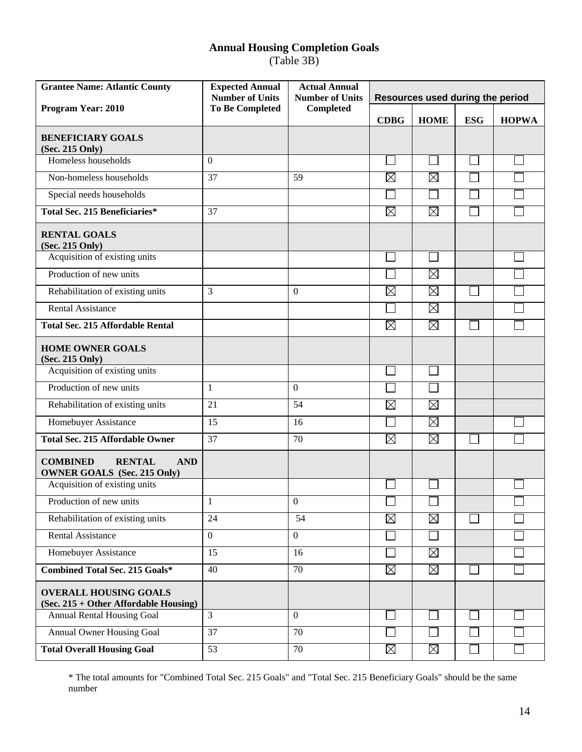# **Annual Housing Completion Goals**

(Table 3B)

| <b>Grantee Name: Atlantic County</b>                                                 | <b>Expected Annual</b><br><b>Number of Units</b> | <b>Actual Annual</b><br><b>Number of Units</b> | Resources used during the period |             |            |              |
|--------------------------------------------------------------------------------------|--------------------------------------------------|------------------------------------------------|----------------------------------|-------------|------------|--------------|
| <b>Program Year: 2010</b>                                                            | <b>To Be Completed</b>                           | Completed                                      | <b>CDBG</b>                      | <b>HOME</b> | <b>ESG</b> | <b>HOPWA</b> |
| <b>BENEFICIARY GOALS</b><br>(Sec. 215 Only)                                          |                                                  |                                                |                                  |             |            |              |
| Homeless households                                                                  | $\Omega$                                         |                                                |                                  | $\Box$      |            |              |
| Non-homeless households                                                              | 37                                               | 59                                             | $\boxtimes$                      | $\boxtimes$ |            |              |
| Special needs households                                                             |                                                  |                                                |                                  |             |            |              |
| Total Sec. 215 Beneficiaries*                                                        | 37                                               |                                                | $\boxtimes$                      | $\boxtimes$ |            |              |
| <b>RENTAL GOALS</b><br>(Sec. 215 Only)                                               |                                                  |                                                |                                  |             |            |              |
| Acquisition of existing units                                                        |                                                  |                                                |                                  |             |            |              |
| Production of new units                                                              |                                                  |                                                |                                  | $\boxtimes$ |            |              |
| Rehabilitation of existing units                                                     | 3                                                | 0                                              | $\boxtimes$                      | $\boxtimes$ |            |              |
| <b>Rental Assistance</b>                                                             |                                                  |                                                |                                  | $\boxtimes$ |            |              |
| <b>Total Sec. 215 Affordable Rental</b>                                              |                                                  |                                                | $\boxtimes$                      | $\boxtimes$ |            |              |
| <b>HOME OWNER GOALS</b><br>(Sec. 215 Only)                                           |                                                  |                                                |                                  |             |            |              |
| Acquisition of existing units                                                        |                                                  |                                                |                                  |             |            |              |
| Production of new units                                                              | 1                                                | $\theta$                                       |                                  |             |            |              |
| Rehabilitation of existing units                                                     | 21                                               | 54                                             | $\boxtimes$                      | $\boxtimes$ |            |              |
| Homebuyer Assistance                                                                 | 15                                               | 16                                             |                                  | $\boxtimes$ |            |              |
| <b>Total Sec. 215 Affordable Owner</b>                                               | 37                                               | 70                                             | $\boxtimes$                      | $\boxtimes$ |            |              |
| <b>COMBINED</b><br><b>RENTAL</b><br><b>AND</b><br><b>OWNER GOALS</b> (Sec. 215 Only) |                                                  |                                                |                                  |             |            |              |
| Acquisition of existing units                                                        |                                                  |                                                |                                  |             |            |              |
| Production of new units                                                              | $\mathbf{1}$                                     | $\overline{0}$                                 |                                  |             |            |              |
| Rehabilitation of existing units                                                     | 24                                               | 54                                             | $\boxtimes$                      | $\boxtimes$ |            |              |
| <b>Rental Assistance</b>                                                             | $\mathbf{0}$                                     | $\overline{0}$                                 |                                  |             |            |              |
| Homebuyer Assistance                                                                 | 15                                               | 16                                             |                                  | $\boxtimes$ |            |              |
| <b>Combined Total Sec. 215 Goals*</b>                                                | 40                                               | 70                                             | $\boxtimes$                      | $\boxtimes$ |            |              |
| <b>OVERALL HOUSING GOALS</b><br>(Sec. 215 + Other Affordable Housing)                |                                                  |                                                |                                  |             |            |              |
| Annual Rental Housing Goal                                                           | $\overline{3}$                                   | $\boldsymbol{0}$                               |                                  |             |            |              |
| Annual Owner Housing Goal                                                            | 37                                               | 70                                             |                                  |             |            |              |
| <b>Total Overall Housing Goal</b>                                                    | 53                                               | 70                                             | $\boxtimes$                      | $\boxtimes$ |            |              |

\* The total amounts for "Combined Total Sec. 215 Goals" and "Total Sec. 215 Beneficiary Goals" should be the same number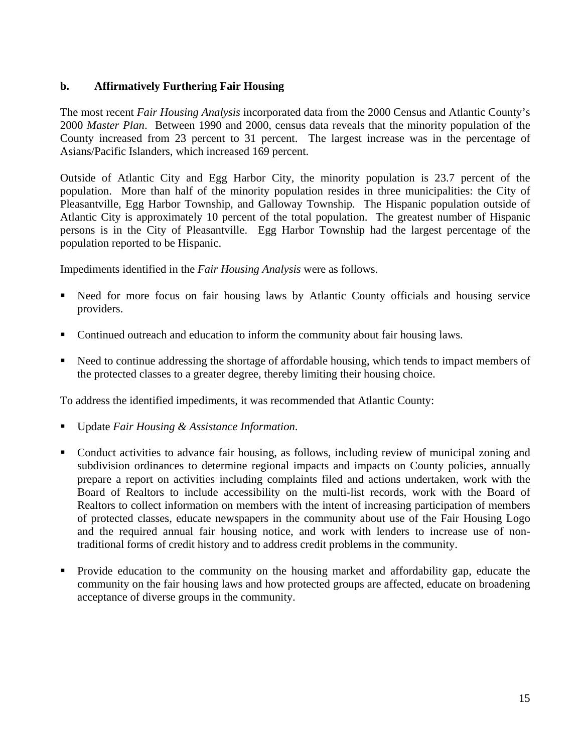# **b. Affirmatively Furthering Fair Housing**

The most recent *Fair Housing Analysis* incorporated data from the 2000 Census and Atlantic County's 2000 *Master Plan*. Between 1990 and 2000, census data reveals that the minority population of the County increased from 23 percent to 31 percent. The largest increase was in the percentage of Asians/Pacific Islanders, which increased 169 percent.

Outside of Atlantic City and Egg Harbor City, the minority population is 23.7 percent of the population. More than half of the minority population resides in three municipalities: the City of Pleasantville, Egg Harbor Township, and Galloway Township. The Hispanic population outside of Atlantic City is approximately 10 percent of the total population. The greatest number of Hispanic persons is in the City of Pleasantville. Egg Harbor Township had the largest percentage of the population reported to be Hispanic.

Impediments identified in the *Fair Housing Analysis* were as follows.

- Need for more focus on fair housing laws by Atlantic County officials and housing service providers.
- Continued outreach and education to inform the community about fair housing laws.
- Need to continue addressing the shortage of affordable housing, which tends to impact members of the protected classes to a greater degree, thereby limiting their housing choice.

To address the identified impediments, it was recommended that Atlantic County:

- Update *Fair Housing & Assistance Information*.
- Conduct activities to advance fair housing, as follows, including review of municipal zoning and subdivision ordinances to determine regional impacts and impacts on County policies, annually prepare a report on activities including complaints filed and actions undertaken, work with the Board of Realtors to include accessibility on the multi-list records, work with the Board of Realtors to collect information on members with the intent of increasing participation of members of protected classes, educate newspapers in the community about use of the Fair Housing Logo and the required annual fair housing notice, and work with lenders to increase use of nontraditional forms of credit history and to address credit problems in the community.
- Provide education to the community on the housing market and affordability gap, educate the community on the fair housing laws and how protected groups are affected, educate on broadening acceptance of diverse groups in the community.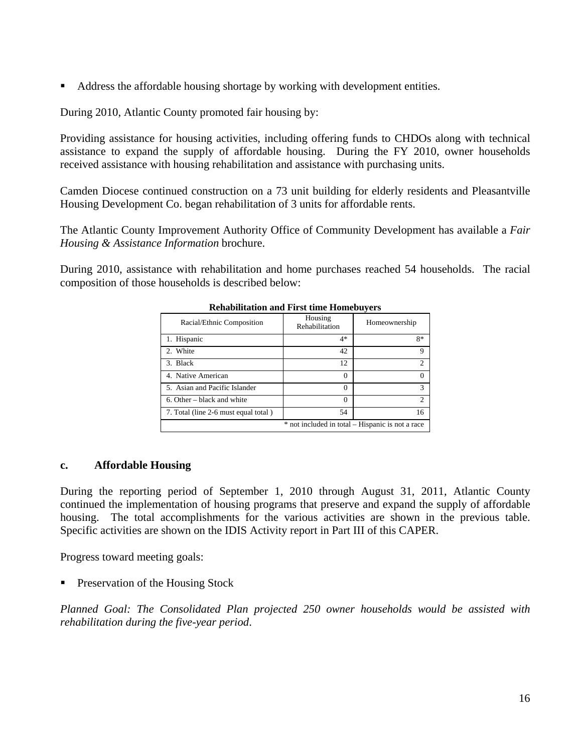Address the affordable housing shortage by working with development entities.

During 2010, Atlantic County promoted fair housing by:

Providing assistance for housing activities, including offering funds to CHDOs along with technical assistance to expand the supply of affordable housing. During the FY 2010, owner households received assistance with housing rehabilitation and assistance with purchasing units.

Camden Diocese continued construction on a 73 unit building for elderly residents and Pleasantville Housing Development Co. began rehabilitation of 3 units for affordable rents.

The Atlantic County Improvement Authority Office of Community Development has available a *Fair Housing & Assistance Information* brochure.

During 2010, assistance with rehabilitation and home purchases reached 54 households. The racial composition of those households is described below:

| inchabintation and I hat thin Homebuyers         |                           |                |  |  |
|--------------------------------------------------|---------------------------|----------------|--|--|
| Racial/Ethnic Composition                        | Housing<br>Rehabilitation | Homeownership  |  |  |
| 1. Hispanic                                      | $4*$                      | $8*$           |  |  |
| 2. White                                         | 42                        | 9              |  |  |
| 3. Black                                         | 12                        | $\mathfrak{D}$ |  |  |
| 4. Native American                               | $\Omega$                  |                |  |  |
| 5. Asian and Pacific Islander                    | $\Omega$                  | 3              |  |  |
| 6. Other – black and white                       | $\Omega$                  | $\mathcal{D}$  |  |  |
| 7. Total (line 2-6 must equal total)             | 54                        | 16             |  |  |
| * not included in total - Hispanic is not a race |                           |                |  |  |

#### **Rehabilitation and First time Homebuyers**

#### **c. Affordable Housing**

During the reporting period of September 1, 2010 through August 31, 2011, Atlantic County continued the implementation of housing programs that preserve and expand the supply of affordable housing. The total accomplishments for the various activities are shown in the previous table. Specific activities are shown on the IDIS Activity report in Part III of this CAPER.

Progress toward meeting goals:

Preservation of the Housing Stock

*Planned Goal: The Consolidated Plan projected 250 owner households would be assisted with rehabilitation during the five-year period*.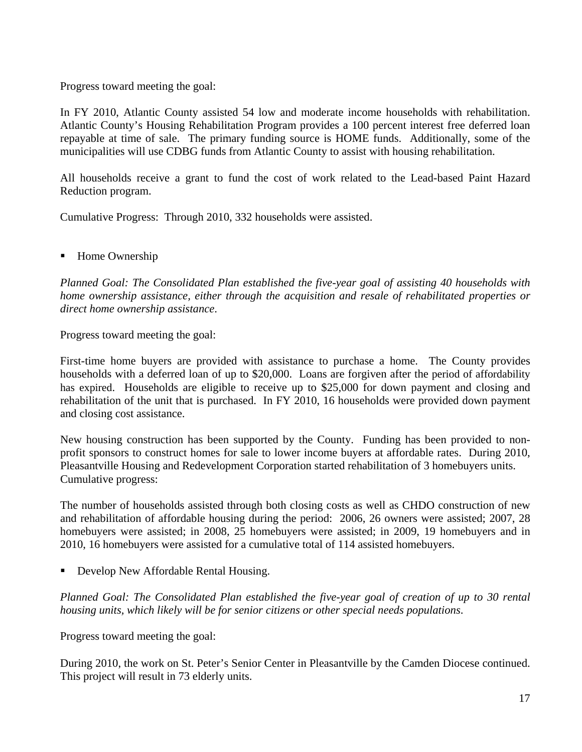Progress toward meeting the goal:

In FY 2010, Atlantic County assisted 54 low and moderate income households with rehabilitation. Atlantic County's Housing Rehabilitation Program provides a 100 percent interest free deferred loan repayable at time of sale. The primary funding source is HOME funds. Additionally, some of the municipalities will use CDBG funds from Atlantic County to assist with housing rehabilitation.

All households receive a grant to fund the cost of work related to the Lead-based Paint Hazard Reduction program.

Cumulative Progress: Through 2010, 332 households were assisted.

Home Ownership

*Planned Goal: The Consolidated Plan established the five-year goal of assisting 40 households with home ownership assistance, either through the acquisition and resale of rehabilitated properties or direct home ownership assistance*.

Progress toward meeting the goal:

First-time home buyers are provided with assistance to purchase a home. The County provides households with a deferred loan of up to \$20,000. Loans are forgiven after the period of affordability has expired. Households are eligible to receive up to \$25,000 for down payment and closing and rehabilitation of the unit that is purchased. In FY 2010, 16 households were provided down payment and closing cost assistance.

New housing construction has been supported by the County. Funding has been provided to nonprofit sponsors to construct homes for sale to lower income buyers at affordable rates. During 2010, Pleasantville Housing and Redevelopment Corporation started rehabilitation of 3 homebuyers units. Cumulative progress:

The number of households assisted through both closing costs as well as CHDO construction of new and rehabilitation of affordable housing during the period: 2006, 26 owners were assisted; 2007, 28 homebuyers were assisted; in 2008, 25 homebuyers were assisted; in 2009, 19 homebuyers and in 2010, 16 homebuyers were assisted for a cumulative total of 114 assisted homebuyers.

■ Develop New Affordable Rental Housing.

*Planned Goal: The Consolidated Plan established the five-year goal of creation of up to 30 rental housing units, which likely will be for senior citizens or other special needs populations*.

Progress toward meeting the goal:

During 2010, the work on St. Peter's Senior Center in Pleasantville by the Camden Diocese continued. This project will result in 73 elderly units.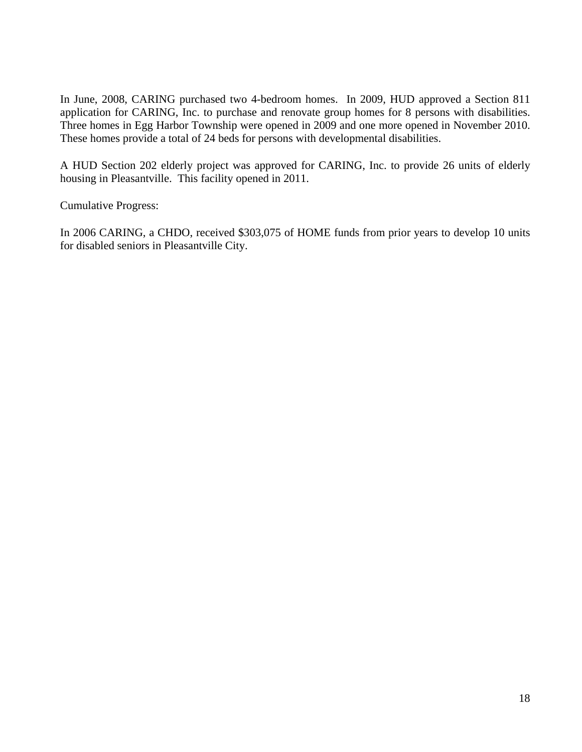In June, 2008, CARING purchased two 4-bedroom homes. In 2009, HUD approved a Section 811 application for CARING, Inc. to purchase and renovate group homes for 8 persons with disabilities. Three homes in Egg Harbor Township were opened in 2009 and one more opened in November 2010. These homes provide a total of 24 beds for persons with developmental disabilities.

A HUD Section 202 elderly project was approved for CARING, Inc. to provide 26 units of elderly housing in Pleasantville. This facility opened in 2011.

Cumulative Progress:

In 2006 CARING, a CHDO, received \$303,075 of HOME funds from prior years to develop 10 units for disabled seniors in Pleasantville City.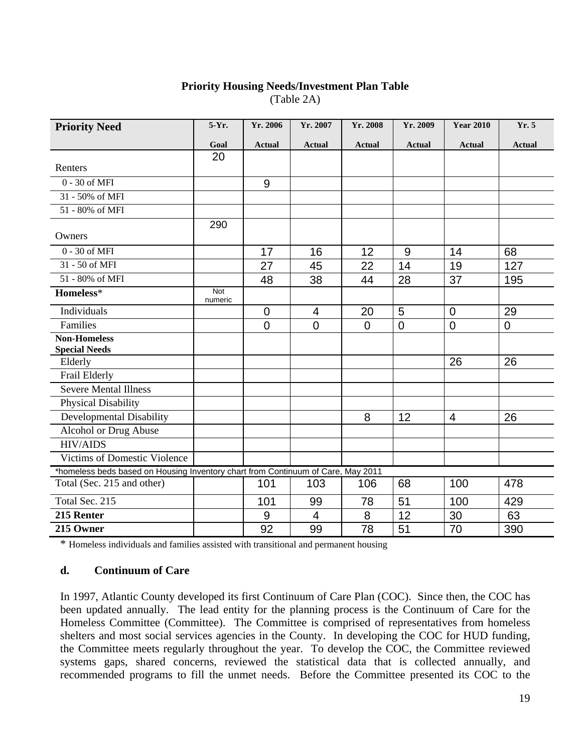#### **Priority Housing Needs/Investment Plan Table** (Table 2A)

| <b>Priority Need</b>                                                             | 5-Yr.                 | Yr. 2006       | Yr. 2007       | Yr. 2008       | Yr. 2009      | <b>Year 2010</b> | Yr. 5         |
|----------------------------------------------------------------------------------|-----------------------|----------------|----------------|----------------|---------------|------------------|---------------|
|                                                                                  | Goal                  | <b>Actual</b>  | <b>Actual</b>  | <b>Actual</b>  | <b>Actual</b> | <b>Actual</b>    | <b>Actual</b> |
|                                                                                  | 20                    |                |                |                |               |                  |               |
| Renters                                                                          |                       |                |                |                |               |                  |               |
| $0 - 30$ of MFI                                                                  |                       | 9              |                |                |               |                  |               |
| 31 - 50% of MFI                                                                  |                       |                |                |                |               |                  |               |
| 51 - 80% of MFI                                                                  |                       |                |                |                |               |                  |               |
|                                                                                  | 290                   |                |                |                |               |                  |               |
| Owners                                                                           |                       |                |                |                |               |                  |               |
| $0 - 30$ of MFI                                                                  |                       | 17             | 16             | 12             | 9             | 14               | 68            |
| 31 - 50 of MFI                                                                   |                       | 27             | 45             | 22             | 14            | 19               | 127           |
| 51 - 80% of MFI                                                                  |                       | 48             | 38             | 44             | 28            | 37               | 195           |
| Homeless*                                                                        | <b>Not</b><br>numeric |                |                |                |               |                  |               |
| Individuals                                                                      |                       | 0              | $\overline{4}$ | 20             | 5             | $\overline{0}$   | 29            |
| Families                                                                         |                       | $\overline{0}$ | $\overline{0}$ | $\overline{0}$ | $\mathbf 0$   | $\overline{0}$   | $\mathbf 0$   |
| <b>Non-Homeless</b>                                                              |                       |                |                |                |               |                  |               |
| <b>Special Needs</b>                                                             |                       |                |                |                |               |                  |               |
| Elderly                                                                          |                       |                |                |                |               | 26               | 26            |
| Frail Elderly                                                                    |                       |                |                |                |               |                  |               |
| <b>Severe Mental Illness</b>                                                     |                       |                |                |                |               |                  |               |
| Physical Disability                                                              |                       |                |                |                |               |                  |               |
| Developmental Disability                                                         |                       |                |                | 8              | 12            | $\overline{4}$   | 26            |
| Alcohol or Drug Abuse                                                            |                       |                |                |                |               |                  |               |
| <b>HIV/AIDS</b>                                                                  |                       |                |                |                |               |                  |               |
| Victims of Domestic Violence                                                     |                       |                |                |                |               |                  |               |
| *homeless beds based on Housing Inventory chart from Continuum of Care, May 2011 |                       |                |                |                |               |                  |               |
| Total (Sec. 215 and other)                                                       |                       | 101            | 103            | 106            | 68            | 100              | 478           |
| Total Sec. 215                                                                   |                       | 101            | 99             | 78             | 51            | 100              | 429           |
| 215 Renter                                                                       |                       | 9              | $\overline{4}$ | 8              | 12            | 30               | 63            |
| 215 Owner                                                                        |                       | 92             | 99             | 78             | 51            | 70               | 390           |

\* Homeless individuals and families assisted with transitional and permanent housing

#### **d. Continuum of Care**

In 1997, Atlantic County developed its first Continuum of Care Plan (COC). Since then, the COC has been updated annually. The lead entity for the planning process is the Continuum of Care for the Homeless Committee (Committee). The Committee is comprised of representatives from homeless shelters and most social services agencies in the County. In developing the COC for HUD funding, the Committee meets regularly throughout the year. To develop the COC, the Committee reviewed systems gaps, shared concerns, reviewed the statistical data that is collected annually, and recommended programs to fill the unmet needs. Before the Committee presented its COC to the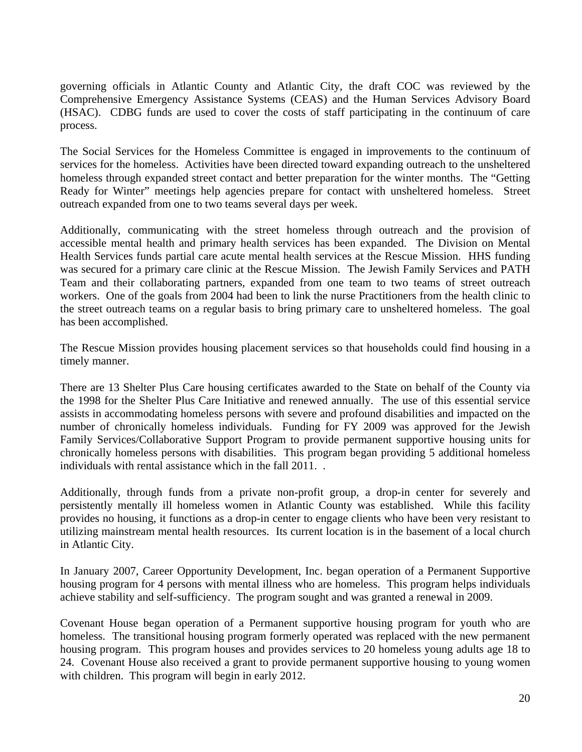governing officials in Atlantic County and Atlantic City, the draft COC was reviewed by the Comprehensive Emergency Assistance Systems (CEAS) and the Human Services Advisory Board (HSAC). CDBG funds are used to cover the costs of staff participating in the continuum of care process.

The Social Services for the Homeless Committee is engaged in improvements to the continuum of services for the homeless. Activities have been directed toward expanding outreach to the unsheltered homeless through expanded street contact and better preparation for the winter months. The "Getting Ready for Winter" meetings help agencies prepare for contact with unsheltered homeless. Street outreach expanded from one to two teams several days per week.

Additionally, communicating with the street homeless through outreach and the provision of accessible mental health and primary health services has been expanded. The Division on Mental Health Services funds partial care acute mental health services at the Rescue Mission. HHS funding was secured for a primary care clinic at the Rescue Mission. The Jewish Family Services and PATH Team and their collaborating partners, expanded from one team to two teams of street outreach workers. One of the goals from 2004 had been to link the nurse Practitioners from the health clinic to the street outreach teams on a regular basis to bring primary care to unsheltered homeless. The goal has been accomplished.

The Rescue Mission provides housing placement services so that households could find housing in a timely manner.

There are 13 Shelter Plus Care housing certificates awarded to the State on behalf of the County via the 1998 for the Shelter Plus Care Initiative and renewed annually. The use of this essential service assists in accommodating homeless persons with severe and profound disabilities and impacted on the number of chronically homeless individuals. Funding for FY 2009 was approved for the Jewish Family Services/Collaborative Support Program to provide permanent supportive housing units for chronically homeless persons with disabilities. This program began providing 5 additional homeless individuals with rental assistance which in the fall 2011. .

Additionally, through funds from a private non-profit group, a drop-in center for severely and persistently mentally ill homeless women in Atlantic County was established. While this facility provides no housing, it functions as a drop-in center to engage clients who have been very resistant to utilizing mainstream mental health resources. Its current location is in the basement of a local church in Atlantic City.

In January 2007, Career Opportunity Development, Inc. began operation of a Permanent Supportive housing program for 4 persons with mental illness who are homeless. This program helps individuals achieve stability and self-sufficiency. The program sought and was granted a renewal in 2009.

Covenant House began operation of a Permanent supportive housing program for youth who are homeless. The transitional housing program formerly operated was replaced with the new permanent housing program. This program houses and provides services to 20 homeless young adults age 18 to 24. Covenant House also received a grant to provide permanent supportive housing to young women with children. This program will begin in early 2012.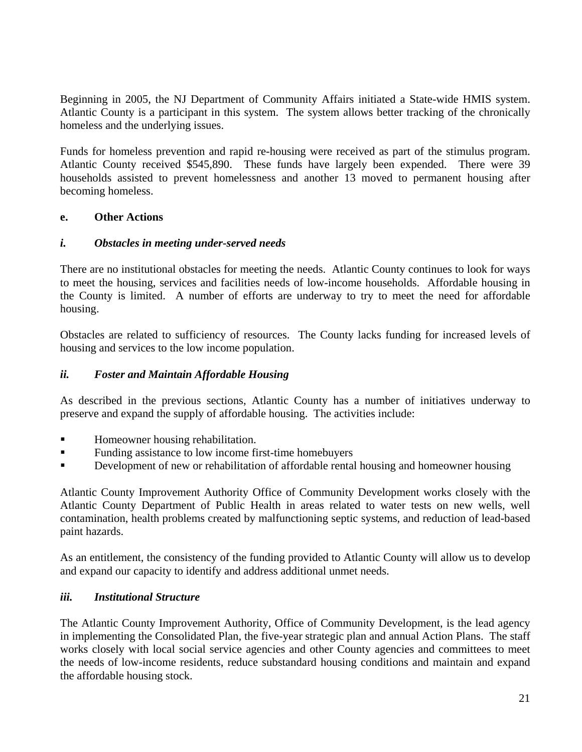Beginning in 2005, the NJ Department of Community Affairs initiated a State-wide HMIS system. Atlantic County is a participant in this system. The system allows better tracking of the chronically homeless and the underlying issues.

Funds for homeless prevention and rapid re-housing were received as part of the stimulus program. Atlantic County received \$545,890. These funds have largely been expended. There were 39 households assisted to prevent homelessness and another 13 moved to permanent housing after becoming homeless.

#### **e. Other Actions**

#### *i. Obstacles in meeting under-served needs*

There are no institutional obstacles for meeting the needs. Atlantic County continues to look for ways to meet the housing, services and facilities needs of low-income households. Affordable housing in the County is limited. A number of efforts are underway to try to meet the need for affordable housing.

Obstacles are related to sufficiency of resources. The County lacks funding for increased levels of housing and services to the low income population.

#### *ii. Foster and Maintain Affordable Housing*

As described in the previous sections, Atlantic County has a number of initiatives underway to preserve and expand the supply of affordable housing. The activities include:

- **Homeowner housing rehabilitation.**
- Funding assistance to low income first-time homebuyers
- **EXECUTE:** Development of new or rehabilitation of affordable rental housing and homeowner housing

Atlantic County Improvement Authority Office of Community Development works closely with the Atlantic County Department of Public Health in areas related to water tests on new wells, well contamination, health problems created by malfunctioning septic systems, and reduction of lead-based paint hazards.

As an entitlement, the consistency of the funding provided to Atlantic County will allow us to develop and expand our capacity to identify and address additional unmet needs.

#### *iii. Institutional Structure*

The Atlantic County Improvement Authority, Office of Community Development, is the lead agency in implementing the Consolidated Plan, the five-year strategic plan and annual Action Plans. The staff works closely with local social service agencies and other County agencies and committees to meet the needs of low-income residents, reduce substandard housing conditions and maintain and expand the affordable housing stock.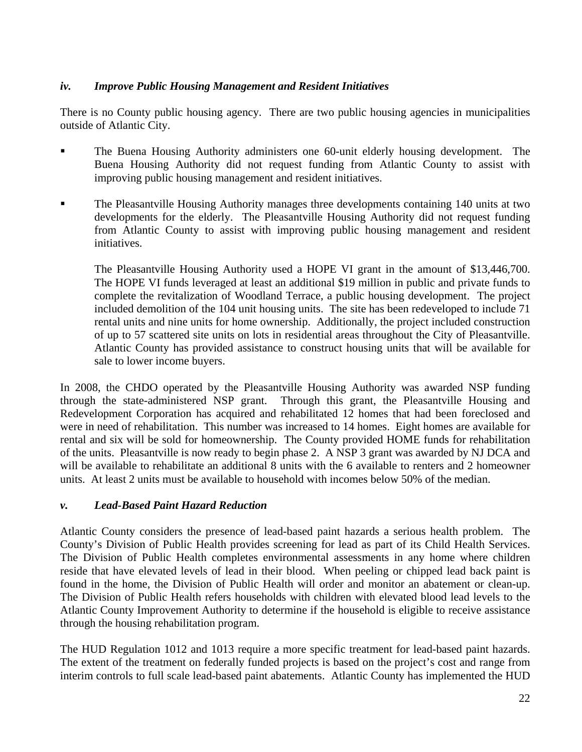# *iv. Improve Public Housing Management and Resident Initiatives*

There is no County public housing agency. There are two public housing agencies in municipalities outside of Atlantic City.

- The Buena Housing Authority administers one 60-unit elderly housing development. The Buena Housing Authority did not request funding from Atlantic County to assist with improving public housing management and resident initiatives.
- The Pleasantville Housing Authority manages three developments containing 140 units at two developments for the elderly. The Pleasantville Housing Authority did not request funding from Atlantic County to assist with improving public housing management and resident initiatives.

The Pleasantville Housing Authority used a HOPE VI grant in the amount of \$13,446,700. The HOPE VI funds leveraged at least an additional \$19 million in public and private funds to complete the revitalization of Woodland Terrace, a public housing development. The project included demolition of the 104 unit housing units. The site has been redeveloped to include 71 rental units and nine units for home ownership. Additionally, the project included construction of up to 57 scattered site units on lots in residential areas throughout the City of Pleasantville. Atlantic County has provided assistance to construct housing units that will be available for sale to lower income buyers.

In 2008, the CHDO operated by the Pleasantville Housing Authority was awarded NSP funding through the state-administered NSP grant. Through this grant, the Pleasantville Housing and Redevelopment Corporation has acquired and rehabilitated 12 homes that had been foreclosed and were in need of rehabilitation. This number was increased to 14 homes. Eight homes are available for rental and six will be sold for homeownership. The County provided HOME funds for rehabilitation of the units. Pleasantville is now ready to begin phase 2. A NSP 3 grant was awarded by NJ DCA and will be available to rehabilitate an additional 8 units with the 6 available to renters and 2 homeowner units. At least 2 units must be available to household with incomes below 50% of the median.

# *v. Lead-Based Paint Hazard Reduction*

Atlantic County considers the presence of lead-based paint hazards a serious health problem. The County's Division of Public Health provides screening for lead as part of its Child Health Services. The Division of Public Health completes environmental assessments in any home where children reside that have elevated levels of lead in their blood. When peeling or chipped lead back paint is found in the home, the Division of Public Health will order and monitor an abatement or clean-up. The Division of Public Health refers households with children with elevated blood lead levels to the Atlantic County Improvement Authority to determine if the household is eligible to receive assistance through the housing rehabilitation program.

The HUD Regulation 1012 and 1013 require a more specific treatment for lead-based paint hazards. The extent of the treatment on federally funded projects is based on the project's cost and range from interim controls to full scale lead-based paint abatements. Atlantic County has implemented the HUD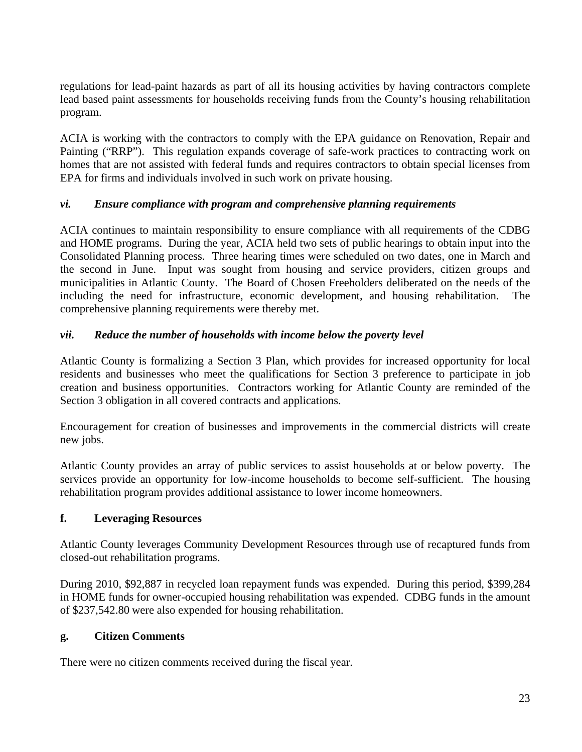regulations for lead-paint hazards as part of all its housing activities by having contractors complete lead based paint assessments for households receiving funds from the County's housing rehabilitation program.

ACIA is working with the contractors to comply with the EPA guidance on Renovation, Repair and Painting ("RRP"). This regulation expands coverage of safe-work practices to contracting work on homes that are not assisted with federal funds and requires contractors to obtain special licenses from EPA for firms and individuals involved in such work on private housing.

# *vi. Ensure compliance with program and comprehensive planning requirements*

ACIA continues to maintain responsibility to ensure compliance with all requirements of the CDBG and HOME programs. During the year, ACIA held two sets of public hearings to obtain input into the Consolidated Planning process. Three hearing times were scheduled on two dates, one in March and the second in June. Input was sought from housing and service providers, citizen groups and municipalities in Atlantic County. The Board of Chosen Freeholders deliberated on the needs of the including the need for infrastructure, economic development, and housing rehabilitation. The comprehensive planning requirements were thereby met.

# *vii. Reduce the number of households with income below the poverty level*

Atlantic County is formalizing a Section 3 Plan, which provides for increased opportunity for local residents and businesses who meet the qualifications for Section 3 preference to participate in job creation and business opportunities. Contractors working for Atlantic County are reminded of the Section 3 obligation in all covered contracts and applications.

Encouragement for creation of businesses and improvements in the commercial districts will create new jobs.

Atlantic County provides an array of public services to assist households at or below poverty. The services provide an opportunity for low-income households to become self-sufficient. The housing rehabilitation program provides additional assistance to lower income homeowners.

# **f. Leveraging Resources**

Atlantic County leverages Community Development Resources through use of recaptured funds from closed-out rehabilitation programs.

During 2010, \$92,887 in recycled loan repayment funds was expended. During this period, \$399,284 in HOME funds for owner-occupied housing rehabilitation was expended. CDBG funds in the amount of \$237,542.80 were also expended for housing rehabilitation.

# **g. Citizen Comments**

There were no citizen comments received during the fiscal year.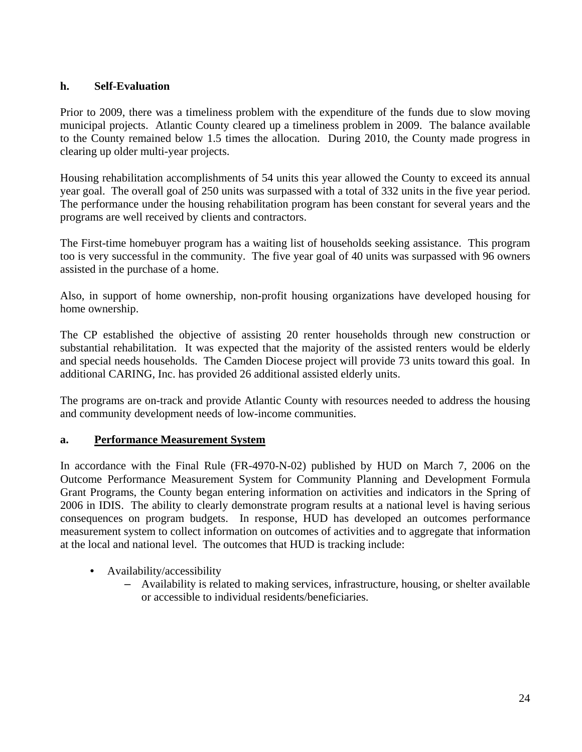# **h. Self-Evaluation**

Prior to 2009, there was a timeliness problem with the expenditure of the funds due to slow moving municipal projects. Atlantic County cleared up a timeliness problem in 2009. The balance available to the County remained below 1.5 times the allocation. During 2010, the County made progress in clearing up older multi-year projects.

Housing rehabilitation accomplishments of 54 units this year allowed the County to exceed its annual year goal. The overall goal of 250 units was surpassed with a total of 332 units in the five year period. The performance under the housing rehabilitation program has been constant for several years and the programs are well received by clients and contractors.

The First-time homebuyer program has a waiting list of households seeking assistance. This program too is very successful in the community. The five year goal of 40 units was surpassed with 96 owners assisted in the purchase of a home.

Also, in support of home ownership, non-profit housing organizations have developed housing for home ownership.

The CP established the objective of assisting 20 renter households through new construction or substantial rehabilitation. It was expected that the majority of the assisted renters would be elderly and special needs households. The Camden Diocese project will provide 73 units toward this goal. In additional CARING, Inc. has provided 26 additional assisted elderly units.

The programs are on-track and provide Atlantic County with resources needed to address the housing and community development needs of low-income communities.

# **a. Performance Measurement System**

In accordance with the Final Rule (FR-4970-N-02) published by HUD on March 7, 2006 on the Outcome Performance Measurement System for Community Planning and Development Formula Grant Programs, the County began entering information on activities and indicators in the Spring of 2006 in IDIS. The ability to clearly demonstrate program results at a national level is having serious consequences on program budgets. In response, HUD has developed an outcomes performance measurement system to collect information on outcomes of activities and to aggregate that information at the local and national level. The outcomes that HUD is tracking include:

- Availability/accessibility
	- Availability is related to making services, infrastructure, housing, or shelter available or accessible to individual residents/beneficiaries.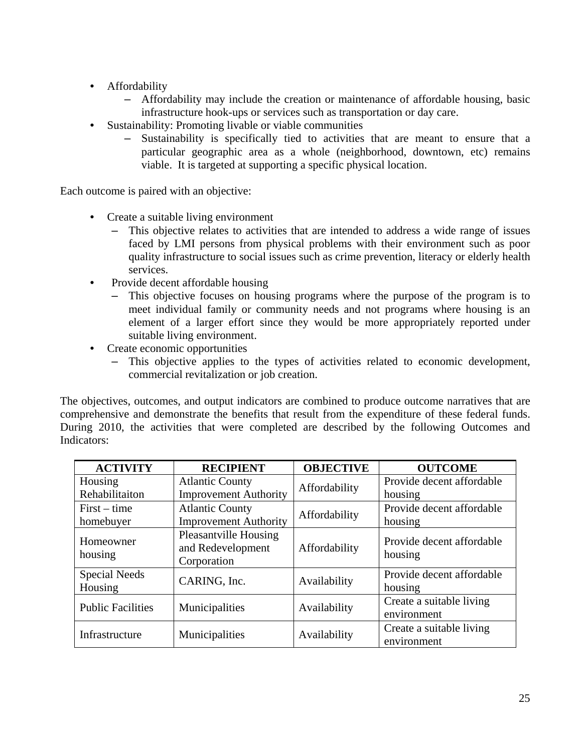- Affordability
	- Affordability may include the creation or maintenance of affordable housing, basic infrastructure hook-ups or services such as transportation or day care.
- Sustainability: Promoting livable or viable communities
	- Sustainability is specifically tied to activities that are meant to ensure that a particular geographic area as a whole (neighborhood, downtown, etc) remains viable. It is targeted at supporting a specific physical location.

Each outcome is paired with an objective:

- Create a suitable living environment
	- This objective relates to activities that are intended to address a wide range of issues faced by LMI persons from physical problems with their environment such as poor quality infrastructure to social issues such as crime prevention, literacy or elderly health services.
- Provide decent affordable housing
	- This objective focuses on housing programs where the purpose of the program is to meet individual family or community needs and not programs where housing is an element of a larger effort since they would be more appropriately reported under suitable living environment.
- Create economic opportunities
	- This objective applies to the types of activities related to economic development, commercial revitalization or job creation.

The objectives, outcomes, and output indicators are combined to produce outcome narratives that are comprehensive and demonstrate the benefits that result from the expenditure of these federal funds. During 2010, the activities that were completed are described by the following Outcomes and Indicators:

| <b>ACTIVITY</b>          | <b>RECIPIENT</b>                                                 | <b>OBJECTIVE</b> | <b>OUTCOME</b>                          |  |
|--------------------------|------------------------------------------------------------------|------------------|-----------------------------------------|--|
| Housing                  | <b>Atlantic County</b>                                           |                  | Provide decent affordable               |  |
| Rehabilitaiton           | <b>Improvement Authority</b>                                     | Affordability    | housing                                 |  |
| $First-time$             | <b>Atlantic County</b>                                           | Affordability    | Provide decent affordable               |  |
| homebuyer                | <b>Improvement Authority</b>                                     |                  | housing                                 |  |
| Homeowner<br>housing     | <b>Pleasantville Housing</b><br>and Redevelopment<br>Corporation | Affordability    | Provide decent affordable<br>housing    |  |
| Special Needs<br>Housing | CARING, Inc.                                                     | Availability     | Provide decent affordable<br>housing    |  |
| <b>Public Facilities</b> | Municipalities                                                   | Availability     | Create a suitable living<br>environment |  |
| Infrastructure           | Municipalities                                                   | Availability     | Create a suitable living<br>environment |  |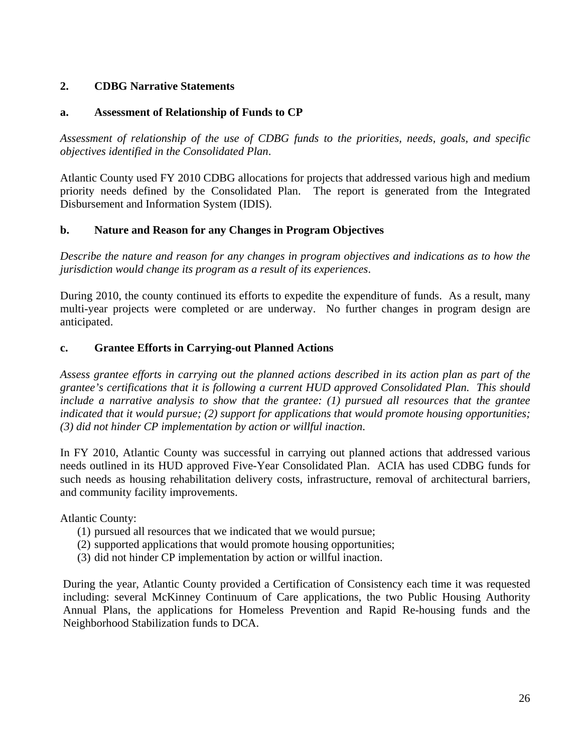# **2. CDBG Narrative Statements**

# **a. Assessment of Relationship of Funds to CP**

*Assessment of relationship of the use of CDBG funds to the priorities, needs, goals, and specific objectives identified in the Consolidated Plan*.

Atlantic County used FY 2010 CDBG allocations for projects that addressed various high and medium priority needs defined by the Consolidated Plan. The report is generated from the Integrated Disbursement and Information System (IDIS).

# **b. Nature and Reason for any Changes in Program Objectives**

*Describe the nature and reason for any changes in program objectives and indications as to how the jurisdiction would change its program as a result of its experiences*.

During 2010, the county continued its efforts to expedite the expenditure of funds. As a result, many multi-year projects were completed or are underway. No further changes in program design are anticipated.

# **c. Grantee Efforts in Carrying-out Planned Actions**

*Assess grantee efforts in carrying out the planned actions described in its action plan as part of the grantee's certifications that it is following a current HUD approved Consolidated Plan. This should include a narrative analysis to show that the grantee: (1) pursued all resources that the grantee indicated that it would pursue; (2) support for applications that would promote housing opportunities; (3) did not hinder CP implementation by action or willful inaction*.

In FY 2010, Atlantic County was successful in carrying out planned actions that addressed various needs outlined in its HUD approved Five-Year Consolidated Plan. ACIA has used CDBG funds for such needs as housing rehabilitation delivery costs, infrastructure, removal of architectural barriers, and community facility improvements.

Atlantic County:

- (1) pursued all resources that we indicated that we would pursue;
- (2) supported applications that would promote housing opportunities;
- (3) did not hinder CP implementation by action or willful inaction.

During the year, Atlantic County provided a Certification of Consistency each time it was requested including: several McKinney Continuum of Care applications, the two Public Housing Authority Annual Plans, the applications for Homeless Prevention and Rapid Re-housing funds and the Neighborhood Stabilization funds to DCA.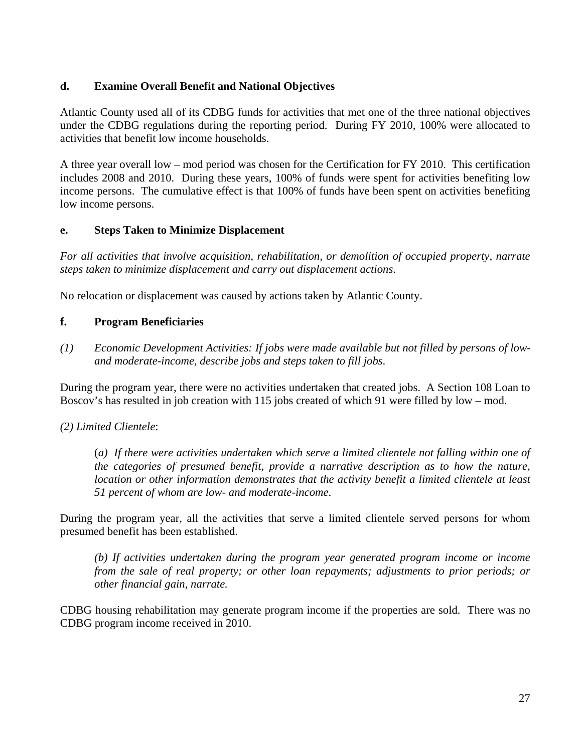# **d. Examine Overall Benefit and National Objectives**

Atlantic County used all of its CDBG funds for activities that met one of the three national objectives under the CDBG regulations during the reporting period. During FY 2010, 100% were allocated to activities that benefit low income households.

A three year overall low – mod period was chosen for the Certification for FY 2010. This certification includes 2008 and 2010. During these years, 100% of funds were spent for activities benefiting low income persons. The cumulative effect is that 100% of funds have been spent on activities benefiting low income persons.

# **e. Steps Taken to Minimize Displacement**

*For all activities that involve acquisition, rehabilitation, or demolition of occupied property, narrate steps taken to minimize displacement and carry out displacement actions*.

No relocation or displacement was caused by actions taken by Atlantic County.

# **f. Program Beneficiaries**

*(1) Economic Development Activities: If jobs were made available but not filled by persons of lowand moderate-income, describe jobs and steps taken to fill jobs*.

During the program year, there were no activities undertaken that created jobs. A Section 108 Loan to Boscov's has resulted in job creation with 115 jobs created of which 91 were filled by low – mod.

# *(2) Limited Clientele*:

(*a) If there were activities undertaken which serve a limited clientele not falling within one of the categories of presumed benefit, provide a narrative description as to how the nature, location or other information demonstrates that the activity benefit a limited clientele at least 51 percent of whom are low- and moderate-income*.

During the program year, all the activities that serve a limited clientele served persons for whom presumed benefit has been established.

*(b) If activities undertaken during the program year generated program income or income from the sale of real property; or other loan repayments; adjustments to prior periods; or other financial gain, narrate.*

CDBG housing rehabilitation may generate program income if the properties are sold. There was no CDBG program income received in 2010.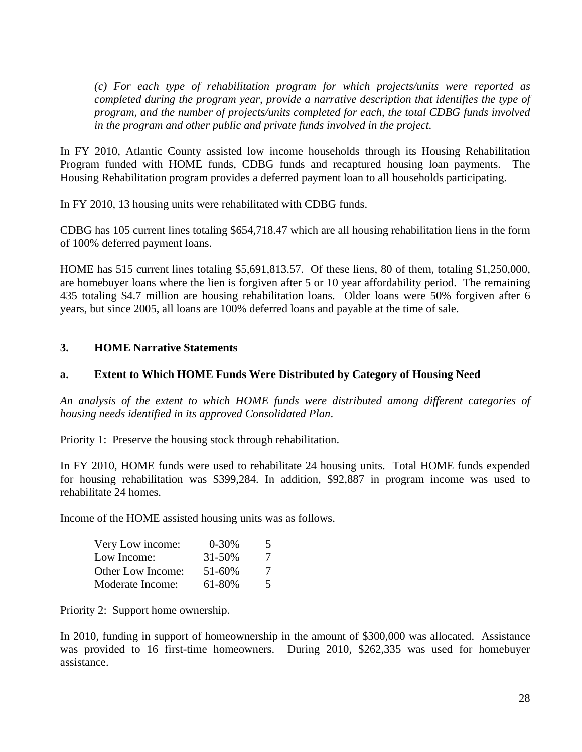*(c) For each type of rehabilitation program for which projects/units were reported as completed during the program year, provide a narrative description that identifies the type of program, and the number of projects/units completed for each, the total CDBG funds involved in the program and other public and private funds involved in the project.*

In FY 2010, Atlantic County assisted low income households through its Housing Rehabilitation Program funded with HOME funds, CDBG funds and recaptured housing loan payments. The Housing Rehabilitation program provides a deferred payment loan to all households participating.

In FY 2010, 13 housing units were rehabilitated with CDBG funds.

CDBG has 105 current lines totaling \$654,718.47 which are all housing rehabilitation liens in the form of 100% deferred payment loans.

HOME has 515 current lines totaling \$5,691,813.57. Of these liens, 80 of them, totaling \$1,250,000, are homebuyer loans where the lien is forgiven after 5 or 10 year affordability period. The remaining 435 totaling \$4.7 million are housing rehabilitation loans. Older loans were 50% forgiven after 6 years, but since 2005, all loans are 100% deferred loans and payable at the time of sale.

#### **3. HOME Narrative Statements**

#### **a. Extent to Which HOME Funds Were Distributed by Category of Housing Need**

*An analysis of the extent to which HOME funds were distributed among different categories of housing needs identified in its approved Consolidated Plan*.

Priority 1: Preserve the housing stock through rehabilitation.

In FY 2010, HOME funds were used to rehabilitate 24 housing units. Total HOME funds expended for housing rehabilitation was \$399,284. In addition, \$92,887 in program income was used to rehabilitate 24 homes.

Income of the HOME assisted housing units was as follows.

| Very Low income:  | $0 - 30%$   | $\mathcal{L}$ |
|-------------------|-------------|---------------|
| Low Income:       | $31 - 50\%$ | 7             |
| Other Low Income: | 51-60%      | 7             |
| Moderate Income:  | 61-80%      | $\mathcal{F}$ |

Priority 2: Support home ownership.

In 2010, funding in support of homeownership in the amount of \$300,000 was allocated. Assistance was provided to 16 first-time homeowners. During 2010, \$262,335 was used for homebuyer assistance.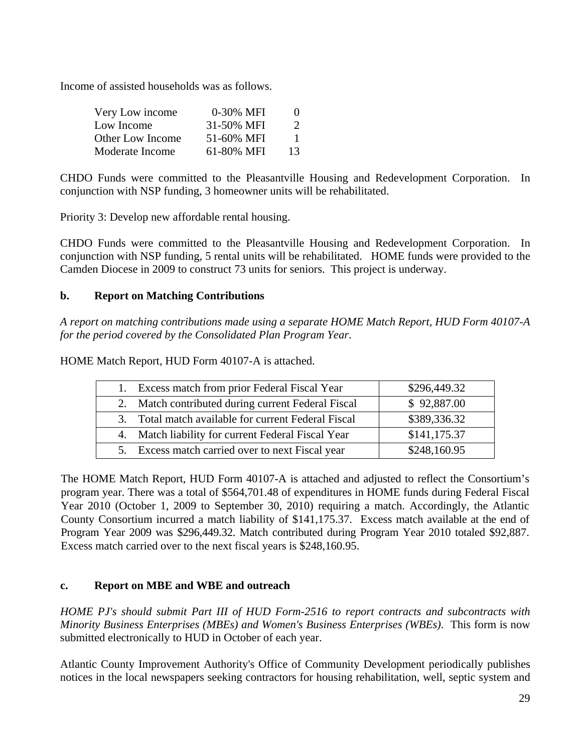Income of assisted households was as follows.

| Very Low income         | 0-30% MFI  | $\mathbf{0}$  |
|-------------------------|------------|---------------|
| Low Income              | 31-50% MFI | $\mathcal{L}$ |
| <b>Other Low Income</b> | 51-60% MFI | 1             |
| Moderate Income         | 61-80% MFI | 13            |

CHDO Funds were committed to the Pleasantville Housing and Redevelopment Corporation. In conjunction with NSP funding, 3 homeowner units will be rehabilitated.

Priority 3: Develop new affordable rental housing.

CHDO Funds were committed to the Pleasantville Housing and Redevelopment Corporation. In conjunction with NSP funding, 5 rental units will be rehabilitated. HOME funds were provided to the Camden Diocese in 2009 to construct 73 units for seniors. This project is underway.

# **b. Report on Matching Contributions**

*A report on matching contributions made using a separate HOME Match Report, HUD Form 40107-A for the period covered by the Consolidated Plan Program Year*.

HOME Match Report, HUD Form 40107-A is attached.

| Excess match from prior Federal Fiscal Year         | \$296,449.32 |
|-----------------------------------------------------|--------------|
| 2. Match contributed during current Federal Fiscal  | \$92,887.00  |
| 3. Total match available for current Federal Fiscal | \$389,336.32 |
| 4. Match liability for current Federal Fiscal Year  | \$141,175.37 |
| 5. Excess match carried over to next Fiscal year    | \$248,160.95 |

The HOME Match Report, HUD Form 40107-A is attached and adjusted to reflect the Consortium's program year. There was a total of \$564,701.48 of expenditures in HOME funds during Federal Fiscal Year 2010 (October 1, 2009 to September 30, 2010) requiring a match. Accordingly, the Atlantic County Consortium incurred a match liability of \$141,175.37. Excess match available at the end of Program Year 2009 was \$296,449.32. Match contributed during Program Year 2010 totaled \$92,887. Excess match carried over to the next fiscal years is \$248,160.95.

# **c. Report on MBE and WBE and outreach**

*HOME PJ's should submit Part III of HUD Form-2516 to report contracts and subcontracts with Minority Business Enterprises (MBEs) and Women's Business Enterprises (WBEs)*. This form is now submitted electronically to HUD in October of each year.

Atlantic County Improvement Authority's Office of Community Development periodically publishes notices in the local newspapers seeking contractors for housing rehabilitation, well, septic system and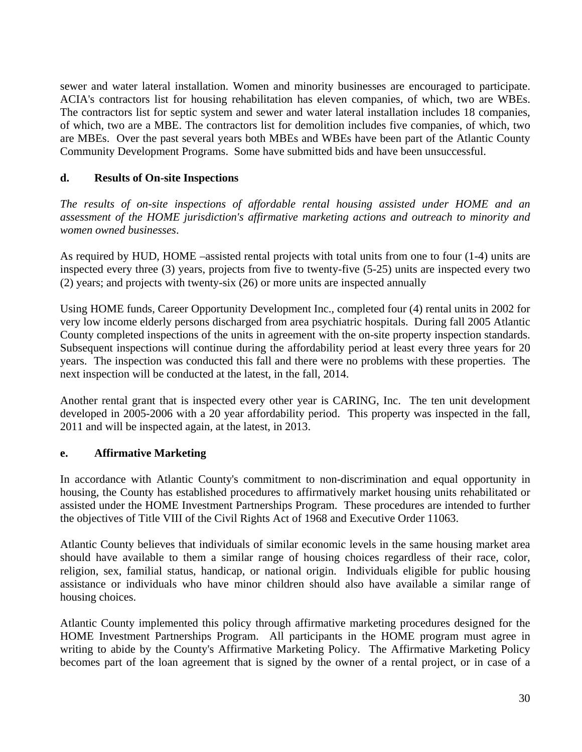sewer and water lateral installation. Women and minority businesses are encouraged to participate. ACIA's contractors list for housing rehabilitation has eleven companies, of which, two are WBEs. The contractors list for septic system and sewer and water lateral installation includes 18 companies, of which, two are a MBE. The contractors list for demolition includes five companies, of which, two are MBEs. Over the past several years both MBEs and WBEs have been part of the Atlantic County Community Development Programs. Some have submitted bids and have been unsuccessful.

# **d. Results of On-site Inspections**

*The results of on-site inspections of affordable rental housing assisted under HOME and an assessment of the HOME jurisdiction's affirmative marketing actions and outreach to minority and women owned businesses*.

As required by HUD, HOME –assisted rental projects with total units from one to four (1-4) units are inspected every three (3) years, projects from five to twenty-five (5-25) units are inspected every two (2) years; and projects with twenty-six (26) or more units are inspected annually

Using HOME funds, Career Opportunity Development Inc., completed four (4) rental units in 2002 for very low income elderly persons discharged from area psychiatric hospitals. During fall 2005 Atlantic County completed inspections of the units in agreement with the on-site property inspection standards. Subsequent inspections will continue during the affordability period at least every three years for 20 years. The inspection was conducted this fall and there were no problems with these properties. The next inspection will be conducted at the latest, in the fall, 2014.

Another rental grant that is inspected every other year is CARING, Inc. The ten unit development developed in 2005-2006 with a 20 year affordability period. This property was inspected in the fall, 2011 and will be inspected again, at the latest, in 2013.

# **e. Affirmative Marketing**

In accordance with Atlantic County's commitment to non-discrimination and equal opportunity in housing, the County has established procedures to affirmatively market housing units rehabilitated or assisted under the HOME Investment Partnerships Program. These procedures are intended to further the objectives of Title VIII of the Civil Rights Act of 1968 and Executive Order 11063.

Atlantic County believes that individuals of similar economic levels in the same housing market area should have available to them a similar range of housing choices regardless of their race, color, religion, sex, familial status, handicap, or national origin. Individuals eligible for public housing assistance or individuals who have minor children should also have available a similar range of housing choices.

Atlantic County implemented this policy through affirmative marketing procedures designed for the HOME Investment Partnerships Program. All participants in the HOME program must agree in writing to abide by the County's Affirmative Marketing Policy. The Affirmative Marketing Policy becomes part of the loan agreement that is signed by the owner of a rental project, or in case of a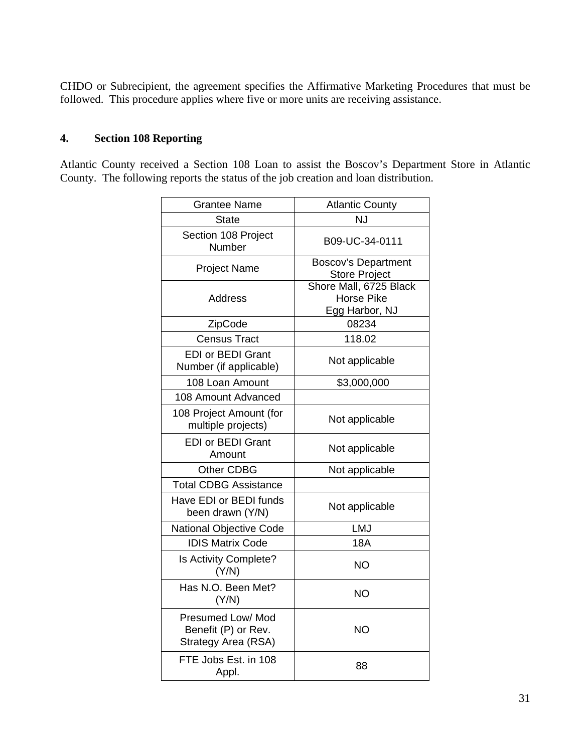CHDO or Subrecipient, the agreement specifies the Affirmative Marketing Procedures that must be followed. This procedure applies where five or more units are receiving assistance.

# **4. Section 108 Reporting**

Atlantic County received a Section 108 Loan to assist the Boscov's Department Store in Atlantic County. The following reports the status of the job creation and loan distribution.

| <b>Grantee Name</b>                                             | <b>Atlantic County</b>                                        |  |
|-----------------------------------------------------------------|---------------------------------------------------------------|--|
| <b>State</b>                                                    | <b>NJ</b>                                                     |  |
| Section 108 Project<br>Number                                   | B09-UC-34-0111                                                |  |
| <b>Project Name</b>                                             | <b>Boscov's Department</b><br><b>Store Project</b>            |  |
| Address                                                         | Shore Mall, 6725 Black<br><b>Horse Pike</b><br>Egg Harbor, NJ |  |
| ZipCode                                                         | 08234                                                         |  |
| <b>Census Tract</b>                                             | 118.02                                                        |  |
| <b>EDI or BEDI Grant</b><br>Number (if applicable)              | Not applicable                                                |  |
| 108 Loan Amount                                                 | \$3,000,000                                                   |  |
| 108 Amount Advanced                                             |                                                               |  |
| 108 Project Amount (for<br>multiple projects)                   | Not applicable                                                |  |
| <b>EDI or BEDI Grant</b><br>Amount                              | Not applicable                                                |  |
| Other CDBG                                                      | Not applicable                                                |  |
| <b>Total CDBG Assistance</b>                                    |                                                               |  |
| Have EDI or BEDI funds<br>been drawn (Y/N)                      | Not applicable                                                |  |
| <b>National Objective Code</b>                                  | LMJ                                                           |  |
| <b>IDIS Matrix Code</b>                                         | <b>18A</b>                                                    |  |
| Is Activity Complete?<br>(Y/N)                                  | <b>NO</b>                                                     |  |
| Has N.O. Been Met?<br>(Y/N)                                     | <b>NO</b>                                                     |  |
| Presumed Low/ Mod<br>Benefit (P) or Rev.<br>Strategy Area (RSA) | NΟ                                                            |  |
| FTE Jobs Est. in 108<br>Appl.                                   | 88                                                            |  |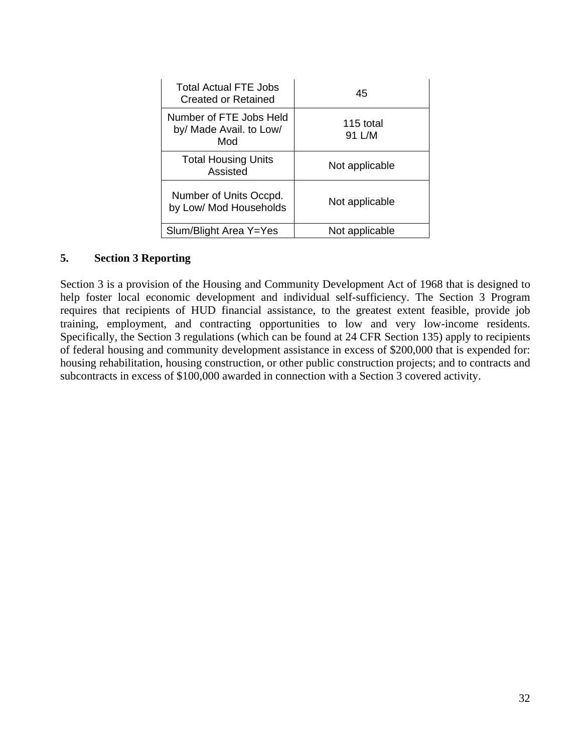| <b>Total Actual FTE Jobs</b><br>Created or Retained       | 45                  |
|-----------------------------------------------------------|---------------------|
| Number of FTE Jobs Held<br>by/ Made Avail. to Low/<br>Mod | 115 total<br>91 L/M |
| <b>Total Housing Units</b><br>Assisted                    | Not applicable      |
| Number of Units Occpd.<br>by Low/ Mod Households          | Not applicable      |
| Slum/Blight Area Y=Yes                                    | Not applicable      |

# **5. Section 3 Reporting**

Section 3 is a provision of the Housing and Community Development Act of 1968 that is designed to help foster local economic development and individual self-sufficiency. The Section 3 Program requires that recipients of HUD financial assistance, to the greatest extent feasible, provide job training, employment, and contracting opportunities to low and very low-income residents. Specifically, the Section 3 regulations (which can be found at 24 CFR Section 135) apply to recipients of federal housing and community development assistance in excess of \$200,000 that is expended for: housing rehabilitation, housing construction, or other public construction projects; and to contracts and subcontracts in excess of \$100,000 awarded in connection with a Section 3 covered activity.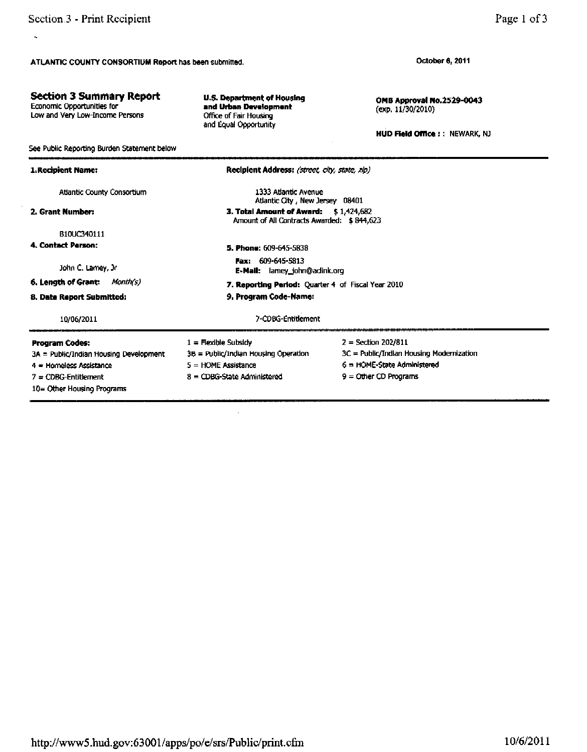**Section 3 Summary Report** 

Low and Very Low-Income Persons

Economic Opportunities for

 $\mathbf{u}$ 

Page 1 of 3

October 6, 2011

OMB Approval No.2529-0043 (exp. 11/30/2010)

HUD Field Office : : NEWARK, NJ

See Public Reporting Burden Statement below Recipient Address: (street, city, state, zip) 1. Recipient Name: 1333 Atlantic Avenue **Atlantic County Consortium** Atlantic City, New Jersey 08401 3. Total Amount of Award: \$1,424,682 2. Grant Number: Amount of All Contracts Awarded: \$844,623 B10UC340111 4. Contact Person: 5. Phone: 609-645-5838 Fax: 609-645-5813 John C. Lamey, Jr E-Mail: lamey\_john@adink.org 6. Length of Grant: Month(s) 7. Reporting Period: Quarter 4 of Fiscal Year 2010 8. Date Report Submitted: 9. Program Code-Name: 7-CDBG-Entitlement 10/06/2011 **Program Codes:**  $1 =$  Flexible Subsidy  $2 = Section 202/811$ 3B = Public/Indian Housing Operation 3C = Public/Indian Housing Modernization 3A = Public/Indian Housing Development 4 = Homeless Assistance  $5 =$  HOME Assistance 6 = HOME-State Administered 8 = CDBG-State Administered 9 = Other CD Programs  $7 = CDBG$ -Entitlement 10= Other Housing Programs

**U.S. Department of Housing** 

and Urban Development

Office of Fair Housing

and Equal Opportunity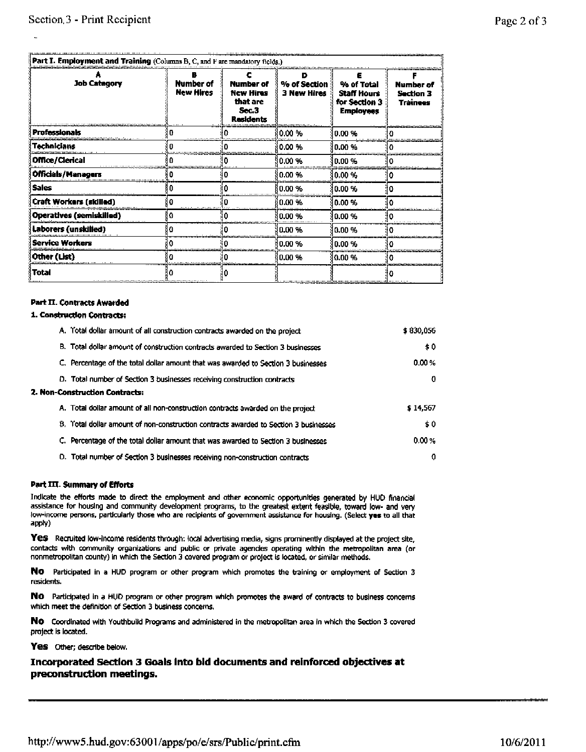|                             |                               |                                                                               | D                           |                                                                       |                                                  |
|-----------------------------|-------------------------------|-------------------------------------------------------------------------------|-----------------------------|-----------------------------------------------------------------------|--------------------------------------------------|
| <b>Job Category</b>         | Number of<br><b>New Hires</b> | <b>Number of</b><br><b>New Hires</b><br>that are<br>Sec.3<br><b>Residents</b> | % of Section<br>3 New Hires | % of Total<br><b>Staff Hours</b><br>for Section 3<br><b>Employees</b> | <b>Number of</b><br>Section 3<br><b>Trainees</b> |
| Professionals               |                               |                                                                               | 0.00 %                      | 10.00 %                                                               |                                                  |
| Technicians                 |                               |                                                                               | 0.00 %                      | 0.00 %                                                                |                                                  |
| <b>Office/Clerical</b>      |                               |                                                                               | 0.00 %                      | 0.00 %                                                                |                                                  |
| <b>Officials/Managers</b>   |                               |                                                                               | $0.00 \%$                   | }0.00 %                                                               |                                                  |
| i Sales                     |                               |                                                                               | 0.00 %                      | 10.00 %                                                               | 10                                               |
| Craft Workers (skilled)     |                               |                                                                               | 0.00%                       | 80.OO %                                                               |                                                  |
| (Operatives (semiskilled)   | ۱O                            |                                                                               | 0.00%                       | 10.00 %                                                               |                                                  |
| <b>Laborers (unskilled)</b> | o                             |                                                                               | 10.00 %                     | 10.00 %                                                               |                                                  |
| Service Workers             |                               |                                                                               | 0.00 %                      | (0.00 %                                                               |                                                  |
| Other (List)                |                               |                                                                               | 10.00 %                     | 0.00 %                                                                |                                                  |
| Total                       |                               |                                                                               |                             |                                                                       |                                                  |

#### **Part II. Contracts Awarded**

#### 1. Construction Contracts:

| A. Total dollar amount of all construction contracts awarded on the project          | \$830,056 |
|--------------------------------------------------------------------------------------|-----------|
| B. Total dollar amount of construction contracts awarded to Section 3 businesses     | \$0       |
| C. Percentage of the total dollar amount that was awarded to Section 3 businesses    | 0.00%     |
| D. Total number of Section 3 businesses receiving construction contracts             | 0         |
| 2. Non-Construction Contracts:                                                       |           |
| A. Total dollar amount of all non-construction contracts awarded on the project      | \$14,567  |
| B. Total dollar amount of non-construction contracts awarded to Section 3 businesses | \$0       |
| C. Percentage of the total dollar amount that was awarded to Section 3 businesses    | 0.00%     |
| D. Total number of Section 3 businesses receiving non-construction contracts         | 0         |

#### Part III. Summary of Efforts

Indicate the efforts made to direct the employment and other economic opportunities generated by HUD financial assistance for housing and community development programs, to the greatest extent feasible, toward low- and very low-income persons, particularly those who are recipients of government assistance for housing. (Select yes to all that apply)

Yes Recruited low-income residents through: local advertising media, signs prominently displayed at the project site, contacts with community organizations and public or private agencies operating within the metropolitan area (or nonmetropolitan county) in which the Section 3 covered program or project is located, or similar methods.

NO Participated in a HUD program or other program which promotes the training or employment of Section 3 residents.

NO Participated in a HUD program or other program which promotes the award of contracts to business concerns which meet the definition of Section 3 business concerns.

NO Coordinated with Youthbuild Programs and administered in the metropolitan area in which the Section 3 covered project is located.

Yes Other; describe below.

Incorporated Section 3 Goals into bid documents and reinforced objectives at preconstruction meetings.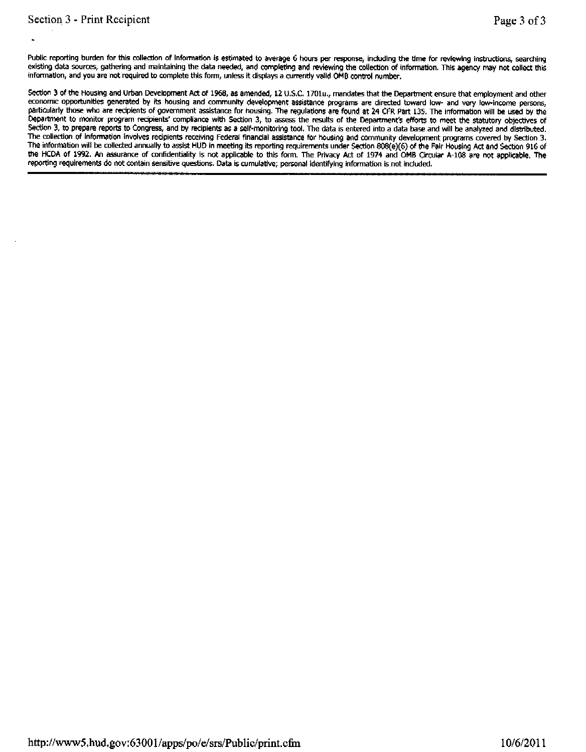Public reporting burden for this collection of Information is estimated to average 6 hours per response, including the time for reviewing instructions, searching existing data sources, gathering and maintaining the data needed, and completing and reviewing the collection of information. This agency may not collect this information, and you are not required to complete this form, unless it displays a currently valid OMB control number.

Section 3 of the Housing and Urban Development Act of 1968, as amended, 12 U.S.C. 1701u., mandates that the Department ensure that employment and other economic opportunities generated by its housing and community development assistance programs are directed toward low- and very low-income persons, particularly those who are recipients of government assistance for housing. The regulations are found at 24 CFR Part 135. The information will be used by the Department to monitor program recipients' compliance with Section 3, to assess the results of the Department's efforts to meet the statutory objectives of Section 3, to prepare reports to Congress, and by reciplents as a self-monitoring tool. The data is entered into a data base and will be analyzed and distributed. The collection of information involves recipients receiving Federal financial assistance for housing and community development programs covered by Section 3. The information will be collected annually to assist HUD in meeting its reporting requirements under Section 808(e)(6) of the Fair Housing Act and Section 916 of the HCDA of 1992. An assurance of confidentiality is not applicable to this form. The Privacy Act of 1974 and OMB Circular A-108 are not applicable. The reporting requirements do not contain sensitive questions. Data is cumulative; personal identifying information is not included.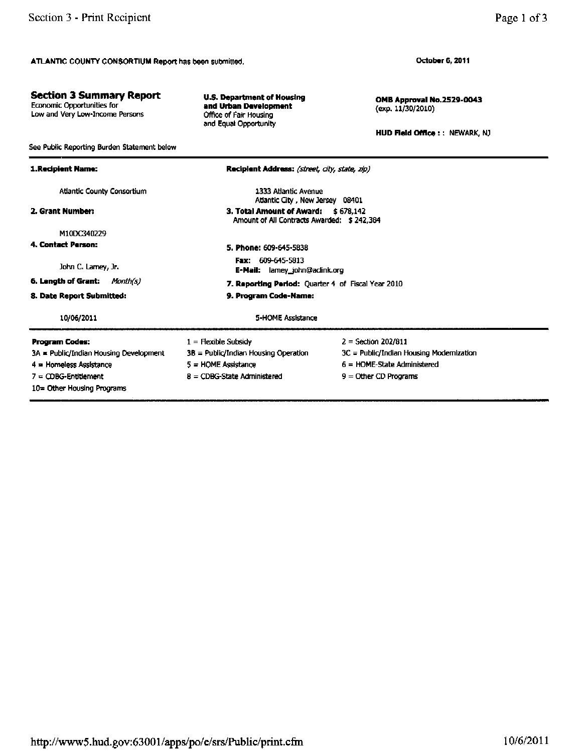**Section 3 Summary Report** 

See Public Reporting Burden Statement below

Economic Opportunities for<br>Low and Very Low-Income Persons

Page 1 of 3

October 6, 2011

OMB Approval No.2529-0043 (exp. 11/30/2010)

HUD Field Office : : NEWARK, NJ

| 1.Recipient Name:                                                                                                                                | Recipient Address: (street, city, state, zip)                                                                                                                        |                                                                                                                               |  |  |  |  |
|--------------------------------------------------------------------------------------------------------------------------------------------------|----------------------------------------------------------------------------------------------------------------------------------------------------------------------|-------------------------------------------------------------------------------------------------------------------------------|--|--|--|--|
| <b>Atlantic County Consortium</b>                                                                                                                | 1333 Atlantic Avenue<br>Atlantic City, New Jersey 08401                                                                                                              |                                                                                                                               |  |  |  |  |
| 2. Grant Number:                                                                                                                                 |                                                                                                                                                                      | 3. Total Amount of Award:<br>\$678.142<br>Amount of All Contracts Awarded: \$242,384                                          |  |  |  |  |
| M10DC340229<br>4. Contact Person:<br>John C. Lamey, Jr.<br>6. Length of Grant:<br>Month(s)<br>8. Date Report Submitted:                          | 5. Phone: 609-645-5838<br><b>Fax:</b> $609-645-5813$<br>E-Mail: lamey_john@aclink.org<br>7. Reporting Period: Quarter 4 of Fiscal Year 2010<br>9. Program Code-Name: |                                                                                                                               |  |  |  |  |
| 10/06/2011                                                                                                                                       | 5-HOME Assistance                                                                                                                                                    |                                                                                                                               |  |  |  |  |
| Program Codes:<br>3A = Public/Indian Housing Development<br>4 = Homeless Assistance<br>$7 - \text{CDBG-Entdement}$<br>10= Other Housing Programs | $1 =$ Flexible Subsidy<br>3B = Public/Indian Housing Operation<br>5 = HOME Assistance<br>$8 = \text{CDBG-State}$ Administered                                        | $2 =$ Section 202/811<br>3C = Public/Indian Housing Modernization<br>$6 =$ HOME-State Administered<br>$9 =$ Other CD Programs |  |  |  |  |

**U.S. Department of Housing** 

and Urban Development

Office of Fair Housing and Equal Opportunity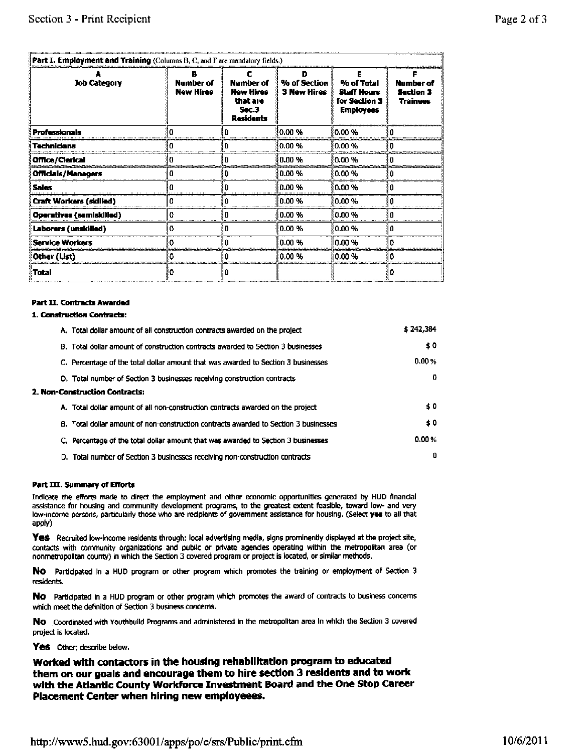#### **Part I. Employment and Training (Columns B. C. and F are mandatory fields.)**

| <b>Job Category</b>      | <b>Number of</b><br><b>New Hires</b> | Number of<br><b>New Hires</b><br>that are<br>$50 - 3$<br>Residents | % of Section<br><b>3 New Hires</b> | % of Total<br><b>Staff Hours</b><br>for Section 3<br><b>Employees</b> | <b>Number of</b><br>Section 3<br>Trainees |
|--------------------------|--------------------------------------|--------------------------------------------------------------------|------------------------------------|-----------------------------------------------------------------------|-------------------------------------------|
| Professionals            |                                      |                                                                    | 0.00%                              | 10.00 %                                                               |                                           |
| <b>Technicians</b>       |                                      |                                                                    | 0.00 %                             | 10.00 %                                                               |                                           |
| Office/Clerical          |                                      |                                                                    | $0.00 \%$                          | 10.00 %                                                               |                                           |
| Officials/Managers       |                                      |                                                                    | 0.00 %                             | ∛0.00 %                                                               |                                           |
| Sales                    |                                      |                                                                    | 0.00 %                             | 80.00 %                                                               |                                           |
| Craft Workers (skilled)  |                                      |                                                                    | 0.00%                              | 10.00 %                                                               |                                           |
| Operatives (semiskilled) |                                      |                                                                    | 0.00%                              | 10.00 %                                                               |                                           |
| Laborers (unskilled)     |                                      |                                                                    | 0.00%                              | 10.00 %                                                               |                                           |
| Service Workers          |                                      |                                                                    | 0.00%                              | i0.00 %                                                               |                                           |
| Other (List)             |                                      |                                                                    | 0.00%                              | i0.00 %                                                               |                                           |
| Total                    |                                      |                                                                    |                                    |                                                                       |                                           |

#### **Part II. Contracts Awarded**

#### 1. Construction Contracts:

|  | A. Total dollar amount of all construction contracts awarded on the project          | \$242.384 |
|--|--------------------------------------------------------------------------------------|-----------|
|  | B. Total dollar amount of construction contracts awarded to Section 3 businesses     | \$0       |
|  | C. Percentage of the total dollar amount that was awarded to Section 3 businesses    | 0.00%     |
|  | D. Total number of Section 3 businesses receiving construction contracts             | 0         |
|  | 2. Non-Construction Contracts:                                                       |           |
|  | A. Total dollar amount of all non-construction contracts awarded on the project      | \$0       |
|  | B. Total dollar amount of non-construction contracts awarded to Section 3 businesses | \$0       |
|  | C. Percentage of the total dollar amount that was awarded to Section 3 businesses    | 0.00%     |
|  | D. Total number of Section 3 businesses receiving non-construction contracts         | 0         |

#### Part III. Summary of Efforts

Indicate the efforts made to direct the employment and other economic opportunities generated by HUD financial assistance for housing and community development programs, to the greatest extent feasible, toward low- and very low-income persons, particularly those who are recipients of government assistance for housing. (Select yes to all that apply)

Yes Recruited low-income residents through: local advertising media, signs prominently displayed at the project site, contacts with community organizations and public or private agencies operating within the metropolitan area (or nonmetropolitan county) in which the Section 3 covered program or project is located, or similar methods.

No Participated in a HUD program or other program which promotes the training or employment of Section 3 residents.

No Participated in a HUD program or other program which promotes the award of contracts to business concerns which meet the definition of Section 3 business concerns.

NO Coordinated with Youthbuild Programs and administered in the metropolitan area in which the Section 3 covered project is located.

Yes Other; describe below.

Worked with contactors in the housing rehabilitation program to educated them on our goals and encourage them to hire section 3 residents and to work with the Atlantic County Workforce Investment Board and the One Stop Career Placement Center when hiring new employeees.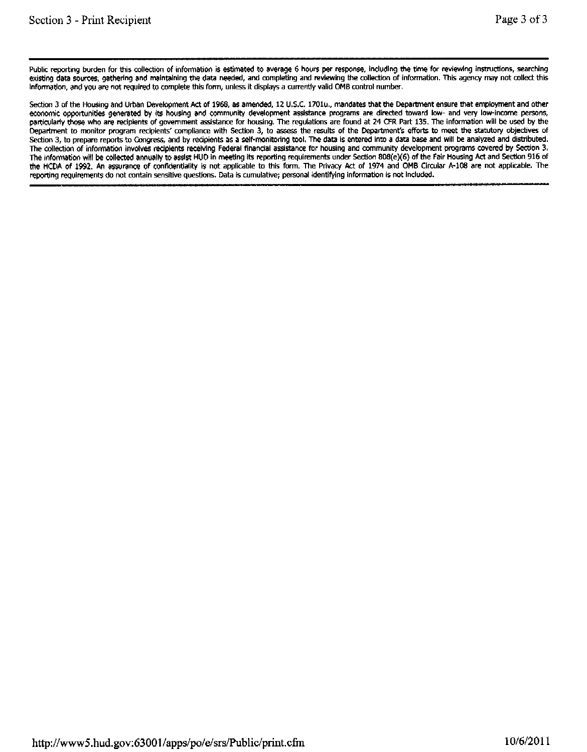Public reporting burden for this collection of information is estimated to average 6 hours per response, including the time for reviewing instructions, searching existing data sources, gathering and maintaining the data needed, and completing and reviewing the collection of information. This agency may not collect this Information, and you are not required to complete this form, unless it displays a currently valid OMB control number.

Section 3 of the Housing and Urban Development Act of 1968, as amended, 12 U.S.C. 1701u., mandates that the Department ensure that employment and other economic opportunities generated by its housing and community development assistance programs are directed toward low- and very low-income persons, particularly those who are recipients of government assistance for housing. The regulations are found at 24 CFR Part 135. The information will be used by the Department to monitor program recipients' compliance with Section 3, to assess the results of the Department's efforts to meet the statutory objectives of Section 3, to prepare reports to Congress, and by recipients as a self-monitoring tool. The data is entered into a data base and will be analyzed and distributed. The collection of information involves reciplents receiving Federal financial assistance for housing and community development programs covered by Section 3. The information will be collected annually to assist HUD in meeting its reporting requirements under Section 808(e)(6) of the Fair Housing Act and Section 916 of the HCDA of 1992. An assurance of confidentiality is not applicable to this form. The Privacy Act of 1974 and OMB Circular A-108 are not applicable. The reporting requirements do not contain sensitive questions. Data is cumulative; personal identifying information is not included.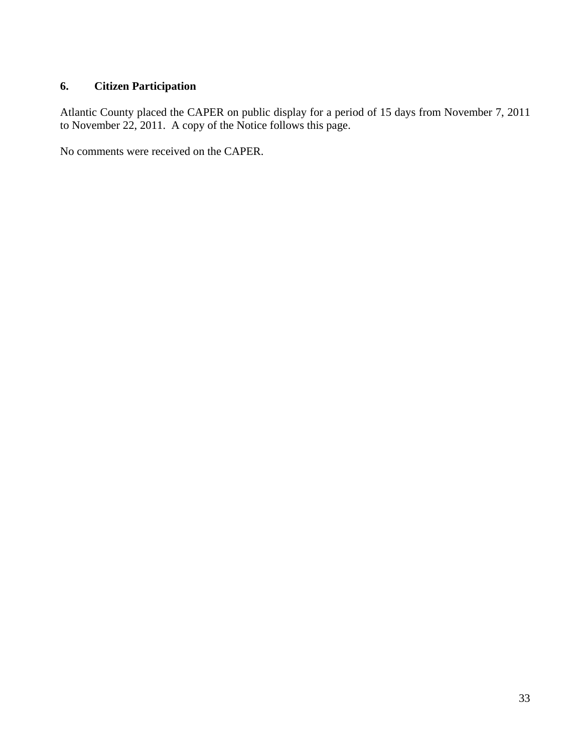# **6. Citizen Participation**

Atlantic County placed the CAPER on public display for a period of 15 days from November 7, 2011 to November 22, 2011. A copy of the Notice follows this page.

No comments were received on the CAPER.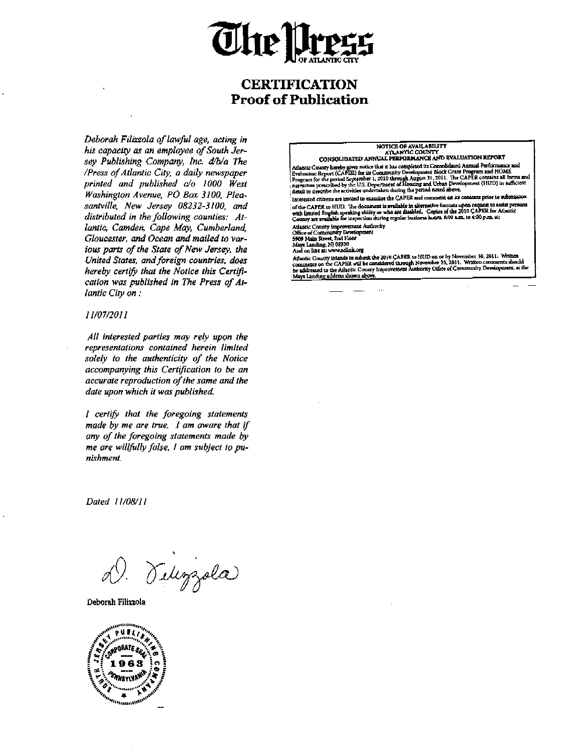

# **CERTIFICATION Proof of Publication**

Deborah Filizzola of lawful age, acting in his capacity as an employee of South Jersey Publishing Company, Inc. d/b/a The /Press of Atlantic City, a daily newspaper printed and published c/o 1000 West Washington Avenue, PO Box 3100, Pleasantville, New Jersey 08232-3100, and distributed in the following counties: Atlantic, Camden, Cape May, Cumberland, Gloucester, and Ocean and mailed to various parts of the State of New Jersey, the United States, and foreign countries, does hereby certify that the Notice this Certification was published in The Press of Atlantic City on:

11/07/2011

All interested parties may rely upon the representations contained herein limited solely to the authenticity of the Notice accompanying this Certification to be an accurate reproduction of the same and the date upon which it was published.

I certify that the foregoing statements made by me are true. I am aware that if any of the foregoing statements made by me are willfully false, I am subject to punishment.

Dated 11/08/11

Teleggola

Deborah Filizzola



# NOTICE OF AVAILABILITY<br>ATLANTIC COUNTY<br>CONSOLIDATED ANNUAL PERFORMANCE AND EVALUATION REPORT

Corresponding the completed its Consolidated Annual Performance and<br>
Atlantic County hereby gives notice that it has completed its Consolidated Annual Performance and<br>
Evaluation Report (CAPER) for its Community Developmen

Interested citizens are invited to examine the CAPER and comment on its contents prior to submission of the CAPER to HUD. The document is available in alternative formats upon request to assist persons with limited English speaking ability or who are disabled. Copies of the 2010 CAPER for Atlantic County are available for

Atlantic County Improvement Authority<br>Office of Community Development<br>5909 Main Street, 2nd Floor

Mays Landing, NJ 08330<br>And on line at: www.aclink.org

Attantic County intends to submit the 2010 GAPER to HUD on or by November 30, 2011. Written<br>Attantic County intends to submit the 2010 GAPER to HUD on or by November 23, 2011. Written comments should<br>be addressed to the At Mays Landing address shown above.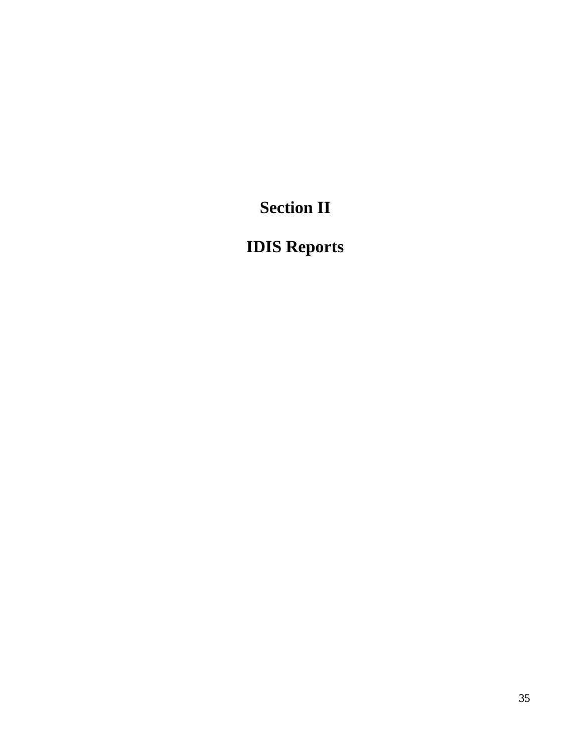**Section II** 

# **IDIS Reports**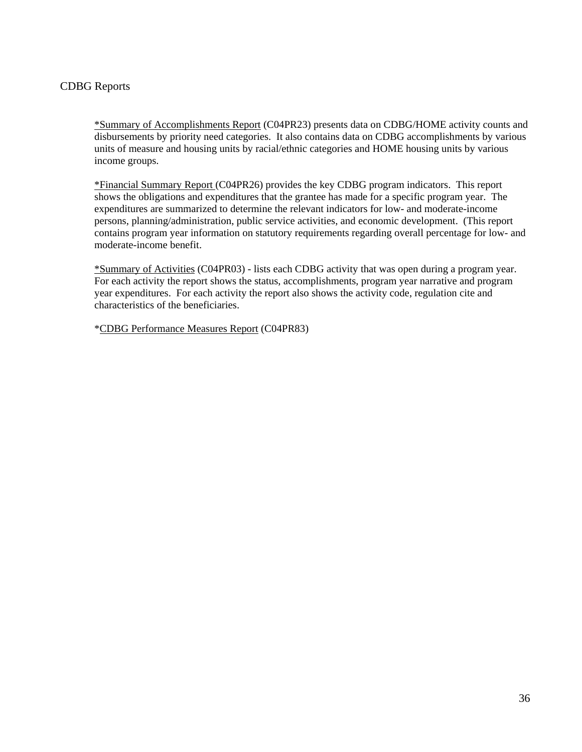# CDBG Reports

\*Summary of Accomplishments Report (C04PR23) presents data on CDBG/HOME activity counts and disbursements by priority need categories. It also contains data on CDBG accomplishments by various units of measure and housing units by racial/ethnic categories and HOME housing units by various income groups.

\*Financial Summary Report (C04PR26) provides the key CDBG program indicators. This report shows the obligations and expenditures that the grantee has made for a specific program year. The expenditures are summarized to determine the relevant indicators for low- and moderate-income persons, planning/administration, public service activities, and economic development. (This report contains program year information on statutory requirements regarding overall percentage for low- and moderate-income benefit.

\*Summary of Activities (C04PR03) - lists each CDBG activity that was open during a program year. For each activity the report shows the status, accomplishments, program year narrative and program year expenditures. For each activity the report also shows the activity code, regulation cite and characteristics of the beneficiaries.

\*CDBG Performance Measures Report (C04PR83)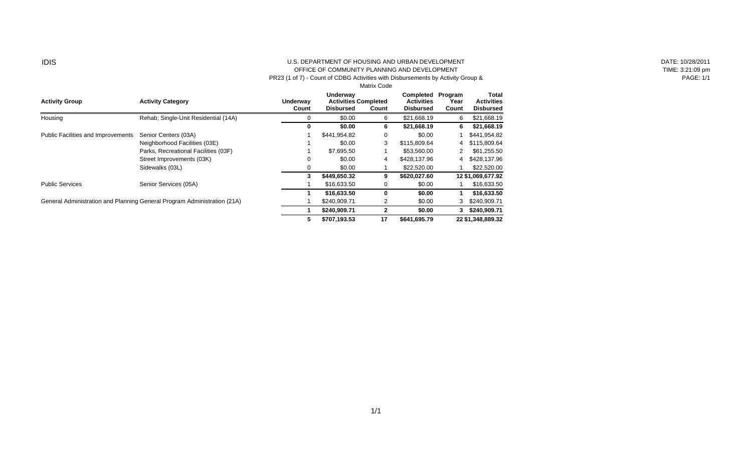#### IDIS U.S. DEPARTMENT OF HOUSING AND URBAN DEVELOPMENT OFFICE OF COMMUNITY PLANNING AND DEVELOPMENT

PR23 (1 of 7) - Count of CDBG Activities with Disbursements by Activity Group &

|                                           |                                                                          |                   | <b>Matrix Code</b>                                          |              |                                                    |                          |                                                |
|-------------------------------------------|--------------------------------------------------------------------------|-------------------|-------------------------------------------------------------|--------------|----------------------------------------------------|--------------------------|------------------------------------------------|
| <b>Activity Group</b>                     | <b>Activity Category</b>                                                 | Underway<br>Count | Underway<br><b>Activities Completed</b><br><b>Disbursed</b> | Count        | Completed<br><b>Activities</b><br><b>Disbursed</b> | Program<br>Year<br>Count | Total<br><b>Activities</b><br><b>Disbursed</b> |
| Housing                                   | Rehab; Single-Unit Residential (14A)                                     |                   | \$0.00                                                      | 6            | \$21,668.19                                        | 6                        | \$21,668.19                                    |
|                                           |                                                                          | 0                 | \$0.00                                                      | 6            | \$21,668.19                                        | 6                        | \$21,668.19                                    |
| <b>Public Facilities and Improvements</b> | Senior Centers (03A)                                                     |                   | \$441,954.82                                                | 0            | \$0.00                                             |                          | \$441,954.82                                   |
|                                           | Neighborhood Facilities (03E)                                            |                   | \$0.00                                                      | 3            | \$115,809.64                                       | 4                        | \$115,809.64                                   |
|                                           | Parks, Recreational Facilities (03F)                                     |                   | \$7,695.50                                                  |              | \$53,560,00                                        |                          | \$61,255.50                                    |
|                                           | Street Improvements (03K)                                                | 0                 | \$0.00                                                      | 4            | \$428,137.96                                       | 4                        | \$428,137.96                                   |
|                                           | Sidewalks (03L)                                                          |                   | \$0.00                                                      |              | \$22,520.00                                        |                          | \$22,520.00                                    |
|                                           |                                                                          | 3                 | \$449,650.32                                                | 9            | \$620,027.60                                       |                          | 12 \$1,069,677.92                              |
| <b>Public Services</b>                    | Senior Services (05A)                                                    |                   | \$16,633.50                                                 | 0            | \$0.00                                             |                          | \$16,633.50                                    |
|                                           |                                                                          |                   | \$16,633.50                                                 | 0            | \$0.00                                             |                          | \$16,633.50                                    |
|                                           | General Administration and Planning General Program Administration (21A) |                   | \$240,909.71                                                | 2            | \$0.00                                             | 3                        | \$240,909.71                                   |
|                                           |                                                                          |                   | \$240,909.71                                                | $\mathbf{2}$ | \$0.00                                             | 3.                       | \$240,909.71                                   |
|                                           |                                                                          | 5                 | \$707,193.53                                                | 17           | \$641,695.79                                       |                          | 22 \$1,348,889.32                              |

DATE: 10/28/2011 TIME: 3:21:09 pm PAGE: 1/1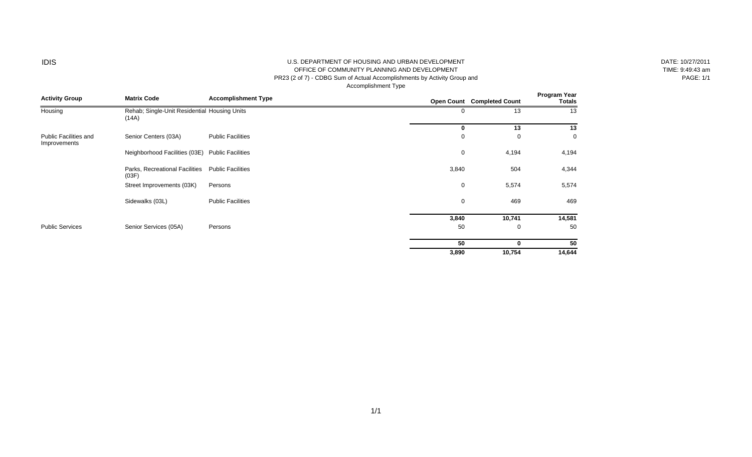#### IDIS U.S. DEPARTMENT OF HOUSING AND URBAN DEVELOPMENT OFFICE OF COMMUNITY PLANNING AND DEVELOPMENT PR23 (2 of 7) - CDBG Sum of Actual Accomplishments by Activity Group and

Accomplishment Type

| DATE: 10/27/2011 |
|------------------|
| TIME: 9:49:43 am |
| <b>PAGE: 1/1</b> |

| <b>Activity Group</b>                        | <b>Matrix Code</b>                                    | <b>Accomplishment Type</b> |             | Open Count Completed Count | Program Year<br><b>Totals</b> |
|----------------------------------------------|-------------------------------------------------------|----------------------------|-------------|----------------------------|-------------------------------|
| Housing                                      | Rehab; Single-Unit Residential Housing Units<br>(14A) |                            | 0           | 13                         | 13                            |
|                                              |                                                       |                            | 0           | 13                         | 13                            |
| <b>Public Facilities and</b><br>Improvements | Senior Centers (03A)                                  | <b>Public Facilities</b>   | 0           | 0                          | $\mathbf 0$                   |
|                                              | Neighborhood Facilities (03E)                         | <b>Public Facilities</b>   | 0           | 4,194                      | 4,194                         |
|                                              | Parks, Recreational Facilities<br>(03F)               | <b>Public Facilities</b>   | 3,840       | 504                        | 4,344                         |
|                                              | Street Improvements (03K)                             | Persons                    | 0           | 5,574                      | 5,574                         |
|                                              | Sidewalks (03L)                                       | <b>Public Facilities</b>   | $\mathbf 0$ | 469                        | 469                           |
|                                              |                                                       |                            | 3,840       | 10,741                     | 14,581                        |
| <b>Public Services</b>                       | Senior Services (05A)                                 | Persons                    | 50          | 0                          | 50                            |
|                                              |                                                       |                            | 50          | 0                          | 50                            |
|                                              |                                                       |                            | 3,890       | 10,754                     | 14,644                        |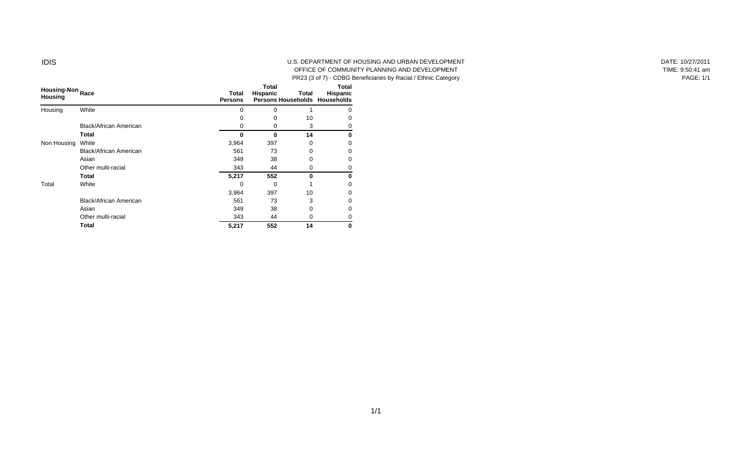#### IDIS U.S. DEPARTMENT OF HOUSING AND URBAN DEVELOPMENT OFFICE OF COMMUNITY PLANNING AND DEVELOPMENT PR23 (3 of 7) - CDBG Beneficiaries by Racial / Ethnic Category

| Housing-Non Race<br><b>Housing</b> |                               | Total<br><b>Persons</b> | Total<br>Hispanic | Total | Total<br>Hispanic<br>Persons Households Households |
|------------------------------------|-------------------------------|-------------------------|-------------------|-------|----------------------------------------------------|
| Housing                            | White                         | 0                       | 0                 |       | $\mathbf{0}$                                       |
|                                    |                               | 0                       | 0                 | 10    |                                                    |
|                                    | Black/African American        | 0                       | 0                 | 3     | O                                                  |
|                                    | Total                         | 0                       | $\bf{0}$          | 14    | 0                                                  |
| Non Housing                        | White                         | 3,964                   | 397               | 0     | $\mathbf{0}$                                       |
|                                    | Black/African American        | 561                     | 73                | 0     |                                                    |
|                                    | Asian                         | 349                     | 38                | 0     | 0                                                  |
|                                    | Other multi-racial            | 343                     | 44                | 0     |                                                    |
|                                    | Total                         | 5,217                   | 552               | 0     | 0                                                  |
| Total                              | White                         | 0                       | $\Omega$          |       | O                                                  |
|                                    |                               | 3,964                   | 397               | 10    |                                                    |
|                                    | <b>Black/African American</b> | 561                     | 73                | 3     | n                                                  |
|                                    | Asian                         | 349                     | 38                | 0     |                                                    |
|                                    | Other multi-racial            | 343                     | 44                | 0     |                                                    |
|                                    | Total                         | 5,217                   | 552               | 14    | 0                                                  |

DATE: 10/27/2011 TIME: 9:50:41 am PAGE: 1/1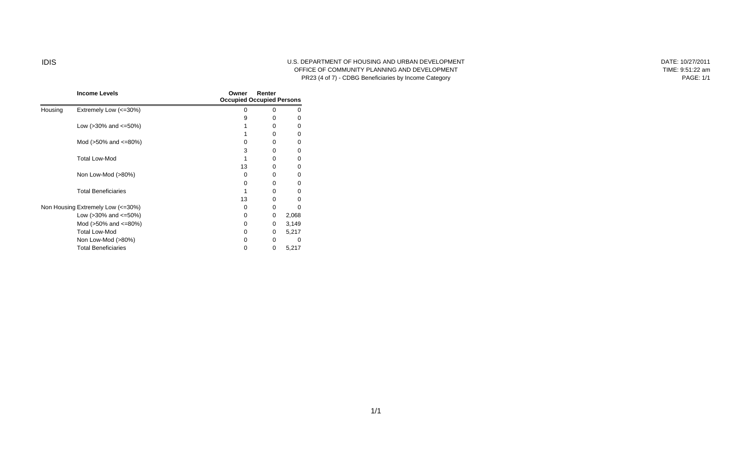#### IDIS U.S. DEPARTMENT OF HOUSING AND URBAN DEVELOPMENT OFFICE OF COMMUNITY PLANNING AND DEVELOPMENT PR23 (4 of 7) - CDBG Beneficiaries by Income Category

DATE: 10/27/2011 TIME: 9:51:22 am PAGE: 1/1

|         | <b>Income Levels</b>              | Owner    | Renter<br><b>Occupied Occupied Persons</b> |       |  |  |  |
|---------|-----------------------------------|----------|--------------------------------------------|-------|--|--|--|
| Housing | Extremely Low (<=30%)             | 0        | $\Omega$                                   | O     |  |  |  |
|         |                                   | 9        | 0                                          | 0     |  |  |  |
|         | Low ( $>30\%$ and $\leq 50\%$ )   |          | $\Omega$                                   | 0     |  |  |  |
|         |                                   |          | $\Omega$                                   | 0     |  |  |  |
|         | Mod ( $>50\%$ and $\leq 80\%$ )   | 0        | 0                                          | 0     |  |  |  |
|         |                                   | 3        | $\Omega$                                   | 0     |  |  |  |
|         | <b>Total Low-Mod</b>              |          | $\Omega$                                   | 0     |  |  |  |
|         |                                   | 13       | 0                                          | 0     |  |  |  |
|         | Non Low-Mod (>80%)                | 0        | $\Omega$                                   | 0     |  |  |  |
|         |                                   | 0        | $\Omega$                                   | 0     |  |  |  |
|         | <b>Total Beneficiaries</b>        |          | 0                                          | 0     |  |  |  |
|         |                                   | 13       | $\Omega$                                   | 0     |  |  |  |
|         | Non Housing Extremely Low (<=30%) | 0        | $\Omega$                                   | 0     |  |  |  |
|         | Low ( $>30\%$ and $\leq 50\%$ )   | 0        | 0                                          | 2,068 |  |  |  |
|         | Mod (>50% and <=80%)              | 0        | 0                                          | 3,149 |  |  |  |
|         | <b>Total Low-Mod</b>              | 0        | 0                                          | 5,217 |  |  |  |
|         | Non Low-Mod (>80%)                | $\Omega$ | $\Omega$                                   | 0     |  |  |  |
|         | <b>Total Beneficiaries</b>        | 0        | 0                                          | 5,217 |  |  |  |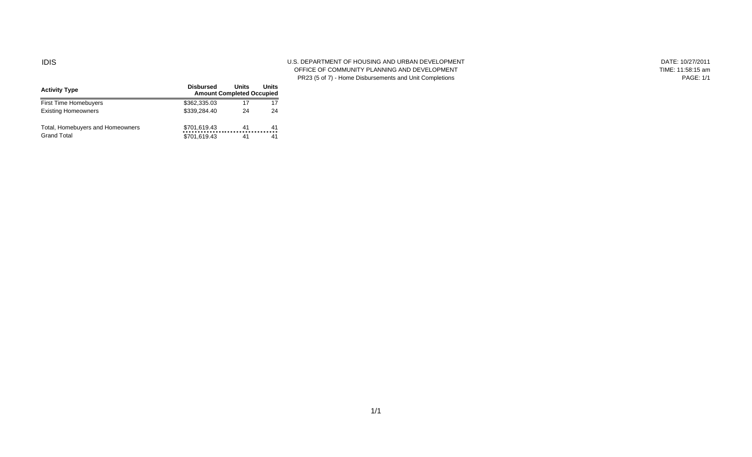#### IDIS U.S. DEPARTMENT OF HOUSING AND URBAN DEVELOPMENT OFFICE OF COMMUNITY PLANNING AND DEVELOPMENT PR23 (5 of 7) - Home Disbursements and Unit Completions

| DATE: 10/27/2011  |
|-------------------|
| TIME: 11:58:15 am |
| <b>PAGE: 1/1</b>  |

| <b>Activity Type</b>             | <b>Disbursed</b><br><b>Amount Completed Occupied</b> | Units | Units | <b>FRZJ 13 UI</b> |
|----------------------------------|------------------------------------------------------|-------|-------|-------------------|
| First Time Homebuyers            | \$362,335.03                                         | 17    |       |                   |
| <b>Existing Homeowners</b>       | \$339,284.40                                         | 24    | 24    |                   |
| Total, Homebuyers and Homeowners | \$701,619.43                                         | 41    | 41    |                   |
| <b>Grand Total</b>               | \$701,619.43                                         | 41    | 41    |                   |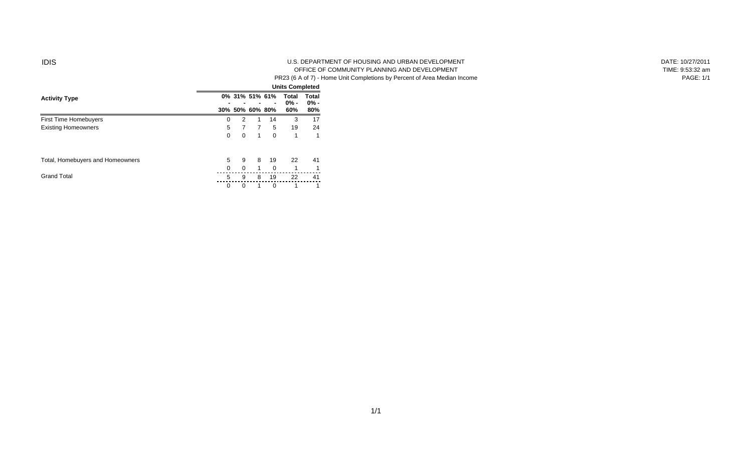#### IDIS U.S. DEPARTMENT OF HOUSING AND URBAN DEVELOPMENT OFFICE OF COMMUNITY PLANNING AND DEVELOPMENT PR23 (6 A of 7) - Home Unit Completions by Percent of Area Median Income

| DATE: 10/27/2011 |
|------------------|
| TIME: 9:53:32 am |
| PAGE: 1/1        |

|                                  |   |                 |   |                | <b>Units Completed</b> |        |
|----------------------------------|---|-----------------|---|----------------|------------------------|--------|
| <b>Activity Type</b>             |   | 0% 31% 51% 61%  |   |                | Total                  | Total  |
|                                  |   |                 |   | $\blacksquare$ | $0% -$                 | $0% -$ |
|                                  |   | 30% 50% 60% 80% |   |                | 60%                    | 80%    |
| <b>First Time Homebuyers</b>     | 0 | $\overline{2}$  |   | 14             | 3                      | 17     |
| <b>Existing Homeowners</b>       | 5 | 7               | 7 | 5              | 19                     | 24     |
|                                  | 0 | 0               | 1 | 0              | 1                      | 1      |
| Total, Homebuyers and Homeowners | 5 | 9               | 8 | 19             | 22                     | 41     |
|                                  | 0 | 0               | 1 | 0              | 1                      | 1      |
| <b>Grand Total</b>               | 5 | 9               | 8 | 19             | 22                     | 41     |
|                                  | 0 | 0               |   | 0              |                        |        |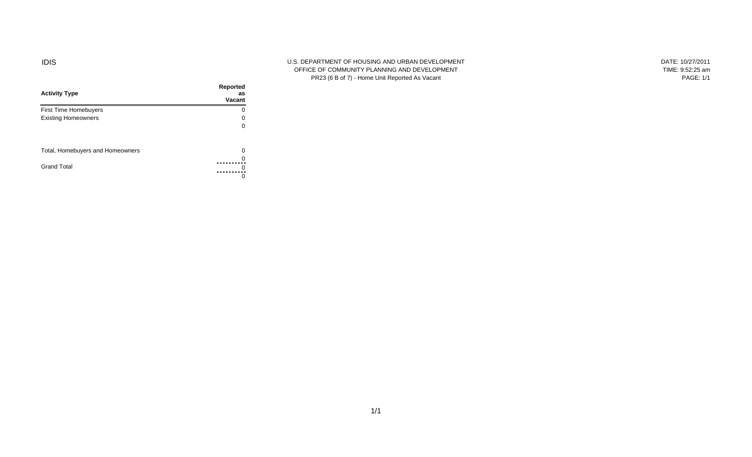#### IDIS U.S. DEPARTMENT OF HOUSING AND URBAN DEVELOPMENT OFFICE OF COMMUNITY PLANNING AND DEVELOPMENT PR23 (6 B of 7) - Home Unit Reported As Vacant

DATE: 10/27/2011 TIME: 9:52:25 am PAGE: 1/1

| <b>Activity Type</b>             | Reported<br>as<br>Vacant |
|----------------------------------|--------------------------|
| <b>First Time Homebuyers</b>     | Ω                        |
| <b>Existing Homeowners</b>       |                          |
|                                  |                          |
| Total, Homebuyers and Homeowners | O                        |
|                                  |                          |
| <b>Grand Total</b>               |                          |
|                                  |                          |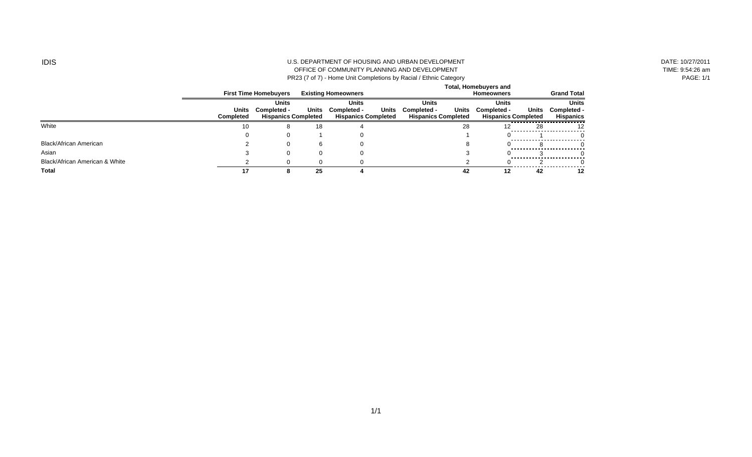#### IDIS U.S. DEPARTMENT OF HOUSING AND URBAN DEVELOPMENT OFFICE OF COMMUNITY PLANNING AND DEVELOPMENT PR23 (7 of 7) - Home Unit Completions by Racial / Ethnic Category

DATE: 10/27/2011 TIME: 9:54:26 am PAGE: 1/1

|                                |                           |                                                           |       |                                                             |                                                                    | <b>Total, Homebuyers and</b>                              |       |                                                 |
|--------------------------------|---------------------------|-----------------------------------------------------------|-------|-------------------------------------------------------------|--------------------------------------------------------------------|-----------------------------------------------------------|-------|-------------------------------------------------|
|                                |                           | <b>First Time Homebuvers</b>                              |       | <b>Existing Homeowners</b>                                  |                                                                    | Homeowners                                                |       | <b>Grand Total</b>                              |
|                                | Units<br><b>Completed</b> | <b>Units</b><br>Completed -<br><b>Hispanics Completed</b> | Units | Units<br>Units<br>Completed -<br><b>Hispanics Completed</b> | <b>Units</b><br>Units<br>Completed -<br><b>Hispanics Completed</b> | <b>Units</b><br>Completed -<br><b>Hispanics Completed</b> | Units | <b>Units</b><br>Completed -<br><b>Hispanics</b> |
| White                          | 10                        |                                                           | 18    |                                                             | 28                                                                 |                                                           | 28    |                                                 |
|                                |                           |                                                           |       |                                                             |                                                                    |                                                           |       |                                                 |
| <b>Black/African American</b>  |                           |                                                           |       |                                                             |                                                                    |                                                           |       |                                                 |
| Asian                          |                           |                                                           |       |                                                             |                                                                    |                                                           |       |                                                 |
| Black/African American & White |                           |                                                           |       |                                                             |                                                                    |                                                           |       |                                                 |
| Total                          | 17                        |                                                           | 25    |                                                             | 42                                                                 | 12                                                        | 42    | 12                                              |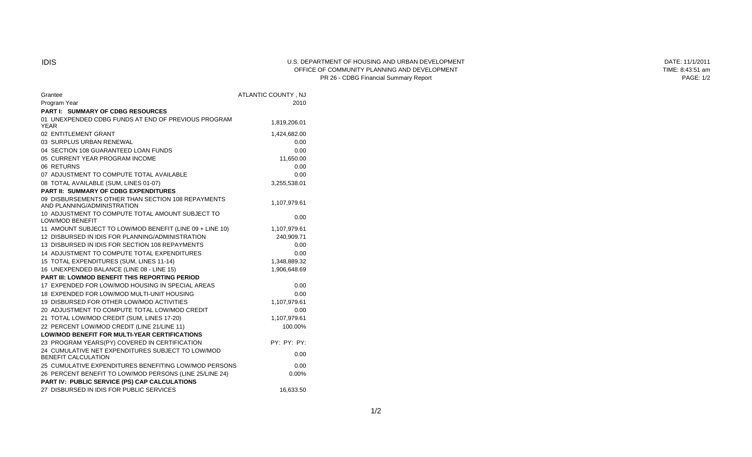#### IDIS U.S. DEPARTMENT OF HOUSING AND URBAN DEVELOPMENT OFFICE OF COMMUNITY PLANNING AND DEVELOPMENT PR 26 - CDBG Financial Summary Report

| DATE: 11/1/2011  |
|------------------|
| TIME: 8:43:51 am |
| <b>PAGE: 1/2</b> |

| Grantee                                                                           | ATLANTIC COUNTY, NJ |
|-----------------------------------------------------------------------------------|---------------------|
| Program Year                                                                      | 2010                |
| <b>PART I: SUMMARY OF CDBG RESOURCES</b>                                          |                     |
| 01 UNEXPENDED CDBG FUNDS AT END OF PREVIOUS PROGRAM<br><b>YEAR</b>                | 1,819,206.01        |
| 02 ENTITLEMENT GRANT                                                              | 1,424,682.00        |
| 03 SURPLUS URBAN RENEWAL                                                          | 0.00                |
| 04 SECTION 108 GUARANTEED LOAN FUNDS                                              | 0.00                |
| 05 CURRENT YEAR PROGRAM INCOME                                                    | 11,650.00           |
| 06 RETURNS                                                                        | 0.00                |
| 07 ADJUSTMENT TO COMPUTE TOTAL AVAILABLE                                          | 0.00                |
| 08 TOTAL AVAILABLE (SUM, LINES 01-07)                                             | 3,255,538.01        |
| <b>PART II: SUMMARY OF CDBG EXPENDITURES</b>                                      |                     |
| 09 DISBURSEMENTS OTHER THAN SECTION 108 REPAYMENTS<br>AND PLANNING/ADMINISTRATION | 1,107,979.61        |
| 10 ADJUSTMENT TO COMPUTE TOTAL AMOUNT SUBJECT TO<br><b>LOW/MOD BENEFIT</b>        | 0.00                |
| 11 AMOUNT SUBJECT TO LOW/MOD BENEFIT (LINE 09 + LINE 10)                          | 1,107,979.61        |
| 12 DISBURSED IN IDIS FOR PLANNING/ADMINISTRATION                                  | 240,909.71          |
| 13 DISBURSED IN IDIS FOR SECTION 108 REPAYMENTS                                   | 0.00                |
| 14 ADJUSTMENT TO COMPUTE TOTAL EXPENDITURES                                       | 0.00                |
| 15 TOTAL EXPENDITURES (SUM, LINES 11-14)                                          | 1,348,889.32        |
| 16 UNEXPENDED BALANCE (LINE 08 - LINE 15)                                         | 1,906,648.69        |
| PART III: LOWMOD BENEFIT THIS REPORTING PERIOD                                    |                     |
| 17 EXPENDED FOR LOW/MOD HOUSING IN SPECIAL AREAS                                  | 0.00                |
| 18 EXPENDED FOR LOW/MOD MULTI-UNIT HOUSING                                        | 0.00                |
| 19 DISBURSED FOR OTHER LOW/MOD ACTIVITIES                                         | 1,107,979.61        |
| 20 ADJUSTMENT TO COMPUTE TOTAL LOW/MOD CREDIT                                     | 0.00                |
| 21 TOTAL LOW/MOD CREDIT (SUM, LINES 17-20)                                        | 1,107,979.61        |
| 22 PERCENT LOW/MOD CREDIT (LINE 21/LINE 11)                                       | 100.00%             |
| <b>LOW/MOD BENEFIT FOR MULTI-YEAR CERTIFICATIONS</b>                              |                     |
| 23 PROGRAM YEARS(PY) COVERED IN CERTIFICATION                                     | PY: PY: PY:         |
| 24 CUMULATIVE NET EXPENDITURES SUBJECT TO LOW/MOD<br>BENEFIT CALCULATION          | 0.00                |
| 25 CUMULATIVE EXPENDITURES BENEFITING LOW/MOD PERSONS                             | 0.00                |
| 26 PERCENT BENEFIT TO LOW/MOD PERSONS (LINE 25/LINE 24)                           | 0.00%               |
| PART IV: PUBLIC SERVICE (PS) CAP CALCULATIONS                                     |                     |
| 27 DISBURSED IN IDIS FOR PUBLIC SERVICES                                          | 16,633.50           |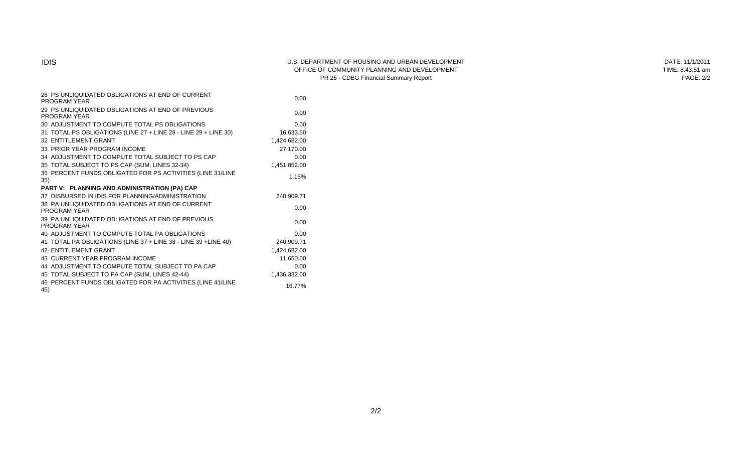#### IDIS U.S. DEPARTMENT OF HOUSING AND URBAN DEVELOPMENT OFFICE OF COMMUNITY PLANNING AND DEVELOPMENT PR 26 - CDBG Financial Summary Report

DATE: 11/1/2011 TIME: 8:43:51 am PAGE: 2/2

| 28 PS UNLIQUIDATED OBLIGATIONS AT END OF CURRENT<br>PROGRAM YEAR  | 0.00         |  |
|-------------------------------------------------------------------|--------------|--|
| 29 PS UNLIQUIDATED OBLIGATIONS AT END OF PREVIOUS<br>PROGRAM YEAR | 0.00         |  |
| 30 ADJUSTMENT TO COMPUTE TOTAL PS OBLIGATIONS                     | 0.00         |  |
| 31 TOTAL PS OBLIGATIONS (LINE 27 + LINE 28 - LINE 29 + LINE 30)   | 16,633.50    |  |
| 32 ENTITLEMENT GRANT                                              | 1,424,682.00 |  |
| 33 PRIOR YEAR PROGRAM INCOME                                      | 27,170.00    |  |
| 34 ADJUSTMENT TO COMPUTE TOTAL SUBJECT TO PS CAP                  | 0.00         |  |
| 35 TOTAL SUBJECT TO PS CAP (SUM, LINES 32-34)                     | 1,451,852.00 |  |
| 36 PERCENT FUNDS OBLIGATED FOR PS ACTIVITIES (LINE 31/LINE<br>35) | 1.15%        |  |
| PART V: PLANNING AND ADMINISTRATION (PA) CAP                      |              |  |
| 37 DISBURSED IN IDIS FOR PLANNING/ADMINISTRATION                  | 240,909.71   |  |
| 38 PA UNLIQUIDATED OBLIGATIONS AT END OF CURRENT<br>PROGRAM YEAR  | 0.00         |  |
| 39 PA UNLIQUIDATED OBLIGATIONS AT END OF PREVIOUS<br>PROGRAM YEAR | 0.00         |  |
| 40 ADJUSTMENT TO COMPUTE TOTAL PA OBLIGATIONS                     | 0.00         |  |
| 41 TOTAL PA OBLIGATIONS (LINE 37 + LINE 38 - LINE 39 + LINE 40)   | 240,909.71   |  |
| <b>42 ENTITLEMENT GRANT</b>                                       | 1,424,682.00 |  |
| <b>43 CURRENT YEAR PROGRAM INCOME</b>                             | 11,650.00    |  |
| 44 ADJUSTMENT TO COMPUTE TOTAL SUBJECT TO PA CAP                  | 0.00         |  |
| 45 TOTAL SUBJECT TO PA CAP (SUM, LINES 42-44)                     | 1,436,332.00 |  |
| 46 PERCENT FUNDS OBLIGATED FOR PA ACTIVITIES (LINE 41/LINE<br>45) | 16.77%       |  |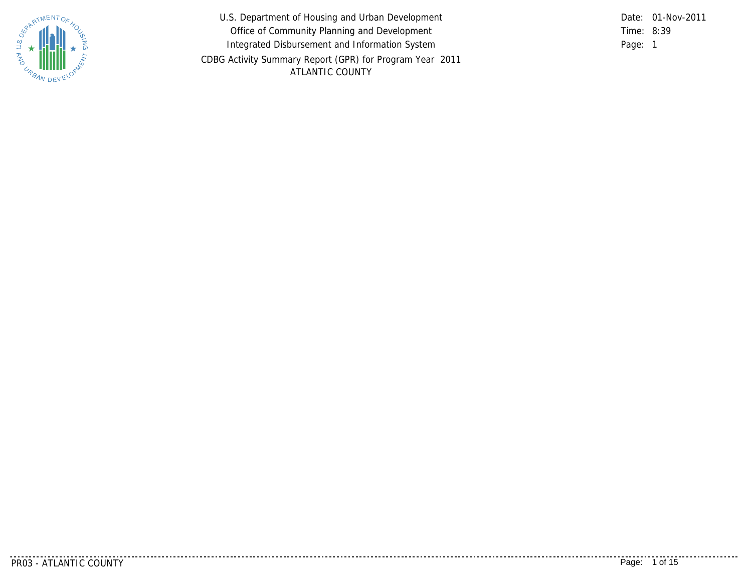

U.S. Department of Housing and Urban Development Office of Community Planning and Development Integrated Disbursement and Information System CDBG Activity Summary Report (GPR) for Program Year 2011 ATLANTIC COUNTY

8:39 Time: Page: 1 Date: 01-Nov-2011

<u>. . . . . . . . . . . .</u>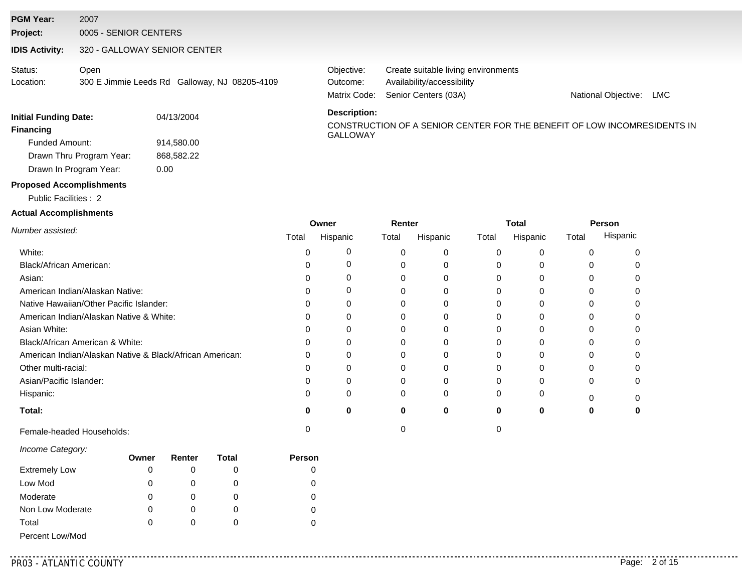#### **PGM Year:** 2007

**Project:** 0005 - SENIOR CENTERS

#### **IDIS Activity:** 320 - GALLOWAY SENIOR CENTER

| Status:   | Open                                          |  |
|-----------|-----------------------------------------------|--|
| Location: | 300 E Jimmie Leeds Rd Galloway, NJ 08205-4109 |  |

Matrix Code: Senior Centers (03A) Availability/accessibility Objective: Create suitable living environments Outcome:

National Objective: LMC

#### **Financing**<br>GALLOWAY Funded Amount: Drawn In Program Year: Drawn Thru Program Year: **Initial Funding Date:** 04/13/2004 914,580.00 868,582.22 0.00

#### **Description:**

CONSTRUCTION OF A SENIOR CENTER FOR THE BENEFIT OF LOW INCOMRESIDENTS IN

#### **Proposed Accomplishments**

Public Facilities : 2

#### **Actual Accomplishments**

|                                                          |       | Owner    | Renter |          |       | Total    | Person |          |  |
|----------------------------------------------------------|-------|----------|--------|----------|-------|----------|--------|----------|--|
| Number assisted:                                         | Total | Hispanic | Total  | Hispanic | Total | Hispanic | Total  | Hispanic |  |
| White:                                                   |       |          |        |          |       |          | U      |          |  |
| Black/African American:                                  |       |          |        |          |       |          |        |          |  |
| Asian:                                                   |       |          |        |          |       |          |        |          |  |
| American Indian/Alaskan Native:                          |       |          | C      |          |       |          |        |          |  |
| Native Hawaiian/Other Pacific Islander:                  |       |          |        |          |       |          |        |          |  |
| American Indian/Alaskan Native & White:                  |       |          |        |          |       |          |        |          |  |
| Asian White:                                             |       |          | 0      |          |       |          | 0      |          |  |
| Black/African American & White:                          |       |          |        |          |       |          |        |          |  |
| American Indian/Alaskan Native & Black/African American: |       |          |        |          |       |          |        |          |  |
| Other multi-racial:                                      |       |          |        |          |       |          |        |          |  |
| Asian/Pacific Islander:                                  |       |          | 0      |          |       |          | 0      |          |  |
| Hispanic:                                                |       |          | O      | 0        |       |          |        |          |  |
| Total:                                                   | Ω     |          | 0      | $\bf{0}$ | o     |          |        |          |  |
| Female-headed Households:                                |       |          |        |          |       |          |        |          |  |

#### *Income Category:*

|                      | Owner | Renter | Total | <b>Person</b> |
|----------------------|-------|--------|-------|---------------|
| <b>Extremely Low</b> | 0     |        |       |               |
| Low Mod              | 0     |        |       |               |
| Moderate             | 0     | O      |       |               |
| Non Low Moderate     | 0     |        | O     |               |
| Total                | 0     |        |       |               |
| Percent Low/Mod      |       |        |       |               |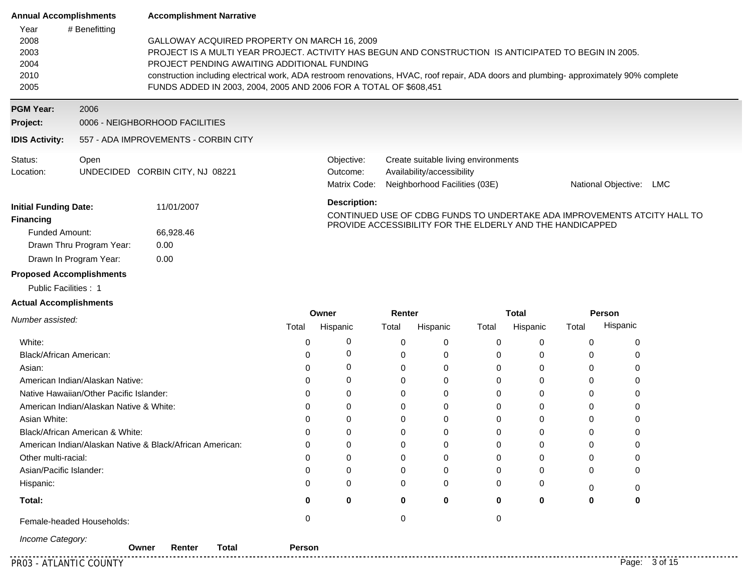| <b>Annual Accomplishments</b>                |                                 | <b>Accomplishment Narrative</b>                                                                                                                                                                                                                                                                                                                                                                                     |                                        |                                                                                                    |                            |  |  |
|----------------------------------------------|---------------------------------|---------------------------------------------------------------------------------------------------------------------------------------------------------------------------------------------------------------------------------------------------------------------------------------------------------------------------------------------------------------------------------------------------------------------|----------------------------------------|----------------------------------------------------------------------------------------------------|----------------------------|--|--|
| Year<br>2008<br>2003<br>2004<br>2010<br>2005 | # Benefitting                   | GALLOWAY ACQUIRED PROPERTY ON MARCH 16, 2009<br>PROJECT IS A MULTI YEAR PROJECT. ACTIVITY HAS BEGUN AND CONSTRUCTION IS ANTICIPATED TO BEGIN IN 2005.<br>PROJECT PENDING AWAITING ADDITIONAL FUNDING<br>construction including electrical work, ADA restroom renovations, HVAC, roof repair, ADA doors and plumbing-approximately 90% complete<br>FUNDS ADDED IN 2003, 2004, 2005 AND 2006 FOR A TOTAL OF \$608,451 |                                        |                                                                                                    |                            |  |  |
| <b>PGM Year:</b>                             | 2006                            |                                                                                                                                                                                                                                                                                                                                                                                                                     |                                        |                                                                                                    |                            |  |  |
| Project:                                     |                                 | 0006 - NEIGHBORHOOD FACILITIES                                                                                                                                                                                                                                                                                                                                                                                      |                                        |                                                                                                    |                            |  |  |
| <b>IDIS Activity:</b>                        |                                 | 557 - ADA IMPROVEMENTS - CORBIN CITY                                                                                                                                                                                                                                                                                                                                                                                |                                        |                                                                                                    |                            |  |  |
| Status:<br>Location:                         | Open                            | UNDECIDED CORBIN CITY, NJ 08221                                                                                                                                                                                                                                                                                                                                                                                     | Objective:<br>Outcome:<br>Matrix Code: | Create suitable living environments<br>Availability/accessibility<br>Neighborhood Facilities (03E) | National Objective:<br>LMC |  |  |
| <b>Initial Funding Date:</b>                 |                                 | 11/01/2007                                                                                                                                                                                                                                                                                                                                                                                                          | <b>Description:</b>                    |                                                                                                    |                            |  |  |
| Financing                                    |                                 |                                                                                                                                                                                                                                                                                                                                                                                                                     |                                        | CONTINUED USE OF CDBG FUNDS TO UNDERTAKE ADA IMPROVEMENTS ATCITY HALL TO                           |                            |  |  |
| Funded Amount:                               |                                 | 66,928.46                                                                                                                                                                                                                                                                                                                                                                                                           |                                        | PROVIDE ACCESSIBILITY FOR THE ELDERLY AND THE HANDICAPPED                                          |                            |  |  |
|                                              | Drawn Thru Program Year:        | 0.00                                                                                                                                                                                                                                                                                                                                                                                                                |                                        |                                                                                                    |                            |  |  |
|                                              | Drawn In Program Year:          | 0.00                                                                                                                                                                                                                                                                                                                                                                                                                |                                        |                                                                                                    |                            |  |  |
|                                              | <b>Proposed Accomplishments</b> |                                                                                                                                                                                                                                                                                                                                                                                                                     |                                        |                                                                                                    |                            |  |  |
| Public Facilities: 1                         |                                 |                                                                                                                                                                                                                                                                                                                                                                                                                     |                                        |                                                                                                    |                            |  |  |

### **Actual Accomplishments**

|                                                          |       | Owner    | Renter |          |       | Total    | Person |          |  |
|----------------------------------------------------------|-------|----------|--------|----------|-------|----------|--------|----------|--|
| Number assisted:                                         | Total | Hispanic | Total  | Hispanic | Total | Hispanic | Total  | Hispanic |  |
| White:                                                   |       |          |        |          |       | 0        | O      | 0        |  |
| Black/African American:                                  |       |          |        |          |       | 0        | 0      | O        |  |
| Asian:                                                   |       |          |        |          |       | 0        | 0      |          |  |
| American Indian/Alaskan Native:                          |       |          |        |          |       | 0        | U      |          |  |
| Native Hawaiian/Other Pacific Islander:                  |       |          | 0      |          |       | 0        |        |          |  |
| American Indian/Alaskan Native & White:                  |       |          | 0      |          |       | 0        |        | 0        |  |
| Asian White:                                             |       |          | 0      |          |       | 0        | 0      | 0        |  |
| Black/African American & White:                          |       |          | 0      |          |       | 0        | U      | 0        |  |
| American Indian/Alaskan Native & Black/African American: |       |          | 0      |          |       | $\Omega$ |        | 0        |  |
| Other multi-racial:                                      |       |          |        |          |       | $\Omega$ |        | 0        |  |
| Asian/Pacific Islander:                                  |       |          |        |          |       | 0        | 0      | 0        |  |
| Hispanic:                                                |       |          | 0      | 0        | 0     | 0        | U      | 0        |  |
| Total:                                                   | o     | 0        | 0      | 0        | 0     | 0        | 0      | 0        |  |
| Female-headed Households:                                |       |          |        |          |       |          |        |          |  |
| Income Category:                                         |       |          |        |          |       |          |        |          |  |

**Owner Renter Total Person**

............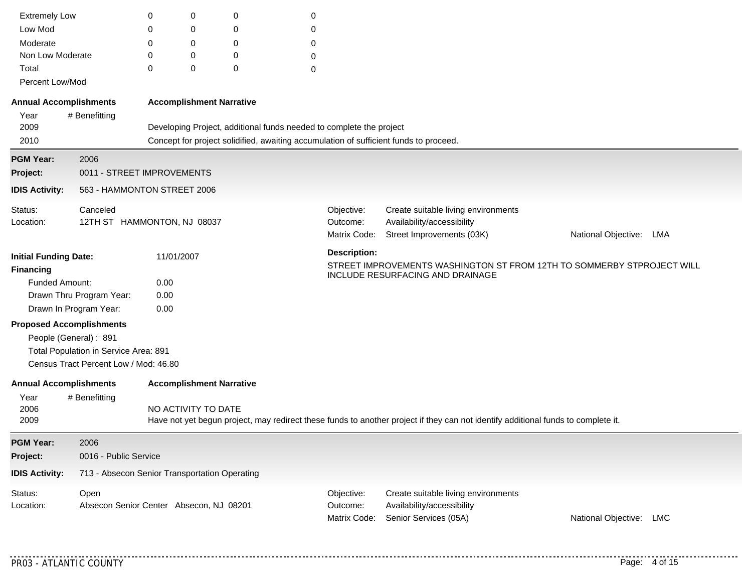| <b>Extremely Low</b>                                           |                                                                                | 0                               | 0                                                                                                                                 | 0                                                                   | 0 |                                        |                                                                                                                                   |                         |  |  |  |
|----------------------------------------------------------------|--------------------------------------------------------------------------------|---------------------------------|-----------------------------------------------------------------------------------------------------------------------------------|---------------------------------------------------------------------|---|----------------------------------------|-----------------------------------------------------------------------------------------------------------------------------------|-------------------------|--|--|--|
| Low Mod                                                        |                                                                                | 0                               | 0                                                                                                                                 | 0                                                                   | 0 |                                        |                                                                                                                                   |                         |  |  |  |
| Moderate                                                       |                                                                                | 0                               | 0                                                                                                                                 | 0                                                                   | 0 |                                        |                                                                                                                                   |                         |  |  |  |
| Non Low Moderate                                               |                                                                                | 0                               | 0                                                                                                                                 | $\mathbf 0$                                                         | 0 |                                        |                                                                                                                                   |                         |  |  |  |
| Total                                                          |                                                                                | 0                               | 0                                                                                                                                 | $\mathbf 0$                                                         | 0 |                                        |                                                                                                                                   |                         |  |  |  |
| Percent Low/Mod                                                |                                                                                |                                 |                                                                                                                                   |                                                                     |   |                                        |                                                                                                                                   |                         |  |  |  |
| <b>Annual Accomplishments</b>                                  |                                                                                | <b>Accomplishment Narrative</b> |                                                                                                                                   |                                                                     |   |                                        |                                                                                                                                   |                         |  |  |  |
| Year<br>2009                                                   | # Benefitting                                                                  |                                 |                                                                                                                                   | Developing Project, additional funds needed to complete the project |   |                                        |                                                                                                                                   |                         |  |  |  |
| 2010                                                           |                                                                                |                                 |                                                                                                                                   |                                                                     |   |                                        | Concept for project solidified, awaiting accumulation of sufficient funds to proceed.                                             |                         |  |  |  |
| <b>PGM Year:</b>                                               | 2006                                                                           |                                 |                                                                                                                                   |                                                                     |   |                                        |                                                                                                                                   |                         |  |  |  |
| Project:                                                       | 0011 - STREET IMPROVEMENTS                                                     |                                 |                                                                                                                                   |                                                                     |   |                                        |                                                                                                                                   |                         |  |  |  |
| <b>IDIS Activity:</b>                                          | 563 - HAMMONTON STREET 2006                                                    |                                 |                                                                                                                                   |                                                                     |   |                                        |                                                                                                                                   |                         |  |  |  |
| Status:<br>Location:                                           | Canceled<br>12TH ST HAMMONTON, NJ 08037                                        |                                 |                                                                                                                                   |                                                                     |   | Objective:<br>Outcome:                 | Create suitable living environments<br>Availability/accessibility                                                                 |                         |  |  |  |
|                                                                |                                                                                |                                 |                                                                                                                                   |                                                                     |   | Matrix Code:                           | Street Improvements (03K)                                                                                                         | National Objective: LMA |  |  |  |
| <b>Initial Funding Date:</b><br>11/01/2007<br><b>Financing</b> |                                                                                |                                 | <b>Description:</b><br>STREET IMPROVEMENTS WASHINGTON ST FROM 12TH TO SOMMERBY STPROJECT WILL<br>INCLUDE RESURFACING AND DRAINAGE |                                                                     |   |                                        |                                                                                                                                   |                         |  |  |  |
| <b>Funded Amount:</b>                                          |                                                                                | 0.00                            |                                                                                                                                   |                                                                     |   |                                        |                                                                                                                                   |                         |  |  |  |
|                                                                | Drawn Thru Program Year:                                                       | 0.00                            |                                                                                                                                   |                                                                     |   |                                        |                                                                                                                                   |                         |  |  |  |
| Drawn In Program Year:                                         |                                                                                | 0.00                            |                                                                                                                                   |                                                                     |   |                                        |                                                                                                                                   |                         |  |  |  |
| <b>Proposed Accomplishments</b><br>People (General): 891       | Total Population in Service Area: 891<br>Census Tract Percent Low / Mod: 46.80 |                                 |                                                                                                                                   |                                                                     |   |                                        |                                                                                                                                   |                         |  |  |  |
| <b>Annual Accomplishments</b>                                  |                                                                                | <b>Accomplishment Narrative</b> |                                                                                                                                   |                                                                     |   |                                        |                                                                                                                                   |                         |  |  |  |
| Year<br>2006<br>2009                                           | # Benefitting                                                                  | NO ACTIVITY TO DATE             |                                                                                                                                   |                                                                     |   |                                        | Have not yet begun project, may redirect these funds to another project if they can not identify additional funds to complete it. |                         |  |  |  |
| <b>PGM Year:</b>                                               | 2006                                                                           |                                 |                                                                                                                                   |                                                                     |   |                                        |                                                                                                                                   |                         |  |  |  |
| Project:                                                       | 0016 - Public Service                                                          |                                 |                                                                                                                                   |                                                                     |   |                                        |                                                                                                                                   |                         |  |  |  |
| <b>IDIS Activity:</b>                                          | 713 - Absecon Senior Transportation Operating                                  |                                 |                                                                                                                                   |                                                                     |   |                                        |                                                                                                                                   |                         |  |  |  |
| Status:<br>Location:                                           | Open<br>Absecon Senior Center Absecon, NJ 08201                                |                                 |                                                                                                                                   |                                                                     |   | Objective:<br>Outcome:<br>Matrix Code: | Create suitable living environments<br>Availability/accessibility<br>Senior Services (05A)                                        | National Objective: LMC |  |  |  |

. . . . . . . . . . . .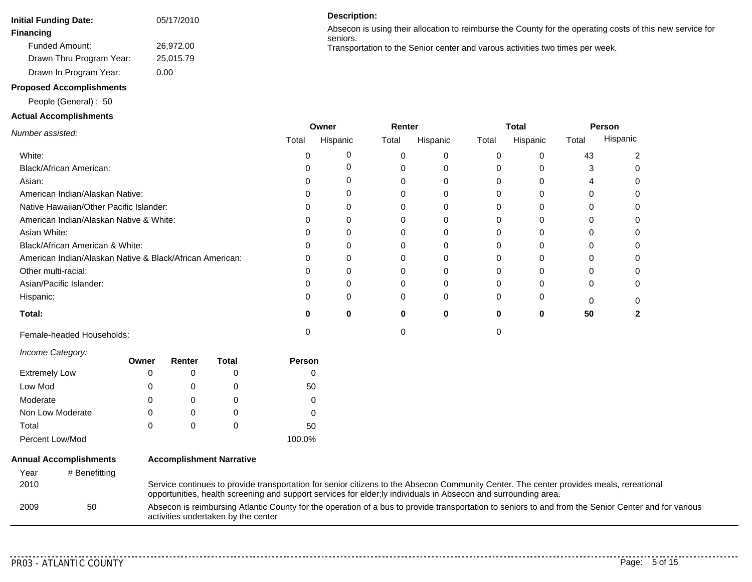| <b>Initial Funding Date:</b> | 05/17/2010 |
|------------------------------|------------|
| <b>Financing</b>             |            |
| <b>Funded Amount:</b>        | 26.972.00  |
| Drawn Thru Program Year:     | 25,015.79  |
| Drawn In Program Year:       | 0.00       |

#### **Proposed Accomplishments**

People (General) : 50

#### **Actual Accomplishments**

#### **Description:**

Absecon is using their allocation to reimburse the County for the operating costs of this new service for seniors. Transportation to the Senior center and varous activities two times per week.

*Number assisted:* **Person** Hispanic White: Black/African American: **Total:** Asian: American Indian/Alaskan Native: Native Hawaiian/Other Pacific Islander: American Indian/Alaskan Native & White: Asian White: Black/African American & White: American Indian/Alaskan Native & Black/African American: Other multi-racial: Asian/Pacific Islander: Hispanic: **Owner** Total Hispanic 0 0 **0** 0 0 0 0 0 0 0 0 0 0 **Renter** Total Hispanic 0 0 0 0 0 0 0 0 0 0 **Total** Total Hispanic Total **0 50** Female-headed Households: 0 0 0

#### *Income Category:*

|                      | Owner | Renter       | Total | Person |
|----------------------|-------|--------------|-------|--------|
| <b>Extremely Low</b> | 0     |              |       |        |
| Low Mod              | 0     |              |       | 50     |
| Moderate             | 0     |              |       |        |
| Non Low Moderate     | 0     |              | O     | 0      |
| Total                | 0     | $\mathbf{0}$ | O     | 50     |
| Percent Low/Mod      |       |              |       | 100.0% |

### **Annual Accomplishments** Year # Benefitting

**Accomplishment Narrative**

| _______ |    |                                                                                                                                                                                                                                                            |
|---------|----|------------------------------------------------------------------------------------------------------------------------------------------------------------------------------------------------------------------------------------------------------------|
| 2010    |    | Service continues to provide transportation for senior citizens to the Absecon Community Center. The center provides meals, rereational<br>opportunities, health screening and support services for elder; ly individuals in Absecon and surrounding area. |
| 2009    | 50 | Absecon is reimbursing Atlantic County for the operation of a bus to provide transportation to seniors to and from the Senior Center and for various<br>activities undertaken by the center                                                                |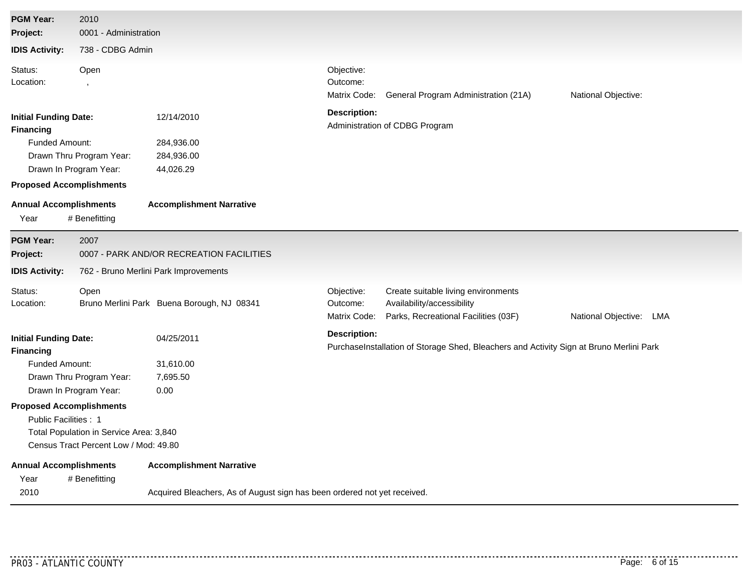| <b>PGM Year:</b>                                                                                                                       | 2010                                                                             |                                                                          |                                        |                                                                                                           |                         |
|----------------------------------------------------------------------------------------------------------------------------------------|----------------------------------------------------------------------------------|--------------------------------------------------------------------------|----------------------------------------|-----------------------------------------------------------------------------------------------------------|-------------------------|
| Project:                                                                                                                               | 0001 - Administration                                                            |                                                                          |                                        |                                                                                                           |                         |
| <b>IDIS Activity:</b>                                                                                                                  | 738 - CDBG Admin                                                                 |                                                                          |                                        |                                                                                                           |                         |
| Status:<br>Location:                                                                                                                   | Open                                                                             |                                                                          | Objective:<br>Outcome:<br>Matrix Code: | General Program Administration (21A)                                                                      | National Objective:     |
| <b>Initial Funding Date:</b><br><b>Financing</b><br><b>Funded Amount:</b><br>Drawn In Program Year:<br><b>Proposed Accomplishments</b> | Drawn Thru Program Year:                                                         | 12/14/2010<br>284,936.00<br>284,936.00<br>44,026.29                      | <b>Description:</b>                    | Administration of CDBG Program                                                                            |                         |
| <b>Annual Accomplishments</b><br>Year                                                                                                  | # Benefitting                                                                    | <b>Accomplishment Narrative</b>                                          |                                        |                                                                                                           |                         |
| <b>PGM Year:</b><br>Project:                                                                                                           | 2007                                                                             | 0007 - PARK AND/OR RECREATION FACILITIES                                 |                                        |                                                                                                           |                         |
| <b>IDIS Activity:</b>                                                                                                                  |                                                                                  | 762 - Bruno Merlini Park Improvements                                    |                                        |                                                                                                           |                         |
| Status:<br>Location:                                                                                                                   | Open                                                                             | Bruno Merlini Park Buena Borough, NJ 08341                               | Objective:<br>Outcome:<br>Matrix Code: | Create suitable living environments<br>Availability/accessibility<br>Parks, Recreational Facilities (03F) | National Objective: LMA |
| <b>Initial Funding Date:</b><br><b>Financing</b><br>Funded Amount:                                                                     | Drawn Thru Program Year:                                                         | 04/25/2011<br>31,610.00<br>7,695.50                                      | <b>Description:</b>                    | PurchaseInstallation of Storage Shed, Bleachers and Activity Sign at Bruno Merlini Park                   |                         |
| Drawn In Program Year:<br><b>Proposed Accomplishments</b><br>Public Facilities: 1                                                      | Total Population in Service Area: 3,840<br>Census Tract Percent Low / Mod: 49.80 | 0.00                                                                     |                                        |                                                                                                           |                         |
| <b>Annual Accomplishments</b><br>Year                                                                                                  | # Benefitting                                                                    | <b>Accomplishment Narrative</b>                                          |                                        |                                                                                                           |                         |
| 2010                                                                                                                                   |                                                                                  | Acquired Bleachers, As of August sign has been ordered not yet received. |                                        |                                                                                                           |                         |

. . . . . . . . . . . .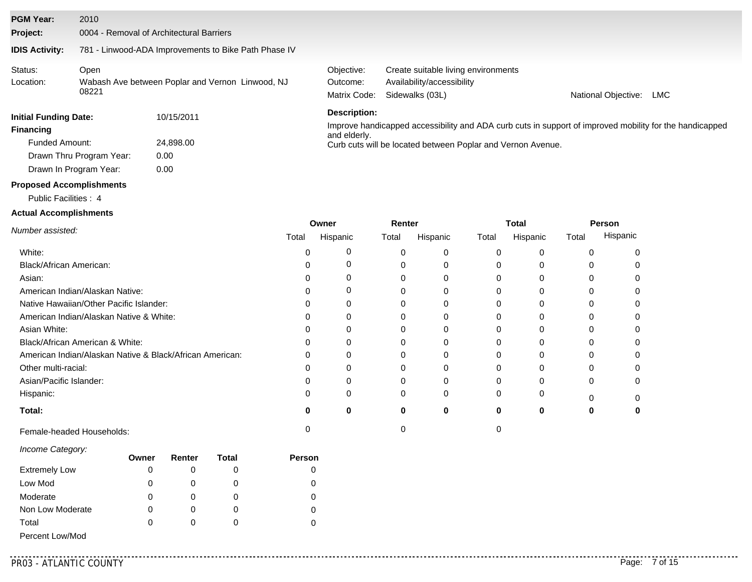| <b>PGM Year:</b>                                                                        | 2010          |                                                      |                                                             |                                                                                                         |                     |     |  |  |  |  |
|-----------------------------------------------------------------------------------------|---------------|------------------------------------------------------|-------------------------------------------------------------|---------------------------------------------------------------------------------------------------------|---------------------|-----|--|--|--|--|
| Project:                                                                                |               | 0004 - Removal of Architectural Barriers             |                                                             |                                                                                                         |                     |     |  |  |  |  |
| <b>IDIS Activity:</b>                                                                   |               | 781 - Linwood-ADA Improvements to Bike Path Phase IV |                                                             |                                                                                                         |                     |     |  |  |  |  |
| Status:<br>Location:                                                                    | Open<br>08221 | Wabash Ave between Poplar and Vernon Linwood, NJ     | Objective:<br>Outcome:<br>Matrix Code:                      | Create suitable living environments<br>Availability/accessibility<br>Sidewalks (03L)                    | National Objective: | LMC |  |  |  |  |
| <b>Initial Funding Date:</b><br>10/15/2011<br><b>Financing</b><br><b>Funded Amount:</b> |               | 24,898,00                                            | Description:<br>and elderly.                                | Improve handicapped accessibility and ADA curb cuts in support of improved mobility for the handicapped |                     |     |  |  |  |  |
| 0.00<br>Drawn Thru Program Year:<br>Drawn In Program Year:<br>0.00                      |               |                                                      | Curb cuts will be located between Poplar and Vernon Avenue. |                                                                                                         |                     |     |  |  |  |  |

# **Proposed Accomplishments**

Public Facilities : 4

#### **Actual Accomplishments**

|                                                          |       | Owner    | Renter |          |       | Total    | Person |          |
|----------------------------------------------------------|-------|----------|--------|----------|-------|----------|--------|----------|
| Number assisted:                                         | Total | Hispanic | Total  | Hispanic | Total | Hispanic | Total  | Hispanic |
| White:                                                   |       |          | 0      |          |       |          |        |          |
| Black/African American:                                  |       |          | 0      |          |       |          |        |          |
| Asian:                                                   |       |          | 0      |          |       |          |        |          |
| American Indian/Alaskan Native:                          |       |          |        |          |       |          |        |          |
| Native Hawaiian/Other Pacific Islander:                  |       |          |        |          |       |          |        |          |
| American Indian/Alaskan Native & White:                  |       |          | 0      |          |       |          |        |          |
| Asian White:                                             |       |          | 0      |          |       | 0        |        |          |
| Black/African American & White:                          |       |          |        |          |       |          |        |          |
| American Indian/Alaskan Native & Black/African American: |       |          |        |          |       |          |        |          |
| Other multi-racial:                                      |       |          |        |          |       |          |        |          |
| Asian/Pacific Islander:                                  |       |          | 0      |          |       | ი        |        |          |
| Hispanic:                                                |       |          | 0      | $\Omega$ |       | 0        |        |          |
| Total:                                                   | o     | o        | 0      | ŋ        | o     | 0        | o      |          |
| Female-headed Households:                                |       |          |        |          |       |          |        |          |

| Income Category: |  |
|------------------|--|
|------------------|--|

|                      | Owner | Renter | Total | <b>Person</b> |
|----------------------|-------|--------|-------|---------------|
| <b>Extremely Low</b> | 0     |        |       |               |
| Low Mod              | 0     |        |       |               |
| Moderate             | 0     |        |       |               |
| Non Low Moderate     | 0     | O)     | O     |               |
| Total                | 0     |        |       |               |
| Percent Low/Mod      |       |        |       |               |

. . . . . . . . . . . . .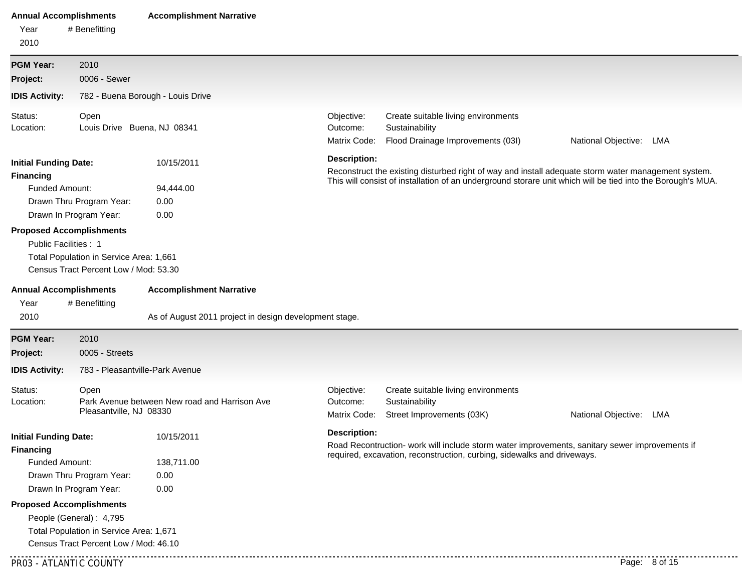| <b>Annual Accomplishments</b><br>Year<br>2010                                                                                                                                          | # Benefitting                                                                                                       | <b>Accomplishment Narrative</b>                                                           |                                        |                                                                                                                                                                           |                                                                                                                                                                                                                    |  |  |  |  |
|----------------------------------------------------------------------------------------------------------------------------------------------------------------------------------------|---------------------------------------------------------------------------------------------------------------------|-------------------------------------------------------------------------------------------|----------------------------------------|---------------------------------------------------------------------------------------------------------------------------------------------------------------------------|--------------------------------------------------------------------------------------------------------------------------------------------------------------------------------------------------------------------|--|--|--|--|
| <b>PGM Year:</b>                                                                                                                                                                       | 2010                                                                                                                |                                                                                           |                                        |                                                                                                                                                                           |                                                                                                                                                                                                                    |  |  |  |  |
| Project:                                                                                                                                                                               | 0006 - Sewer                                                                                                        |                                                                                           |                                        |                                                                                                                                                                           |                                                                                                                                                                                                                    |  |  |  |  |
| <b>IDIS Activity:</b>                                                                                                                                                                  |                                                                                                                     | 782 - Buena Borough - Louis Drive                                                         |                                        |                                                                                                                                                                           |                                                                                                                                                                                                                    |  |  |  |  |
| Status:<br>Location:                                                                                                                                                                   | Open<br>Louis Drive Buena, NJ 08341                                                                                 |                                                                                           | Objective:<br>Outcome:<br>Matrix Code: | Create suitable living environments<br>Sustainability<br>Flood Drainage Improvements (03I)                                                                                | National Objective: LMA                                                                                                                                                                                            |  |  |  |  |
| <b>Initial Funding Date:</b><br><b>Financing</b><br>Funded Amount:<br>Drawn Thru Program Year:<br>Drawn In Program Year:                                                               |                                                                                                                     | 10/15/2011<br>94,444.00<br>0.00<br>0.00                                                   | <b>Description:</b>                    |                                                                                                                                                                           | Reconstruct the existing disturbed right of way and install adequate storm water management system.<br>This will consist of installation of an underground storare unit which will be tied into the Borough's MUA. |  |  |  |  |
| Public Facilities: 1                                                                                                                                                                   | <b>Proposed Accomplishments</b><br>Total Population in Service Area: 1,661<br>Census Tract Percent Low / Mod: 53.30 |                                                                                           |                                        |                                                                                                                                                                           |                                                                                                                                                                                                                    |  |  |  |  |
| <b>Annual Accomplishments</b><br>Year<br>2010                                                                                                                                          | # Benefitting                                                                                                       | <b>Accomplishment Narrative</b><br>As of August 2011 project in design development stage. |                                        |                                                                                                                                                                           |                                                                                                                                                                                                                    |  |  |  |  |
| <b>PGM Year:</b>                                                                                                                                                                       | 2010                                                                                                                |                                                                                           |                                        |                                                                                                                                                                           |                                                                                                                                                                                                                    |  |  |  |  |
| Project:                                                                                                                                                                               | 0005 - Streets                                                                                                      |                                                                                           |                                        |                                                                                                                                                                           |                                                                                                                                                                                                                    |  |  |  |  |
| <b>IDIS Activity:</b>                                                                                                                                                                  |                                                                                                                     | 783 - Pleasantville-Park Avenue                                                           |                                        |                                                                                                                                                                           |                                                                                                                                                                                                                    |  |  |  |  |
| Status:<br>Location:                                                                                                                                                                   | Open<br>Pleasantville, NJ 08330                                                                                     | Park Avenue between New road and Harrison Ave                                             | Objective:<br>Outcome:<br>Matrix Code: | Create suitable living environments<br>Sustainability<br>Street Improvements (03K)                                                                                        | National Objective: LMA                                                                                                                                                                                            |  |  |  |  |
| <b>Initial Funding Date:</b><br><b>Financing</b><br>Funded Amount:<br>Drawn Thru Program Year:<br>Drawn In Program Year:<br><b>Proposed Accomplishments</b><br>People (General): 4,795 |                                                                                                                     | 10/15/2011<br>138,711.00<br>0.00<br>0.00                                                  | <b>Description:</b>                    | Road Recontruction- work will include storm water improvements, sanitary sewer improvements if<br>required, excavation, reconstruction, curbing, sidewalks and driveways. |                                                                                                                                                                                                                    |  |  |  |  |
|                                                                                                                                                                                        | Total Population in Service Area: 1,671<br>Census Tract Percent Low / Mod: 46.10                                    |                                                                                           |                                        |                                                                                                                                                                           |                                                                                                                                                                                                                    |  |  |  |  |
| PR03 - ATLANTIC COUNTY                                                                                                                                                                 |                                                                                                                     |                                                                                           |                                        |                                                                                                                                                                           | Page: 8 of 15                                                                                                                                                                                                      |  |  |  |  |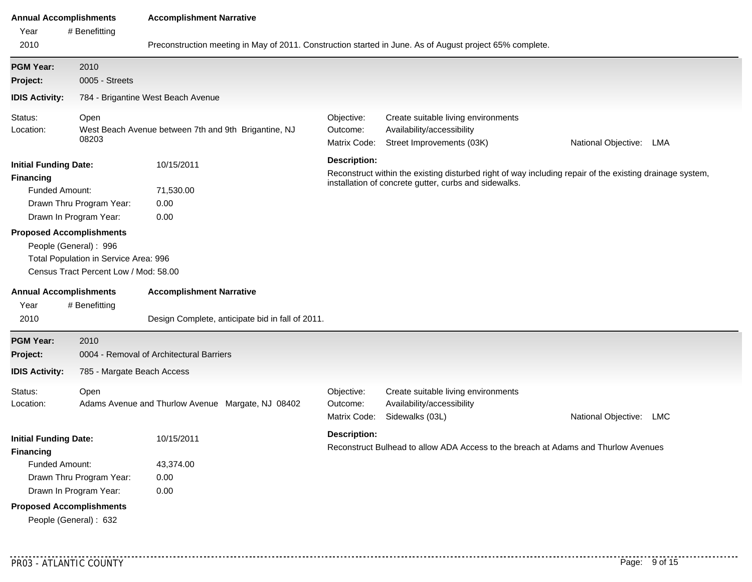| <b>Annual Accomplishments</b>                                                                                                   |                                                                                                         | <b>Accomplishment Narrative</b>                                                                          |                                        |                                                                                                                                                                   |                            |  |  |  |  |  |
|---------------------------------------------------------------------------------------------------------------------------------|---------------------------------------------------------------------------------------------------------|----------------------------------------------------------------------------------------------------------|----------------------------------------|-------------------------------------------------------------------------------------------------------------------------------------------------------------------|----------------------------|--|--|--|--|--|
| Year                                                                                                                            | # Benefitting                                                                                           |                                                                                                          |                                        |                                                                                                                                                                   |                            |  |  |  |  |  |
| 2010                                                                                                                            |                                                                                                         | Preconstruction meeting in May of 2011. Construction started in June. As of August project 65% complete. |                                        |                                                                                                                                                                   |                            |  |  |  |  |  |
| <b>PGM Year:</b>                                                                                                                | 2010                                                                                                    |                                                                                                          |                                        |                                                                                                                                                                   |                            |  |  |  |  |  |
| Project:                                                                                                                        | 0005 - Streets                                                                                          |                                                                                                          |                                        |                                                                                                                                                                   |                            |  |  |  |  |  |
| <b>IDIS Activity:</b>                                                                                                           |                                                                                                         | 784 - Brigantine West Beach Avenue                                                                       |                                        |                                                                                                                                                                   |                            |  |  |  |  |  |
| Status:<br>Location:                                                                                                            | Open<br>West Beach Avenue between 7th and 9th Brigantine, NJ<br>08203                                   |                                                                                                          | Objective:<br>Outcome:<br>Matrix Code: | Create suitable living environments<br>Availability/accessibility<br>Street Improvements (03K)                                                                    | National Objective: LMA    |  |  |  |  |  |
| <b>Initial Funding Date:</b><br><b>Financing</b><br><b>Funded Amount:</b><br>Drawn Thru Program Year:<br>Drawn In Program Year: |                                                                                                         | 10/15/2011<br>71,530.00<br>0.00<br>0.00                                                                  | <b>Description:</b>                    | Reconstruct within the existing disturbed right of way including repair of the existing drainage system,<br>installation of concrete gutter, curbs and sidewalks. |                            |  |  |  |  |  |
| <b>Proposed Accomplishments</b>                                                                                                 | People (General): 996<br>Total Population in Service Area: 996<br>Census Tract Percent Low / Mod: 58.00 |                                                                                                          |                                        |                                                                                                                                                                   |                            |  |  |  |  |  |
| <b>Annual Accomplishments</b><br>Year<br>2010                                                                                   | # Benefitting                                                                                           | <b>Accomplishment Narrative</b><br>Design Complete, anticipate bid in fall of 2011.                      |                                        |                                                                                                                                                                   |                            |  |  |  |  |  |
| <b>PGM Year:</b>                                                                                                                | 2010                                                                                                    |                                                                                                          |                                        |                                                                                                                                                                   |                            |  |  |  |  |  |
| Project:                                                                                                                        |                                                                                                         | 0004 - Removal of Architectural Barriers                                                                 |                                        |                                                                                                                                                                   |                            |  |  |  |  |  |
| <b>IDIS Activity:</b>                                                                                                           | 785 - Margate Beach Access                                                                              |                                                                                                          |                                        |                                                                                                                                                                   |                            |  |  |  |  |  |
| Status:<br>Location:                                                                                                            | Open<br>Adams Avenue and Thurlow Avenue Margate, NJ 08402                                               |                                                                                                          | Objective:<br>Outcome:<br>Matrix Code: | Create suitable living environments<br>Availability/accessibility<br>Sidewalks (03L)                                                                              | National Objective:<br>LMC |  |  |  |  |  |
| <b>Initial Funding Date:</b><br><b>Financing</b>                                                                                |                                                                                                         | 10/15/2011                                                                                               | <b>Description:</b>                    | Reconstruct Bulhead to allow ADA Access to the breach at Adams and Thurlow Avenues                                                                                |                            |  |  |  |  |  |
| Funded Amount:<br>Drawn Thru Program Year:<br>Drawn In Program Year:                                                            |                                                                                                         | 43,374.00<br>0.00<br>0.00                                                                                |                                        |                                                                                                                                                                   |                            |  |  |  |  |  |
| <b>Proposed Accomplishments</b>                                                                                                 | People (General): 632                                                                                   |                                                                                                          |                                        |                                                                                                                                                                   |                            |  |  |  |  |  |

. . . . . . . . . . . .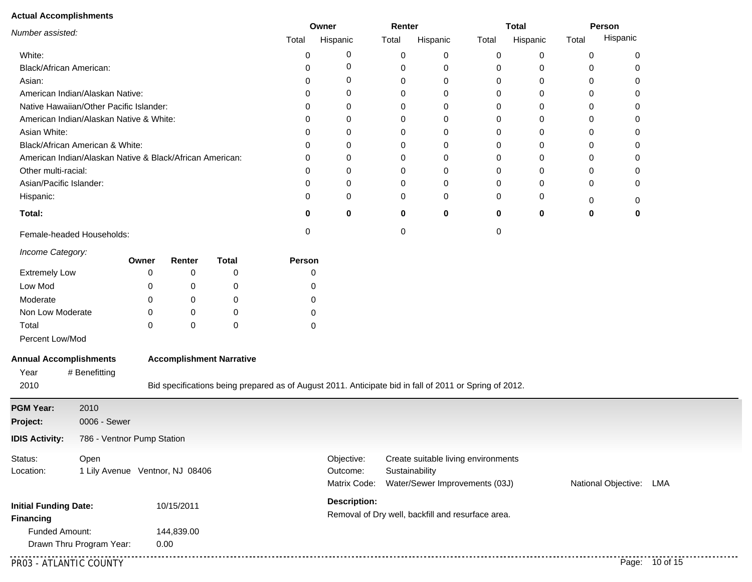# **Actual Accomplishments**

| Actual Accomplishments                           |                                                                                    |       | Owner      |                                                                                                        | Renter        |                          | <b>Total</b> |                                                   | Person |          |       |                         |  |
|--------------------------------------------------|------------------------------------------------------------------------------------|-------|------------|--------------------------------------------------------------------------------------------------------|---------------|--------------------------|--------------|---------------------------------------------------|--------|----------|-------|-------------------------|--|
| Number assisted:                                 |                                                                                    |       |            |                                                                                                        | Total         | Hispanic                 | Total        | Hispanic                                          | Total  | Hispanic | Total | Hispanic                |  |
| White:                                           |                                                                                    |       |            |                                                                                                        | 0             | 0                        | 0            | 0                                                 | 0      | 0        | 0     | 0                       |  |
| Black/African American:                          |                                                                                    |       |            |                                                                                                        | 0             | 0                        | 0            | 0                                                 | 0      | 0        | 0     | 0                       |  |
| Asian:                                           |                                                                                    |       |            |                                                                                                        | 0             | 0                        | 0            | 0                                                 | 0      | 0        | 0     | 0                       |  |
|                                                  | American Indian/Alaskan Native:                                                    |       | 0          | 0                                                                                                      | 0             | 0                        | 0            | 0                                                 | 0      | 0        |       |                         |  |
|                                                  | Native Hawaiian/Other Pacific Islander:<br>American Indian/Alaskan Native & White: |       |            | 0                                                                                                      | 0             | 0                        | 0            | 0                                                 | 0      | 0        | 0     |                         |  |
|                                                  |                                                                                    |       |            | 0                                                                                                      | 0             | 0                        | 0            | 0                                                 | 0      | 0        | 0     |                         |  |
| Asian White:                                     |                                                                                    |       |            |                                                                                                        | 0             | 0                        | 0            | 0                                                 | 0      | 0        | 0     | 0                       |  |
|                                                  | Black/African American & White:                                                    |       |            |                                                                                                        | 0             | 0                        | 0            | 0                                                 | 0      | 0        | 0     | 0                       |  |
|                                                  | American Indian/Alaskan Native & Black/African American:                           |       |            |                                                                                                        | 0             | 0                        | 0            | 0                                                 | 0      | 0        | 0     | 0                       |  |
| Other multi-racial:                              |                                                                                    |       |            |                                                                                                        | 0             | 0                        | 0            | 0                                                 | 0      | 0        | 0     | 0                       |  |
| Asian/Pacific Islander:                          |                                                                                    |       |            |                                                                                                        | 0             | 0                        | 0            | 0                                                 | 0      | 0        | 0     | 0                       |  |
| Hispanic:                                        |                                                                                    |       |            |                                                                                                        | 0             | 0                        | 0            | 0                                                 | 0      | 0        | 0     | 0                       |  |
| Total:                                           |                                                                                    |       |            |                                                                                                        | 0             | 0                        | 0            | $\mathbf 0$                                       | 0      | 0        | 0     | 0                       |  |
|                                                  | Female-headed Households:                                                          |       |            |                                                                                                        | 0             |                          | 0            |                                                   | 0      |          |       |                         |  |
| Income Category:                                 |                                                                                    | Owner | Renter     | <b>Total</b>                                                                                           | <b>Person</b> |                          |              |                                                   |        |          |       |                         |  |
| <b>Extremely Low</b>                             |                                                                                    | 0     | 0          | 0                                                                                                      |               | 0                        |              |                                                   |        |          |       |                         |  |
| Low Mod                                          |                                                                                    | 0     | 0          | 0                                                                                                      |               | 0                        |              |                                                   |        |          |       |                         |  |
| Moderate                                         |                                                                                    | 0     | 0          | 0                                                                                                      |               | 0                        |              |                                                   |        |          |       |                         |  |
| Non Low Moderate                                 |                                                                                    | 0     | 0          | 0                                                                                                      |               | 0                        |              |                                                   |        |          |       |                         |  |
| Total                                            |                                                                                    | 0     | 0          | 0                                                                                                      |               | 0                        |              |                                                   |        |          |       |                         |  |
| Percent Low/Mod                                  |                                                                                    |       |            |                                                                                                        |               |                          |              |                                                   |        |          |       |                         |  |
| <b>Annual Accomplishments</b>                    |                                                                                    |       |            | <b>Accomplishment Narrative</b>                                                                        |               |                          |              |                                                   |        |          |       |                         |  |
| Year                                             | # Benefitting                                                                      |       |            |                                                                                                        |               |                          |              |                                                   |        |          |       |                         |  |
| 2010                                             |                                                                                    |       |            | Bid specifications being prepared as of August 2011. Anticipate bid in fall of 2011 or Spring of 2012. |               |                          |              |                                                   |        |          |       |                         |  |
| <b>PGM Year:</b>                                 | 2010                                                                               |       |            |                                                                                                        |               |                          |              |                                                   |        |          |       |                         |  |
| Project:                                         | 0006 - Sewer                                                                       |       |            |                                                                                                        |               |                          |              |                                                   |        |          |       |                         |  |
| <b>IDIS Activity:</b>                            | 786 - Ventnor Pump Station                                                         |       |            |                                                                                                        |               |                          |              |                                                   |        |          |       |                         |  |
| Status:                                          | Open                                                                               |       |            |                                                                                                        |               | Objective:               |              | Create suitable living environments               |        |          |       |                         |  |
| Location:                                        | 1 Lily Avenue Ventnor, NJ 08406                                                    |       |            |                                                                                                        |               | Outcome:<br>Matrix Code: |              | Sustainability<br>Water/Sewer Improvements (03J)  |        |          |       | National Objective: LMA |  |
|                                                  |                                                                                    |       | 10/15/2011 |                                                                                                        |               | <b>Description:</b>      |              |                                                   |        |          |       |                         |  |
| <b>Initial Funding Date:</b><br><b>Financing</b> |                                                                                    |       |            |                                                                                                        |               |                          |              | Removal of Dry well, backfill and resurface area. |        |          |       |                         |  |
| Funded Amount:                                   |                                                                                    |       | 144,839.00 |                                                                                                        |               |                          |              |                                                   |        |          |       |                         |  |
|                                                  | Drawn Thru Program Year:                                                           |       | 0.00       |                                                                                                        |               |                          |              |                                                   |        |          |       |                         |  |

PR03 - ATLANTIC COUNTY Page: 10 of 15

.<br>. . . . . . . . . .

. . . . . . . .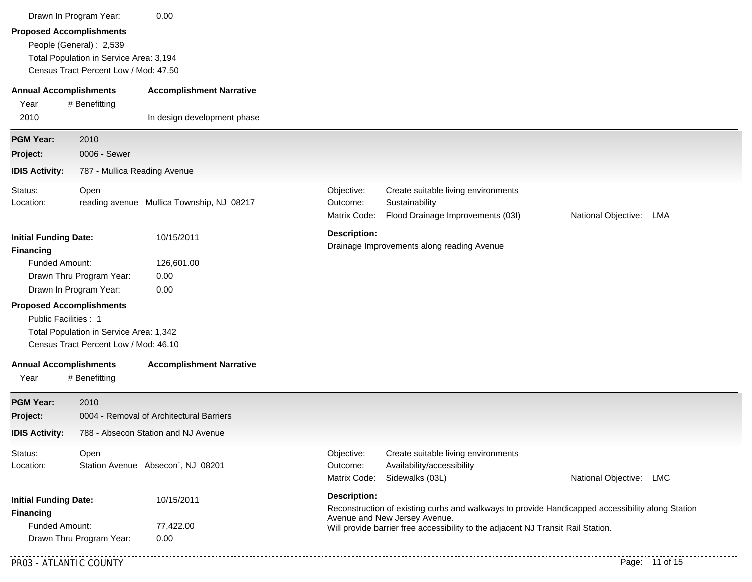|                                                                                                                                   | Drawn In Program Year:                                                                                                                          | 0.00                                      |                                                                                                                                                                                                                       |                                                                                            |                         |                |  |  |  |
|-----------------------------------------------------------------------------------------------------------------------------------|-------------------------------------------------------------------------------------------------------------------------------------------------|-------------------------------------------|-----------------------------------------------------------------------------------------------------------------------------------------------------------------------------------------------------------------------|--------------------------------------------------------------------------------------------|-------------------------|----------------|--|--|--|
|                                                                                                                                   | <b>Proposed Accomplishments</b><br>People (General) : 2,539<br>Total Population in Service Area: 3,194<br>Census Tract Percent Low / Mod: 47.50 |                                           |                                                                                                                                                                                                                       |                                                                                            |                         |                |  |  |  |
| <b>Annual Accomplishments</b><br>Year                                                                                             | # Benefitting                                                                                                                                   | <b>Accomplishment Narrative</b>           |                                                                                                                                                                                                                       |                                                                                            |                         |                |  |  |  |
| 2010                                                                                                                              |                                                                                                                                                 | In design development phase               |                                                                                                                                                                                                                       |                                                                                            |                         |                |  |  |  |
| <b>PGM Year:</b><br>Project:                                                                                                      | 2010<br>0006 - Sewer                                                                                                                            |                                           |                                                                                                                                                                                                                       |                                                                                            |                         |                |  |  |  |
| <b>IDIS Activity:</b>                                                                                                             | 787 - Mullica Reading Avenue                                                                                                                    |                                           |                                                                                                                                                                                                                       |                                                                                            |                         |                |  |  |  |
| Status:<br>Location:                                                                                                              | Open                                                                                                                                            | reading avenue Mullica Township, NJ 08217 | Objective:<br>Outcome:<br>Matrix Code:                                                                                                                                                                                | Create suitable living environments<br>Sustainability<br>Flood Drainage Improvements (03I) | National Objective: LMA |                |  |  |  |
| <b>Initial Funding Date:</b><br><b>Financing</b><br>Funded Amount:<br>Drawn Thru Program Year:<br>Drawn In Program Year:          |                                                                                                                                                 | 10/15/2011<br>126,601.00<br>0.00<br>0.00  | <b>Description:</b><br>Drainage Improvements along reading Avenue                                                                                                                                                     |                                                                                            |                         |                |  |  |  |
| Public Facilities: 1                                                                                                              | <b>Proposed Accomplishments</b><br>Total Population in Service Area: 1,342<br>Census Tract Percent Low / Mod: 46.10                             |                                           |                                                                                                                                                                                                                       |                                                                                            |                         |                |  |  |  |
| <b>Annual Accomplishments</b><br>Year                                                                                             | # Benefitting                                                                                                                                   | <b>Accomplishment Narrative</b>           |                                                                                                                                                                                                                       |                                                                                            |                         |                |  |  |  |
| <b>PGM Year:</b><br>Project:                                                                                                      | 2010                                                                                                                                            | 0004 - Removal of Architectural Barriers  |                                                                                                                                                                                                                       |                                                                                            |                         |                |  |  |  |
| <b>IDIS Activity:</b>                                                                                                             |                                                                                                                                                 | 788 - Absecon Station and NJ Avenue       |                                                                                                                                                                                                                       |                                                                                            |                         |                |  |  |  |
| Status:<br>Location:                                                                                                              | Open                                                                                                                                            | Station Avenue Absecon`, NJ 08201         | Objective:<br>Outcome:<br>Matrix Code:                                                                                                                                                                                | Create suitable living environments<br>Availability/accessibility<br>Sidewalks (03L)       | National Objective: LMC |                |  |  |  |
| 10/15/2011<br><b>Initial Funding Date:</b><br><b>Financing</b><br>Funded Amount:<br>77,422.00<br>Drawn Thru Program Year:<br>0.00 |                                                                                                                                                 | <b>Description:</b>                       | Reconstruction of existing curbs and walkways to provide Handicapped accessibility along Station<br>Avenue and New Jersey Avenue.<br>Will provide barrier free accessibility to the adjacent NJ Transit Rail Station. |                                                                                            |                         |                |  |  |  |
| PR03 - ATLANTIC COUNTY                                                                                                            |                                                                                                                                                 |                                           |                                                                                                                                                                                                                       |                                                                                            |                         | Page: 11 of 15 |  |  |  |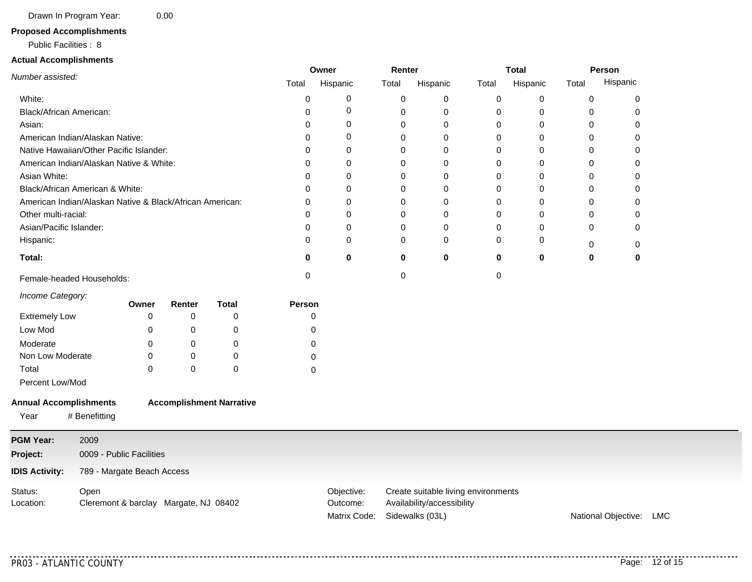Drawn In Program Year: 0.00

#### **Proposed Accomplishments**

#### Public Facilities : 8

#### **Actual Accomplishments**

|                                                          |                                       |           |                                 |               | Owner                    |          | Renter                                        |             | <b>Total</b> |             | Person                  |
|----------------------------------------------------------|---------------------------------------|-----------|---------------------------------|---------------|--------------------------|----------|-----------------------------------------------|-------------|--------------|-------------|-------------------------|
| Number assisted:                                         |                                       |           |                                 | Total         | Hispanic                 | Total    | Hispanic                                      | Total       | Hispanic     | Total       | Hispanic                |
| White:                                                   |                                       |           |                                 | $\mathbf 0$   | 0                        | 0        | 0                                             | $\pmb{0}$   | 0            | $\pmb{0}$   | 0                       |
| Black/African American:                                  |                                       |           |                                 | 0             | 0                        | 0        | 0                                             | 0           | 0            | 0           | 0                       |
| Asian:                                                   |                                       |           |                                 | 0             | 0                        | 0        | 0                                             | 0           | 0            | $\mathbf 0$ | $\mathbf 0$             |
| American Indian/Alaskan Native:                          |                                       |           |                                 | 0             | 0                        | 0        | 0                                             | 0           | 0            | $\Omega$    | $\Omega$                |
| Native Hawaiian/Other Pacific Islander:                  |                                       |           |                                 | 0             | 0                        | 0        | 0                                             | 0           | 0            | 0           | 0                       |
| American Indian/Alaskan Native & White:                  |                                       |           |                                 | $\Omega$      | 0                        | 0        | 0                                             | $\mathbf 0$ | 0            | $\Omega$    | 0                       |
| Asian White:                                             |                                       |           |                                 | $\Omega$      | $\Omega$                 | $\Omega$ | $\Omega$                                      | 0           | $\Omega$     | $\Omega$    | $\Omega$                |
| Black/African American & White:                          |                                       |           |                                 | 0             | 0                        | 0        | 0                                             | $\mathbf 0$ | 0            | 0           | 0                       |
| American Indian/Alaskan Native & Black/African American: |                                       |           |                                 | 0             | 0                        | 0        | 0                                             | $\mathbf 0$ | 0            | 0           | 0                       |
| Other multi-racial:                                      |                                       |           |                                 | 0             | 0                        | 0        | 0                                             | $\mathbf 0$ | 0            | $\Omega$    | 0                       |
| Asian/Pacific Islander:                                  |                                       |           |                                 | 0             | 0                        | 0        | 0                                             | 0           | 0            | 0           | 0                       |
| Hispanic:                                                |                                       |           |                                 | 0             | 0                        | 0        | 0                                             | 0           | 0            | 0           | 0                       |
| Total:                                                   |                                       |           |                                 | 0             | $\mathbf 0$              | 0        | 0                                             | $\mathbf 0$ | 0            | $\bf{0}$    | 0                       |
| Female-headed Households:                                |                                       |           |                                 | $\mathbf 0$   |                          | 0        |                                               | $\mathbf 0$ |              |             |                         |
| Income Category:                                         | Owner                                 | Renter    | <b>Total</b>                    | <b>Person</b> |                          |          |                                               |             |              |             |                         |
| <b>Extremely Low</b>                                     | 0                                     | 0         | 0                               |               | 0                        |          |                                               |             |              |             |                         |
| Low Mod                                                  | $\Omega$                              | 0         | 0                               |               | 0                        |          |                                               |             |              |             |                         |
| Moderate                                                 | 0                                     | 0         | 0                               |               | 0                        |          |                                               |             |              |             |                         |
| Non Low Moderate                                         | 0                                     | 0         | 0                               |               | 0                        |          |                                               |             |              |             |                         |
| Total                                                    | $\Omega$                              | $\pmb{0}$ | 0                               |               | 0                        |          |                                               |             |              |             |                         |
| Percent Low/Mod                                          |                                       |           |                                 |               |                          |          |                                               |             |              |             |                         |
|                                                          |                                       |           |                                 |               |                          |          |                                               |             |              |             |                         |
| <b>Annual Accomplishments</b>                            |                                       |           | <b>Accomplishment Narrative</b> |               |                          |          |                                               |             |              |             |                         |
| # Benefitting<br>Year                                    |                                       |           |                                 |               |                          |          |                                               |             |              |             |                         |
| <b>PGM Year:</b><br>2009                                 |                                       |           |                                 |               |                          |          |                                               |             |              |             |                         |
| Project:                                                 | 0009 - Public Facilities              |           |                                 |               |                          |          |                                               |             |              |             |                         |
| <b>IDIS Activity:</b>                                    | 789 - Margate Beach Access            |           |                                 |               |                          |          |                                               |             |              |             |                         |
| Status:<br>Open                                          |                                       |           |                                 |               | Objective:               |          | Create suitable living environments           |             |              |             |                         |
| Location:                                                | Cleremont & barclay Margate, NJ 08402 |           |                                 |               | Outcome:<br>Matrix Code: |          | Availability/accessibility<br>Sidewalks (03L) |             |              |             | National Objective: LMC |

. . . . . . . . . .

. . . . . . . . . . . . . .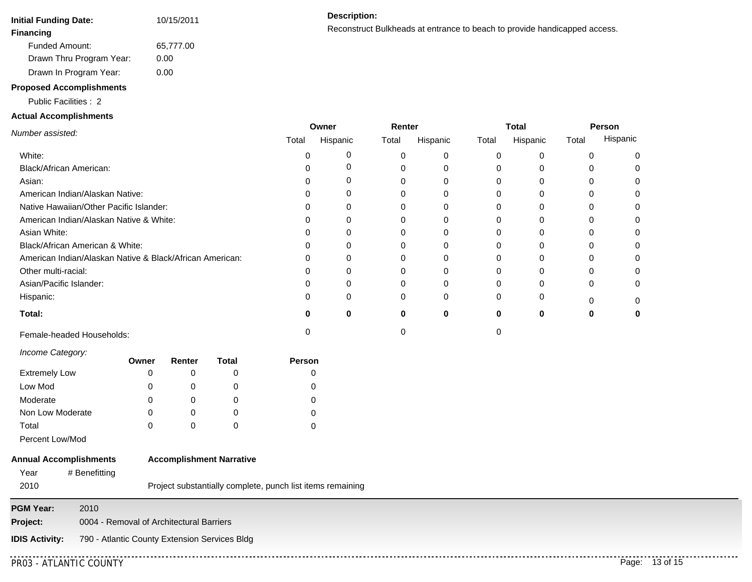| <b>Initial Funding Date:</b> | 10/15/2011 |
|------------------------------|------------|
| Financing                    |            |
| <b>Funded Amount:</b>        | 65,777.00  |
| Drawn Thru Program Year:     | 0.00       |
| Drawn In Program Year:       | 0.00       |

# **Proposed Accomplishments**

#### Public Facilities : 2

#### **Actual Accomplishments**

Reconstruct Bulkheads at entrance to beach to provide handicapped access. **Financing**

|                                                          |       | Owner    | Renter |          |       | <b>Total</b> | Person |          |  |
|----------------------------------------------------------|-------|----------|--------|----------|-------|--------------|--------|----------|--|
| Number assisted:                                         | Total | Hispanic | Total  | Hispanic | Total | Hispanic     | Total  | Hispanic |  |
| White:                                                   |       | O        | 0      |          |       |              |        |          |  |
| Black/African American:                                  |       |          |        |          |       |              |        |          |  |
| Asian:                                                   |       |          |        |          |       |              |        |          |  |
| American Indian/Alaskan Native:                          |       |          |        |          |       |              |        |          |  |
| Native Hawaiian/Other Pacific Islander:                  |       |          |        |          |       |              |        |          |  |
| American Indian/Alaskan Native & White:                  |       |          |        |          |       |              |        |          |  |
| Asian White:                                             |       |          |        |          |       |              |        |          |  |
| Black/African American & White:                          |       |          |        |          |       |              |        |          |  |
| American Indian/Alaskan Native & Black/African American: |       |          |        |          |       |              |        |          |  |
| Other multi-racial:                                      |       |          |        |          |       |              |        |          |  |
| Asian/Pacific Islander:                                  |       |          | 0      |          |       |              |        |          |  |
| Hispanic:                                                |       | U        | 0      | 0        |       |              |        |          |  |
| Total:                                                   |       | U        | 0      | 0        |       | 0            |        |          |  |
| Female-headed Households:                                |       |          |        |          |       |              |        |          |  |

#### *Income Category:*

|                      | Owner | Renter | Total | <b>Person</b> |
|----------------------|-------|--------|-------|---------------|
| <b>Extremely Low</b> |       |        |       |               |
| Low Mod              | 0     |        |       |               |
| Moderate             |       |        |       |               |
| Non Low Moderate     | 0     |        |       |               |
| Total                | 0     |        |       |               |

# Percent Low/Mod

#### **Annual Accomplishments Accomplishment Narrative**

| Year | # Benefitting |
|------|---------------|
| 2010 |               |

Project substantially complete, punch list items remaining

**PGM Year:** 2010 **Project:** 0004 - Removal of Architectural Barriers **IDIS Activity:** 790 - Atlantic County Extension Services Bldg . . . . . . . . . .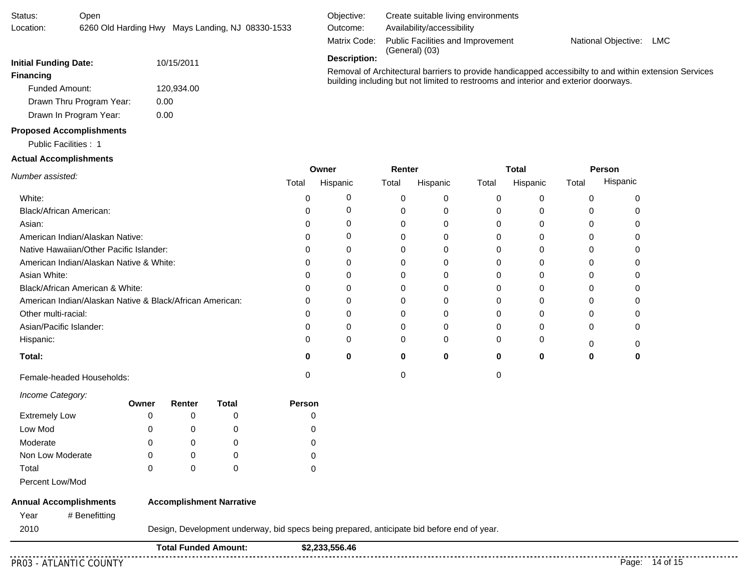| <b>Financing</b>                                         |       |                             |                                                                                            |        |                |        |                                                                                     |       |              |       |          | Removal of Architectural barriers to provide handicapped accessibilty to and within extension Services |
|----------------------------------------------------------|-------|-----------------------------|--------------------------------------------------------------------------------------------|--------|----------------|--------|-------------------------------------------------------------------------------------|-------|--------------|-------|----------|--------------------------------------------------------------------------------------------------------|
| <b>Funded Amount:</b>                                    |       | 120,934.00                  |                                                                                            |        |                |        | building including but not limited to restrooms and interior and exterior doorways. |       |              |       |          |                                                                                                        |
| Drawn Thru Program Year:                                 |       | 0.00                        |                                                                                            |        |                |        |                                                                                     |       |              |       |          |                                                                                                        |
| Drawn In Program Year:                                   |       | 0.00                        |                                                                                            |        |                |        |                                                                                     |       |              |       |          |                                                                                                        |
| <b>Proposed Accomplishments</b>                          |       |                             |                                                                                            |        |                |        |                                                                                     |       |              |       |          |                                                                                                        |
| Public Facilities: 1                                     |       |                             |                                                                                            |        |                |        |                                                                                     |       |              |       |          |                                                                                                        |
| <b>Actual Accomplishments</b>                            |       |                             |                                                                                            |        |                |        |                                                                                     |       |              |       |          |                                                                                                        |
| Number assisted:                                         |       |                             |                                                                                            |        | Owner          | Renter |                                                                                     |       | <b>Total</b> |       | Person   |                                                                                                        |
|                                                          |       |                             |                                                                                            | Total  | Hispanic       | Total  | Hispanic                                                                            | Total | Hispanic     | Total | Hispanic |                                                                                                        |
| White:                                                   |       |                             |                                                                                            | 0      | 0              | 0      | 0                                                                                   | 0     | 0            | 0     | 0        |                                                                                                        |
| Black/African American:                                  |       |                             |                                                                                            | 0      | 0              | 0      | 0                                                                                   | 0     | 0            | 0     | 0        |                                                                                                        |
| Asian:                                                   |       |                             |                                                                                            | 0      | 0              | 0      | 0                                                                                   | 0     | 0            | 0     | 0        |                                                                                                        |
| American Indian/Alaskan Native:                          |       |                             |                                                                                            | 0      | 0              | 0      | 0                                                                                   | 0     | 0            | 0     | 0        |                                                                                                        |
| Native Hawaiian/Other Pacific Islander:                  |       |                             |                                                                                            | 0      | 0              | 0      | 0                                                                                   | 0     | 0            | 0     | 0        |                                                                                                        |
| American Indian/Alaskan Native & White:                  |       |                             |                                                                                            | 0      | 0              | 0      | 0                                                                                   | 0     | 0            | 0     | 0        |                                                                                                        |
| Asian White:                                             |       |                             |                                                                                            | 0      | 0              | 0      | 0                                                                                   | 0     | 0            | 0     | 0        |                                                                                                        |
| Black/African American & White:                          |       |                             |                                                                                            | 0      | 0              | 0      | 0                                                                                   | 0     | 0            | 0     | 0        |                                                                                                        |
| American Indian/Alaskan Native & Black/African American: |       |                             |                                                                                            | 0      | 0              | 0      | 0                                                                                   | 0     | 0            | 0     | 0        |                                                                                                        |
| Other multi-racial:                                      |       |                             |                                                                                            | 0      | 0              | 0      | 0                                                                                   | 0     | 0            | 0     | 0        |                                                                                                        |
| Asian/Pacific Islander:                                  |       |                             |                                                                                            | 0      | 0              | 0      | 0                                                                                   | 0     | 0            | 0     | 0        |                                                                                                        |
| Hispanic:                                                |       |                             |                                                                                            | 0      | 0              | 0      | 0                                                                                   | 0     | 0            | 0     | 0        |                                                                                                        |
| Total:                                                   |       |                             |                                                                                            | 0      | 0              | 0      | 0                                                                                   | 0     | $\mathbf 0$  | 0     | 0        |                                                                                                        |
| Female-headed Households:                                |       |                             |                                                                                            | 0      |                | 0      |                                                                                     | 0     |              |       |          |                                                                                                        |
| Income Category:                                         | Owner | Renter                      | <b>Total</b>                                                                               | Person |                |        |                                                                                     |       |              |       |          |                                                                                                        |
| <b>Extremely Low</b>                                     | 0     | 0                           | 0                                                                                          |        | 0              |        |                                                                                     |       |              |       |          |                                                                                                        |
| Low Mod                                                  | 0     | 0                           | 0                                                                                          |        | 0              |        |                                                                                     |       |              |       |          |                                                                                                        |
| Moderate                                                 | 0     | 0                           | 0                                                                                          |        | 0              |        |                                                                                     |       |              |       |          |                                                                                                        |
| Non Low Moderate                                         | 0     | 0                           | 0                                                                                          |        | 0              |        |                                                                                     |       |              |       |          |                                                                                                        |
| Total                                                    | 0     | 0                           | $\mathbf 0$                                                                                |        | 0              |        |                                                                                     |       |              |       |          |                                                                                                        |
| Percent Low/Mod                                          |       |                             |                                                                                            |        |                |        |                                                                                     |       |              |       |          |                                                                                                        |
| <b>Annual Accomplishments</b>                            |       |                             | <b>Accomplishment Narrative</b>                                                            |        |                |        |                                                                                     |       |              |       |          |                                                                                                        |
| # Benefitting<br>Year                                    |       |                             |                                                                                            |        |                |        |                                                                                     |       |              |       |          |                                                                                                        |
| 2010                                                     |       |                             | Design, Development underway, bid specs being prepared, anticipate bid before end of year. |        |                |        |                                                                                     |       |              |       |          |                                                                                                        |
|                                                          |       | <b>Total Funded Amount:</b> |                                                                                            |        | \$2,233,556.46 |        |                                                                                     |       |              |       |          |                                                                                                        |
| PR03 - ATLANTIC COUNTY                                   |       |                             |                                                                                            |        |                |        |                                                                                     |       |              |       |          | Page: 14 of 15                                                                                         |
|                                                          |       |                             |                                                                                            |        |                |        |                                                                                     |       |              |       |          |                                                                                                        |

**Description:**

Outcome:

Open

**Initial Funding Date:** 10/15/2011

Status: Location:

 $\overline{\phantom{0}}$ 

6260 Old Harding Hwy Mays Landing, NJ 08330-1533

Matrix Code: Public Facilities and Improvement (General) (03)

Availability/accessibility Objective: Create suitable living environments

National Objective: LMC

. . . . . .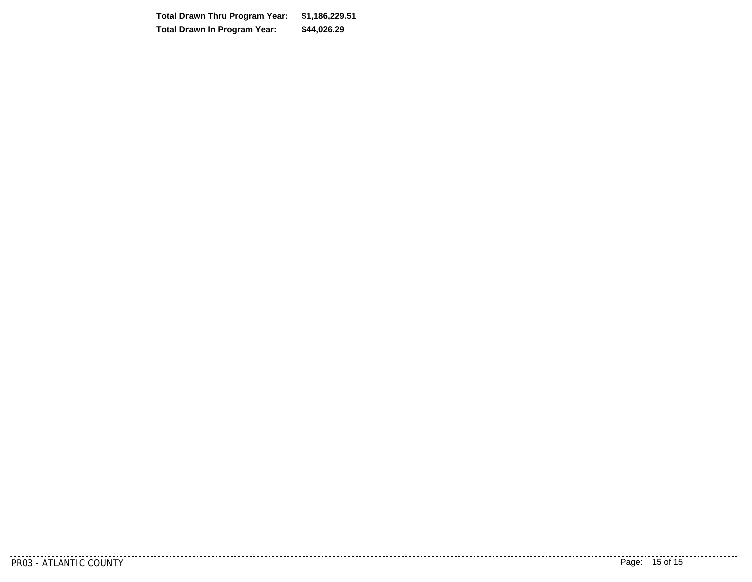**\$44,026.29 \$1,186,229.51 Total Drawn Thru Program Year:Total Drawn In Program Year:**

<u>. . . . . . .</u> .

. . . . . . . . . . . . .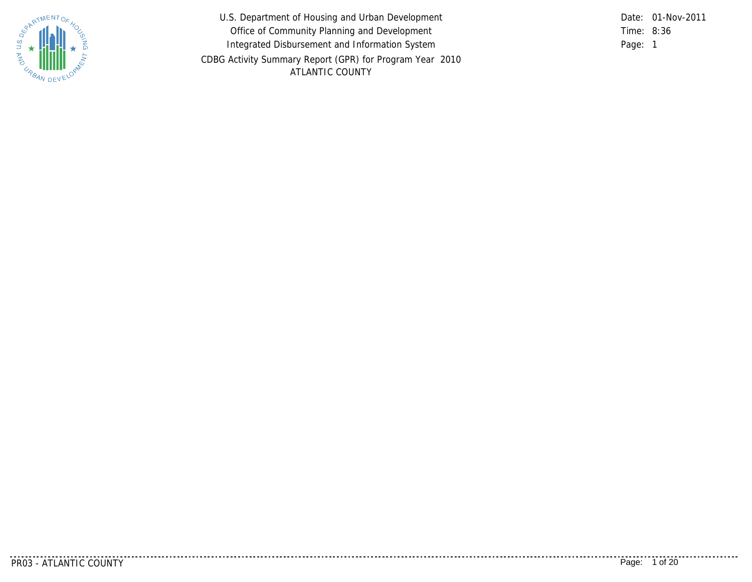

U.S. Department of Housing and Urban Development Office of Community Planning and Development Integrated Disbursement and Information System CDBG Activity Summary Report (GPR) for Program Year 2010 ATLANTIC COUNTY

8:36 Time: Page: 1 Date: 01-Nov-2011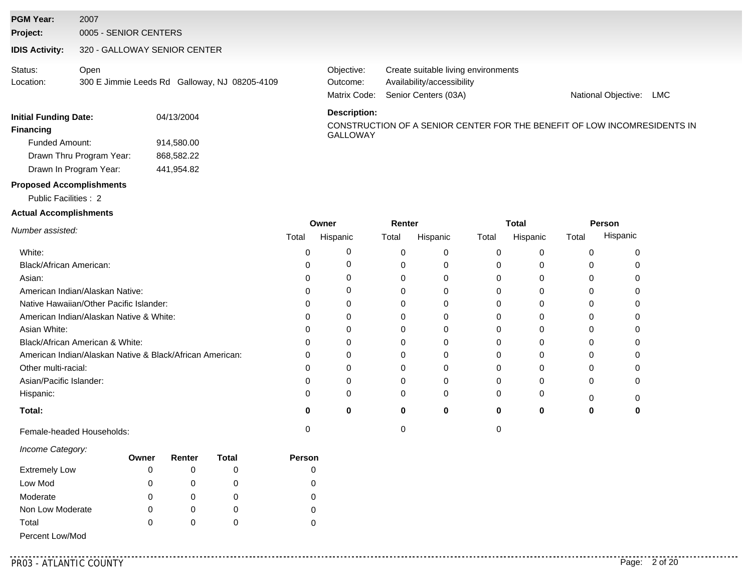#### **PGM Year:** 2007

**Project:** 0005 - SENIOR CENTERS

#### **IDIS Activity:** 320 - GALLOWAY SENIOR CENTER

Open 300 E Jimmie Leeds Rd Galloway, NJ 08205-4109 Status: Location:

Matrix Code: Senior Centers (03A) Availability/accessibility Objective: Create suitable living environments Outcome:

National Objective: LMC

| 04/13/2004 | <b>DESCRIPTION</b>   |
|------------|----------------------|
|            | CONSTRUC<br>GALLOWAY |
| 914.580.00 |                      |
| 868.582.22 |                      |
| 441.954.82 |                      |
|            |                      |

#### **Description:**

CONSTRUCTION OF A SENIOR CENTER FOR THE BENEFIT OF LOW INCOMRESIDENTS IN

#### **Proposed Accomplishments**

Public Facilities : 2

#### **Actual Accomplishments**

|                                                          |       | Owner    | Renter |          |       | Total    | Person |          |  |
|----------------------------------------------------------|-------|----------|--------|----------|-------|----------|--------|----------|--|
| Number assisted:                                         | Total | Hispanic | Total  | Hispanic | Total | Hispanic | Total  | Hispanic |  |
| White:                                                   |       |          |        |          |       |          | U      |          |  |
| Black/African American:                                  |       |          |        |          |       |          |        |          |  |
| Asian:                                                   |       |          |        |          |       |          |        |          |  |
| American Indian/Alaskan Native:                          |       |          | C      |          |       |          |        |          |  |
| Native Hawaiian/Other Pacific Islander:                  |       |          |        |          |       |          |        |          |  |
| American Indian/Alaskan Native & White:                  |       |          |        |          |       |          |        |          |  |
| Asian White:                                             |       |          | 0      |          |       |          | 0      |          |  |
| Black/African American & White:                          |       |          |        |          |       |          |        |          |  |
| American Indian/Alaskan Native & Black/African American: |       |          |        |          |       |          |        |          |  |
| Other multi-racial:                                      |       |          |        |          |       |          |        |          |  |
| Asian/Pacific Islander:                                  |       |          | 0      |          |       |          | 0      |          |  |
| Hispanic:                                                |       |          | O      | 0        |       |          |        |          |  |
| Total:                                                   | Ω     |          | 0      | $\bf{0}$ | o     |          |        |          |  |
| Female-headed Households:                                |       |          |        |          |       |          |        |          |  |

#### *Income Category:*

|                      | Owner | Renter | Total | <b>Person</b> |
|----------------------|-------|--------|-------|---------------|
| <b>Extremely Low</b> | 0     |        |       |               |
| Low Mod              | 0     |        |       |               |
| Moderate             | 0     |        |       |               |
| Non Low Moderate     | 0     |        | O     |               |
| Total                | 0     |        |       |               |
| Percent Low/Mod      |       |        |       |               |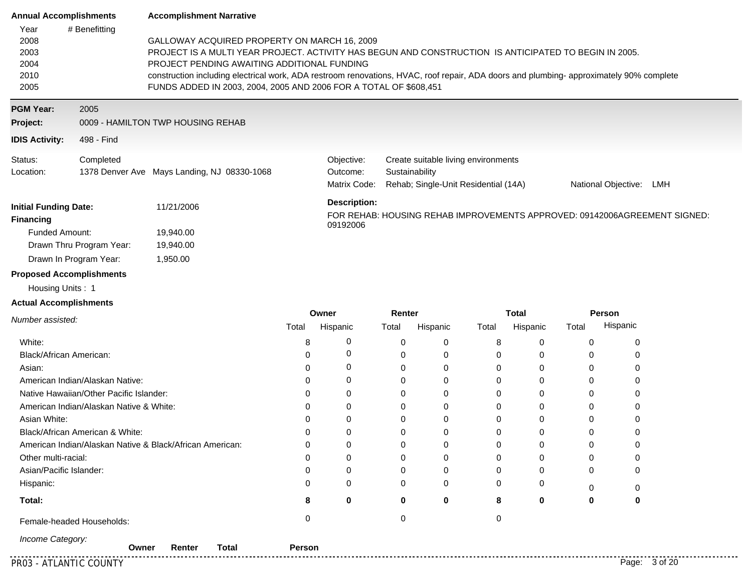| <b>Annual Accomplishments</b>                                             |                                                                                                                                                                                                                                                                                                                                                                                                                                       | <b>Accomplishment Narrative</b>                          |          |                                        |                 |             |                                                                             |                          |                        |                                                                           |  |
|---------------------------------------------------------------------------|---------------------------------------------------------------------------------------------------------------------------------------------------------------------------------------------------------------------------------------------------------------------------------------------------------------------------------------------------------------------------------------------------------------------------------------|----------------------------------------------------------|----------|----------------------------------------|-----------------|-------------|-----------------------------------------------------------------------------|--------------------------|------------------------|---------------------------------------------------------------------------|--|
| Year<br>2008<br>2003<br>2004<br>2010<br>2005                              | # Benefitting<br>GALLOWAY ACQUIRED PROPERTY ON MARCH 16, 2009<br>PROJECT IS A MULTI YEAR PROJECT. ACTIVITY HAS BEGUN AND CONSTRUCTION IS ANTICIPATED TO BEGIN IN 2005.<br>PROJECT PENDING AWAITING ADDITIONAL FUNDING<br>construction including electrical work, ADA restroom renovations, HVAC, roof repair, ADA doors and plumbing- approximately 90% complete<br>FUNDS ADDED IN 2003, 2004, 2005 AND 2006 FOR A TOTAL OF \$608,451 |                                                          |          |                                        |                 |             |                                                                             |                          |                        |                                                                           |  |
| <b>PGM Year:</b>                                                          | 2005                                                                                                                                                                                                                                                                                                                                                                                                                                  |                                                          |          |                                        |                 |             |                                                                             |                          |                        |                                                                           |  |
| Project:                                                                  |                                                                                                                                                                                                                                                                                                                                                                                                                                       | 0009 - HAMILTON TWP HOUSING REHAB                        |          |                                        |                 |             |                                                                             |                          |                        |                                                                           |  |
| <b>IDIS Activity:</b>                                                     | 498 - Find                                                                                                                                                                                                                                                                                                                                                                                                                            |                                                          |          |                                        |                 |             |                                                                             |                          |                        |                                                                           |  |
| Status:<br>Location:                                                      | Completed                                                                                                                                                                                                                                                                                                                                                                                                                             | 1378 Denver Ave Mays Landing, NJ 08330-1068              |          | Objective:<br>Outcome:<br>Matrix Code: | Sustainability  |             | Create suitable living environments<br>Rehab; Single-Unit Residential (14A) |                          |                        | National Objective: LMH                                                   |  |
| <b>Initial Funding Date:</b><br><b>Financing</b><br><b>Funded Amount:</b> | Drawn Thru Program Year:<br>Drawn In Program Year:                                                                                                                                                                                                                                                                                                                                                                                    | 11/21/2006<br>19,940.00<br>19,940.00<br>1,950.00         |          | <b>Description:</b><br>09192006        |                 |             |                                                                             |                          |                        | FOR REHAB: HOUSING REHAB IMPROVEMENTS APPROVED: 09142006AGREEMENT SIGNED: |  |
| <b>Proposed Accomplishments</b>                                           |                                                                                                                                                                                                                                                                                                                                                                                                                                       |                                                          |          |                                        |                 |             |                                                                             |                          |                        |                                                                           |  |
| Housing Units: 1                                                          |                                                                                                                                                                                                                                                                                                                                                                                                                                       |                                                          |          |                                        |                 |             |                                                                             |                          |                        |                                                                           |  |
| <b>Actual Accomplishments</b>                                             |                                                                                                                                                                                                                                                                                                                                                                                                                                       |                                                          |          |                                        |                 |             |                                                                             |                          |                        |                                                                           |  |
| Number assisted:                                                          |                                                                                                                                                                                                                                                                                                                                                                                                                                       |                                                          | Total    | Owner<br>Hispanic                      | Renter<br>Total | Hispanic    | Total                                                                       | <b>Total</b><br>Hispanic | <b>Person</b><br>Total | Hispanic                                                                  |  |
| White:                                                                    |                                                                                                                                                                                                                                                                                                                                                                                                                                       |                                                          | 8        | 0                                      | 0               | 0           | 8                                                                           | 0                        | 0                      | 0                                                                         |  |
| Black/African American:                                                   |                                                                                                                                                                                                                                                                                                                                                                                                                                       |                                                          | $\Omega$ | 0                                      | $\mathbf 0$     | 0           | 0                                                                           | $\mathbf 0$              | 0                      | 0                                                                         |  |
| Asian:                                                                    |                                                                                                                                                                                                                                                                                                                                                                                                                                       |                                                          | 0        | 0                                      | $\mathbf 0$     | 0           | 0                                                                           | 0                        | 0                      | 0                                                                         |  |
|                                                                           | American Indian/Alaskan Native:                                                                                                                                                                                                                                                                                                                                                                                                       |                                                          | $\Omega$ | 0                                      | $\Omega$        | 0           | $\Omega$                                                                    | $\mathbf 0$              | 0                      | 0                                                                         |  |
|                                                                           | Native Hawaiian/Other Pacific Islander:                                                                                                                                                                                                                                                                                                                                                                                               |                                                          | 0        | 0                                      | 0               | 0           | 0                                                                           | 0                        | 0                      | 0                                                                         |  |
|                                                                           | American Indian/Alaskan Native & White:                                                                                                                                                                                                                                                                                                                                                                                               |                                                          | 0        | $\mathbf 0$                            | $\Omega$        | $\mathbf 0$ | 0                                                                           | $\mathbf 0$              | 0                      | 0                                                                         |  |
| Asian White:                                                              |                                                                                                                                                                                                                                                                                                                                                                                                                                       |                                                          | $\Omega$ | $\mathbf 0$                            | $\mathbf 0$     | 0           | 0                                                                           | $\mathbf 0$              | 0                      | 0                                                                         |  |
|                                                                           | Black/African American & White:                                                                                                                                                                                                                                                                                                                                                                                                       |                                                          | 0        | 0                                      | 0               | 0           | 0                                                                           | $\mathbf 0$              | 0                      | 0                                                                         |  |
|                                                                           |                                                                                                                                                                                                                                                                                                                                                                                                                                       | American Indian/Alaskan Native & Black/African American: | $\Omega$ | $\Omega$                               | $\Omega$        | 0           | $\Omega$                                                                    | $\mathbf 0$              | 0                      | $\Omega$                                                                  |  |
| Other multi-racial:                                                       |                                                                                                                                                                                                                                                                                                                                                                                                                                       |                                                          | 0        | 0                                      | $\mathbf 0$     | 0           | 0                                                                           | 0                        | 0                      | 0                                                                         |  |
| Asian/Pacific Islander:                                                   |                                                                                                                                                                                                                                                                                                                                                                                                                                       |                                                          | 0        | 0                                      | 0               | 0           | 0                                                                           | $\mathbf 0$              | 0                      | 0                                                                         |  |
| Hispanic:                                                                 |                                                                                                                                                                                                                                                                                                                                                                                                                                       |                                                          | $\Omega$ | $\Omega$                               | $\Omega$        | $\Omega$    | $\Omega$                                                                    | $\Omega$                 | $\Omega$               | 0                                                                         |  |

**Total:**

Female-headed Households: 0 0 0

*Income Category:*

**Owner Renter Total Person**

**0**

**0 0**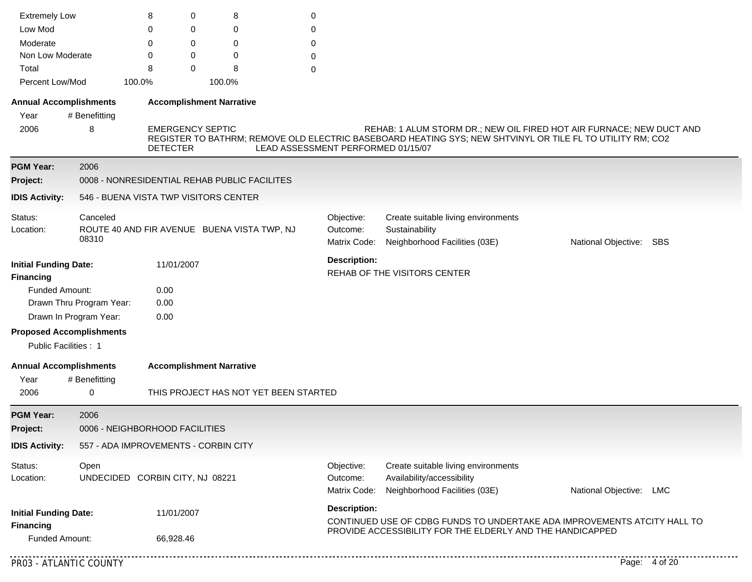| <b>Extremely Low</b>                                     |                                                                                                                                                                                                                                                                                                               | 8                                    | 0                       | 8                                            | 0                                     |                                        |                                                                                                                                                                                   |                         |               |
|----------------------------------------------------------|---------------------------------------------------------------------------------------------------------------------------------------------------------------------------------------------------------------------------------------------------------------------------------------------------------------|--------------------------------------|-------------------------|----------------------------------------------|---------------------------------------|----------------------------------------|-----------------------------------------------------------------------------------------------------------------------------------------------------------------------------------|-------------------------|---------------|
| Low Mod                                                  |                                                                                                                                                                                                                                                                                                               | 0                                    | 0                       | 0                                            | 0                                     |                                        |                                                                                                                                                                                   |                         |               |
| Moderate                                                 |                                                                                                                                                                                                                                                                                                               | 0                                    | 0                       | 0                                            | 0                                     |                                        |                                                                                                                                                                                   |                         |               |
| Non Low Moderate                                         |                                                                                                                                                                                                                                                                                                               | 0                                    | 0                       | 0                                            | 0                                     |                                        |                                                                                                                                                                                   |                         |               |
| Total                                                    |                                                                                                                                                                                                                                                                                                               | 8                                    | $\Omega$                | 8                                            | 0                                     |                                        |                                                                                                                                                                                   |                         |               |
| Percent Low/Mod                                          |                                                                                                                                                                                                                                                                                                               | 100.0%                               |                         | 100.0%                                       |                                       |                                        |                                                                                                                                                                                   |                         |               |
| <b>Annual Accomplishments</b>                            |                                                                                                                                                                                                                                                                                                               |                                      |                         | <b>Accomplishment Narrative</b>              |                                       |                                        |                                                                                                                                                                                   |                         |               |
| Year                                                     | # Benefitting                                                                                                                                                                                                                                                                                                 |                                      |                         |                                              |                                       |                                        |                                                                                                                                                                                   |                         |               |
| 2006                                                     | 8                                                                                                                                                                                                                                                                                                             | <b>DETECTER</b>                      | <b>EMERGENCY SEPTIC</b> |                                              | LEAD ASSESSMENT PERFORMED 01/15/07    |                                        | REHAB: 1 ALUM STORM DR.; NEW OIL FIRED HOT AIR FURNACE; NEW DUCT AND<br>REGISTER TO BATHRM; REMOVE OLD ELECTRIC BASEBOARD HEATING SYS; NEW SHTVINYL OR TILE FL TO UTILITY RM; CO2 |                         |               |
| <b>PGM Year:</b>                                         | 2006                                                                                                                                                                                                                                                                                                          |                                      |                         |                                              |                                       |                                        |                                                                                                                                                                                   |                         |               |
| Project:                                                 |                                                                                                                                                                                                                                                                                                               |                                      |                         | 0008 - NONRESIDENTIAL REHAB PUBLIC FACILITES |                                       |                                        |                                                                                                                                                                                   |                         |               |
| <b>IDIS Activity:</b>                                    |                                                                                                                                                                                                                                                                                                               |                                      |                         |                                              |                                       |                                        |                                                                                                                                                                                   |                         |               |
| Status:<br>Location:                                     | 546 - BUENA VISTA TWP VISITORS CENTER<br>Canceled<br>Objective:<br>Create suitable living environments<br>ROUTE 40 AND FIR AVENUE BUENA VISTA TWP, NJ<br>Outcome:<br>Sustainability<br>08310<br>Matrix Code:<br>Neighborhood Facilities (03E)<br>National Objective: SBS<br><b>Description:</b><br>11/01/2007 |                                      |                         |                                              |                                       |                                        |                                                                                                                                                                                   |                         |               |
|                                                          |                                                                                                                                                                                                                                                                                                               |                                      |                         |                                              |                                       |                                        |                                                                                                                                                                                   |                         |               |
| <b>Initial Funding Date:</b><br><b>Financing</b>         |                                                                                                                                                                                                                                                                                                               |                                      |                         | REHAB OF THE VISITORS CENTER                 |                                       |                                        |                                                                                                                                                                                   |                         |               |
| <b>Funded Amount:</b>                                    |                                                                                                                                                                                                                                                                                                               | 0.00                                 |                         |                                              |                                       |                                        |                                                                                                                                                                                   |                         |               |
|                                                          | Drawn Thru Program Year:                                                                                                                                                                                                                                                                                      | 0.00                                 |                         |                                              |                                       |                                        |                                                                                                                                                                                   |                         |               |
|                                                          | Drawn In Program Year:                                                                                                                                                                                                                                                                                        | 0.00                                 |                         |                                              |                                       |                                        |                                                                                                                                                                                   |                         |               |
| <b>Proposed Accomplishments</b><br>Public Facilities : 1 |                                                                                                                                                                                                                                                                                                               |                                      |                         |                                              |                                       |                                        |                                                                                                                                                                                   |                         |               |
| <b>Annual Accomplishments</b>                            |                                                                                                                                                                                                                                                                                                               |                                      |                         | <b>Accomplishment Narrative</b>              |                                       |                                        |                                                                                                                                                                                   |                         |               |
| Year                                                     | # Benefitting                                                                                                                                                                                                                                                                                                 |                                      |                         |                                              |                                       |                                        |                                                                                                                                                                                   |                         |               |
| 2006                                                     | 0                                                                                                                                                                                                                                                                                                             |                                      |                         |                                              | THIS PROJECT HAS NOT YET BEEN STARTED |                                        |                                                                                                                                                                                   |                         |               |
| <b>PGM Year:</b>                                         | 2006                                                                                                                                                                                                                                                                                                          |                                      |                         |                                              |                                       |                                        |                                                                                                                                                                                   |                         |               |
| Project:                                                 |                                                                                                                                                                                                                                                                                                               | 0006 - NEIGHBORHOOD FACILITIES       |                         |                                              |                                       |                                        |                                                                                                                                                                                   |                         |               |
| <b>IDIS Activity:</b>                                    |                                                                                                                                                                                                                                                                                                               | 557 - ADA IMPROVEMENTS - CORBIN CITY |                         |                                              |                                       |                                        |                                                                                                                                                                                   |                         |               |
| Status:<br>Location:                                     | Open                                                                                                                                                                                                                                                                                                          | UNDECIDED CORBIN CITY, NJ 08221      |                         |                                              |                                       | Objective:<br>Outcome:<br>Matrix Code: | Create suitable living environments<br>Availability/accessibility<br>Neighborhood Facilities (03E)                                                                                | National Objective: LMC |               |
| <b>Initial Funding Date:</b><br><b>Financing</b>         |                                                                                                                                                                                                                                                                                                               |                                      | 11/01/2007              |                                              |                                       | <b>Description:</b>                    | CONTINUED USE OF CDBG FUNDS TO UNDERTAKE ADA IMPROVEMENTS ATCITY HALL TO<br>PROVIDE ACCESSIBILITY FOR THE ELDERLY AND THE HANDICAPPED                                             |                         |               |
| Funded Amount:                                           |                                                                                                                                                                                                                                                                                                               |                                      | 66,928.46               |                                              |                                       |                                        |                                                                                                                                                                                   |                         |               |
| PR03 - ATLANTIC COUNTY                                   |                                                                                                                                                                                                                                                                                                               |                                      |                         |                                              |                                       |                                        |                                                                                                                                                                                   |                         | Page: 4 of 20 |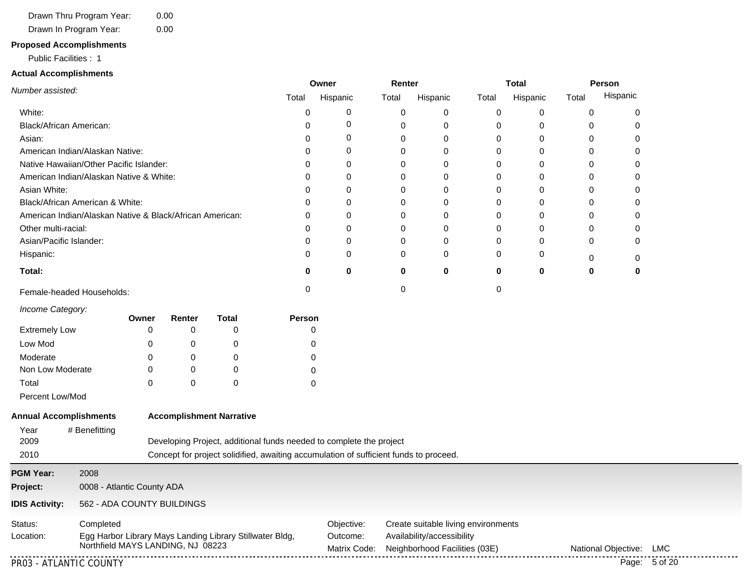#### Drawn In Program Year: Drawn Thru Program Year: 0.00 0.00

# **Proposed Accomplishments**

Public Facilities : 1

#### **Actual Accomplishments**

|                                                          |        | Renter<br>Owner |       |          |          | Person<br>Total |       |          |
|----------------------------------------------------------|--------|-----------------|-------|----------|----------|-----------------|-------|----------|
| Number assisted:                                         | Total  | Hispanic        | Total | Hispanic | Total    | Hispanic        | Total | Hispanic |
| White:                                                   |        | 0               | 0     | $\Omega$ | 0        | 0               | O     | 0        |
| Black/African American:                                  |        | 0               | 0     | 0        | 0        | 0               | O     |          |
| Asian:                                                   |        | 0               | 0     | $\Omega$ | 0        | 0               |       |          |
| American Indian/Alaskan Native:                          |        | 0               | 0     | 0        | 0        | 0               | 0     |          |
| Native Hawaiian/Other Pacific Islander:                  |        | 0               | 0     | 0        | 0        | 0               | 0     | 0        |
| American Indian/Alaskan Native & White:                  |        | $\Omega$        |       | 0        | 0        | 0               |       |          |
| Asian White:                                             |        | 0               |       | 0        | 0        | 0               |       |          |
| Black/African American & White:                          |        | 0               |       | $\Omega$ | 0        |                 |       |          |
| American Indian/Alaskan Native & Black/African American: |        | 0               | 0     | $\Omega$ | 0        | 0               |       |          |
| Other multi-racial:                                      |        | 0               | 0     | 0        | 0        | 0               | O     | 0        |
| Asian/Pacific Islander:                                  |        | 0               | 0     | $\Omega$ | 0        | 0               | O     | 0        |
| Hispanic:                                                |        | 0               | 0     | $\Omega$ | 0        | 0               |       | 0        |
| Total:                                                   |        | 0               | 0     | $\bf{0}$ | $\bf{0}$ | $\bf{0}$        | 0     | 0        |
| Female-headed Households:                                |        |                 |       |          | $\Omega$ |                 |       |          |
| Income Category:<br><b>Total</b><br>Renter<br>Owner      | Person |                 |       |          |          |                 |       |          |
| <b>Extremely Low</b><br>0                                | 0      |                 |       |          |          |                 |       |          |

| <b>EXTREMELY LOW</b> | $\mathbf{u}$ | ., |  |
|----------------------|--------------|----|--|
| Low Mod              |              |    |  |
| Moderate             |              |    |  |
| Non Low Moderate     |              |    |  |
| Total                |              |    |  |

Percent Low/Mod

| <b>Annual Accomplishments</b><br>Year<br># Benefitting |                            | <b>Accomplishment Narrative</b>                                                               |                                                                                       |                                                                                                    |                     |     |  |  |  |  |  |
|--------------------------------------------------------|----------------------------|-----------------------------------------------------------------------------------------------|---------------------------------------------------------------------------------------|----------------------------------------------------------------------------------------------------|---------------------|-----|--|--|--|--|--|
| 2009                                                   |                            |                                                                                               | Developing Project, additional funds needed to complete the project                   |                                                                                                    |                     |     |  |  |  |  |  |
| 2010                                                   |                            |                                                                                               | Concept for project solidified, awaiting accumulation of sufficient funds to proceed. |                                                                                                    |                     |     |  |  |  |  |  |
| <b>PGM Year:</b>                                       | 2008                       |                                                                                               |                                                                                       |                                                                                                    |                     |     |  |  |  |  |  |
| Project:                                               | 0008 - Atlantic County ADA |                                                                                               |                                                                                       |                                                                                                    |                     |     |  |  |  |  |  |
| <b>IDIS Activity:</b>                                  |                            | 562 - ADA COUNTY BUILDINGS                                                                    |                                                                                       |                                                                                                    |                     |     |  |  |  |  |  |
| Status:<br>Location:                                   | Completed                  | Egg Harbor Library Mays Landing Library Stillwater Bldg,<br>Northfield MAYS LANDING, NJ 08223 | Objective:<br>Outcome:<br>Matrix Code:                                                | Create suitable living environments<br>Availability/accessibility<br>Neighborhood Facilities (03E) | National Obiective: | LMC |  |  |  |  |  |

PR03 - ATLANTIC COUNTY Page: 5 of 20

. . . . . . . . . . . . . .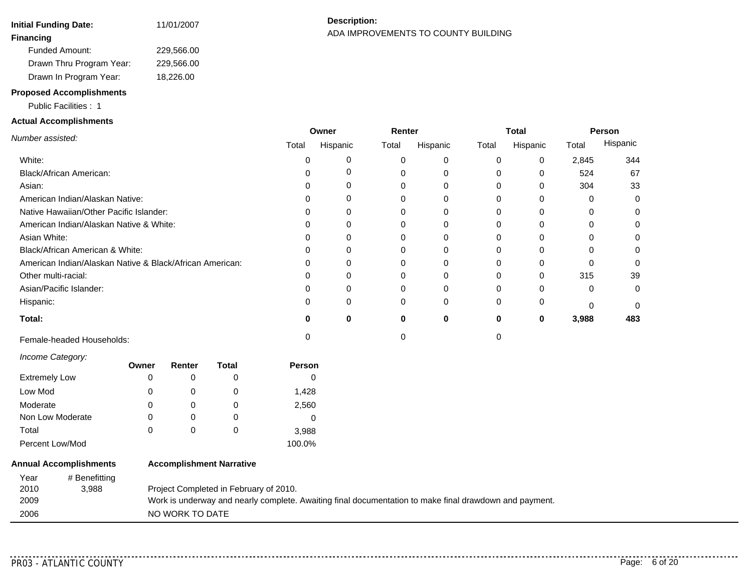| Initial Funding Date:      | 11/01/2007 |
|----------------------------|------------|
| <b>Financing</b>           |            |
| <b>Funded Amount:</b>      | 229,566.00 |
| Drawn Thru Program Year:   | 229.566.00 |
| Drawn In Program Year:     | 18,226.00  |
| Despagnad Aganomichessetts |            |

# **Description:** ADA IMPROVEMENTS TO COUNTY BUILDING **Financing**

#### **Proposed Accomplishments**

Public Facilities : 1

### **Actual Accomplishments**

|                                                          |       | Owner    | Renter |          |          | Total    |       | Person   |
|----------------------------------------------------------|-------|----------|--------|----------|----------|----------|-------|----------|
| Number assisted:                                         | Total | Hispanic | Total  | Hispanic | Total    | Hispanic | Total | Hispanic |
| White:                                                   |       |          |        |          |          | 0        | 2,845 | 344      |
| Black/African American:                                  |       |          |        |          |          | 0        | 524   | 67       |
| Asian:                                                   |       |          |        |          | 0        | 0        | 304   | 33       |
| American Indian/Alaskan Native:                          |       |          |        |          |          | 0        | 0     | $\Omega$ |
| Native Hawaiian/Other Pacific Islander:                  |       |          |        |          |          | 0        | 0     |          |
| American Indian/Alaskan Native & White:                  |       |          |        |          |          | 0        | 0     | 0        |
| Asian White:                                             |       |          |        |          |          | 0        | 0     | 0        |
| Black/African American & White:                          |       |          |        |          |          | 0        |       |          |
| American Indian/Alaskan Native & Black/African American: |       |          |        |          |          |          |       |          |
| Other multi-racial:                                      |       |          |        |          |          | 0        | 315   | 39       |
| Asian/Pacific Islander:                                  |       |          |        |          |          | 0        | 0     | $\Omega$ |
| Hispanic:                                                |       |          | C      | $\Omega$ | $\Omega$ | 0        | 0     | $\Omega$ |
| Total:                                                   |       | 0        |        | 0        | 0        | 0        | 3,988 | 483      |
| Female-headed Households:                                |       |          |        |          |          |          |       |          |

*Income Category:*

| <i><b>INTO DUCTION</b></i> | Owner | Renter   | Total | <b>Person</b> |  |
|----------------------------|-------|----------|-------|---------------|--|
| <b>Extremely Low</b>       | 0     | $\Omega$ | 0     |               |  |
| Low Mod                    | 0     | 0        | O     | 1,428         |  |
| Moderate                   | 0     | 0        | 0     | 2,560         |  |
| Non Low Moderate           | 0     | 0        | 0     |               |  |
| Total                      | 0     | 0        | 0     | 3,988         |  |
| Percent Low/Mod            |       |          |       | 100.0%        |  |

| <b>Annual Accomplishments</b> |               | <b>Accomplishment Narrative</b>                                                                        |  |  |  |  |  |  |
|-------------------------------|---------------|--------------------------------------------------------------------------------------------------------|--|--|--|--|--|--|
| Year                          | # Benefitting |                                                                                                        |  |  |  |  |  |  |
| 2010                          | 3.988         | Project Completed in February of 2010.                                                                 |  |  |  |  |  |  |
| 2009                          |               | Work is underway and nearly complete. Awaiting final documentation to make final drawdown and payment. |  |  |  |  |  |  |
| 2006                          |               | NO WORK TO DATE                                                                                        |  |  |  |  |  |  |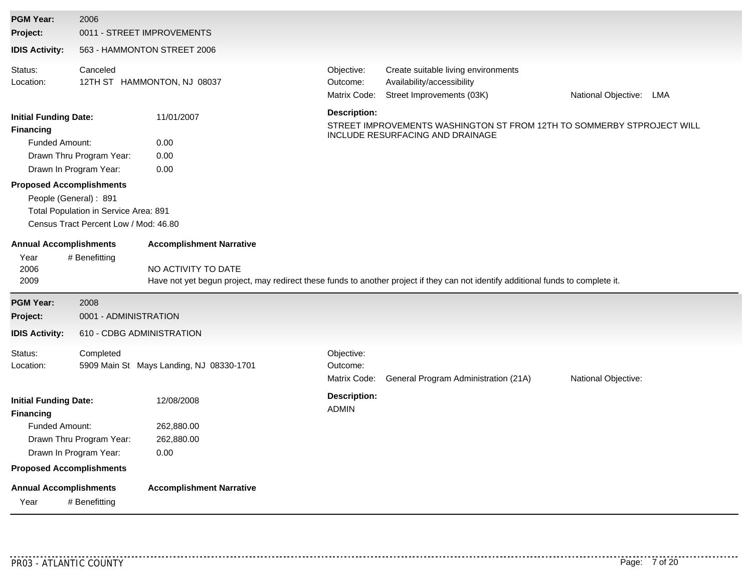| <b>PGM Year:</b>                                                                                                                                                                                          | 2006                                                                                                                        |                                                                                              |                                        |                                                                                                                                   |                         |
|-----------------------------------------------------------------------------------------------------------------------------------------------------------------------------------------------------------|-----------------------------------------------------------------------------------------------------------------------------|----------------------------------------------------------------------------------------------|----------------------------------------|-----------------------------------------------------------------------------------------------------------------------------------|-------------------------|
| Project:                                                                                                                                                                                                  | 0011 - STREET IMPROVEMENTS                                                                                                  |                                                                                              |                                        |                                                                                                                                   |                         |
| <b>IDIS Activity:</b>                                                                                                                                                                                     |                                                                                                                             | 563 - HAMMONTON STREET 2006                                                                  |                                        |                                                                                                                                   |                         |
| Status:<br>Location:                                                                                                                                                                                      | Canceled                                                                                                                    | 12TH ST HAMMONTON, NJ 08037                                                                  | Objective:<br>Outcome:<br>Matrix Code: | Create suitable living environments<br>Availability/accessibility<br>Street Improvements (03K)                                    | National Objective: LMA |
| <b>Initial Funding Date:</b><br><b>Financing</b><br>Funded Amount:<br>Drawn In Program Year:<br><b>Proposed Accomplishments</b><br>People (General): 891<br><b>Annual Accomplishments</b><br>Year<br>2006 | Drawn Thru Program Year:<br>Total Population in Service Area: 891<br>Census Tract Percent Low / Mod: 46.80<br># Benefitting | 11/01/2007<br>0.00<br>0.00<br>0.00<br><b>Accomplishment Narrative</b><br>NO ACTIVITY TO DATE | <b>Description:</b>                    | STREET IMPROVEMENTS WASHINGTON ST FROM 12TH TO SOMMERBY STPROJECT WILL<br>INCLUDE RESURFACING AND DRAINAGE                        |                         |
| 2009                                                                                                                                                                                                      |                                                                                                                             |                                                                                              |                                        | Have not yet begun project, may redirect these funds to another project if they can not identify additional funds to complete it. |                         |
| <b>PGM Year:</b>                                                                                                                                                                                          | 2008                                                                                                                        |                                                                                              |                                        |                                                                                                                                   |                         |
| Project:                                                                                                                                                                                                  | 0001 - ADMINISTRATION                                                                                                       |                                                                                              |                                        |                                                                                                                                   |                         |
| <b>IDIS Activity:</b>                                                                                                                                                                                     | 610 - CDBG ADMINISTRATION                                                                                                   |                                                                                              |                                        |                                                                                                                                   |                         |
| Status:<br>Location:                                                                                                                                                                                      | Completed                                                                                                                   | 5909 Main St Mays Landing, NJ 08330-1701                                                     | Objective:<br>Outcome:<br>Matrix Code: | General Program Administration (21A)                                                                                              | National Objective:     |
| <b>Initial Funding Date:</b><br><b>Financing</b><br><b>Funded Amount:</b><br>Drawn In Program Year:                                                                                                       | Drawn Thru Program Year:                                                                                                    | 12/08/2008<br>262,880.00<br>262,880.00<br>0.00                                               | <b>Description:</b><br><b>ADMIN</b>    |                                                                                                                                   |                         |
| <b>Proposed Accomplishments</b>                                                                                                                                                                           |                                                                                                                             |                                                                                              |                                        |                                                                                                                                   |                         |
| <b>Annual Accomplishments</b><br>Year                                                                                                                                                                     | # Benefitting                                                                                                               | <b>Accomplishment Narrative</b>                                                              |                                        |                                                                                                                                   |                         |

. . . . .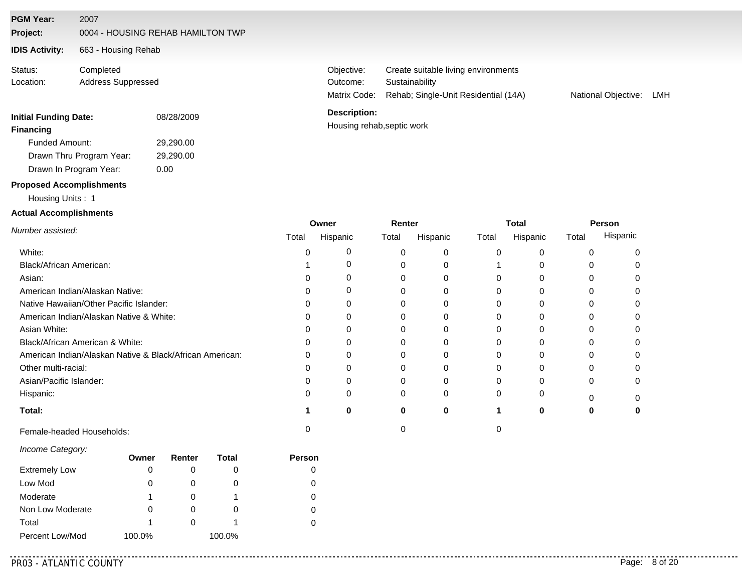#### **PGM Year:** 2007

**Project:** 0004 - HOUSING REHAB HAMILTON TWP

#### **IDIS Activity:** 663 - Housing Rehab

Completed Address Suppressed Status: Location:

# **Initial Funding Date:** 08/28/2009

**Financing Financing** Funded Amount: 29,290.00

Drawn In Program Year: Drawn Thru Program Year: 29,290.00 0.00

# **Proposed Accomplishments**

#### Housing Units : 1

#### **Actual Accomplishments**

Matrix Code: Rehab; Single-Unit Residential (14A) **Sustainability** Objective: Create suitable living environments Outcome:

National Objective: LMH

#### **Description:**

|                                                          | Owner |          | Renter |          |       | <b>Total</b> | Person |          |
|----------------------------------------------------------|-------|----------|--------|----------|-------|--------------|--------|----------|
| Number assisted:                                         | Total | Hispanic | Total  | Hispanic | Total | Hispanic     | Total  | Hispanic |
| White:                                                   |       |          | 0      |          |       |              |        |          |
| Black/African American:                                  |       |          |        |          |       |              |        |          |
| Asian:                                                   |       |          |        |          |       |              |        |          |
| American Indian/Alaskan Native:                          |       |          |        |          |       |              |        |          |
| Native Hawaiian/Other Pacific Islander:                  |       |          | 0      |          |       |              |        |          |
| American Indian/Alaskan Native & White:                  |       |          | 0      |          |       |              |        |          |
| Asian White:                                             |       |          |        |          |       |              |        |          |
| Black/African American & White:                          |       |          |        |          |       |              |        |          |
| American Indian/Alaskan Native & Black/African American: |       |          |        |          |       |              |        |          |
| Other multi-racial:                                      |       |          | 0      |          |       |              |        |          |
| Asian/Pacific Islander:                                  |       |          | 0      |          |       |              | 0      |          |
| Hispanic:                                                |       |          | 0      | 0        |       |              | n      |          |
| Total:                                                   |       | o        | 0      | 0        |       |              |        |          |
| Female-headed Households:                                |       |          |        |          |       |              |        |          |

#### *Income Category:*

|                      | Owner  | Renter | Total  | Person |
|----------------------|--------|--------|--------|--------|
| <b>Extremely Low</b> | O      |        | O      |        |
| Low Mod              |        |        | 0      |        |
| Moderate             |        |        |        |        |
| Non Low Moderate     |        |        | O      | 0      |
| Total                |        |        |        |        |
| Percent Low/Mod      | 100.0% |        | 100.0% |        |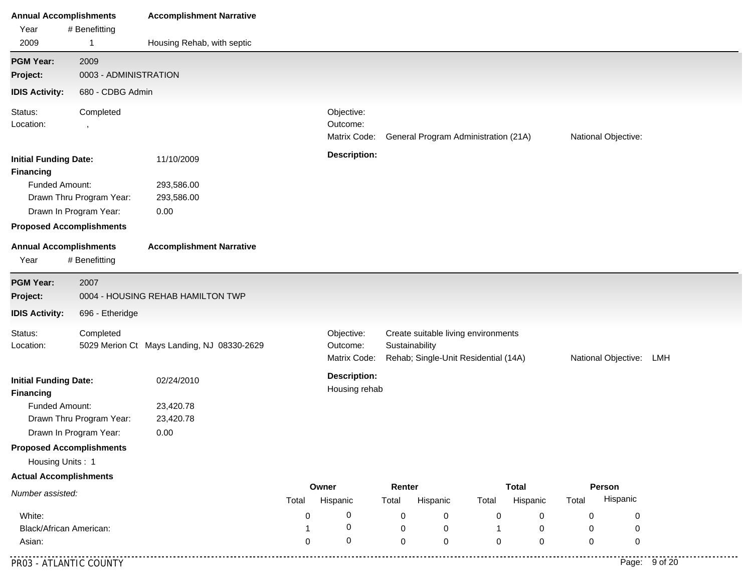| <b>Annual Accomplishments</b>                    |                                                    | <b>Accomplishment Narrative</b>            |                                                                                                                                                                    |                                        |                 |                                      |             |                          |       |                     |               |
|--------------------------------------------------|----------------------------------------------------|--------------------------------------------|--------------------------------------------------------------------------------------------------------------------------------------------------------------------|----------------------------------------|-----------------|--------------------------------------|-------------|--------------------------|-------|---------------------|---------------|
| Year                                             | # Benefitting                                      |                                            |                                                                                                                                                                    |                                        |                 |                                      |             |                          |       |                     |               |
| 2009                                             | 1                                                  | Housing Rehab, with septic                 |                                                                                                                                                                    |                                        |                 |                                      |             |                          |       |                     |               |
| <b>PGM Year:</b>                                 | 2009                                               |                                            |                                                                                                                                                                    |                                        |                 |                                      |             |                          |       |                     |               |
| Project:                                         | 0003 - ADMINISTRATION                              |                                            |                                                                                                                                                                    |                                        |                 |                                      |             |                          |       |                     |               |
| <b>IDIS Activity:</b>                            | 680 - CDBG Admin                                   |                                            |                                                                                                                                                                    |                                        |                 |                                      |             |                          |       |                     |               |
| Status:<br>Location:                             | Completed<br>$\,$                                  |                                            |                                                                                                                                                                    | Objective:<br>Outcome:<br>Matrix Code: |                 | General Program Administration (21A) |             |                          |       | National Objective: |               |
| <b>Initial Funding Date:</b><br><b>Financing</b> |                                                    | 11/10/2009                                 |                                                                                                                                                                    | <b>Description:</b>                    |                 |                                      |             |                          |       |                     |               |
| Funded Amount:                                   |                                                    | 293,586.00                                 |                                                                                                                                                                    |                                        |                 |                                      |             |                          |       |                     |               |
|                                                  | Drawn Thru Program Year:                           | 293,586.00                                 |                                                                                                                                                                    |                                        |                 |                                      |             |                          |       |                     |               |
|                                                  | Drawn In Program Year:                             | 0.00                                       |                                                                                                                                                                    |                                        |                 |                                      |             |                          |       |                     |               |
|                                                  | <b>Proposed Accomplishments</b>                    |                                            |                                                                                                                                                                    |                                        |                 |                                      |             |                          |       |                     |               |
| <b>Annual Accomplishments</b><br>Year            | # Benefitting                                      | <b>Accomplishment Narrative</b>            |                                                                                                                                                                    |                                        |                 |                                      |             |                          |       |                     |               |
| <b>PGM Year:</b><br>Project:                     | 2007                                               | 0004 - HOUSING REHAB HAMILTON TWP          |                                                                                                                                                                    |                                        |                 |                                      |             |                          |       |                     |               |
| <b>IDIS Activity:</b>                            | 696 - Etheridge                                    |                                            |                                                                                                                                                                    |                                        |                 |                                      |             |                          |       |                     |               |
| Status:<br>Location:                             | Completed                                          | 5029 Merion Ct Mays Landing, NJ 08330-2629 | Create suitable living environments<br>Objective:<br>Sustainability<br>Outcome:<br>Rehab; Single-Unit Residential (14A)<br>Matrix Code:<br>National Objective: LMH |                                        |                 |                                      |             |                          |       |                     |               |
| <b>Initial Funding Date:</b><br><b>Financing</b> |                                                    | 02/24/2010                                 |                                                                                                                                                                    | <b>Description:</b><br>Housing rehab   |                 |                                      |             |                          |       |                     |               |
| Funded Amount:                                   | Drawn Thru Program Year:<br>Drawn In Program Year: | 23,420.78<br>23,420.78<br>0.00             |                                                                                                                                                                    |                                        |                 |                                      |             |                          |       |                     |               |
| Housing Units: 1                                 | <b>Proposed Accomplishments</b>                    |                                            |                                                                                                                                                                    |                                        |                 |                                      |             |                          |       |                     |               |
| <b>Actual Accomplishments</b>                    |                                                    |                                            |                                                                                                                                                                    |                                        |                 |                                      |             |                          |       |                     |               |
| Number assisted:                                 |                                                    |                                            | Total                                                                                                                                                              | Owner<br>Hispanic                      | Renter<br>Total | Hispanic                             | Total       | <b>Total</b><br>Hispanic | Total | Person<br>Hispanic  |               |
| White:                                           |                                                    |                                            | 0                                                                                                                                                                  | 0                                      | 0               | 0                                    | 0           | 0                        | 0     | 0                   |               |
| Black/African American:                          |                                                    |                                            |                                                                                                                                                                    | 0                                      | $\mathbf 0$     | 0                                    |             | 0                        | 0     | 0                   |               |
| Asian:                                           |                                                    |                                            | 0                                                                                                                                                                  | $\mathbf 0$                            | $\mathbf 0$     | 0                                    | $\mathbf 0$ | 0                        | 0     | 0                   |               |
| PR03 - ATLANTIC COUNTY                           |                                                    |                                            |                                                                                                                                                                    |                                        |                 |                                      |             |                          |       |                     | Page: 9 of 20 |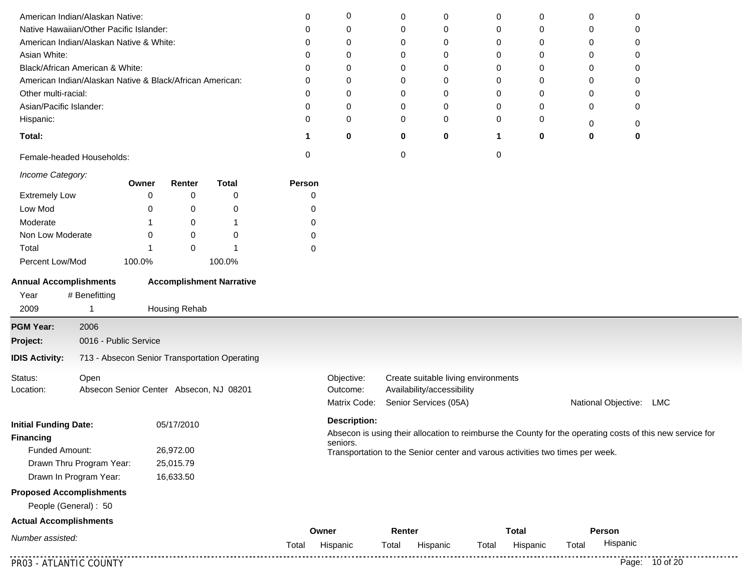| American Indian/Alaskan Native:                          |                                         |        |               |                                               | 0      | 0                   | 0      | 0                                   | 0            | 0           | 0                                                                             | 0        |                                                                                                           |
|----------------------------------------------------------|-----------------------------------------|--------|---------------|-----------------------------------------------|--------|---------------------|--------|-------------------------------------|--------------|-------------|-------------------------------------------------------------------------------|----------|-----------------------------------------------------------------------------------------------------------|
| Native Hawaiian/Other Pacific Islander:                  |                                         |        |               |                                               | 0      | 0                   | 0      | $\mathbf 0$                         | 0            | 0           | 0                                                                             | 0        |                                                                                                           |
| American Indian/Alaskan Native & White:                  |                                         |        |               |                                               | 0      | 0                   | 0      | 0                                   | 0            | 0           | 0                                                                             | 0        |                                                                                                           |
| Asian White:                                             |                                         |        |               |                                               | 0      | 0                   | 0      | 0                                   | 0            | 0           | 0                                                                             | 0        |                                                                                                           |
| Black/African American & White:                          |                                         |        |               |                                               | O      | 0                   | 0      | 0                                   | 0            | 0           | 0                                                                             | 0        |                                                                                                           |
| American Indian/Alaskan Native & Black/African American: |                                         |        |               |                                               | 0      | 0                   | 0      | 0                                   | 0            | 0           | 0                                                                             | 0        |                                                                                                           |
| Other multi-racial:                                      |                                         |        |               |                                               | 0      | 0                   | 0      | 0                                   | 0            | 0           | 0                                                                             | 0        |                                                                                                           |
| Asian/Pacific Islander:                                  |                                         |        |               |                                               | 0      | 0                   | 0      | 0                                   | 0            | 0           | 0                                                                             | 0        |                                                                                                           |
| Hispanic:                                                |                                         |        |               |                                               | 0      | $\mathbf 0$         | 0      | 0                                   | 0            | 0           | 0                                                                             | 0        |                                                                                                           |
| Total:                                                   |                                         |        |               |                                               | 1      | $\mathbf 0$         | 0      | 0                                   | 1            | $\mathbf 0$ | 0                                                                             | 0        |                                                                                                           |
| Female-headed Households:                                |                                         |        |               |                                               | 0      |                     | 0      |                                     | 0            |             |                                                                               |          |                                                                                                           |
| Income Category:                                         |                                         | Owner  | Renter        | <b>Total</b>                                  | Person |                     |        |                                     |              |             |                                                                               |          |                                                                                                           |
| <b>Extremely Low</b>                                     |                                         | 0      | 0             | 0                                             | 0      |                     |        |                                     |              |             |                                                                               |          |                                                                                                           |
| Low Mod                                                  |                                         | 0      | 0             | 0                                             | 0      |                     |        |                                     |              |             |                                                                               |          |                                                                                                           |
| Moderate                                                 |                                         |        | 0             | $\mathbf 1$                                   | 0      |                     |        |                                     |              |             |                                                                               |          |                                                                                                           |
| Non Low Moderate                                         |                                         | 0      | 0             | 0                                             | 0      |                     |        |                                     |              |             |                                                                               |          |                                                                                                           |
| Total                                                    |                                         | 1      | 0             | $\mathbf{1}$                                  | 0      |                     |        |                                     |              |             |                                                                               |          |                                                                                                           |
| Percent Low/Mod                                          |                                         | 100.0% |               | 100.0%                                        |        |                     |        |                                     |              |             |                                                                               |          |                                                                                                           |
| <b>Annual Accomplishments</b><br>Year<br>2009            | # Benefitting<br>$\mathbf{1}$           |        | Housing Rehab | <b>Accomplishment Narrative</b>               |        |                     |        |                                     |              |             |                                                                               |          |                                                                                                           |
| <b>PGM Year:</b>                                         | 2006                                    |        |               |                                               |        |                     |        |                                     |              |             |                                                                               |          |                                                                                                           |
| Project:                                                 | 0016 - Public Service                   |        |               |                                               |        |                     |        |                                     |              |             |                                                                               |          |                                                                                                           |
| <b>IDIS Activity:</b>                                    |                                         |        |               | 713 - Absecon Senior Transportation Operating |        |                     |        |                                     |              |             |                                                                               |          |                                                                                                           |
| Status:                                                  | Open                                    |        |               |                                               |        | Objective:          |        | Create suitable living environments |              |             |                                                                               |          |                                                                                                           |
| Location:                                                | Absecon Senior Center Absecon, NJ 08201 |        |               |                                               |        | Outcome:            |        | Availability/accessibility          |              |             |                                                                               |          |                                                                                                           |
|                                                          |                                         |        |               |                                               |        | Matrix Code:        |        | Senior Services (05A)               |              |             | National Objective:                                                           |          | LMC                                                                                                       |
| <b>Initial Funding Date:</b>                             |                                         |        | 05/17/2010    |                                               |        | <b>Description:</b> |        |                                     |              |             |                                                                               |          |                                                                                                           |
| <b>Financing</b>                                         |                                         |        |               |                                               |        |                     |        |                                     |              |             |                                                                               |          | Absecon is using their allocation to reimburse the County for the operating costs of this new service for |
| Funded Amount:                                           |                                         |        | 26,972.00     |                                               |        | seniors.            |        |                                     |              |             | Transportation to the Senior center and varous activities two times per week. |          |                                                                                                           |
|                                                          | Drawn Thru Program Year:                |        | 25,015.79     |                                               |        |                     |        |                                     |              |             |                                                                               |          |                                                                                                           |
| Drawn In Program Year:                                   |                                         |        | 16,633.50     |                                               |        |                     |        |                                     |              |             |                                                                               |          |                                                                                                           |
| <b>Proposed Accomplishments</b>                          |                                         |        |               |                                               |        |                     |        |                                     |              |             |                                                                               |          |                                                                                                           |
| People (General): 50                                     |                                         |        |               |                                               |        |                     |        |                                     |              |             |                                                                               |          |                                                                                                           |
| <b>Actual Accomplishments</b>                            |                                         |        |               |                                               |        |                     |        |                                     |              |             |                                                                               |          |                                                                                                           |
| Number assisted:                                         |                                         |        |               |                                               |        | Owner               | Renter |                                     | <b>Total</b> |             | Person                                                                        |          |                                                                                                           |
|                                                          |                                         |        |               |                                               | Total  | Hispanic            | Total  | Hispanic                            | Total        | Hispanic    | Total                                                                         | Hispanic |                                                                                                           |
| PR03 - ATLANTIC COUNTY                                   |                                         |        |               |                                               |        |                     |        |                                     |              |             |                                                                               |          | Page: 10 of 20                                                                                            |

֖֖֖֖֖֖֖֖֖֖֖֖֚֚֚֚֚֚֚֚֚֚֚֚֚֚֚֚֚֚֚֚֚֚֚֬֝֓֞֡֡֡֬֓֞֡֡֬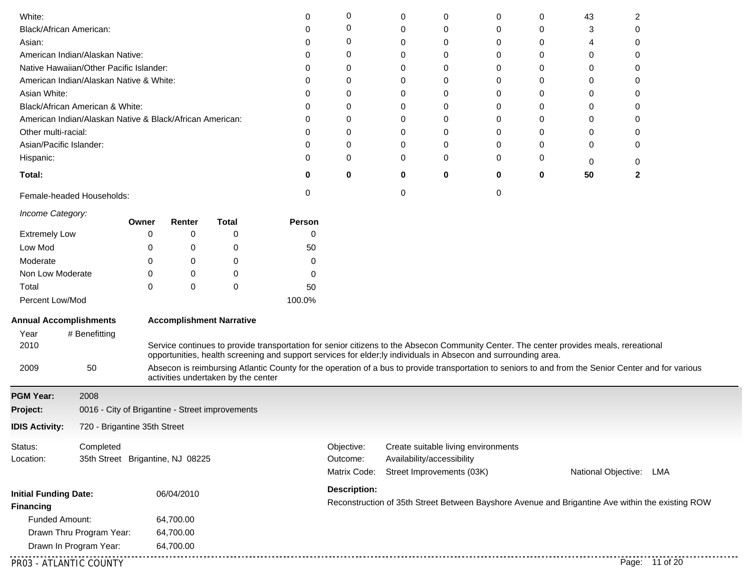| White:                        |                                                          |          |            |                                                 | 0                                                                                                                                                                                                                                                          | 0                   | 0                                                                                                | 0                          | 0                                   | 0 | 43       | 2                       |  |
|-------------------------------|----------------------------------------------------------|----------|------------|-------------------------------------------------|------------------------------------------------------------------------------------------------------------------------------------------------------------------------------------------------------------------------------------------------------------|---------------------|--------------------------------------------------------------------------------------------------|----------------------------|-------------------------------------|---|----------|-------------------------|--|
| Black/African American:       |                                                          |          |            |                                                 | 0                                                                                                                                                                                                                                                          | 0                   | 0                                                                                                | 0                          | 0                                   | 0 | 3        | $\Omega$                |  |
| Asian:                        |                                                          |          |            |                                                 | O                                                                                                                                                                                                                                                          | 0                   | 0                                                                                                | 0                          | 0                                   | 0 | 4        | 0                       |  |
|                               | American Indian/Alaskan Native:                          |          |            |                                                 | 0                                                                                                                                                                                                                                                          | 0                   | 0                                                                                                | 0                          | 0                                   | 0 | 0        | 0                       |  |
|                               | Native Hawaiian/Other Pacific Islander:                  |          |            |                                                 | 0                                                                                                                                                                                                                                                          | 0                   | ∩                                                                                                | 0                          | 0                                   | 0 | 0        | $\Omega$                |  |
|                               | American Indian/Alaskan Native & White:                  |          |            |                                                 | 0                                                                                                                                                                                                                                                          | 0                   | O                                                                                                | 0                          | 0                                   | 0 | 0        | $\Omega$                |  |
| Asian White:                  |                                                          |          |            |                                                 | 0                                                                                                                                                                                                                                                          | 0                   | 0                                                                                                | 0                          | 0                                   | 0 | $\Omega$ | $\Omega$                |  |
|                               | Black/African American & White:                          |          |            |                                                 | 0                                                                                                                                                                                                                                                          | 0                   | 0                                                                                                | 0                          | 0                                   | 0 | 0        | 0                       |  |
|                               | American Indian/Alaskan Native & Black/African American: |          |            |                                                 | 0                                                                                                                                                                                                                                                          | 0                   | ∩                                                                                                | 0                          | 0                                   | 0 | 0        | 0                       |  |
| Other multi-racial:           |                                                          |          |            |                                                 | 0                                                                                                                                                                                                                                                          | 0                   | 0                                                                                                | 0                          | 0                                   | 0 | 0        | 0                       |  |
| Asian/Pacific Islander:       |                                                          |          |            |                                                 | 0                                                                                                                                                                                                                                                          | 0                   | 0                                                                                                | 0                          | 0                                   | 0 | $\Omega$ | 0                       |  |
| Hispanic:                     |                                                          |          |            |                                                 | 0                                                                                                                                                                                                                                                          | 0                   | 0                                                                                                | 0                          | 0                                   | 0 | 0        | 0                       |  |
| Total:                        |                                                          |          |            |                                                 | 0                                                                                                                                                                                                                                                          | 0                   | 0                                                                                                | 0                          | 0                                   | 0 | 50       | $\mathbf{2}$            |  |
|                               | Female-headed Households:                                |          |            |                                                 | 0                                                                                                                                                                                                                                                          |                     | 0                                                                                                |                            | 0                                   |   |          |                         |  |
| Income Category:              |                                                          | Owner    | Renter     | <b>Total</b>                                    | Person                                                                                                                                                                                                                                                     |                     |                                                                                                  |                            |                                     |   |          |                         |  |
| <b>Extremely Low</b>          |                                                          | 0        | 0          | $\mathbf 0$                                     | 0                                                                                                                                                                                                                                                          |                     |                                                                                                  |                            |                                     |   |          |                         |  |
| Low Mod                       |                                                          | 0        | 0          | 0                                               | 50                                                                                                                                                                                                                                                         |                     |                                                                                                  |                            |                                     |   |          |                         |  |
| Moderate                      |                                                          | 0        | 0          | 0                                               | 0                                                                                                                                                                                                                                                          |                     |                                                                                                  |                            |                                     |   |          |                         |  |
| Non Low Moderate              |                                                          | 0        | 0          | 0                                               | 0                                                                                                                                                                                                                                                          |                     |                                                                                                  |                            |                                     |   |          |                         |  |
| Total                         |                                                          | $\Omega$ | $\Omega$   | 0                                               | 50                                                                                                                                                                                                                                                         |                     |                                                                                                  |                            |                                     |   |          |                         |  |
| Percent Low/Mod               |                                                          |          |            |                                                 | 100.0%                                                                                                                                                                                                                                                     |                     |                                                                                                  |                            |                                     |   |          |                         |  |
| <b>Annual Accomplishments</b> |                                                          |          |            | <b>Accomplishment Narrative</b>                 |                                                                                                                                                                                                                                                            |                     |                                                                                                  |                            |                                     |   |          |                         |  |
| Year                          | # Benefitting                                            |          |            |                                                 |                                                                                                                                                                                                                                                            |                     |                                                                                                  |                            |                                     |   |          |                         |  |
| 2010                          |                                                          |          |            |                                                 | Service continues to provide transportation for senior citizens to the Absecon Community Center. The center provides meals, rereational<br>opportunities, health screening and support services for elder; ly individuals in Absecon and surrounding area. |                     |                                                                                                  |                            |                                     |   |          |                         |  |
| 2009                          | 50                                                       |          |            | activities undertaken by the center             | Absecon is reimbursing Atlantic County for the operation of a bus to provide transportation to seniors to and from the Senior Center and for various                                                                                                       |                     |                                                                                                  |                            |                                     |   |          |                         |  |
| <b>PGM Year:</b>              | 2008                                                     |          |            |                                                 |                                                                                                                                                                                                                                                            |                     |                                                                                                  |                            |                                     |   |          |                         |  |
| Project:                      |                                                          |          |            | 0016 - City of Brigantine - Street improvements |                                                                                                                                                                                                                                                            |                     |                                                                                                  |                            |                                     |   |          |                         |  |
| <b>IDIS Activity:</b>         | 720 - Brigantine 35th Street                             |          |            |                                                 |                                                                                                                                                                                                                                                            |                     |                                                                                                  |                            |                                     |   |          |                         |  |
| Status:                       | Completed                                                |          |            |                                                 |                                                                                                                                                                                                                                                            | Objective:          |                                                                                                  |                            | Create suitable living environments |   |          |                         |  |
| Location:                     | 35th Street Brigantine, NJ 08225                         |          |            |                                                 |                                                                                                                                                                                                                                                            | Outcome:            |                                                                                                  | Availability/accessibility |                                     |   |          |                         |  |
|                               |                                                          |          |            |                                                 |                                                                                                                                                                                                                                                            | Matrix Code:        |                                                                                                  | Street Improvements (03K)  |                                     |   |          | National Objective: LMA |  |
| <b>Initial Funding Date:</b>  |                                                          |          | 06/04/2010 |                                                 |                                                                                                                                                                                                                                                            | <b>Description:</b> |                                                                                                  |                            |                                     |   |          |                         |  |
| <b>Financing</b>              |                                                          |          |            |                                                 |                                                                                                                                                                                                                                                            |                     | Reconstruction of 35th Street Between Bayshore Avenue and Brigantine Ave within the existing ROW |                            |                                     |   |          |                         |  |
| Funded Amount:                |                                                          |          | 64,700.00  |                                                 |                                                                                                                                                                                                                                                            |                     |                                                                                                  |                            |                                     |   |          |                         |  |
|                               | Drawn Thru Program Year:                                 |          | 64,700.00  |                                                 |                                                                                                                                                                                                                                                            |                     |                                                                                                  |                            |                                     |   |          |                         |  |
|                               | Drawn In Program Year:                                   |          | 64,700.00  |                                                 |                                                                                                                                                                                                                                                            |                     |                                                                                                  |                            |                                     |   |          |                         |  |
|                               |                                                          |          |            |                                                 |                                                                                                                                                                                                                                                            |                     |                                                                                                  |                            |                                     |   |          |                         |  |
| PR03 - ATLANTIC COUNTY        |                                                          |          |            |                                                 |                                                                                                                                                                                                                                                            |                     |                                                                                                  |                            |                                     |   |          | Page: 11 of 20          |  |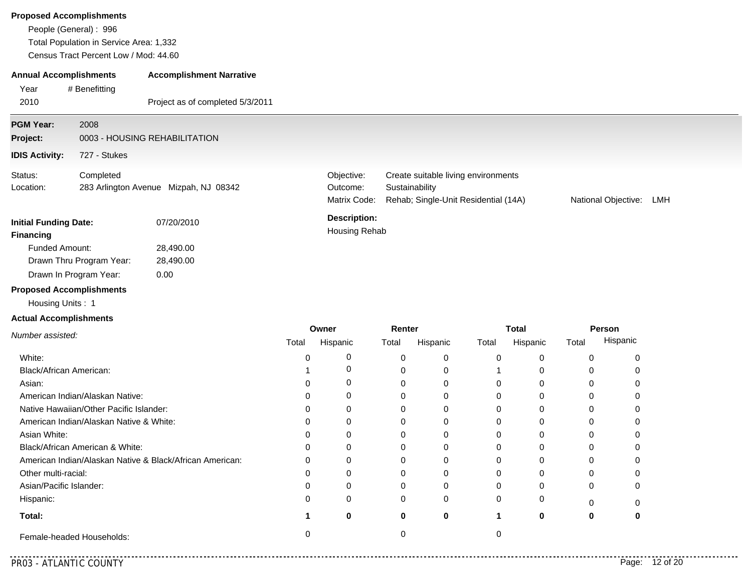| <b>Proposed Accomplishments</b>                     | People (General): 996<br>Total Population in Service Area: 1,332<br>Census Tract Percent Low / Mod: 44.60 |                                       |       |                                        |                 |                                                                                               |       |                          |       |                     |     |
|-----------------------------------------------------|-----------------------------------------------------------------------------------------------------------|---------------------------------------|-------|----------------------------------------|-----------------|-----------------------------------------------------------------------------------------------|-------|--------------------------|-------|---------------------|-----|
| <b>Annual Accomplishments</b>                       |                                                                                                           | <b>Accomplishment Narrative</b>       |       |                                        |                 |                                                                                               |       |                          |       |                     |     |
| Year<br>2010                                        | # Benefitting                                                                                             | Project as of completed 5/3/2011      |       |                                        |                 |                                                                                               |       |                          |       |                     |     |
| <b>PGM Year:</b><br>Project:                        | 2008                                                                                                      | 0003 - HOUSING REHABILITATION         |       |                                        |                 |                                                                                               |       |                          |       |                     |     |
| <b>IDIS Activity:</b>                               | 727 - Stukes                                                                                              |                                       |       |                                        |                 |                                                                                               |       |                          |       |                     |     |
| Status:<br>Location:                                | Completed                                                                                                 | 283 Arlington Avenue Mizpah, NJ 08342 |       | Objective:<br>Outcome:<br>Matrix Code: |                 | Create suitable living environments<br>Sustainability<br>Rehab; Single-Unit Residential (14A) |       |                          |       | National Objective: | LMH |
| <b>Initial Funding Date:</b><br><b>Financing</b>    |                                                                                                           | 07/20/2010                            |       | <b>Description:</b><br>Housing Rehab   |                 |                                                                                               |       |                          |       |                     |     |
| <b>Funded Amount:</b>                               | Drawn Thru Program Year:                                                                                  | 28,490.00<br>28,490.00                |       |                                        |                 |                                                                                               |       |                          |       |                     |     |
|                                                     | Drawn In Program Year:                                                                                    | 0.00                                  |       |                                        |                 |                                                                                               |       |                          |       |                     |     |
| <b>Proposed Accomplishments</b><br>Housing Units: 1 |                                                                                                           |                                       |       |                                        |                 |                                                                                               |       |                          |       |                     |     |
| <b>Actual Accomplishments</b>                       |                                                                                                           |                                       |       |                                        |                 |                                                                                               |       |                          |       |                     |     |
| Number assisted:                                    |                                                                                                           |                                       | Total | Owner<br>Hispanic                      | Renter<br>Total | Hispanic                                                                                      | Total | <b>Total</b><br>Hispanic | Total | Person<br>Hispanic  |     |
| White:                                              |                                                                                                           |                                       | 0     | 0                                      | 0               | $\mathbf 0$                                                                                   | 0     | 0                        | 0     | 0                   |     |

| Female-headed Households:                                |   |          |   |          |              |   |
|----------------------------------------------------------|---|----------|---|----------|--------------|---|
| Total:                                                   |   | 0        |   |          | O            | o |
| Hispanic:                                                |   | 0        | 0 | $\Omega$ | 0            |   |
| Asian/Pacific Islander:                                  |   | $\Omega$ |   | 0        | <sup>0</sup> |   |
| Other multi-racial:                                      |   | 0        |   | 0        |              |   |
| American Indian/Alaskan Native & Black/African American: | 0 | 0        |   | 0        | 0            |   |
| Black/African American & White:                          | 0 | $\Omega$ | 0 | 0        | 0            |   |
| Asian White:                                             |   | 0        |   | 0        | $\Omega$     |   |
| American Indian/Alaskan Native & White:                  |   | 0        |   | 0        | 0            |   |
| Native Hawaiian/Other Pacific Islander:                  | 0 | $\Omega$ |   | 0        | 0            |   |
| American Indian/Alaskan Native:                          |   | $\Omega$ |   | 0        | 0            |   |
| Asian:                                                   |   | $\Omega$ |   | $\Omega$ |              |   |

1 0

0

0

1

0

Black/African American:

. . . . . . . . . . . . .

0

0

0

0

0

0

0

0

0

0

0

0

**0**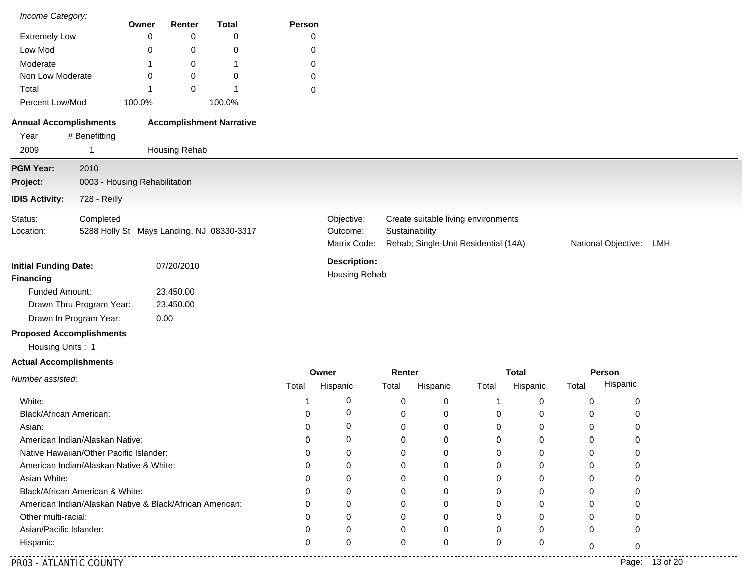| Income Category:                |                                                          |                               | Renter        |                                           | Person   |                     |                |                                      |             |              |             |                     |     |
|---------------------------------|----------------------------------------------------------|-------------------------------|---------------|-------------------------------------------|----------|---------------------|----------------|--------------------------------------|-------------|--------------|-------------|---------------------|-----|
| <b>Extremely Low</b>            |                                                          | Owner<br>0                    | 0             | <b>Total</b><br>0                         | 0        |                     |                |                                      |             |              |             |                     |     |
| Low Mod                         |                                                          | 0                             | 0             | 0                                         | 0        |                     |                |                                      |             |              |             |                     |     |
| Moderate                        |                                                          |                               | 0             | 1                                         | 0        |                     |                |                                      |             |              |             |                     |     |
| Non Low Moderate                |                                                          | 0                             | 0             | 0                                         | 0        |                     |                |                                      |             |              |             |                     |     |
| Total                           |                                                          |                               | 0             |                                           | 0        |                     |                |                                      |             |              |             |                     |     |
| Percent Low/Mod                 |                                                          | 100.0%                        |               | 100.0%                                    |          |                     |                |                                      |             |              |             |                     |     |
| <b>Annual Accomplishments</b>   |                                                          |                               |               | <b>Accomplishment Narrative</b>           |          |                     |                |                                      |             |              |             |                     |     |
| Year                            | # Benefitting                                            |                               |               |                                           |          |                     |                |                                      |             |              |             |                     |     |
| 2009                            | $\mathbf 1$                                              |                               | Housing Rehab |                                           |          |                     |                |                                      |             |              |             |                     |     |
| <b>PGM Year:</b>                | 2010                                                     |                               |               |                                           |          |                     |                |                                      |             |              |             |                     |     |
| Project:                        |                                                          | 0003 - Housing Rehabilitation |               |                                           |          |                     |                |                                      |             |              |             |                     |     |
| <b>IDIS Activity:</b>           | 728 - Reilly                                             |                               |               |                                           |          |                     |                |                                      |             |              |             |                     |     |
| Status:                         | Completed                                                |                               |               |                                           |          | Objective:          |                | Create suitable living environments  |             |              |             |                     |     |
| Location:                       |                                                          |                               |               | 5288 Holly St Mays Landing, NJ 08330-3317 |          | Outcome:            | Sustainability |                                      |             |              |             |                     |     |
|                                 |                                                          |                               |               |                                           |          | Matrix Code:        |                | Rehab; Single-Unit Residential (14A) |             |              |             | National Objective: | LMH |
| <b>Initial Funding Date:</b>    |                                                          |                               | 07/20/2010    |                                           |          | <b>Description:</b> |                |                                      |             |              |             |                     |     |
| <b>Financing</b>                |                                                          |                               |               |                                           |          | Housing Rehab       |                |                                      |             |              |             |                     |     |
| Funded Amount:                  |                                                          |                               | 23,450.00     |                                           |          |                     |                |                                      |             |              |             |                     |     |
|                                 | Drawn Thru Program Year:                                 |                               | 23,450.00     |                                           |          |                     |                |                                      |             |              |             |                     |     |
|                                 | Drawn In Program Year:                                   |                               | 0.00          |                                           |          |                     |                |                                      |             |              |             |                     |     |
| <b>Proposed Accomplishments</b> |                                                          |                               |               |                                           |          |                     |                |                                      |             |              |             |                     |     |
| Housing Units: 1                |                                                          |                               |               |                                           |          |                     |                |                                      |             |              |             |                     |     |
| <b>Actual Accomplishments</b>   |                                                          |                               |               |                                           |          |                     |                |                                      |             |              |             |                     |     |
| Number assisted:                |                                                          |                               |               |                                           |          | Owner               | Renter         |                                      |             | <b>Total</b> |             | Person              |     |
|                                 |                                                          |                               |               |                                           | Total    | Hispanic            | Total          | Hispanic                             | Total       | Hispanic     | Total       | Hispanic            |     |
| White:                          |                                                          |                               |               |                                           | -1       | 0                   | 0              | 0                                    | -1          | 0            | 0           | 0                   |     |
| Black/African American:         |                                                          |                               |               |                                           | Ω        | 0                   | 0              | 0                                    | 0           | 0            | 0           | 0                   |     |
| Asian:                          |                                                          |                               |               |                                           | 0        | 0                   | 0              | 0                                    | $\mathbf 0$ | 0            | 0           | 0                   |     |
|                                 | American Indian/Alaskan Native:                          |                               |               |                                           | $\Omega$ | $\Omega$            | $\Omega$       | $\Omega$                             | $\Omega$    | $\Omega$     | $\Omega$    | $\Omega$            |     |
|                                 | Native Hawaiian/Other Pacific Islander:                  |                               |               |                                           |          | 0                   | O              |                                      | $\Omega$    |              | 0           |                     |     |
|                                 | American Indian/Alaskan Native & White:                  |                               |               |                                           |          | 0                   | 0              |                                      | U           | 0            | 0           |                     |     |
| Asian White:                    |                                                          |                               |               |                                           |          | 0                   | 0              |                                      | U           | 0            | 0           |                     |     |
|                                 | Black/African American & White:                          |                               |               |                                           |          | 0                   | 0              |                                      | O           | 0            | 0           |                     |     |
|                                 | American Indian/Alaskan Native & Black/African American: |                               |               |                                           |          | 0                   | 0              |                                      | O           | 0            | 0           |                     |     |
| Other multi-racial:             |                                                          |                               |               |                                           | O        | 0                   | 0              | 0                                    | U           | 0            | $\Omega$    |                     |     |
| Asian/Pacific Islander:         |                                                          |                               |               |                                           | 0        | 0                   | 0              | 0                                    | $\Omega$    | 0            | 0           | 0                   |     |
| Hispanic:                       |                                                          |                               |               |                                           | 0        | $\pmb{0}$           | 0              | 0                                    | 0           | 0            | $\mathbf 0$ | 0                   |     |

 $- - - - -$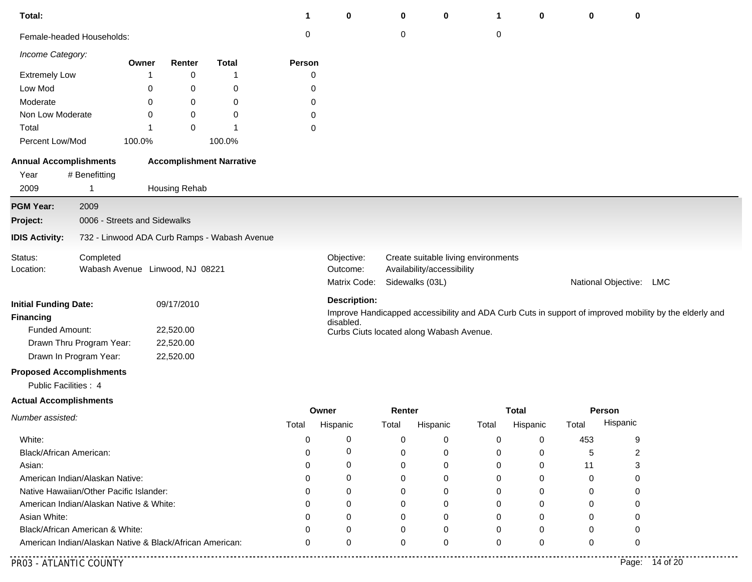| Total:                                           |                                                                                             |       |               |                                              | 1        | $\mathbf 0$         | 0                          | 0                                        | 1     | 0            | 0        | 0                   |                                                                                                        |
|--------------------------------------------------|---------------------------------------------------------------------------------------------|-------|---------------|----------------------------------------------|----------|---------------------|----------------------------|------------------------------------------|-------|--------------|----------|---------------------|--------------------------------------------------------------------------------------------------------|
| Female-headed Households:                        |                                                                                             |       |               |                                              | $\,0\,$  |                     | $\pmb{0}$                  |                                          | 0     |              |          |                     |                                                                                                        |
| Income Category:                                 |                                                                                             | Owner | Renter        | <b>Total</b>                                 | Person   |                     |                            |                                          |       |              |          |                     |                                                                                                        |
| <b>Extremely Low</b>                             |                                                                                             | 1     | $\pmb{0}$     | 1                                            | 0        |                     |                            |                                          |       |              |          |                     |                                                                                                        |
| Low Mod                                          |                                                                                             | 0     | 0             | 0                                            | 0        |                     |                            |                                          |       |              |          |                     |                                                                                                        |
| Moderate                                         |                                                                                             | 0     | 0             | 0                                            | 0        |                     |                            |                                          |       |              |          |                     |                                                                                                        |
| Non Low Moderate                                 |                                                                                             | 0     | 0             | 0                                            | 0        |                     |                            |                                          |       |              |          |                     |                                                                                                        |
| Total                                            |                                                                                             | 1     | $\pmb{0}$     | 1                                            | 0        |                     |                            |                                          |       |              |          |                     |                                                                                                        |
| Percent Low/Mod                                  | 100.0%                                                                                      |       |               | 100.0%                                       |          |                     |                            |                                          |       |              |          |                     |                                                                                                        |
| <b>Annual Accomplishments</b>                    |                                                                                             |       |               | <b>Accomplishment Narrative</b>              |          |                     |                            |                                          |       |              |          |                     |                                                                                                        |
| Year                                             | # Benefitting                                                                               |       |               |                                              |          |                     |                            |                                          |       |              |          |                     |                                                                                                        |
| 2009                                             | -1                                                                                          |       | Housing Rehab |                                              |          |                     |                            |                                          |       |              |          |                     |                                                                                                        |
| <b>PGM Year:</b>                                 | 2009                                                                                        |       |               |                                              |          |                     |                            |                                          |       |              |          |                     |                                                                                                        |
| Project:                                         | 0006 - Streets and Sidewalks                                                                |       |               |                                              |          |                     |                            |                                          |       |              |          |                     |                                                                                                        |
| <b>IDIS Activity:</b>                            |                                                                                             |       |               | 732 - Linwood ADA Curb Ramps - Wabash Avenue |          |                     |                            |                                          |       |              |          |                     |                                                                                                        |
| Status:                                          | Completed                                                                                   |       |               |                                              |          | Objective:          |                            | Create suitable living environments      |       |              |          |                     |                                                                                                        |
| Location:                                        | Wabash Avenue Linwood, NJ 08221                                                             |       |               |                                              | Outcome: |                     | Availability/accessibility |                                          |       |              |          |                     |                                                                                                        |
|                                                  |                                                                                             |       |               |                                              |          | Matrix Code:        |                            | Sidewalks (03L)                          |       |              |          | National Objective: | <b>LMC</b>                                                                                             |
|                                                  |                                                                                             |       |               |                                              |          | <b>Description:</b> |                            |                                          |       |              |          |                     |                                                                                                        |
| <b>Initial Funding Date:</b><br><b>Financing</b> |                                                                                             |       | 09/17/2010    |                                              |          |                     |                            |                                          |       |              |          |                     | Improve Handicapped accessibility and ADA Curb Cuts in support of improved mobility by the elderly and |
| Funded Amount:                                   |                                                                                             |       | 22,520.00     |                                              |          | disabled.           |                            |                                          |       |              |          |                     |                                                                                                        |
| Drawn Thru Program Year:                         |                                                                                             |       | 22,520.00     |                                              |          |                     |                            | Curbs Ciuts located along Wabash Avenue. |       |              |          |                     |                                                                                                        |
| Drawn In Program Year:                           |                                                                                             |       | 22,520.00     |                                              |          |                     |                            |                                          |       |              |          |                     |                                                                                                        |
| <b>Proposed Accomplishments</b>                  |                                                                                             |       |               |                                              |          |                     |                            |                                          |       |              |          |                     |                                                                                                        |
| Public Facilities : 4                            |                                                                                             |       |               |                                              |          |                     |                            |                                          |       |              |          |                     |                                                                                                        |
|                                                  |                                                                                             |       |               |                                              |          |                     |                            |                                          |       |              |          |                     |                                                                                                        |
| <b>Actual Accomplishments</b>                    |                                                                                             |       |               |                                              |          | Owner               | Renter                     |                                          |       | <b>Total</b> |          | <b>Person</b>       |                                                                                                        |
| Number assisted:                                 |                                                                                             |       |               |                                              | Total    | Hispanic            | Total                      | Hispanic                                 | Total | Hispanic     | Total    | Hispanic            |                                                                                                        |
| White:                                           |                                                                                             |       |               |                                              | 0        | 0                   | 0                          | 0                                        | 0     | 0            | 453      | 9                   |                                                                                                        |
| Black/African American:                          |                                                                                             |       |               |                                              |          | 0                   | 0                          | 0                                        | 0     | 0            | 5        | 2                   |                                                                                                        |
| Asian:                                           |                                                                                             |       |               |                                              |          | 0                   | $\Omega$                   | 0                                        | 0     | 0            | 11       | 3                   |                                                                                                        |
| American Indian/Alaskan Native:                  |                                                                                             |       |               |                                              |          | 0                   | $\Omega$                   | 0                                        | 0     | 0            | $\Omega$ | 0                   |                                                                                                        |
| Native Hawaiian/Other Pacific Islander:          |                                                                                             |       |               |                                              |          | 0                   | $\Omega$                   | 0                                        | 0     | 0            | 0        | 0                   |                                                                                                        |
| American Indian/Alaskan Native & White:          |                                                                                             |       |               |                                              |          | 0                   | 0                          | 0                                        | 0     | 0            | 0        | 0                   |                                                                                                        |
| Asian White:                                     |                                                                                             |       |               |                                              |          | 0                   | 0                          | 0                                        | 0     | 0            | O        | O                   |                                                                                                        |
|                                                  |                                                                                             |       |               |                                              |          | 0                   | 0                          | 0                                        | 0     | 0            | 0        | Ω                   |                                                                                                        |
|                                                  | Black/African American & White:<br>American Indian/Alaskan Native & Black/African American: |       |               |                                              | 0        | $\Omega$            | $\mathbf 0$                | $\Omega$                                 | 0     | $\Omega$     | 0        | $\Omega$            |                                                                                                        |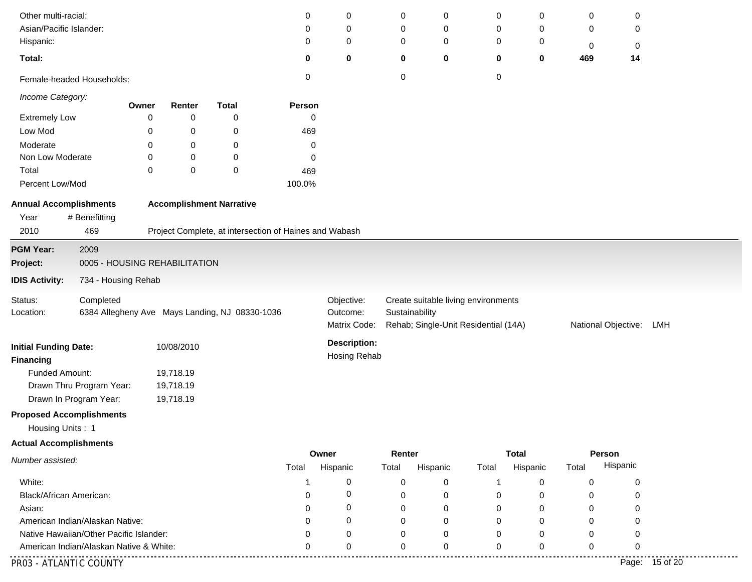| Other multi-racial:                     |                               |       |            |                                                        | 0      | 0                   | 0              | 0        | 0                                    | 0            | 0     | 0                       |          |  |
|-----------------------------------------|-------------------------------|-------|------------|--------------------------------------------------------|--------|---------------------|----------------|----------|--------------------------------------|--------------|-------|-------------------------|----------|--|
| Asian/Pacific Islander:                 |                               |       |            |                                                        | 0      | 0                   | 0              | 0        | 0                                    | 0            | 0     | 0                       |          |  |
| Hispanic:                               |                               |       |            |                                                        | 0      | 0                   | 0              | 0        | 0                                    | 0            | 0     | 0                       |          |  |
| Total:                                  |                               |       |            |                                                        | 0      | 0                   | $\bf{0}$       | 0        | 0                                    | 0            | 469   | 14                      |          |  |
| Female-headed Households:               |                               |       |            |                                                        | 0      |                     | 0              |          | 0                                    |              |       |                         |          |  |
| Income Category:                        |                               | Owner | Renter     | <b>Total</b>                                           | Person |                     |                |          |                                      |              |       |                         |          |  |
| <b>Extremely Low</b>                    |                               | 0     | 0          | 0                                                      | 0      |                     |                |          |                                      |              |       |                         |          |  |
| Low Mod                                 |                               | 0     | 0          | 0                                                      | 469    |                     |                |          |                                      |              |       |                         |          |  |
| Moderate                                |                               | 0     | 0          | 0                                                      | 0      |                     |                |          |                                      |              |       |                         |          |  |
| Non Low Moderate                        |                               | 0     | 0          | 0                                                      | 0      |                     |                |          |                                      |              |       |                         |          |  |
| Total                                   |                               | 0     | 0          | 0                                                      | 469    |                     |                |          |                                      |              |       |                         |          |  |
| Percent Low/Mod                         |                               |       |            |                                                        | 100.0% |                     |                |          |                                      |              |       |                         |          |  |
| <b>Annual Accomplishments</b>           |                               |       |            | <b>Accomplishment Narrative</b>                        |        |                     |                |          |                                      |              |       |                         |          |  |
| Year                                    | # Benefitting                 |       |            |                                                        |        |                     |                |          |                                      |              |       |                         |          |  |
| 2010                                    | 469                           |       |            | Project Complete, at intersection of Haines and Wabash |        |                     |                |          |                                      |              |       |                         |          |  |
| <b>PGM Year:</b>                        | 2009                          |       |            |                                                        |        |                     |                |          |                                      |              |       |                         |          |  |
| Project:                                | 0005 - HOUSING REHABILITATION |       |            |                                                        |        |                     |                |          |                                      |              |       |                         |          |  |
| <b>IDIS Activity:</b>                   | 734 - Housing Rehab           |       |            |                                                        |        |                     |                |          |                                      |              |       |                         |          |  |
| Status:                                 | Completed                     |       |            |                                                        |        | Objective:          |                |          | Create suitable living environments  |              |       |                         |          |  |
| Location:                               |                               |       |            | 6384 Allegheny Ave Mays Landing, NJ 08330-1036         |        | Outcome:            | Sustainability |          |                                      |              |       |                         |          |  |
|                                         |                               |       |            |                                                        |        | Matrix Code:        |                |          | Rehab; Single-Unit Residential (14A) |              |       | National Objective: LMH |          |  |
| <b>Initial Funding Date:</b>            |                               |       | 10/08/2010 |                                                        |        | <b>Description:</b> |                |          |                                      |              |       |                         |          |  |
| <b>Financing</b>                        |                               |       |            |                                                        |        | Hosing Rehab        |                |          |                                      |              |       |                         |          |  |
| Funded Amount:                          |                               |       | 19,718.19  |                                                        |        |                     |                |          |                                      |              |       |                         |          |  |
|                                         | Drawn Thru Program Year:      |       | 19,718.19  |                                                        |        |                     |                |          |                                      |              |       |                         |          |  |
|                                         | Drawn In Program Year:        |       | 19,718.19  |                                                        |        |                     |                |          |                                      |              |       |                         |          |  |
| <b>Proposed Accomplishments</b>         |                               |       |            |                                                        |        |                     |                |          |                                      |              |       |                         |          |  |
| Housing Units: 1                        |                               |       |            |                                                        |        |                     |                |          |                                      |              |       |                         |          |  |
| <b>Actual Accomplishments</b>           |                               |       |            |                                                        |        |                     |                |          |                                      |              |       |                         |          |  |
| Number assisted:                        |                               |       |            |                                                        |        | Owner               | Renter         |          |                                      | <b>Total</b> |       | Person                  |          |  |
|                                         |                               |       |            |                                                        | Total  | Hispanic            | Total          | Hispanic | Total                                | Hispanic     | Total | Hispanic                |          |  |
| White:                                  |                               |       |            |                                                        | -1     | 0                   | 0              | 0        | -1                                   | 0            | 0     | 0                       |          |  |
| Black/African American:                 |                               |       |            |                                                        | ∩      | 0                   | $\mathbf 0$    | 0        | 0                                    | 0            | 0     | 0                       |          |  |
| Asian:                                  |                               |       |            |                                                        |        | 0                   | $\Omega$       | 0        | $\Omega$                             | 0            | 0     | 0                       |          |  |
| American Indian/Alaskan Native:         |                               |       |            |                                                        |        | 0                   | 0              | 0        | O                                    | 0            | 0     | 0                       |          |  |
| Native Hawaiian/Other Pacific Islander: |                               |       |            |                                                        |        | 0                   | 0              | 0        | ∩                                    | $\Omega$     | O     | 0                       |          |  |
| American Indian/Alaskan Native & White: |                               |       |            |                                                        | n      | 0                   | 0              | 0        | 0                                    | 0            | 0     | 0                       |          |  |
| PR03 - ATLANTIC COUNTY                  |                               |       |            |                                                        |        |                     |                |          |                                      |              |       | Page:                   | 15 of 20 |  |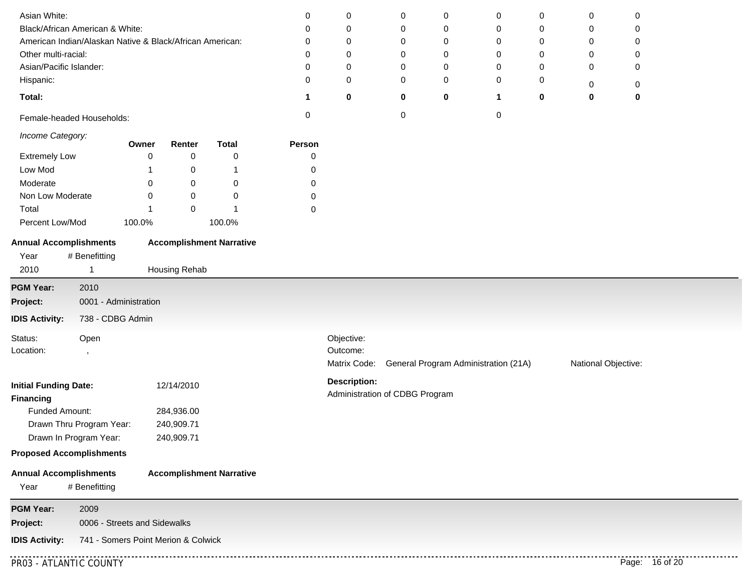| Asian White:                                                 |        |               |                                 |           |                     |                                |             |                                      |        |                     |                |  |
|--------------------------------------------------------------|--------|---------------|---------------------------------|-----------|---------------------|--------------------------------|-------------|--------------------------------------|--------|---------------------|----------------|--|
| Black/African American & White:                              |        |               |                                 | 0<br>0    | 0                   | 0<br>0                         | 0           | 0<br>0                               | 0      | 0<br>0              | 0<br>0         |  |
| American Indian/Alaskan Native & Black/African American:     |        |               |                                 | 0         | 0<br>0              | 0                              | 0<br>0      | 0                                    | 0<br>0 | 0                   | 0              |  |
| Other multi-racial:                                          |        |               |                                 | 0         | $\mathbf 0$         | 0                              | $\mathbf 0$ | 0                                    | 0      | 0                   | 0              |  |
| Asian/Pacific Islander:                                      |        |               |                                 | 0         | $\mathbf 0$         | 0                              | 0           | 0                                    | 0      | 0                   | 0              |  |
| Hispanic:                                                    |        |               |                                 | 0         | $\mathbf 0$         | 0                              | $\mathbf 0$ | 0                                    | 0      |                     |                |  |
| Total:                                                       |        |               |                                 | 1         | $\mathbf 0$         | 0                              | $\mathbf 0$ | 1                                    | 0      | 0<br>0              | 0<br>$\bf{0}$  |  |
| Female-headed Households:                                    |        |               |                                 | $\pmb{0}$ |                     | 0                              |             | 0                                    |        |                     |                |  |
| Income Category:                                             |        |               |                                 |           |                     |                                |             |                                      |        |                     |                |  |
|                                                              | Owner  | Renter        | <b>Total</b>                    | Person    |                     |                                |             |                                      |        |                     |                |  |
| <b>Extremely Low</b>                                         | 0      | 0             | 0                               | 0         |                     |                                |             |                                      |        |                     |                |  |
| Low Mod                                                      |        | 0             | -1                              | 0         |                     |                                |             |                                      |        |                     |                |  |
| Moderate                                                     | 0      | 0             | 0                               | 0         |                     |                                |             |                                      |        |                     |                |  |
| Non Low Moderate                                             | 0      | 0             | 0<br>1                          | 0         |                     |                                |             |                                      |        |                     |                |  |
| Total                                                        |        | 0             |                                 | 0         |                     |                                |             |                                      |        |                     |                |  |
| Percent Low/Mod                                              | 100.0% |               | 100.0%                          |           |                     |                                |             |                                      |        |                     |                |  |
| <b>Annual Accomplishments</b>                                |        |               | <b>Accomplishment Narrative</b> |           |                     |                                |             |                                      |        |                     |                |  |
| # Benefitting<br>Year                                        |        |               |                                 |           |                     |                                |             |                                      |        |                     |                |  |
| 2010<br>$\mathbf{1}$                                         |        | Housing Rehab |                                 |           |                     |                                |             |                                      |        |                     |                |  |
| <b>PGM Year:</b><br>2010                                     |        |               |                                 |           |                     |                                |             |                                      |        |                     |                |  |
| 0001 - Administration<br>Project:                            |        |               |                                 |           |                     |                                |             |                                      |        |                     |                |  |
| 738 - CDBG Admin<br><b>IDIS Activity:</b>                    |        |               |                                 |           |                     |                                |             |                                      |        |                     |                |  |
| Status:                                                      |        |               |                                 |           | Objective:          |                                |             |                                      |        |                     |                |  |
| Open<br>Location:                                            |        |               |                                 |           | Outcome:            |                                |             |                                      |        |                     |                |  |
| $\cdot$                                                      |        |               |                                 |           | Matrix Code:        |                                |             | General Program Administration (21A) |        | National Objective: |                |  |
|                                                              |        |               |                                 |           |                     |                                |             |                                      |        |                     |                |  |
| <b>Initial Funding Date:</b><br><b>Financing</b>             |        | 12/14/2010    |                                 |           | <b>Description:</b> | Administration of CDBG Program |             |                                      |        |                     |                |  |
| Funded Amount:                                               |        | 284,936.00    |                                 |           |                     |                                |             |                                      |        |                     |                |  |
| Drawn Thru Program Year:                                     |        | 240,909.71    |                                 |           |                     |                                |             |                                      |        |                     |                |  |
| Drawn In Program Year:                                       |        | 240,909.71    |                                 |           |                     |                                |             |                                      |        |                     |                |  |
| <b>Proposed Accomplishments</b>                              |        |               |                                 |           |                     |                                |             |                                      |        |                     |                |  |
| <b>Annual Accomplishments</b>                                |        |               | <b>Accomplishment Narrative</b> |           |                     |                                |             |                                      |        |                     |                |  |
| # Benefitting<br>Year                                        |        |               |                                 |           |                     |                                |             |                                      |        |                     |                |  |
| <b>PGM Year:</b><br>2009                                     |        |               |                                 |           |                     |                                |             |                                      |        |                     |                |  |
| 0006 - Streets and Sidewalks<br>Project:                     |        |               |                                 |           |                     |                                |             |                                      |        |                     |                |  |
| <b>IDIS Activity:</b><br>741 - Somers Point Merion & Colwick |        |               |                                 |           |                     |                                |             |                                      |        |                     |                |  |
| PR03 - ATLANTIC COUNTY                                       |        |               |                                 |           |                     |                                |             |                                      |        |                     | Page: 16 of 20 |  |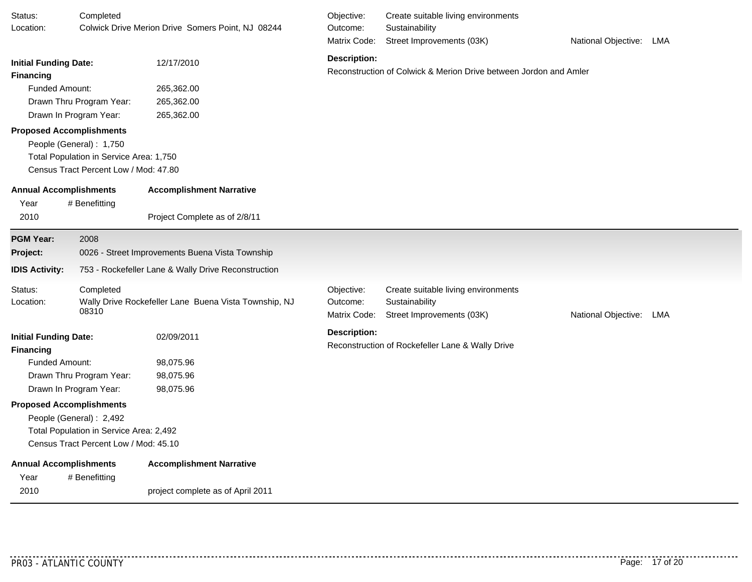| Status:<br>Location:                                                                         | Completed                                                                                                                  | Colwick Drive Merion Drive Somers Point, NJ 08244                    | Objective:<br>Outcome:<br>Matrix Code: | Create suitable living environments<br>Sustainability<br>Street Improvements (03K) | National Objective: LMA |     |
|----------------------------------------------------------------------------------------------|----------------------------------------------------------------------------------------------------------------------------|----------------------------------------------------------------------|----------------------------------------|------------------------------------------------------------------------------------|-------------------------|-----|
| <b>Initial Funding Date:</b><br><b>Financing</b>                                             |                                                                                                                            | 12/17/2010                                                           | <b>Description:</b>                    | Reconstruction of Colwick & Merion Drive between Jordon and Amler                  |                         |     |
| <b>Funded Amount:</b><br>Drawn In Program Year:                                              | Drawn Thru Program Year:                                                                                                   | 265,362.00<br>265,362.00<br>265,362.00                               |                                        |                                                                                    |                         |     |
| <b>Proposed Accomplishments</b>                                                              | People (General): 1,750<br>Total Population in Service Area: 1,750<br>Census Tract Percent Low / Mod: 47.80                |                                                                      |                                        |                                                                                    |                         |     |
| Year<br>2010                                                                                 | <b>Annual Accomplishments</b><br><b>Accomplishment Narrative</b><br># Benefitting<br>Project Complete as of 2/8/11<br>2008 |                                                                      |                                        |                                                                                    |                         |     |
| <b>PGM Year:</b><br>Project:                                                                 |                                                                                                                            | 0026 - Street Improvements Buena Vista Township                      |                                        |                                                                                    |                         |     |
| <b>IDIS Activity:</b>                                                                        |                                                                                                                            | 753 - Rockefeller Lane & Wally Drive Reconstruction                  |                                        |                                                                                    |                         |     |
| Status:<br>Location:                                                                         | Completed<br>08310                                                                                                         | Wally Drive Rockefeller Lane Buena Vista Township, NJ                | Objective:<br>Outcome:<br>Matrix Code: | Create suitable living environments<br>Sustainability<br>Street Improvements (03K) | National Objective:     | LMA |
| <b>Initial Funding Date:</b><br>Financing<br><b>Funded Amount:</b><br>Drawn In Program Year: | Drawn Thru Program Year:                                                                                                   | 02/09/2011<br>98,075.96<br>98,075.96<br>98,075.96                    | <b>Description:</b>                    | Reconstruction of Rockefeller Lane & Wally Drive                                   |                         |     |
| <b>Proposed Accomplishments</b>                                                              | People (General): 2,492<br>Total Population in Service Area: 2,492<br>Census Tract Percent Low / Mod: 45.10                |                                                                      |                                        |                                                                                    |                         |     |
| <b>Annual Accomplishments</b><br>Year<br>2010                                                | # Benefitting                                                                                                              | <b>Accomplishment Narrative</b><br>project complete as of April 2011 |                                        |                                                                                    |                         |     |

. . . . . . . . . . . .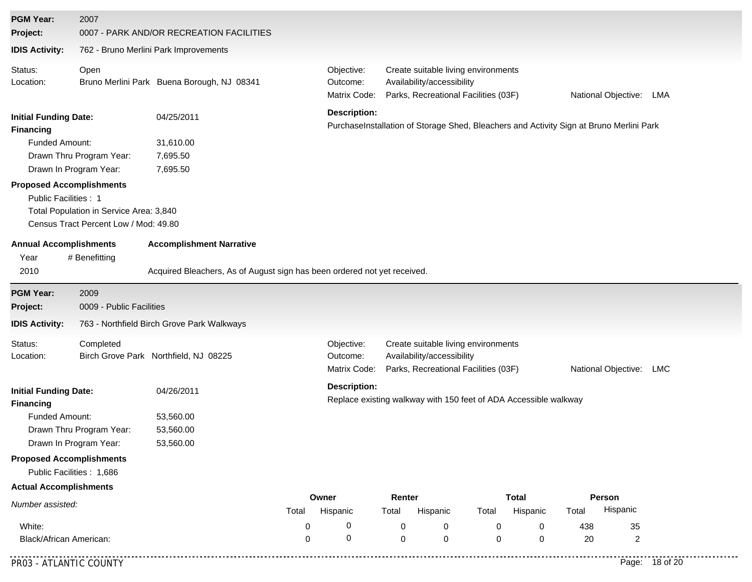| <b>PGM Year:</b><br>Project:                                 | 2007                                                                                                                                                                                                                                                                                                                                                                | 0007 - PARK AND/OR RECREATION FACILITIES                                 |                  |                                                                                                                |                  |                                                                                                           |        |                          |           |                      |                |
|--------------------------------------------------------------|---------------------------------------------------------------------------------------------------------------------------------------------------------------------------------------------------------------------------------------------------------------------------------------------------------------------------------------------------------------------|--------------------------------------------------------------------------|------------------|----------------------------------------------------------------------------------------------------------------|------------------|-----------------------------------------------------------------------------------------------------------|--------|--------------------------|-----------|----------------------|----------------|
| <b>IDIS Activity:</b>                                        |                                                                                                                                                                                                                                                                                                                                                                     | 762 - Bruno Merlini Park Improvements                                    |                  |                                                                                                                |                  |                                                                                                           |        |                          |           |                      |                |
| Status:<br>Location:                                         | Open                                                                                                                                                                                                                                                                                                                                                                | Bruno Merlini Park Buena Borough, NJ 08341                               |                  | Objective:<br>Outcome:<br>Matrix Code:                                                                         |                  | Create suitable living environments<br>Availability/accessibility<br>Parks, Recreational Facilities (03F) |        |                          |           | National Objective:  | LMA            |
| <b>Initial Funding Date:</b><br><b>Financing</b>             | 04/25/2011<br>Funded Amount:<br>31,610.00<br>Drawn Thru Program Year:<br>7,695.50<br>Drawn In Program Year:<br>7,695.50<br><b>Proposed Accomplishments</b><br>Public Facilities: 1<br>Total Population in Service Area: 3,840<br>Census Tract Percent Low / Mod: 49.80<br><b>Annual Accomplishments</b><br><b>Accomplishment Narrative</b><br># Benefitting<br>2010 |                                                                          |                  | <b>Description:</b><br>PurchaseInstallation of Storage Shed, Bleachers and Activity Sign at Bruno Merlini Park |                  |                                                                                                           |        |                          |           |                      |                |
| Year                                                         |                                                                                                                                                                                                                                                                                                                                                                     | Acquired Bleachers, As of August sign has been ordered not yet received. |                  |                                                                                                                |                  |                                                                                                           |        |                          |           |                      |                |
| <b>PGM Year:</b>                                             | 2009                                                                                                                                                                                                                                                                                                                                                                |                                                                          |                  |                                                                                                                |                  |                                                                                                           |        |                          |           |                      |                |
| Project:                                                     | 0009 - Public Facilities                                                                                                                                                                                                                                                                                                                                            |                                                                          |                  |                                                                                                                |                  |                                                                                                           |        |                          |           |                      |                |
| <b>IDIS Activity:</b>                                        |                                                                                                                                                                                                                                                                                                                                                                     | 763 - Northfield Birch Grove Park Walkways                               |                  |                                                                                                                |                  |                                                                                                           |        |                          |           |                      |                |
| Status:<br>Location:                                         | Completed                                                                                                                                                                                                                                                                                                                                                           | Birch Grove Park Northfield, NJ 08225                                    |                  | Objective:<br>Outcome:<br>Matrix Code:                                                                         |                  | Create suitable living environments<br>Availability/accessibility<br>Parks, Recreational Facilities (03F) |        |                          |           | National Objective:  | LMC            |
| <b>Financing</b>                                             | <b>Initial Funding Date:</b><br>04/26/2011<br><b>Funded Amount:</b><br>53,560.00<br>Drawn Thru Program Year:<br>53,560.00<br>Drawn In Program Year:<br>53,560.00                                                                                                                                                                                                    |                                                                          |                  | <b>Description:</b><br>Replace existing walkway with 150 feet of ADA Accessible walkway                        |                  |                                                                                                           |        |                          |           |                      |                |
| <b>Proposed Accomplishments</b><br>Public Facilities : 1,686 |                                                                                                                                                                                                                                                                                                                                                                     |                                                                          |                  |                                                                                                                |                  |                                                                                                           |        |                          |           |                      |                |
| <b>Actual Accomplishments</b>                                |                                                                                                                                                                                                                                                                                                                                                                     |                                                                          |                  |                                                                                                                |                  |                                                                                                           |        |                          |           |                      |                |
| Number assisted:                                             |                                                                                                                                                                                                                                                                                                                                                                     |                                                                          | Total            | Owner<br>Hispanic                                                                                              | Renter<br>Total  | Hispanic                                                                                                  | Total  | <b>Total</b><br>Hispanic | Total     | Person<br>Hispanic   |                |
| White:<br>Black/African American:                            |                                                                                                                                                                                                                                                                                                                                                                     |                                                                          | 0<br>$\mathbf 0$ | 0<br>0                                                                                                         | 0<br>$\mathbf 0$ | 0<br>0                                                                                                    | 0<br>0 | 0<br>$\mathbf 0$         | 438<br>20 | 35<br>$\overline{c}$ |                |
| PR03 - ATLANTIC COUNTY                                       |                                                                                                                                                                                                                                                                                                                                                                     |                                                                          |                  |                                                                                                                |                  |                                                                                                           |        |                          |           |                      | Page: 18 of 20 |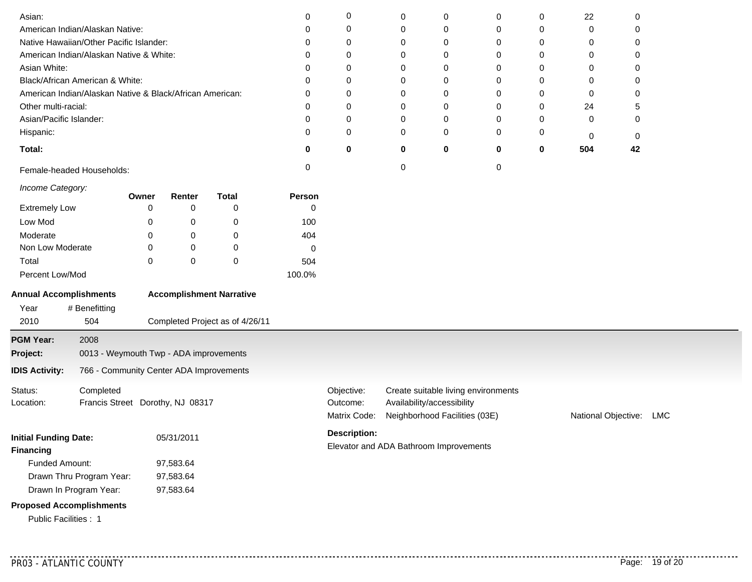| Asian:                                                   |                                         |           |            |                                 | 0      | 0                                      | 0         | 0                             | 0                                   | 0        | 22                  | 0   |  |
|----------------------------------------------------------|-----------------------------------------|-----------|------------|---------------------------------|--------|----------------------------------------|-----------|-------------------------------|-------------------------------------|----------|---------------------|-----|--|
| American Indian/Alaskan Native:                          |                                         |           |            |                                 | 0      | 0                                      | 0         | 0                             | 0                                   | 0        | 0                   | 0   |  |
| Native Hawaiian/Other Pacific Islander:                  |                                         |           |            |                                 | 0      | 0                                      | 0         | 0                             | 0                                   | 0        | 0                   | 0   |  |
| American Indian/Alaskan Native & White:                  |                                         |           |            |                                 | 0      | 0                                      | 0         | 0                             | 0                                   | 0        | 0                   | 0   |  |
| Asian White:                                             |                                         |           |            |                                 | 0      | 0                                      | 0         | 0                             | 0                                   | 0        | 0                   | 0   |  |
| Black/African American & White:                          |                                         |           |            |                                 | 0      | 0                                      | 0         | 0                             | 0                                   | 0        | 0                   | 0   |  |
| American Indian/Alaskan Native & Black/African American: |                                         |           |            |                                 | 0      | 0                                      | 0         | 0                             | 0                                   | 0        | 0                   | 0   |  |
| Other multi-racial:                                      |                                         |           |            |                                 | 0      | 0                                      | 0         | 0                             | 0                                   | 0        | 24                  | 5   |  |
| Asian/Pacific Islander:                                  |                                         |           |            |                                 | 0      | 0                                      | 0         | 0                             | 0                                   | 0        | 0                   | 0   |  |
| Hispanic:                                                |                                         |           |            |                                 | 0      | 0                                      | 0         | 0                             | 0                                   | 0        | 0                   | 0   |  |
| Total:                                                   |                                         |           |            |                                 | 0      | 0                                      | 0         | 0                             | 0                                   | $\bf{0}$ | 504                 | 42  |  |
| Female-headed Households:                                |                                         |           |            |                                 | 0      |                                        | $\pmb{0}$ |                               | 0                                   |          |                     |     |  |
| Income Category:                                         |                                         |           |            |                                 |        |                                        |           |                               |                                     |          |                     |     |  |
|                                                          |                                         | Owner     | Renter     | <b>Total</b>                    | Person |                                        |           |                               |                                     |          |                     |     |  |
| <b>Extremely Low</b>                                     |                                         | 0         | 0          | 0                               | 0      |                                        |           |                               |                                     |          |                     |     |  |
| Low Mod                                                  |                                         | 0         | 0          | $\boldsymbol{0}$                | 100    |                                        |           |                               |                                     |          |                     |     |  |
| Moderate                                                 |                                         | 0         | 0          | 0                               | 404    |                                        |           |                               |                                     |          |                     |     |  |
| Non Low Moderate                                         |                                         | 0         | 0          | 0                               | 0      |                                        |           |                               |                                     |          |                     |     |  |
| Total                                                    |                                         | 0         | 0          | $\mathbf 0$                     | 504    |                                        |           |                               |                                     |          |                     |     |  |
| Percent Low/Mod                                          |                                         |           |            |                                 | 100.0% |                                        |           |                               |                                     |          |                     |     |  |
| <b>Annual Accomplishments</b>                            |                                         |           |            | <b>Accomplishment Narrative</b> |        |                                        |           |                               |                                     |          |                     |     |  |
| Year                                                     | # Benefitting                           |           |            |                                 |        |                                        |           |                               |                                     |          |                     |     |  |
| 2010                                                     | 504                                     |           |            | Completed Project as of 4/26/11 |        |                                        |           |                               |                                     |          |                     |     |  |
| <b>PGM Year:</b>                                         | 2008                                    |           |            |                                 |        |                                        |           |                               |                                     |          |                     |     |  |
| Project:                                                 | 0013 - Weymouth Twp - ADA improvements  |           |            |                                 |        |                                        |           |                               |                                     |          |                     |     |  |
| <b>IDIS Activity:</b>                                    | 766 - Community Center ADA Improvements |           |            |                                 |        |                                        |           |                               |                                     |          |                     |     |  |
| Status:                                                  | Completed                               |           |            |                                 |        | Objective:                             |           |                               | Create suitable living environments |          |                     |     |  |
| Location:                                                | Francis Street Dorothy, NJ 08317        |           |            |                                 |        | Outcome:                               |           | Availability/accessibility    |                                     |          |                     |     |  |
|                                                          |                                         |           |            |                                 |        | Matrix Code:                           |           | Neighborhood Facilities (03E) |                                     |          | National Objective: | LMC |  |
| <b>Initial Funding Date:</b>                             |                                         |           | 05/31/2011 |                                 |        | <b>Description:</b>                    |           |                               |                                     |          |                     |     |  |
| Financing                                                |                                         |           |            |                                 |        | Elevator and ADA Bathroom Improvements |           |                               |                                     |          |                     |     |  |
| Funded Amount:                                           |                                         |           | 97,583.64  |                                 |        |                                        |           |                               |                                     |          |                     |     |  |
|                                                          | Drawn Thru Program Year:                | 97,583.64 |            |                                 |        |                                        |           |                               |                                     |          |                     |     |  |
|                                                          | Drawn In Program Year:                  | 97,583.64 |            |                                 |        |                                        |           |                               |                                     |          |                     |     |  |
| <b>Proposed Accomplishments</b>                          |                                         |           |            |                                 |        |                                        |           |                               |                                     |          |                     |     |  |
|                                                          |                                         |           |            |                                 |        |                                        |           |                               |                                     |          |                     |     |  |
| Public Facilities: 1                                     |                                         |           |            |                                 |        |                                        |           |                               |                                     |          |                     |     |  |

............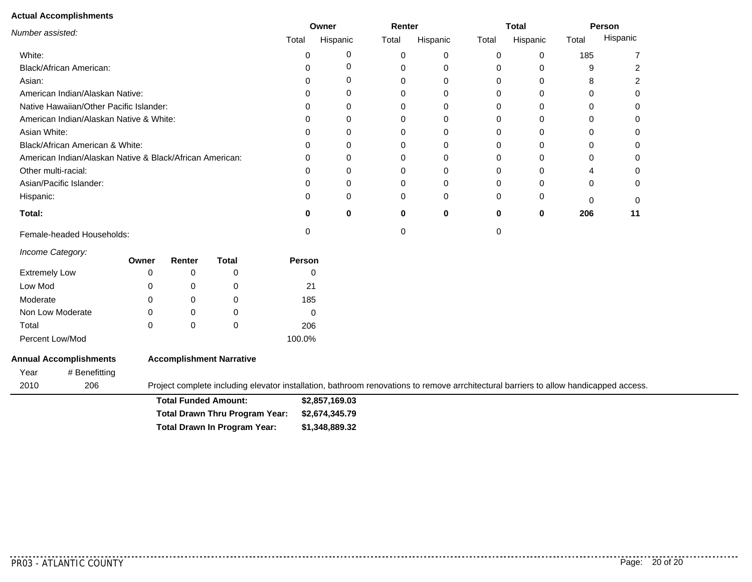#### **Actual Accomplishments**

|                                                          |       | Owner    | Renter   |          |       | <b>Total</b> |       | Person   |
|----------------------------------------------------------|-------|----------|----------|----------|-------|--------------|-------|----------|
| Number assisted:                                         | Total | Hispanic | Total    | Hispanic | Total | Hispanic     | Total | Hispanic |
| White:                                                   |       |          | 0        |          | 0     | 0            | 185   |          |
| Black/African American:                                  |       |          | $\Omega$ |          |       | 0            | 9     |          |
| Asian:                                                   |       |          | 0        |          | 0     | 0            | 8     |          |
| American Indian/Alaskan Native:                          |       |          | 0        |          |       | 0            | ი     | 0        |
| Native Hawaiian/Other Pacific Islander:                  |       |          |          |          |       | 0            |       | 0        |
| American Indian/Alaskan Native & White:                  |       |          | 0        |          |       | 0            | 0     | 0        |
| Asian White:                                             |       |          | 0        |          |       | 0            | 0     | 0        |
| Black/African American & White:                          |       |          |          |          | O     | 0            |       | 0        |
| American Indian/Alaskan Native & Black/African American: |       |          | 0        |          |       | 0            | 0     | 0        |
| Other multi-racial:                                      |       |          | 0        |          |       | 0            | 4     | 0        |
| Asian/Pacific Islander:                                  |       |          |          |          |       | 0            | 0     | 0        |
| Hispanic:                                                |       |          | $\Omega$ | ∩        | 0     | 0            | 0     | 0        |
| Total:                                                   | o     | 0        | 0        | 0        | 0     | 0            | 206   | 11       |
| Female-headed Households:                                |       |          |          |          |       |              |       |          |

*Income Category:*

|                      | Owner | Renter   | Total | <b>Person</b> |
|----------------------|-------|----------|-------|---------------|
| <b>Extremely Low</b> | 0     |          |       |               |
| Low Mod              | 0     |          | O     | 21            |
| Moderate             | 0     | Ω        | O     | 185           |
| Non Low Moderate     | 0     | $\Omega$ | O     | 0             |
| Total                | 0     | Ω        | 0     | 206           |
| Percent Low/Mod      |       |          |       | 100.0%        |

#### **Annual Accomplishments** Year # Benefitting **Accomplishment Narrative**

206 Project complete including elevator installation, bathroom renovations to remove arrchitectural barriers to allow handicapped access.

**\$2,857,169.03 \$1,348,889.32 \$2,674,345.79 Total Funded Amount: Total Drawn In Program Year: Total Drawn Thru Program Year:**

<u>. . . . . . . . . . .</u>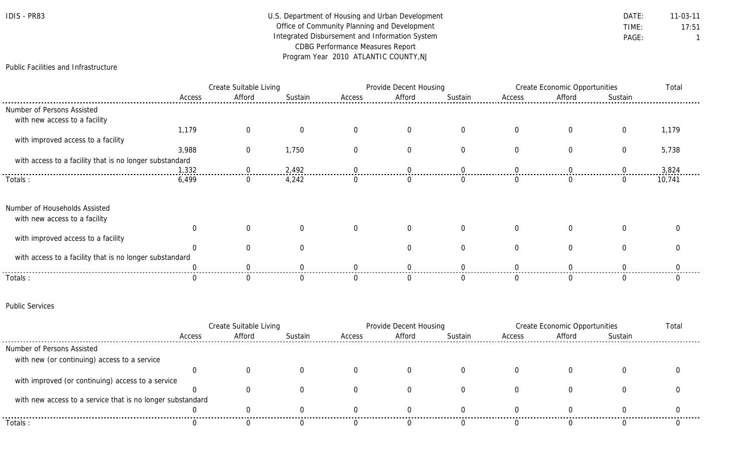| IDIS | PR83 |
|------|------|
|------|------|

# U.S. Department of Housing and Urban Development **DATE:** 11-03-11 Office of Community Planning and Development TIME: 17:51 Integrated Disbursement and Information System **PAGE:** PAGE: 1 CDBG Performance Measures Report Program Year 2010 ATLANTIC COUNTY,NJ

### Public Facilities and Infrastructure

|                                                         | Create Suitable Living |        |         | Provide Decent Housing |          |          | <b>Create Economic Opportunities</b> |        |          | Total  |
|---------------------------------------------------------|------------------------|--------|---------|------------------------|----------|----------|--------------------------------------|--------|----------|--------|
|                                                         | Access                 | Afford | Sustain | Access                 | Afford   | Sustain  | Access                               | Afford | Sustain  |        |
| Number of Persons Assisted                              |                        |        |         |                        |          |          |                                      |        |          |        |
| with new access to a facility                           |                        |        |         |                        |          |          |                                      |        |          |        |
|                                                         | 1,179                  |        |         |                        |          |          |                                      |        |          | 1,179  |
| with improved access to a facility                      |                        |        |         |                        |          |          |                                      |        |          |        |
|                                                         | 3,988                  | 0      | 1,750   |                        | $\Omega$ |          |                                      |        | $\Omega$ | 5,738  |
| with access to a facility that is no longer substandard |                        |        |         |                        |          |          |                                      |        |          |        |
|                                                         | 1,332                  |        | 2,492   |                        |          |          |                                      |        |          | 3,824  |
| Totals:                                                 | 6,499                  |        | 4,242   |                        |          |          |                                      |        |          | 10,741 |
| Number of Households Assisted                           |                        |        |         |                        |          |          |                                      |        |          |        |
| with new access to a facility                           |                        |        |         |                        |          |          |                                      |        |          |        |
|                                                         |                        |        |         | $\Omega$               | $\Omega$ | $\Omega$ |                                      |        |          |        |
| with improved access to a facility                      |                        |        |         |                        |          |          |                                      |        |          |        |
|                                                         |                        |        |         |                        |          |          |                                      |        |          |        |
| with access to a facility that is no longer substandard |                        |        |         |                        |          |          |                                      |        |          |        |
|                                                         |                        |        |         |                        |          |          |                                      |        |          |        |
| Totals:                                                 |                        |        |         |                        |          |          |                                      |        |          |        |

#### Public Services

|                                                            | Create Suitable Living |        |         |        | Provide Decent Housing |         |        | Create Economic Opportunities |         |  |
|------------------------------------------------------------|------------------------|--------|---------|--------|------------------------|---------|--------|-------------------------------|---------|--|
|                                                            | Access                 | Afford | Sustain | Access | Afford                 | Sustain | Access | Afford                        | Sustain |  |
| Number of Persons Assisted                                 |                        |        |         |        |                        |         |        |                               |         |  |
| with new (or continuing) access to a service               |                        |        |         |        |                        |         |        |                               |         |  |
|                                                            |                        |        |         |        |                        |         |        |                               |         |  |
| with improved (or continuing) access to a service          |                        |        |         |        |                        |         |        |                               |         |  |
|                                                            |                        |        |         |        |                        |         |        |                               |         |  |
| with new access to a service that is no longer substandard |                        |        |         |        |                        |         |        |                               |         |  |
|                                                            |                        |        |         |        |                        |         |        |                               |         |  |
| Totals:                                                    |                        |        |         |        |                        |         |        |                               |         |  |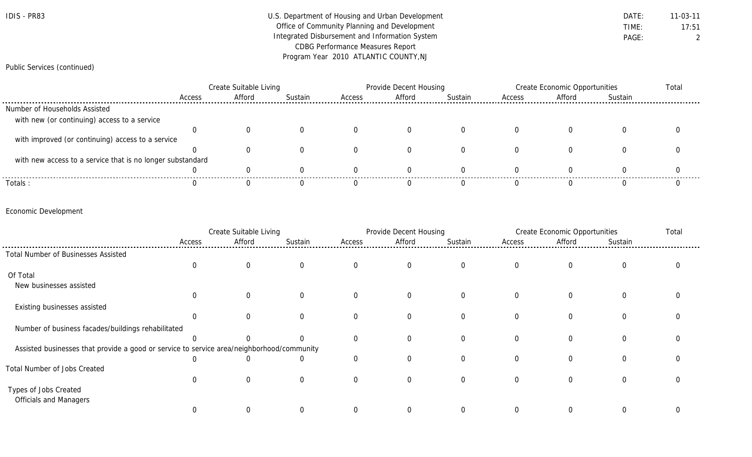| $IDIS -$ | <b>PR83</b> |
|----------|-------------|
|----------|-------------|

# U.S. Department of Housing and Urban Development **DATE:** 11-03-11 Office of Community Planning and Development TIME: 17:51 Integrated Disbursement and Information System **PAGE:** PAGE: 2 CDBG Performance Measures Report Program Year 2010 ATLANTIC COUNTY,NJ

### Public Services (continued)

|                                                            | Create Suitable Living |        |         | Provide Decent Housing |        |                | Create Economic Opportunities |        |         | Total |
|------------------------------------------------------------|------------------------|--------|---------|------------------------|--------|----------------|-------------------------------|--------|---------|-------|
|                                                            | Access                 | Afford | Sustain | Access                 | Afford | <b>Sustain</b> | Access                        | Afford | Sustain |       |
| Number of Households Assisted                              |                        |        |         |                        |        |                |                               |        |         |       |
| with new (or continuing) access to a service               |                        |        |         |                        |        |                |                               |        |         |       |
|                                                            |                        |        |         |                        |        |                |                               |        |         |       |
| with improved (or continuing) access to a service          |                        |        |         |                        |        |                |                               |        |         |       |
|                                                            |                        |        |         |                        |        |                |                               |        |         |       |
| with new access to a service that is no longer substandard |                        |        |         |                        |        |                |                               |        |         |       |
|                                                            |                        |        |         |                        |        |                |                               |        |         |       |
| Totals:                                                    |                        |        |         |                        |        |                |                               |        |         |       |

## Economic Development

|                                                                                           | Create Suitable Living |          | Provide Decent Housing |          |                | Create Economic Opportunities |              |                | Total    |  |
|-------------------------------------------------------------------------------------------|------------------------|----------|------------------------|----------|----------------|-------------------------------|--------------|----------------|----------|--|
|                                                                                           | Access                 | Afford   | Sustain                | Access   | Afford         | Sustain                       | Access       | Afford         | Sustain  |  |
| Total Number of Businesses Assisted                                                       |                        |          |                        |          |                |                               |              |                |          |  |
|                                                                                           | 0                      | $\Omega$ |                        |          | $\overline{0}$ | $\overline{0}$                | $\mathbf{0}$ | $\overline{0}$ | 0        |  |
| Of Total                                                                                  |                        |          |                        |          |                |                               |              |                |          |  |
| New businesses assisted                                                                   |                        |          |                        |          |                |                               |              |                |          |  |
|                                                                                           | $\Omega$               | $\Omega$ |                        |          | $\mathbf 0$    | $\overline{0}$                | $\mathbf 0$  | $\mathbf 0$    | 0        |  |
| Existing businesses assisted                                                              |                        |          |                        |          |                |                               |              |                |          |  |
|                                                                                           |                        |          |                        | $\Omega$ | $\Omega$       | $\Omega$                      |              | $\Omega$       | 0        |  |
| Number of business facades/buildings rehabilitated                                        |                        |          |                        |          |                |                               |              |                |          |  |
|                                                                                           |                        |          |                        | $\Omega$ | $\Omega$       | $\Omega$                      | $\Omega$     | $\Omega$       | $\Omega$ |  |
| Assisted businesses that provide a good or service to service area/neighborhood/community |                        |          |                        |          |                |                               |              |                |          |  |
|                                                                                           |                        |          |                        | $\Omega$ | $\Omega$       | $\Omega$                      | $\Omega$     | $\Omega$       | $\Omega$ |  |
| Total Number of Jobs Created                                                              |                        |          |                        |          |                |                               |              |                |          |  |
|                                                                                           | $\Omega$               | $\Omega$ |                        | $\Omega$ | $\Omega$       | $\Omega$                      |              | $\Omega$       | $\Omega$ |  |
| Types of Jobs Created                                                                     |                        |          |                        |          |                |                               |              |                |          |  |
| <b>Officials and Managers</b>                                                             |                        |          |                        |          |                |                               |              |                |          |  |
|                                                                                           |                        |          |                        |          |                | $\Omega$                      |              |                |          |  |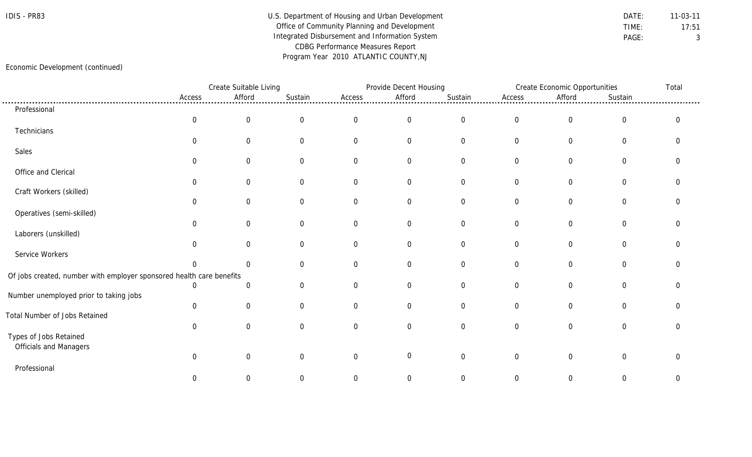# IDIS - PR83 Department of Housing and Urban Development DATE: 11-03-11 Office of Community Planning and Development TIME: 17:51 Integrated Disbursement and Information System **PAGE:** PAGE: 3 CDBG Performance Measures Report Program Year 2010 ATLANTIC COUNTY,NJ

## Economic Development (continued)

|                                                                      |                  | Create Suitable Living |                |                | Provide Decent Housing |                  | Create Economic Opportunities |                  |                  | Total          |
|----------------------------------------------------------------------|------------------|------------------------|----------------|----------------|------------------------|------------------|-------------------------------|------------------|------------------|----------------|
|                                                                      | Access           | Afford                 | Sustain        | Access         | Afford                 | Sustain          | Access                        | Afford           | Sustain          |                |
| Professional                                                         |                  |                        |                |                |                        |                  |                               |                  |                  |                |
|                                                                      | $\boldsymbol{0}$ | $\boldsymbol{0}$       | $\mathbf 0$    | $\overline{0}$ | $\mathbf 0$            | $\boldsymbol{0}$ | $\overline{0}$                | $\boldsymbol{0}$ | $\boldsymbol{0}$ | $\overline{0}$ |
| Technicians                                                          |                  |                        |                |                |                        |                  |                               |                  |                  |                |
|                                                                      | $\Omega$         | $\overline{0}$         | $\overline{0}$ | $\Omega$       | $\overline{0}$         | $\overline{0}$   | $\overline{0}$                | $\mathbf 0$      | $\overline{0}$   | $\Omega$       |
| Sales                                                                |                  |                        |                |                |                        |                  |                               |                  |                  |                |
|                                                                      | $\Omega$         | $\Omega$               | 0              | $\Omega$       | 0                      | $\overline{0}$   | 0                             | $\Omega$         | $\mathbf 0$      |                |
| Office and Clerical                                                  |                  |                        |                |                |                        |                  |                               |                  |                  |                |
| Craft Workers (skilled)                                              | $\Omega$         | $\mathbf 0$            | $\overline{0}$ | $\Omega$       | $\overline{0}$         | $\overline{0}$   | $\overline{0}$                | $\overline{0}$   | $\overline{0}$   |                |
|                                                                      | 0                | $\Omega$               | $\Omega$       | $\Omega$       | 0                      | $\overline{0}$   | 0                             | $\Omega$         | $\mathbf 0$      |                |
| Operatives (semi-skilled)                                            |                  |                        |                |                |                        |                  |                               |                  |                  |                |
|                                                                      | 0                | $\mathbf 0$            | 0              | $\overline{0}$ | $\overline{0}$         | $\overline{0}$   | $\overline{0}$                | $\overline{0}$   | $\mathbf 0$      |                |
| Laborers (unskilled)                                                 |                  |                        |                |                |                        |                  |                               |                  |                  |                |
|                                                                      | $\Omega$         | $\Omega$               | $\Omega$       | $\Omega$       | $\overline{0}$         | $\overline{0}$   | $\overline{0}$                | $\mathbf 0$      | $\mathbf 0$      |                |
| Service Workers                                                      |                  |                        |                |                |                        |                  |                               |                  |                  |                |
|                                                                      | $\Omega$         | $\Omega$               | $\Omega$       | $\Omega$       | $\overline{0}$         | $\overline{0}$   | $\overline{0}$                | $\overline{0}$   | $\boldsymbol{0}$ |                |
| Of jobs created, number with employer sponsored health care benefits |                  |                        |                |                |                        |                  |                               |                  |                  |                |
|                                                                      | $\Omega$         | $\Omega$               | $\Omega$       | $\Omega$       | $\overline{0}$         | $\overline{0}$   | $\overline{0}$                | $\mathbf 0$      | $\overline{0}$   |                |
| Number unemployed prior to taking jobs                               |                  |                        |                |                |                        |                  |                               |                  |                  |                |
|                                                                      | 0                | $\mathbf 0$            | $\overline{0}$ | $\Omega$       | $\overline{0}$         | $\overline{0}$   | $\overline{0}$                | $\mathbf 0$      | $\mathbf 0$      | O              |
| Total Number of Jobs Retained                                        |                  |                        |                |                |                        |                  |                               |                  |                  |                |
|                                                                      | $\Omega$         | $\Omega$               | 0              | $\Omega$       | $\overline{0}$         | $\overline{0}$   | $\Omega$                      | $\overline{0}$   | $\overline{0}$   | $\Omega$       |
| Types of Jobs Retained<br>Officials and Managers                     |                  |                        |                |                |                        |                  |                               |                  |                  |                |
|                                                                      | $\Omega$         | $\overline{0}$         | 0              | $\Omega$       | $\mathbf 0$            | $\mathbf 0$      | $\overline{0}$                | $\mathbf 0$      | $\overline{0}$   | $\Omega$       |
| Professional                                                         |                  |                        |                |                |                        |                  |                               |                  |                  |                |
|                                                                      | $\Omega$         | $\Omega$               | $\Omega$       | 0              | 0                      | $\Omega$         | $\Omega$                      | $\Omega$         | $\Omega$         | $\Omega$       |
|                                                                      |                  |                        |                |                |                        |                  |                               |                  |                  |                |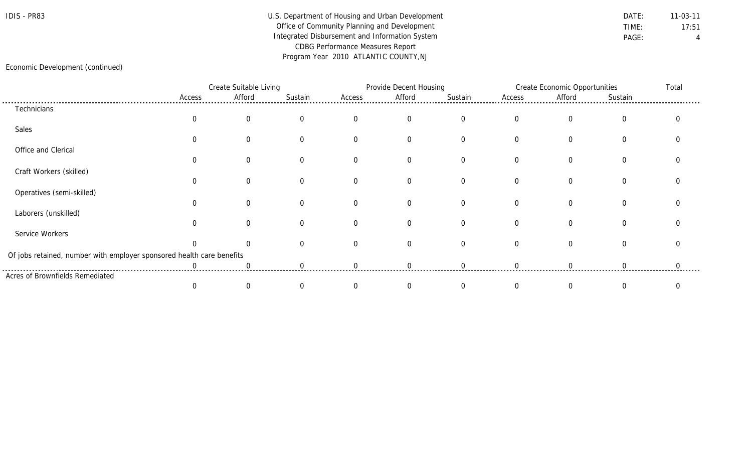# IDIS - PR83 Department of Housing and Urban Development DATE: 11-03-11 Office of Community Planning and Development TIME: 17:51 Integrated Disbursement and Information System **PAGE:** PAGE: 4 CDBG Performance Measures Report Program Year 2010 ATLANTIC COUNTY,NJ

## Economic Development (continued)

|                                                                       |        | Create Suitable Living |         |          | Provide Decent Housing |          |          | <b>Create Economic Opportunities</b> |                |  |
|-----------------------------------------------------------------------|--------|------------------------|---------|----------|------------------------|----------|----------|--------------------------------------|----------------|--|
|                                                                       | Access | Afford                 | Sustain | Access   | Afford                 | Sustain  | Access   | Afford                               | Sustain        |  |
| Technicians                                                           |        |                        |         |          |                        |          |          |                                      |                |  |
|                                                                       |        |                        |         | $\Omega$ | $\Omega$               | $\Omega$ | $\Omega$ | $\Omega$                             | $\Omega$       |  |
| Sales                                                                 |        |                        |         |          |                        |          |          |                                      |                |  |
|                                                                       |        |                        |         | $\Omega$ | $\Omega$               | $\Omega$ | $\Omega$ | $\Omega$                             | 0              |  |
| Office and Clerical                                                   |        |                        |         |          |                        |          |          |                                      |                |  |
|                                                                       |        |                        |         | $\Omega$ | 0                      |          |          | $\Omega$                             |                |  |
| Craft Workers (skilled)                                               |        |                        |         |          |                        |          |          |                                      |                |  |
|                                                                       |        |                        |         | $\Omega$ | $\Omega$               |          |          |                                      | $\Omega$       |  |
| Operatives (semi-skilled)                                             |        |                        |         |          |                        |          |          |                                      |                |  |
|                                                                       |        |                        |         | $\Omega$ | $\Omega$               | $\Omega$ |          | $\Omega$                             | $\overline{0}$ |  |
| Laborers (unskilled)                                                  |        |                        |         |          |                        |          |          |                                      |                |  |
|                                                                       |        |                        |         | $\Omega$ | $\Omega$               | $\Omega$ | $\Omega$ | $\Omega$                             | $\Omega$       |  |
| Service Workers                                                       |        |                        |         |          |                        |          |          |                                      |                |  |
|                                                                       |        |                        |         | $\Omega$ | $\Omega$               | $\Omega$ | $\Omega$ | $\Omega$                             | $\Omega$       |  |
| Of jobs retained, number with employer sponsored health care benefits |        |                        |         |          |                        |          |          |                                      |                |  |
|                                                                       |        |                        |         |          |                        |          |          |                                      |                |  |
| Acres of Brownfields Remediated                                       |        |                        |         |          |                        |          |          |                                      |                |  |
|                                                                       |        |                        |         |          |                        |          |          |                                      |                |  |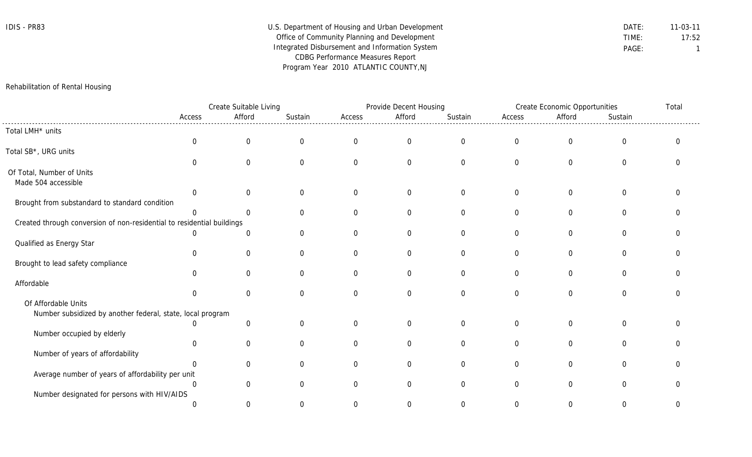| IDIS - PR83 | U.S. Department of Housing and Urban Development | DATE: | $11 - 03 - 11$ |
|-------------|--------------------------------------------------|-------|----------------|
|             | Office of Community Planning and Development     | TIME: | 17:52          |
|             | Integrated Disbursement and Information System   | PAGE: |                |
|             | <b>CDBG Performance Measures Report</b>          |       |                |
|             | Program Year 2010 ATLANTIC COUNTY, NJ            |       |                |

# Rehabilitation of Rental Housing

|                                                                        |                | Create Suitable Living |             |          | Provide Decent Housing |                  |                  | Create Economic Opportunities |                | Total    |
|------------------------------------------------------------------------|----------------|------------------------|-------------|----------|------------------------|------------------|------------------|-------------------------------|----------------|----------|
|                                                                        | Access         | Afford                 | Sustain     | Access   | Afford                 | Sustain          | Access           | Afford                        | Sustain        |          |
| Total LMH* units                                                       |                |                        |             |          |                        |                  |                  |                               |                |          |
|                                                                        | $\overline{0}$ | $\mathbf 0$            | $\mathbf 0$ | $\Omega$ | $\mathbf 0$            | $\boldsymbol{0}$ | $\boldsymbol{0}$ | $\mathbf 0$                   | $\mathbf 0$    | $\Omega$ |
| Total SB*, URG units                                                   |                |                        |             |          |                        |                  |                  |                               |                |          |
|                                                                        |                | $\Omega$               | $\Omega$    | $\Omega$ | $\mathbf 0$            | $\mathbf 0$      | $\mathbf 0$      | $\overline{0}$                | $\mathbf 0$    | $\Omega$ |
| Of Total, Number of Units                                              |                |                        |             |          |                        |                  |                  |                               |                |          |
| Made 504 accessible                                                    |                |                        |             |          |                        |                  |                  |                               |                |          |
|                                                                        | $\Omega$       |                        |             |          | $\mathbf{0}$           | $\boldsymbol{0}$ | $\mathbf 0$      | $\mathbf{0}$                  | $\Omega$       |          |
| Brought from substandard to standard condition                         |                |                        |             |          |                        |                  |                  |                               |                |          |
|                                                                        |                |                        | $\Omega$    | $\Omega$ | $\mathbf 0$            | $\mathbf 0$      | $\mathbf 0$      | $\overline{0}$                | $\mathbf 0$    | $\Omega$ |
| Created through conversion of non-residential to residential buildings |                |                        |             |          |                        |                  |                  |                               |                |          |
|                                                                        | $\Omega$       | $\Omega$               |             | $\Omega$ | $\mathbf 0$            | $\mathbf 0$      | $\mathbf 0$      | 0                             | $\mathbf 0$    |          |
| Qualified as Energy Star                                               |                |                        |             |          |                        |                  |                  |                               |                |          |
|                                                                        | $\Omega$       | $\Omega$               | $\Omega$    | $\Omega$ | $\Omega$               | $\mathbf 0$      | $\mathbf 0$      | $\Omega$                      | $\mathbf 0$    | ∩        |
| Brought to lead safety compliance                                      | $\Omega$       | ∩                      | $\Omega$    | ∩        | $\Omega$               | $\Omega$         | $\Omega$         | $\Omega$                      | $\Omega$       |          |
| Affordable                                                             |                |                        |             |          |                        |                  |                  |                               |                |          |
|                                                                        | $\Omega$       | $\Omega$               | $\Omega$    | $\Omega$ | $\mathbf 0$            | $\mathbf 0$      | $\mathbf 0$      | $\overline{0}$                | $\mathbf 0$    | $\Omega$ |
| Of Affordable Units                                                    |                |                        |             |          |                        |                  |                  |                               |                |          |
| Number subsidized by another federal, state, local program             |                |                        |             |          |                        |                  |                  |                               |                |          |
|                                                                        |                | $\Omega$               |             | $\Omega$ | $\mathbf{0}$           | $\boldsymbol{0}$ | $\mathbf 0$      | $\overline{0}$                | $\overline{0}$ |          |
| Number occupied by elderly                                             |                |                        |             |          |                        |                  |                  |                               |                |          |
|                                                                        | $\Omega$       | $\mathbf 0$            | $\Omega$    | $\Omega$ | $\Omega$               | $\mathbf 0$      | $\overline{0}$   | $\Omega$                      | $\Omega$       | $\Omega$ |
| Number of years of affordability                                       |                |                        |             |          |                        |                  |                  |                               |                |          |
|                                                                        |                | $\cap$                 | ∩           | $\cap$   | $\Omega$               | $\mathbf 0$      | $\mathbf 0$      | $\mathbf 0$                   | $\mathbf 0$    |          |
| Average number of years of affordability per unit                      |                |                        |             |          |                        |                  |                  |                               |                |          |
|                                                                        | $\Omega$       | $\Omega$               | $\Omega$    | $\Omega$ | $\Omega$               | $\overline{0}$   | $\Omega$         | $\Omega$                      | $\Omega$       |          |
| Number designated for persons with HIV/AIDS                            |                |                        |             |          |                        |                  |                  |                               |                |          |
|                                                                        | $\Omega$       | 0                      | O           |          | O                      | $\Omega$         | $\Omega$         | $\Omega$                      | $\Omega$       | 0        |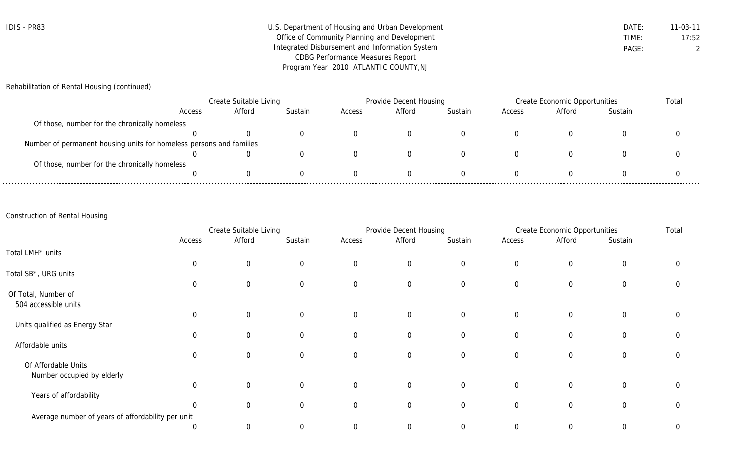| IDIS - PR83 | U.S. Department of Housing and Urban Development | DATE. | 11-03-11 |
|-------------|--------------------------------------------------|-------|----------|
|             | Office of Community Planning and Development     | TIME: | 17:52    |
|             | Integrated Disbursement and Information System   | PAGE: |          |
|             | <b>CDBG Performance Measures Report</b>          |       |          |
|             | Program Year 2010 ATLANTIC COUNTY, NJ            |       |          |

Rehabilitation of Rental Housing (continued)

|                                                                     | <b>Create Suitable Living</b> |        |         | Provide Decent Housing |        |         | Create Economic Opportunities |        |         | Total |
|---------------------------------------------------------------------|-------------------------------|--------|---------|------------------------|--------|---------|-------------------------------|--------|---------|-------|
|                                                                     | Access                        | Afford | Sustain | Access                 | Afford | Sustain | Access                        | Afford | Sustain |       |
| Of those, number for the chronically homeless                       |                               |        |         |                        |        |         |                               |        |         |       |
|                                                                     |                               |        |         |                        |        |         |                               |        |         |       |
| Number of permanent housing units for homeless persons and families |                               |        |         |                        |        |         |                               |        |         |       |
|                                                                     |                               | U      |         |                        |        |         |                               |        |         |       |
| Of those, number for the chronically homeless                       |                               |        |         |                        |        |         |                               |        |         |       |
|                                                                     |                               |        |         |                        |        |         |                               |        |         |       |

# Construction of Rental Housing

|                                                   |                | Create Suitable Living |                |                | Provide Decent Housing |                |                | <b>Create Economic Opportunities</b> |                |  |
|---------------------------------------------------|----------------|------------------------|----------------|----------------|------------------------|----------------|----------------|--------------------------------------|----------------|--|
|                                                   | Access         | Afford                 | Sustain        | Access         | Afford                 | Sustain        | Access         | Afford                               | Sustain        |  |
| Total LMH* units                                  |                |                        |                |                |                        |                |                |                                      |                |  |
|                                                   | $\mathbf 0$    | $\overline{0}$         | $\overline{0}$ | $\mathbf 0$    | $\overline{0}$         | $\overline{0}$ | $\overline{0}$ | $\overline{0}$                       | $\overline{0}$ |  |
| Total SB*, URG units                              |                |                        |                |                |                        |                |                |                                      |                |  |
|                                                   | $\mathbf 0$    | $\overline{0}$         | $\overline{0}$ | $\mathbf 0$    | $\overline{0}$         | $\overline{0}$ | $\overline{0}$ | $\mathbf 0$                          | $\overline{0}$ |  |
| Of Total, Number of                               |                |                        |                |                |                        |                |                |                                      |                |  |
| 504 accessible units                              |                |                        |                |                |                        |                |                |                                      |                |  |
|                                                   | $\mathbf 0$    | $\Omega$               | $\Omega$       | $\overline{0}$ | $\overline{0}$         | $\overline{0}$ | $\overline{0}$ | $\overline{0}$                       | $\overline{0}$ |  |
| Units qualified as Energy Star                    |                |                        |                |                |                        |                |                |                                      |                |  |
|                                                   | $\Omega$       | 0                      | $\overline{0}$ | $\mathbf 0$    | $\overline{0}$         | $\overline{0}$ | $\overline{0}$ | $\overline{0}$                       | $\overline{0}$ |  |
| Affordable units                                  |                |                        |                |                |                        |                |                |                                      |                |  |
|                                                   | $\mathbf{0}$   | $\Omega$               | $\Omega$       | $\mathbf 0$    | $\mathbf{0}$           | $\Omega$       | $\Omega$       | 0                                    | $\overline{0}$ |  |
| Of Affordable Units                               |                |                        |                |                |                        |                |                |                                      |                |  |
| Number occupied by elderly                        |                |                        |                |                |                        |                |                |                                      |                |  |
|                                                   | $\Omega$       | $\Omega$               | $\overline{0}$ | $\overline{0}$ | $\overline{0}$         | $\overline{0}$ | $\overline{0}$ | $\overline{0}$                       | $\overline{0}$ |  |
| Years of affordability                            |                |                        |                |                |                        |                |                |                                      |                |  |
|                                                   | $\Omega$       | 0                      | $\Omega$       | $\mathbf 0$    | $\mathbf 0$            | $\mathbf 0$    | $\Omega$       | 0                                    | $\overline{0}$ |  |
| Average number of years of affordability per unit |                |                        |                |                |                        |                |                |                                      |                |  |
|                                                   | $\overline{0}$ | $\overline{0}$         |                | $\Omega$       |                        | $\Omega$       |                | 0                                    | 0              |  |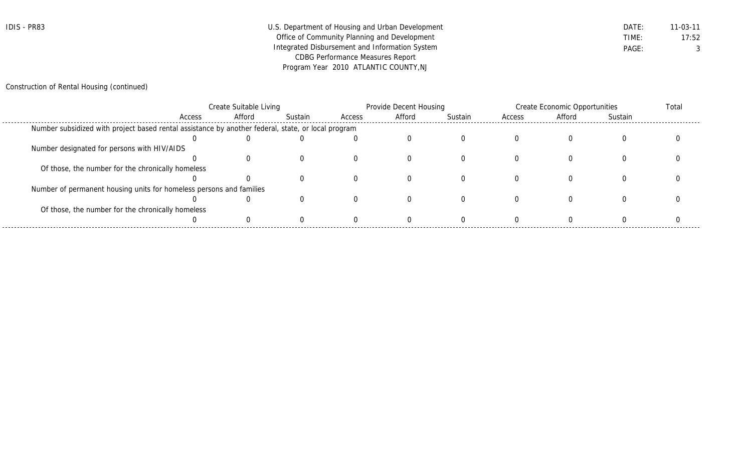| IDIS - PR83 | U.S. Department of Housing and Urban Development | DATE. | 11-03-11 |
|-------------|--------------------------------------------------|-------|----------|
|             | Office of Community Planning and Development     | TIME: | 17:52    |
|             | Integrated Disbursement and Information System   | PAGE: |          |
|             | <b>CDBG Performance Measures Report</b>          |       |          |
|             | Program Year 2010 ATLANTIC COUNTY, NJ            |       |          |

# Construction of Rental Housing (continued)

|                                                                                                    | Create Suitable Living |        |         |        | Provide Decent Housing |         |        | Create Economic Opportunities |         |  |
|----------------------------------------------------------------------------------------------------|------------------------|--------|---------|--------|------------------------|---------|--------|-------------------------------|---------|--|
|                                                                                                    | Access                 | Afford | Sustain | Access | Afford                 | Sustain | Access | Afford                        | Sustain |  |
| Number subsidized with project based rental assistance by another federal, state, or local program |                        |        |         |        |                        |         |        |                               |         |  |
|                                                                                                    |                        |        |         |        |                        |         |        |                               |         |  |
| Number designated for persons with HIV/AIDS                                                        |                        |        |         |        |                        |         |        |                               |         |  |
|                                                                                                    |                        |        |         |        |                        |         |        |                               |         |  |
| Of those, the number for the chronically homeless                                                  |                        |        |         |        |                        |         |        |                               |         |  |
|                                                                                                    |                        |        |         |        |                        |         |        |                               |         |  |
| Number of permanent housing units for homeless persons and families                                |                        |        |         |        |                        |         |        |                               |         |  |
|                                                                                                    |                        |        |         |        |                        |         |        |                               |         |  |
| Of those, the number for the chronically homeless                                                  |                        |        |         |        |                        |         |        |                               |         |  |
|                                                                                                    |                        |        |         |        |                        |         |        |                               |         |  |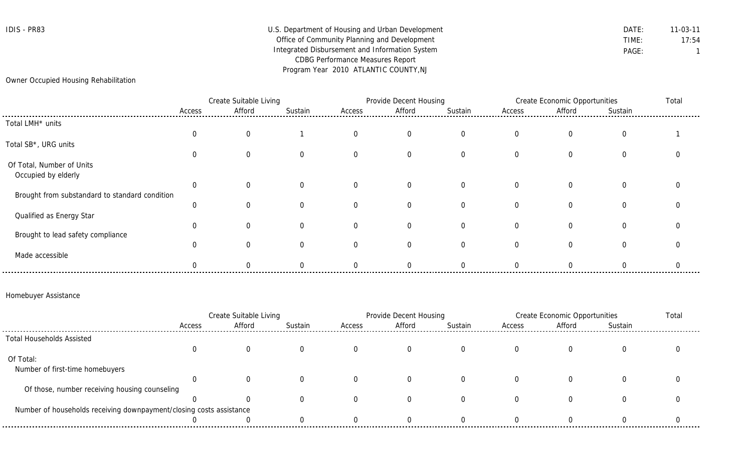# IDIS - PR83 Department of Housing and Urban Development DATE: DATE: 11-03-11 Office of Community Planning and Development TIME: TIME: 17:54 Integrated Disbursement and Information System **PAGE:** PAGE: 1 CDBG Performance Measures Report Program Year 2010 ATLANTIC COUNTY,NJ

Owner Occupied Housing Rehabilitation

|                                                  |        | Create Suitable Living |         |          | Provide Decent Housing |                |                | Create Economic Opportunities |              | Total |
|--------------------------------------------------|--------|------------------------|---------|----------|------------------------|----------------|----------------|-------------------------------|--------------|-------|
|                                                  | Access | Afford                 | Sustain | Access   | Afford                 | Sustain        | Access         | Afford                        | Sustain      |       |
| Total LMH* units                                 |        |                        |         |          |                        |                |                |                               |              |       |
|                                                  | U      | 0                      |         | $\Omega$ | $\overline{0}$         | $\overline{0}$ | 0              | $\mathbf{0}$                  | $\Omega$     |       |
| Total SB*, URG units                             |        |                        |         |          |                        |                |                |                               |              |       |
|                                                  | 0      | $\Omega$               |         | $\Omega$ | $\Omega$               | $\Omega$       | $\Omega$       | $\Omega$                      | $\mathbf{0}$ |       |
| Of Total, Number of Units<br>Occupied by elderly |        |                        |         |          |                        |                |                |                               |              |       |
|                                                  | 0      | 0                      |         |          | $\overline{0}$         | $\overline{0}$ | $\overline{0}$ | $\overline{0}$                | $\Omega$     |       |
| Brought from substandard to standard condition   |        |                        |         |          |                        |                |                |                               |              |       |
|                                                  | 0      |                        | 0       | $\Omega$ | $\Omega$               | $\Omega$       | $\Omega$       | $\Omega$                      | $\mathbf{0}$ |       |
| Qualified as Energy Star                         |        |                        |         |          |                        |                |                |                               |              |       |
|                                                  | 0      | $\Omega$               | 0       |          | 0                      | $\Omega$       | 0              | $\Omega$                      | $\Omega$     |       |
| Brought to lead safety compliance                |        |                        |         |          |                        |                |                |                               |              |       |
|                                                  |        | 0                      |         |          | $\Omega$               | $\Omega$       | 0              | $\Omega$                      | 0            |       |
| Made accessible                                  |        |                        |         |          | $\Omega$               |                |                |                               |              |       |

### Homebuyer Assistance

|                                                                     | Create Suitable Living |        |         |        | Provide Decent Housing |         |        | Create Economic Opportunities |         |  |
|---------------------------------------------------------------------|------------------------|--------|---------|--------|------------------------|---------|--------|-------------------------------|---------|--|
|                                                                     | Access                 | Afford | Sustain | Access | Afford                 | Sustain | Access | Afford                        | Sustain |  |
| <b>Total Households Assisted</b>                                    |                        |        |         |        |                        |         |        |                               |         |  |
|                                                                     |                        |        |         |        |                        |         |        |                               |         |  |
| Of Total:                                                           |                        |        |         |        |                        |         |        |                               |         |  |
| Number of first-time homebuyers                                     |                        |        |         |        |                        |         |        |                               |         |  |
|                                                                     |                        |        |         |        |                        |         |        |                               |         |  |
| Of those, number receiving housing counseling                       |                        |        |         |        |                        |         |        |                               |         |  |
|                                                                     |                        |        |         |        |                        |         |        |                               |         |  |
| Number of households receiving downpayment/closing costs assistance |                        |        |         |        |                        |         |        |                               |         |  |
|                                                                     |                        |        |         |        |                        |         |        |                               |         |  |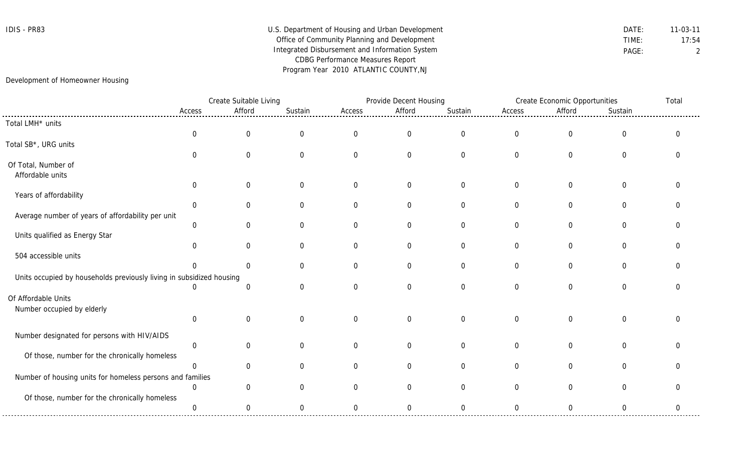# IDIS - PR83 Department of Housing and Urban Development DATE: 11-03-11 Office of Community Planning and Development TIME: 17:54 Integrated Disbursement and Information System **PAGE:** PAGE: 2 CDBG Performance Measures Report Program Year 2010 ATLANTIC COUNTY,NJ

# Development of Homeowner Housing

|                                                                      |                | Create Suitable Living |                |                  | Provide Decent Housing |                  |                | Create Economic Opportunities |                |   |
|----------------------------------------------------------------------|----------------|------------------------|----------------|------------------|------------------------|------------------|----------------|-------------------------------|----------------|---|
|                                                                      | Access         | Afford                 | Sustain        | Access           | Afford                 | Sustain          | Access         | Afford                        | Sustain        |   |
| Total LMH* units                                                     |                |                        |                |                  |                        |                  |                |                               |                |   |
|                                                                      | $\mathbf 0$    | $\overline{0}$         | $\overline{0}$ | $\boldsymbol{0}$ | $\boldsymbol{0}$       | $\boldsymbol{0}$ | $\mathbf 0$    | $\overline{0}$                | $\overline{0}$ | ∩ |
| Total SB*, URG units                                                 |                |                        |                |                  |                        |                  |                |                               |                |   |
|                                                                      | $\Omega$       | $\overline{0}$         | $\overline{0}$ | $\mathbf 0$      | $\overline{0}$         | $\overline{0}$   | $\overline{0}$ | $\mathbf 0$                   | 0              |   |
| Of Total, Number of                                                  |                |                        |                |                  |                        |                  |                |                               |                |   |
| Affordable units                                                     |                |                        |                |                  |                        |                  |                |                               |                |   |
|                                                                      | $\overline{0}$ | $\overline{0}$         | $\overline{0}$ | $\mathbf 0$      | $\mathbf 0$            | $\mathbf 0$      | $\overline{0}$ | $\overline{0}$                | $\overline{0}$ |   |
| Years of affordability                                               |                |                        |                |                  |                        |                  |                |                               |                |   |
|                                                                      | $\overline{0}$ | $\overline{0}$         | $\overline{0}$ | $\mathbf 0$      | $\overline{0}$         | $\overline{0}$   | 0              | $\Omega$                      | 0              |   |
| Average number of years of affordability per unit                    |                |                        |                |                  |                        |                  |                |                               |                |   |
|                                                                      | $\overline{0}$ | $\Omega$               | $\Omega$       | $\overline{0}$   | $\overline{0}$         | $\overline{0}$   | $\Omega$       | $\Omega$                      | $\Omega$       |   |
| Units qualified as Energy Star                                       | $\mathbf 0$    | 0                      | $\overline{0}$ | $\mathbf 0$      | $\mathbf 0$            | $\overline{0}$   | $\overline{0}$ | $\mathbf 0$                   | $\overline{0}$ |   |
| 504 accessible units                                                 |                |                        |                |                  |                        |                  |                |                               |                |   |
|                                                                      | ∩              | $\Omega$               | $\Omega$       | $\Omega$         | $\overline{0}$         | $\overline{0}$   | $\Omega$       | $\Omega$                      | $\Omega$       |   |
| Units occupied by households previously living in subsidized housing |                |                        |                |                  |                        |                  |                |                               |                |   |
|                                                                      | 0              | $\overline{0}$         | $\Omega$       | $\overline{0}$   | $\overline{0}$         | $\overline{0}$   | $\Omega$       | $\mathbf 0$                   | 0              |   |
| Of Affordable Units                                                  |                |                        |                |                  |                        |                  |                |                               |                |   |
| Number occupied by elderly                                           |                |                        |                |                  |                        |                  |                |                               |                |   |
|                                                                      | $\overline{0}$ | $\overline{0}$         | $\Omega$       | $\mathbf 0$      | $\mathbf 0$            | $\mathbf 0$      | $\overline{0}$ | $\Omega$                      | $\Omega$       |   |
|                                                                      |                |                        |                |                  |                        |                  |                |                               |                |   |
| Number designated for persons with HIV/AIDS                          |                |                        |                |                  |                        |                  |                |                               |                |   |
|                                                                      | $\mathbf 0$    | $\Omega$               | $\Omega$       | $\Omega$         | $\overline{0}$         | $\overline{0}$   | $\overline{0}$ | $\Omega$                      | $\Omega$       |   |
| Of those, number for the chronically homeless                        |                |                        |                |                  |                        |                  |                |                               |                |   |
|                                                                      | $\overline{0}$ | $\overline{0}$         | $\Omega$       | $\Omega$         | $\overline{0}$         | $\overline{0}$   | $\Omega$       | $\Omega$                      | $\Omega$       |   |
| Number of housing units for homeless persons and families            |                |                        |                |                  |                        |                  |                |                               |                |   |
|                                                                      | $\overline{0}$ | $\Omega$               | ∩              | $\Omega$         | $\overline{0}$         | $\overline{0}$   | $\overline{0}$ | $\Omega$                      | $\Omega$       |   |
| Of those, number for the chronically homeless                        |                |                        |                |                  |                        |                  |                |                               |                |   |
|                                                                      | $\mathbf 0$    | $\overline{0}$         | $\overline{0}$ | $\overline{0}$   | $\mathbf 0$            | $\mathbf 0$      | 0              | $\mathbf 0$                   | $\overline{0}$ | 0 |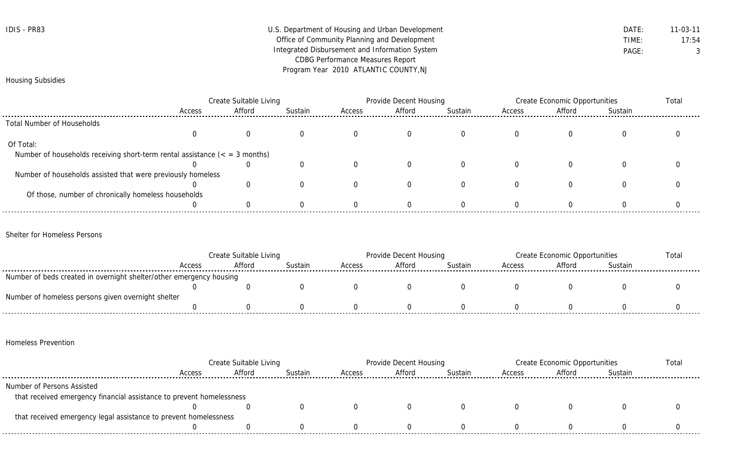| IDIS - | <b>PR83</b> |
|--------|-------------|
|--------|-------------|

# U.S. Department of Housing and Urban Development **DATE:** 11-03-11 Office of Community Planning and Development TIME: 17:54 Integrated Disbursement and Information System **PAGE:** PAGE: 3 CDBG Performance Measures Report Program Year 2010 ATLANTIC COUNTY,NJ

### Housing Subsidies

|                                                                             | Create Suitable Living |          |         | Provide Decent Housing |        |          | Create Economic Opportunities |        |         | Total |
|-----------------------------------------------------------------------------|------------------------|----------|---------|------------------------|--------|----------|-------------------------------|--------|---------|-------|
|                                                                             | Access                 | Afford   | Sustain | Access                 | Afford | Sustain  | Access                        | Afford | Sustain |       |
| <b>Total Number of Households</b>                                           |                        |          |         |                        |        |          |                               |        |         |       |
|                                                                             |                        | $\sigma$ |         |                        |        | 0        |                               |        | U       |       |
| Of Total:                                                                   |                        |          |         |                        |        |          |                               |        |         |       |
| Number of households receiving short-term rental assistance $($ = 3 months) |                        |          |         |                        |        |          |                               |        |         |       |
|                                                                             |                        |          |         |                        |        | $\Omega$ |                               |        |         |       |
| Number of households assisted that were previously homeless                 |                        |          |         |                        |        |          |                               |        |         |       |
|                                                                             |                        |          |         |                        |        | 0        |                               |        | O       |       |
| Of those, number of chronically homeless households                         |                        |          |         |                        |        |          |                               |        |         |       |
|                                                                             |                        |          |         |                        |        |          |                               |        |         |       |

#### Shelter for Homeless Persons

|                                                                     | Create Suitable Living |        |         | Provide Decent Housing |        |         | Create Economic Opportunities |        |         | Total |
|---------------------------------------------------------------------|------------------------|--------|---------|------------------------|--------|---------|-------------------------------|--------|---------|-------|
|                                                                     | Access                 | Afford | Sustain | Access                 | Afford | Sustain | Access                        | Afford | Sustain |       |
| Number of beds created in overnight shelter/other emergency housing |                        |        |         |                        |        |         |                               |        |         |       |
|                                                                     |                        |        |         |                        |        |         |                               |        |         |       |
| Number of homeless persons given overnight shelter                  |                        |        |         |                        |        |         |                               |        |         |       |
|                                                                     |                        |        |         |                        |        |         |                               |        |         |       |

## Homeless Prevention

|                                                                      | Create Suitable Living |        |         | Provide Decent Housing |        |         | Create Economic Opportunities |        |         | Total |
|----------------------------------------------------------------------|------------------------|--------|---------|------------------------|--------|---------|-------------------------------|--------|---------|-------|
|                                                                      | Access                 | Afford | Sustain | Access                 | Afford | Sustain | Access                        | Afford | Sustain |       |
| Number of Persons Assisted                                           |                        |        |         |                        |        |         |                               |        |         |       |
| that received emergency financial assistance to prevent homelessness |                        |        |         |                        |        |         |                               |        |         |       |
|                                                                      |                        |        |         |                        |        |         |                               |        |         |       |
| that received emergency legal assistance to prevent homelessness     |                        |        |         |                        |        |         |                               |        |         |       |
|                                                                      |                        |        |         |                        |        |         |                               |        |         |       |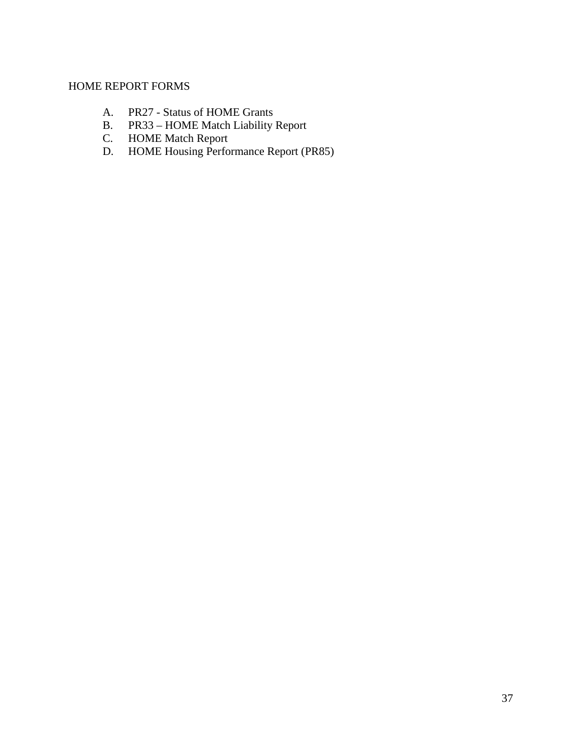# HOME REPORT FORMS

- A. PR27 Status of HOME Grants<br>B. PR33 HOME Match Liability
- PR33 HOME Match Liability Report
- C. HOME Match Report
- D. HOME Housing Performance Report (PR85)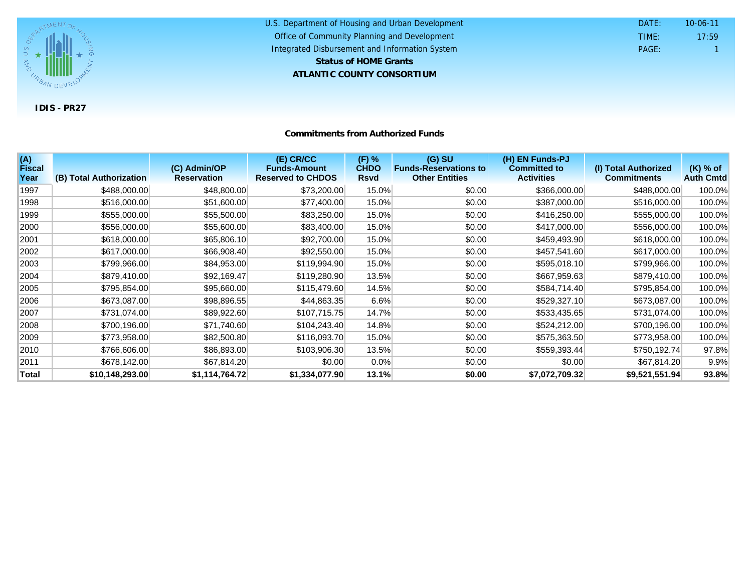

#### U.S. Department of Housing and Urban Development **ATLANTIC COUNTY CONSORTIUM** Office of Community Planning and Development Integrated Disbursement and Information System DATE: TIME: PAGE: 1 17:59 10-06-11 **Status of HOME Grants**

#### **Commitments from Authorized Funds**

| (A)<br><b>Fiscal</b><br>Year | (B) Total Authorization | (C) Admin/OP<br><b>Reservation</b> | (E) CR/CC<br><b>Funds-Amount</b><br><b>Reserved to CHDOS</b> | $(F)$ %<br><b>CHDO</b><br><b>Rsvd</b> | $(G)$ SU<br><b>Funds-Reservations to</b><br><b>Other Entities</b> | (H) EN Funds-PJ<br><b>Committed to</b><br><b>Activities</b> | (I) Total Authorized<br><b>Commitments</b> | $(K)$ % of<br><b>Auth Cmtd</b> |
|------------------------------|-------------------------|------------------------------------|--------------------------------------------------------------|---------------------------------------|-------------------------------------------------------------------|-------------------------------------------------------------|--------------------------------------------|--------------------------------|
| 1997                         | \$488,000.00            | \$48,800.00                        | \$73,200.00                                                  | 15.0%                                 | \$0.00                                                            | \$366,000.00                                                | \$488,000.00                               | 100.0%                         |
| 1998                         | \$516,000.00            | \$51,600.00                        | \$77,400.00                                                  | 15.0%                                 | \$0.00                                                            | \$387,000.00                                                | \$516,000.00                               | 100.0%                         |
| 1999                         | \$555,000.00            | \$55,500.00                        | \$83,250.00                                                  | 15.0%                                 | \$0.00                                                            | \$416,250.00                                                | \$555,000.00                               | 100.0%                         |
| 2000                         | \$556,000.00            | \$55,600.00                        | \$83,400.00                                                  | 15.0%                                 | \$0.00                                                            | \$417,000.00                                                | \$556,000.00                               | 100.0%                         |
| 2001                         | \$618,000.00            | \$65,806.10                        | \$92,700.00                                                  | 15.0%                                 | \$0.00                                                            | \$459,493.90                                                | \$618,000.00                               | 100.0%                         |
| 2002                         | \$617,000.00            | \$66,908.40                        | \$92,550.00                                                  | 15.0%                                 | \$0.00                                                            | \$457,541.60                                                | \$617,000.00                               | 100.0%                         |
| 2003                         | \$799,966.00            | \$84,953.00                        | \$119,994.90                                                 | 15.0%                                 | \$0.00                                                            | \$595,018.10                                                | \$799,966.00                               | 100.0%                         |
| 2004                         | \$879,410.00            | \$92,169.47                        | \$119,280.90                                                 | 13.5%                                 | \$0.00                                                            | \$667,959.63                                                | \$879,410.00                               | 100.0%                         |
| 2005                         | \$795,854.00            | \$95,660.00                        | \$115,479.60                                                 | 14.5%                                 | \$0.00                                                            | \$584,714.40                                                | \$795,854.00                               | 100.0%                         |
| 2006                         | \$673,087.00            | \$98,896.55                        | \$44,863.35                                                  | 6.6%                                  | \$0.00                                                            | \$529,327.10                                                | \$673,087.00                               | 100.0%                         |
| 2007                         | \$731,074.00            | \$89,922.60                        | \$107,715.75                                                 | 14.7%                                 | \$0.00                                                            | \$533,435.65                                                | \$731,074.00                               | 100.0%                         |
| 2008                         | \$700,196.00            | \$71,740.60                        | \$104,243.40                                                 | 14.8%                                 | \$0.00                                                            | \$524,212.00                                                | \$700,196.00                               | 100.0%                         |
| 2009                         | \$773,958.00            | \$82,500.80                        | \$116,093.70                                                 | 15.0%                                 | \$0.00                                                            | \$575,363.50                                                | \$773,958.00                               | 100.0%                         |
| 2010                         | \$766,606.00            | \$86,893.00                        | \$103,906.30                                                 | 13.5%                                 | \$0.00                                                            | \$559,393.44                                                | \$750,192.74                               | 97.8%                          |
| 2011                         | \$678,142.00            | \$67,814.20                        | \$0.00                                                       | 0.0%                                  | \$0.00                                                            | \$0.00                                                      | \$67,814.20                                | 9.9%                           |
| <b>Total</b>                 | \$10,148,293.00         | \$1,114,764.72                     | \$1,334,077.90                                               | 13.1%                                 | \$0.00                                                            | \$7,072,709.32                                              | \$9,521,551.94                             | 93.8%                          |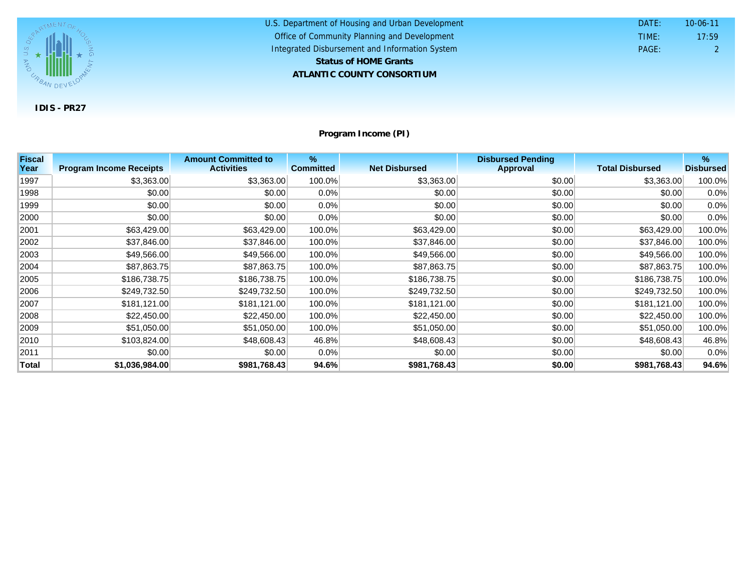

U.S. Department of Housing and Urban Development **ATLANTIC COUNTY CONSORTIUM** Office of Community Planning and Development Integrated Disbursement and Information System DATE: TIME: PAGE: 2 17:59 10-06-11 **Status of HOME Grants**

**Program Income (PI)**

| <b>Fiscal</b> |                                | <b>Amount Committed to</b> | %                |                      | <b>Disbursed Pending</b> |                        | %                |
|---------------|--------------------------------|----------------------------|------------------|----------------------|--------------------------|------------------------|------------------|
| Year          | <b>Program Income Receipts</b> | <b>Activities</b>          | <b>Committed</b> | <b>Net Disbursed</b> | <b>Approval</b>          | <b>Total Disbursed</b> | <b>Disbursed</b> |
| 1997          | \$3,363.00                     | \$3,363.00                 | 100.0%           | \$3,363.00           | \$0.00                   | \$3,363.00             | 100.0%           |
| 1998          | \$0.00                         | \$0.00                     | $0.0\%$          | \$0.00               | \$0.00                   | \$0.00                 | 0.0%             |
| 1999          | \$0.00                         | \$0.00                     | $0.0\%$          | \$0.00               | \$0.00                   | \$0.00                 | 0.0%             |
| 2000          | \$0.00                         | \$0.00                     | $0.0\%$          | \$0.00               | \$0.00                   | \$0.00                 | 0.0%             |
| 2001          | \$63,429.00                    | \$63,429.00                | 100.0%           | \$63,429.00          | \$0.00                   | \$63,429.00            | 100.0%           |
| 2002          | \$37,846.00                    | \$37,846.00                | 100.0%           | \$37,846.00          | \$0.00                   | \$37,846.00            | 100.0%           |
| 2003          | \$49,566.00                    | \$49,566.00                | 100.0%           | \$49,566.00          | \$0.00                   | \$49,566.00            | 100.0%           |
| 2004          | \$87,863.75                    | \$87,863.75                | 100.0%           | \$87,863.75          | \$0.00                   | \$87,863.75            | 100.0%           |
| 2005          | \$186,738.75                   | \$186,738.75               | 100.0%           | \$186,738.75         | \$0.00                   | \$186,738.75           | 100.0%           |
| 2006          | \$249,732.50                   | \$249,732.50               | 100.0%           | \$249,732.50         | \$0.00                   | \$249,732.50           | 100.0%           |
| 2007          | \$181,121.00                   | \$181,121.00               | 100.0%           | \$181,121.00         | \$0.00                   | \$181,121.00           | 100.0%           |
| 2008          | \$22,450.00                    | \$22,450.00                | 100.0%           | \$22,450.00          | \$0.00                   | \$22,450.00            | 100.0%           |
| 2009          | \$51,050.00                    | \$51,050.00                | 100.0%           | \$51,050.00          | \$0.00                   | \$51,050.00            | 100.0%           |
| 2010          | \$103,824.00                   | \$48,608.43                | 46.8%            | \$48,608.43          | \$0.00                   | \$48,608.43            | 46.8%            |
| 2011          | \$0.00                         | \$0.00                     | $0.0\%$          | \$0.00               | \$0.00                   | \$0.00                 | 0.0%             |
| <b>Total</b>  | \$1,036,984.00                 | \$981,768.43               | 94.6%            | \$981,768.43         | \$0.00                   | \$981,768.43           | 94.6%            |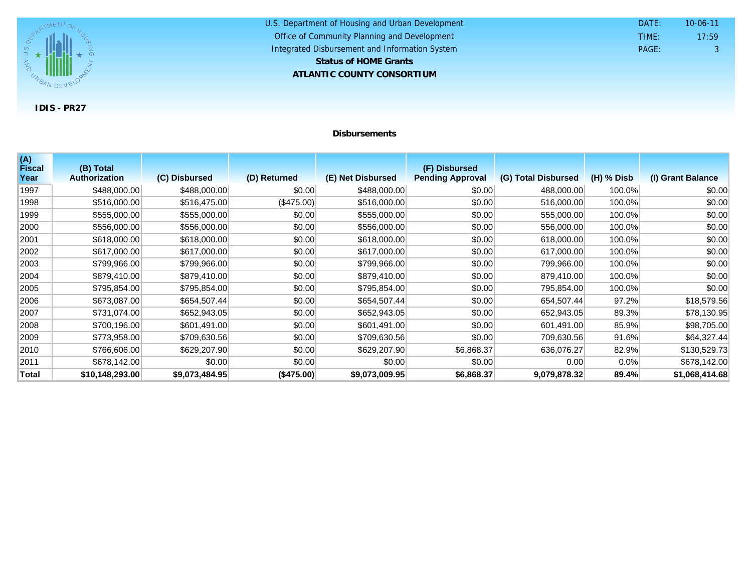

#### U.S. Department of Housing and Urban Development **ATLANTIC COUNTY CONSORTIUM** Office of Community Planning and Development Integrated Disbursement and Information System DATE: TIME: PAGE: 3 17:59 10-06-11 **Status of HOME Grants**

### **Disbursements**

| (A)<br><b>Fiscal</b> | (B) Total            |                |              |                   | (F) Disbursed           |                     |              |                   |
|----------------------|----------------------|----------------|--------------|-------------------|-------------------------|---------------------|--------------|-------------------|
| Year                 | <b>Authorization</b> | (C) Disbursed  | (D) Returned | (E) Net Disbursed | <b>Pending Approval</b> | (G) Total Disbursed | $(H)$ % Disb | (I) Grant Balance |
| 1997                 | \$488,000.00         | \$488,000.00   | \$0.00       | \$488,000.00      | \$0.00                  | 488,000.00          | 100.0%       | \$0.00            |
| 1998                 | \$516,000.00         | \$516,475.00   | (\$475.00)   | \$516,000.00      | \$0.00                  | 516,000.00          | 100.0%       | \$0.00            |
| 1999                 | \$555,000.00         | \$555,000.00   | \$0.00       | \$555,000.00      | \$0.00                  | 555,000.00          | 100.0%       | \$0.00            |
| 2000                 | \$556,000.00         | \$556,000.00   | \$0.00       | \$556,000.00      | \$0.00                  | 556,000.00          | 100.0%       | \$0.00            |
| 2001                 | \$618,000.00         | \$618,000.00   | \$0.00       | \$618,000.00      | \$0.00                  | 618,000.00          | 100.0%       | \$0.00            |
| 2002                 | \$617,000.00         | \$617,000.00   | \$0.00       | \$617,000.00      | \$0.00                  | 617,000.00          | 100.0%       | \$0.00            |
| 2003                 | \$799,966.00         | \$799,966.00   | \$0.00       | \$799,966.00      | \$0.00                  | 799,966.00          | 100.0%       | \$0.00            |
| 2004                 | \$879,410.00         | \$879,410.00   | \$0.00       | \$879,410.00      | \$0.00                  | 879,410.00          | 100.0%       | \$0.00            |
| 2005                 | \$795,854.00         | \$795,854.00   | \$0.00       | \$795,854.00      | \$0.00                  | 795,854.00          | 100.0%       | \$0.00            |
| 2006                 | \$673,087.00         | \$654,507.44   | \$0.00       | \$654,507.44      | \$0.00                  | 654,507.44          | 97.2%        | \$18,579.56       |
| 2007                 | \$731,074.00         | \$652,943.05   | \$0.00       | \$652,943.05      | \$0.00                  | 652,943.05          | 89.3%        | \$78,130.95       |
| 2008                 | \$700,196.00         | \$601,491.00   | \$0.00       | \$601,491.00      | \$0.00                  | 601,491.00          | 85.9%        | \$98,705.00       |
| 2009                 | \$773,958.00         | \$709,630.56   | \$0.00       | \$709,630.56      | \$0.00                  | 709,630.56          | 91.6%        | \$64,327.44       |
| 2010                 | \$766,606.00         | \$629,207.90   | \$0.00       | \$629,207.90      | \$6,868.37              | 636,076.27          | 82.9%        | \$130,529.73      |
| 2011                 | \$678,142.00         | \$0.00         | \$0.00       | \$0.00            | \$0.00                  | 0.00                | $0.0\%$      | \$678,142.00      |
| Total                | \$10,148,293.00      | \$9,073,484.95 | (\$475.00)   | \$9,073,009.95    | \$6,868.37              | 9,079,878.32        | 89.4%        | \$1,068,414.68    |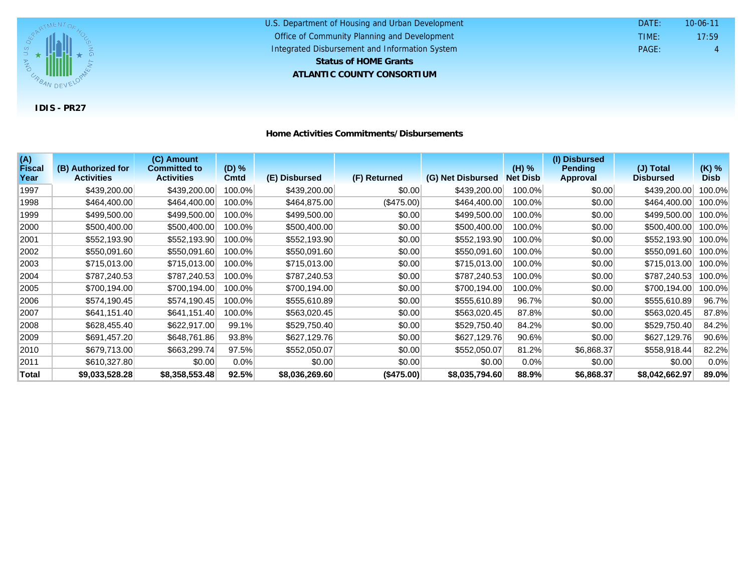

#### U.S. Department of Housing and Urban Development **ATLANTIC COUNTY CONSORTIUM** Office of Community Planning and Development Integrated Disbursement and Information System DATE: TIME: PAGE: 4 17:59 10-06-11 **Status of HOME Grants**

| Home Activities Commitments/Disbursements |  |
|-------------------------------------------|--|
|-------------------------------------------|--|

| (A)<br><b>Fiscal</b> | (B) Authorized for | (C) Amount<br><b>Committed to</b> | $(D)$ % |                |              |                   | (H) %           | (I) Disbursed<br><b>Pending</b> | (J) Total        | $(K)$ %     |
|----------------------|--------------------|-----------------------------------|---------|----------------|--------------|-------------------|-----------------|---------------------------------|------------------|-------------|
| Year                 | <b>Activities</b>  | <b>Activities</b>                 | Cmtd    | (E) Disbursed  | (F) Returned | (G) Net Disbursed | <b>Net Disb</b> | <b>Approval</b>                 | <b>Disbursed</b> | <b>Disb</b> |
| 1997                 | \$439,200.00       | \$439,200.00                      | 100.0%  | \$439,200.00   | \$0.00       | \$439,200.00      | 100.0%          | \$0.00                          | \$439,200.00     | 100.0%      |
| 1998                 | \$464,400.00       | \$464,400.00                      | 100.0%  | \$464,875.00   | (\$475.00)   | \$464,400.00      | 100.0%          | \$0.00                          | \$464,400.00     | 100.0%      |
| 1999                 | \$499,500.00       | \$499,500.00                      | 100.0%  | \$499,500.00   | \$0.00       | \$499,500.00      | 100.0%          | \$0.00                          | \$499,500.00     | 100.0%      |
| 2000                 | \$500,400.00       | \$500,400.00                      | 100.0%  | \$500,400.00   | \$0.00       | \$500,400.00      | 100.0%          | \$0.00                          | \$500,400.00     | 100.0%      |
| 2001                 | \$552,193.90       | \$552,193.90                      | 100.0%  | \$552,193.90   | \$0.00       | \$552,193.90      | 100.0%          | \$0.00                          | \$552,193.90     | 100.0%      |
| 2002                 | \$550,091.60       | \$550,091.60                      | 100.0%  | \$550,091.60   | \$0.00       | \$550,091.60      | 100.0%          | \$0.00                          | \$550,091.60     | 100.0%      |
| 2003                 | \$715,013.00       | \$715,013.00                      | 100.0%  | \$715,013.00   | \$0.00       | \$715,013.00      | 100.0%          | \$0.00                          | \$715,013.00     | 100.0%      |
| 2004                 | \$787,240.53       | \$787,240.53                      | 100.0%  | \$787,240.53   | \$0.00       | \$787,240.53      | 100.0%          | \$0.00                          | \$787,240.53     | 100.0%      |
| 2005                 | \$700,194.00       | \$700,194.00                      | 100.0%  | \$700,194.00   | \$0.00       | \$700,194.00      | 100.0%          | \$0.00                          | \$700,194.00     | 100.0%      |
| 2006                 | \$574,190.45       | \$574,190.45                      | 100.0%  | \$555,610.89   | \$0.00       | \$555,610.89      | 96.7%           | \$0.00                          | \$555,610.89     | 96.7%       |
| 2007                 | \$641,151.40       | \$641,151.40                      | 100.0%  | \$563,020.45   | \$0.00       | \$563,020.45      | 87.8%           | \$0.00                          | \$563,020.45     | 87.8%       |
| 2008                 | \$628,455.40       | \$622,917.00                      | 99.1%   | \$529,750.40   | \$0.00       | \$529,750.40      | 84.2%           | \$0.00                          | \$529,750.40     | 84.2%       |
| 2009                 | \$691,457.20       | \$648,761.86                      | 93.8%   | \$627,129.76   | \$0.00       | \$627,129.76      | 90.6%           | \$0.00                          | \$627,129.76     | 90.6%       |
| 2010                 | \$679,713.00       | \$663,299.74                      | 97.5%   | \$552,050.07   | \$0.00       | \$552,050.07      | 81.2%           | \$6,868.37                      | \$558,918.44     | 82.2%       |
| 2011                 | \$610,327.80       | \$0.00                            | $0.0\%$ | \$0.00         | \$0.00       | \$0.00            | 0.0%            | \$0.00                          | \$0.00           | 0.0%        |
| Total                | \$9,033,528.28     | \$8,358,553.48                    | 92.5%   | \$8,036,269.60 | (\$475.00)   | \$8,035,794.60    | 88.9%           | \$6,868.37                      | \$8,042,662.97   | 89.0%       |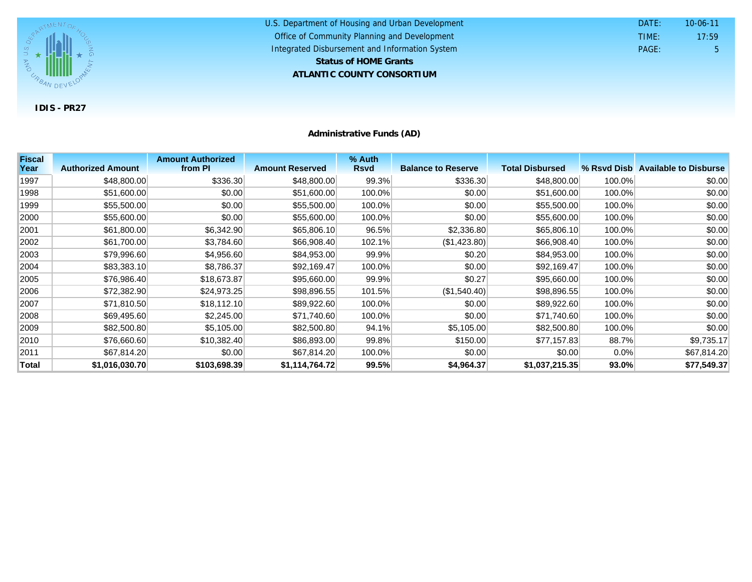

U.S. Department of Housing and Urban Development **ATLANTIC COUNTY CONSORTIUM** Office of Community Planning and Development Integrated Disbursement and Information System DATE: TIME: PAGE: 5 17:59 10-06-11 **Status of HOME Grants**

**Administrative Funds (AD)**

| <b>Fiscal</b> |                          | <b>Amount Authorized</b> |                        | % Auth      |                           |                        |         |                                   |
|---------------|--------------------------|--------------------------|------------------------|-------------|---------------------------|------------------------|---------|-----------------------------------|
| Year          | <b>Authorized Amount</b> | from PI                  | <b>Amount Reserved</b> | <b>Rsvd</b> | <b>Balance to Reserve</b> | <b>Total Disbursed</b> |         | % Rsyd Disb Available to Disburse |
| 1997          | \$48,800.00              | \$336.30                 | \$48,800.00            | 99.3%       | \$336.30                  | \$48,800.00            | 100.0%  | \$0.00                            |
| 1998          | \$51,600.00              | \$0.00                   | \$51,600.00            | 100.0%      | \$0.00                    | \$51,600.00            | 100.0%  | \$0.00                            |
| 1999          | \$55,500.00              | \$0.00                   | \$55,500.00            | 100.0%      | \$0.00                    | \$55,500.00            | 100.0%  | \$0.00                            |
| 2000          | \$55,600.00              | \$0.00                   | \$55,600.00            | 100.0%      | \$0.00                    | \$55,600.00            | 100.0%  | \$0.00                            |
| 2001          | \$61,800.00              | \$6,342.90               | \$65,806.10            | 96.5%       | \$2,336.80                | \$65,806.10            | 100.0%  | \$0.00                            |
| 2002          | \$61,700.00              | \$3,784.60               | \$66,908.40            | 102.1%      | (\$1,423.80)              | \$66,908.40            | 100.0%  | \$0.00                            |
| 2003          | \$79,996.60              | \$4,956.60               | \$84,953.00            | 99.9%       | \$0.20                    | \$84,953.00            | 100.0%  | \$0.00                            |
| 2004          | \$83,383.10              | \$8,786.37               | \$92,169.47            | 100.0%      | \$0.00                    | \$92,169.47            | 100.0%  | \$0.00                            |
| 2005          | \$76,986.40              | \$18,673.87              | \$95,660.00            | 99.9%       | \$0.27                    | \$95,660.00            | 100.0%  | \$0.00                            |
| 2006          | \$72,382.90              | \$24,973.25              | \$98,896.55            | 101.5%      | (\$1,540.40)              | \$98,896.55            | 100.0%  | \$0.00                            |
| 2007          | \$71,810.50              | \$18,112.10              | \$89,922.60            | 100.0%      | \$0.00                    | \$89,922.60            | 100.0%  | \$0.00                            |
| 2008          | \$69,495.60              | \$2,245.00               | \$71,740.60            | 100.0%      | \$0.00                    | \$71,740.60            | 100.0%  | \$0.00                            |
| 2009          | \$82,500.80              | \$5,105.00               | \$82,500.80            | 94.1%       | \$5,105.00                | \$82,500.80            | 100.0%  | \$0.00                            |
| 2010          | \$76,660.60              | \$10,382.40              | \$86,893.00            | 99.8%       | \$150.00                  | \$77,157.83            | 88.7%   | \$9,735.17                        |
| 2011          | \$67,814.20              | \$0.00                   | \$67,814.20            | 100.0%      | \$0.00                    | \$0.00                 | $0.0\%$ | \$67,814.20                       |
| <b>Total</b>  | \$1,016,030.70           | \$103,698.39             | \$1,114,764.72         | 99.5%       | \$4,964.37                | \$1,037,215.35         | 93.0%   | \$77,549.37                       |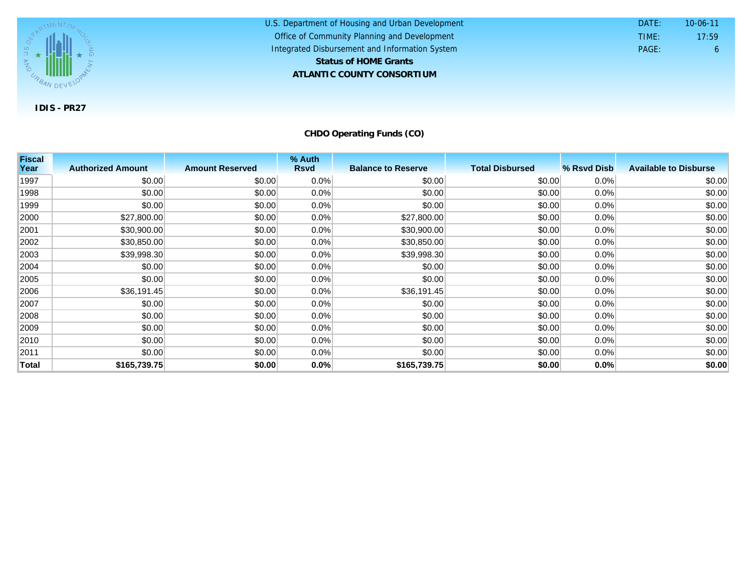

U.S. Department of Housing and Urban Development **ATLANTIC COUNTY CONSORTIUM** Office of Community Planning and Development Integrated Disbursement and Information System DATE: TIME: PAGE: 6 17:59 10-06-11 **Status of HOME Grants**

**CHDO Operating Funds (CO)**

| <b>Fiscal</b> |                          |                        | % Auth      |                           |                        |             |                              |
|---------------|--------------------------|------------------------|-------------|---------------------------|------------------------|-------------|------------------------------|
| Year          | <b>Authorized Amount</b> | <b>Amount Reserved</b> | <b>Rsvd</b> | <b>Balance to Reserve</b> | <b>Total Disbursed</b> | % Rsvd Disb | <b>Available to Disburse</b> |
| 1997          | \$0.00                   | \$0.00                 | 0.0%        | \$0.00                    | \$0.00                 | 0.0%        | \$0.00                       |
| 1998          | \$0.00                   | \$0.00                 | 0.0%        | \$0.00                    | \$0.00                 | 0.0%        | \$0.00                       |
| 1999          | \$0.00                   | \$0.00                 | 0.0%        | \$0.00                    | \$0.00                 | 0.0%        | \$0.00                       |
| 2000          | \$27,800.00              | \$0.00                 | 0.0%        | \$27,800.00               | \$0.00                 | 0.0%        | \$0.00                       |
| 2001          | \$30,900.00              | \$0.00                 | $0.0\%$     | \$30,900.00               | \$0.00                 | 0.0%        | \$0.00                       |
| 2002          | \$30,850.00              | \$0.00                 | 0.0%        | \$30,850.00               | \$0.00                 | 0.0%        | \$0.00                       |
| 2003          | \$39,998.30              | \$0.00                 | 0.0%        | \$39,998.30               | \$0.00                 | 0.0%        | \$0.00                       |
| 2004          | \$0.00                   | \$0.00                 | 0.0%        | \$0.00                    | \$0.00                 | 0.0%        | \$0.00                       |
| 2005          | \$0.00                   | \$0.00                 | 0.0%        | \$0.00                    | \$0.00                 | 0.0%        | \$0.00                       |
| 2006          | \$36,191.45              | \$0.00                 | 0.0%        | \$36,191.45               | \$0.00                 | 0.0%        | \$0.00                       |
| 2007          | \$0.00                   | \$0.00                 | $0.0\%$     | \$0.00                    | \$0.00                 | 0.0%        | \$0.00                       |
| 2008          | \$0.00                   | \$0.00                 | 0.0%        | \$0.00                    | \$0.00                 | 0.0%        | \$0.00                       |
| 2009          | \$0.00                   | \$0.00                 | 0.0%        | \$0.00                    | \$0.00                 | 0.0%        | \$0.00                       |
| 2010          | \$0.00                   | \$0.00                 | 0.0%        | \$0.00                    | \$0.00                 | 0.0%        | \$0.00                       |
| 2011          | \$0.00                   | \$0.00                 | $0.0\%$     | \$0.00                    | \$0.00                 | 0.0%        | \$0.00                       |
| Total         | \$165,739.75             | \$0.00                 | 0.0%        | \$165,739.75              | \$0.00                 | 0.0%        | \$0.00                       |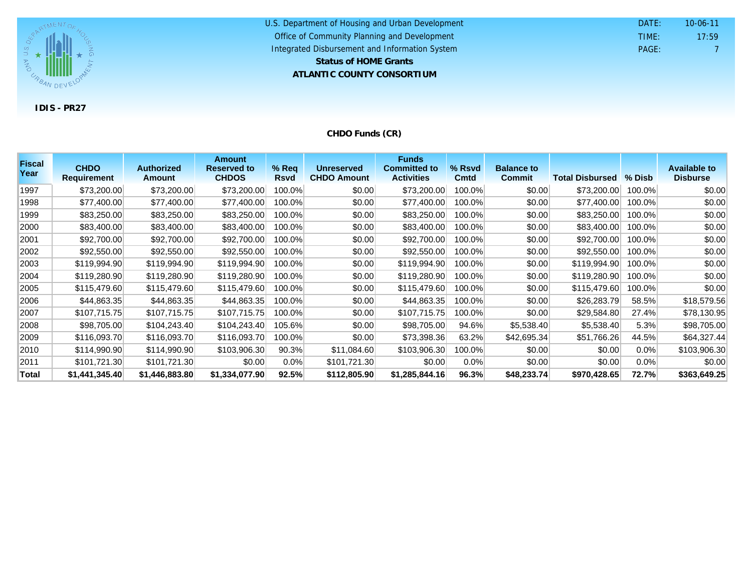

#### U.S. Department of Housing and Urban Development **ATLANTIC COUNTY CONSORTIUM** Office of Community Planning and Development Integrated Disbursement and Information System DATE: TIME: PAGE: 7 17:59 10-06-11 **Status of HOME Grants**

# **CHDO Funds (CR)**

| <b>Fiscal</b><br>Year | <b>CHDO</b>        | <b>Authorized</b> | <b>Amount</b><br><b>Reserved to</b> | $%$ Req     | <b>Unreserved</b>  | <b>Funds</b><br><b>Committed to</b> | % Rsvd      | <b>Balance to</b> |                        |          | <b>Available to</b> |
|-----------------------|--------------------|-------------------|-------------------------------------|-------------|--------------------|-------------------------------------|-------------|-------------------|------------------------|----------|---------------------|
|                       | <b>Requirement</b> | <b>Amount</b>     | <b>CHDOS</b>                        | <b>Rsvd</b> | <b>CHDO Amount</b> | <b>Activities</b>                   | <b>Cmtd</b> | <b>Commit</b>     | <b>Total Disbursed</b> | $%$ Disb | <b>Disburse</b>     |
| 1997                  | \$73,200.00        | \$73,200.00       | \$73,200.00                         | 100.0%      | \$0.00             | \$73,200.00                         | 100.0%      | \$0.00            | \$73,200.00            | 100.0%   | \$0.00              |
| 1998                  | \$77,400.00        | \$77,400.00       | \$77,400.00                         | 100.0%      | \$0.00             | \$77,400.00                         | 100.0%      | \$0.00            | \$77,400.00            | 100.0%   | \$0.00              |
| 1999                  | \$83,250.00        | \$83,250.00       | \$83,250.00                         | 100.0%      | \$0.00             | \$83,250.00                         | 100.0%      | \$0.00            | \$83,250.00            | 100.0%   | \$0.00              |
| 2000                  | \$83,400.00        | \$83,400.00       | \$83,400.00                         | 100.0%      | \$0.00             | \$83,400.00                         | 100.0%      | \$0.00            | \$83,400.00            | 100.0%   | \$0.00              |
| 2001                  | \$92,700.00        | \$92,700.00       | \$92,700.00                         | 100.0%      | \$0.00             | \$92,700.00                         | 100.0%      | \$0.00            | \$92,700.00            | 100.0%   | \$0.00              |
| 2002                  | \$92,550.00        | \$92,550.00       | \$92,550.00                         | 100.0%      | \$0.00             | \$92,550.00                         | 100.0%      | \$0.00            | \$92,550.00            | 100.0%   | \$0.00              |
| 2003                  | \$119,994.90       | \$119,994.90      | \$119,994.90                        | 100.0%      | \$0.00             | \$119,994.90                        | 100.0%      | \$0.00            | \$119,994.90           | 100.0%   | \$0.00              |
| 2004                  | \$119,280.90       | \$119,280.90      | \$119,280.90                        | 100.0%      | \$0.00             | \$119,280.90                        | 100.0%      | \$0.00            | \$119,280.90           | 100.0%   | \$0.00              |
| 2005                  | \$115,479.60       | \$115,479.60      | \$115,479.60                        | 100.0%      | \$0.00             | \$115,479.60                        | 100.0%      | \$0.00            | \$115,479.60           | 100.0%   | \$0.00              |
| 2006                  | \$44,863.35        | \$44,863.35       | \$44,863.35                         | 100.0%      | \$0.00             | \$44,863.35                         | 100.0%      | \$0.00            | \$26,283.79            | 58.5%    | \$18,579.56         |
| 2007                  | \$107,715.75       | \$107,715.75      | \$107,715.75                        | 100.0%      | \$0.00             | \$107,715.75                        | 100.0%      | \$0.00            | \$29,584.80            | 27.4%    | \$78,130.95         |
| 2008                  | \$98,705.00        | \$104,243.40      | \$104,243.40                        | 105.6%      | \$0.00             | \$98,705.00                         | 94.6%       | \$5,538.40        | \$5,538.40             | 5.3%     | \$98,705.00         |
| 2009                  | \$116,093.70       | \$116,093.70      | \$116,093.70                        | 100.0%      | \$0.00             | \$73,398.36                         | 63.2%       | \$42,695.34       | \$51,766.26            | 44.5%    | \$64,327.44         |
| 2010                  | \$114,990.90       | \$114,990.90      | \$103,906.30                        | 90.3%       | \$11,084.60        | \$103,906.30                        | 100.0%      | \$0.00            | \$0.00                 | $0.0\%$  | \$103,906.30        |
| 2011                  | \$101,721.30       | \$101,721.30      | \$0.00                              | 0.0%        | \$101,721.30       | \$0.00                              | $0.0\%$     | \$0.00            | \$0.00                 | $0.0\%$  | \$0.00              |
| Total                 | \$1,441,345.40     | \$1,446,883.80    | \$1,334,077.90                      | 92.5%       | \$112,805.90       | \$1,285,844.16                      | 96.3%       | \$48,233.74       | \$970,428.65           | 72.7%    | \$363,649.25        |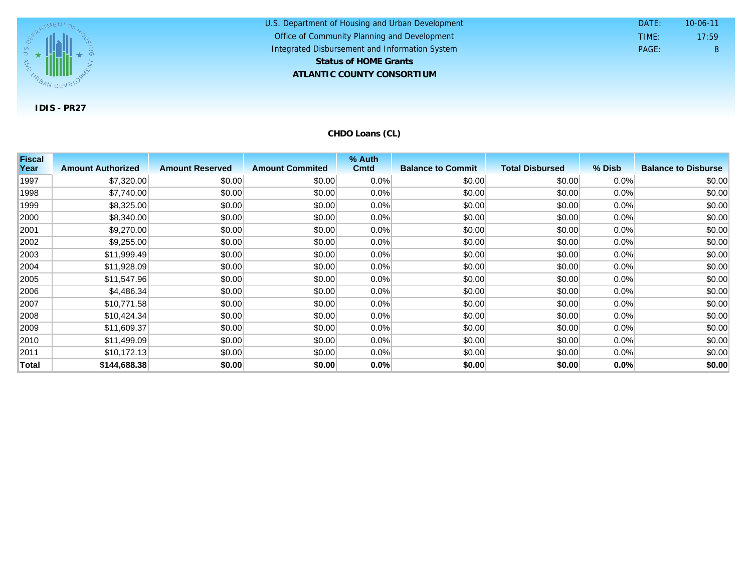

U.S. Department of Housing and Urban Development **ATLANTIC COUNTY CONSORTIUM** Office of Community Planning and Development Integrated Disbursement and Information System DATE: TIME: PAGE: 8 17:59 10-06-11 **Status of HOME Grants**

**CHDO Loans (CL)**

| <b>Fiscal</b> |                          |                        |                        | % Auth      |                          |                        |         |                            |
|---------------|--------------------------|------------------------|------------------------|-------------|--------------------------|------------------------|---------|----------------------------|
| Year          | <b>Amount Authorized</b> | <b>Amount Reserved</b> | <b>Amount Commited</b> | <b>Cmtd</b> | <b>Balance to Commit</b> | <b>Total Disbursed</b> | % Disb  | <b>Balance to Disburse</b> |
| 1997          | \$7,320.00               | \$0.00                 | \$0.00                 | 0.0%        | \$0.00                   | \$0.00                 | 0.0%    | \$0.00                     |
| 1998          | \$7,740.00               | \$0.00                 | \$0.00                 | 0.0%        | \$0.00                   | \$0.00                 | 0.0%    | \$0.00                     |
| 1999          | \$8,325.00               | \$0.00                 | \$0.00                 | 0.0%        | \$0.00                   | \$0.00                 | 0.0%    | \$0.00                     |
| 2000          | \$8,340.00               | \$0.00                 | \$0.00                 | $0.0\%$     | \$0.00                   | \$0.00                 | 0.0%    | \$0.00                     |
| 2001          | \$9,270.00               | \$0.00                 | \$0.00                 | 0.0%        | \$0.00                   | \$0.00                 | $0.0\%$ | \$0.00                     |
| 2002          | \$9,255.00               | \$0.00                 | \$0.00                 | 0.0%        | \$0.00                   | \$0.00                 | $0.0\%$ | \$0.00                     |
| 2003          | \$11,999.49              | \$0.00                 | \$0.00                 | 0.0%        | \$0.00                   | \$0.00                 | 0.0%    | \$0.00                     |
| 2004          | \$11,928.09              | \$0.00                 | \$0.00                 | 0.0%        | \$0.00                   | \$0.00                 | 0.0%    | \$0.00                     |
| 2005          | \$11,547.96              | \$0.00                 | \$0.00                 | $0.0\%$     | \$0.00                   | \$0.00                 | 0.0%    | \$0.00                     |
| 2006          | \$4,486.34               | \$0.00                 | \$0.00                 | $0.0\%$     | \$0.00                   | \$0.00                 | $0.0\%$ | \$0.00                     |
| 2007          | \$10,771.58              | \$0.00                 | \$0.00                 | $0.0\%$     | \$0.00                   | \$0.00                 | 0.0%    | \$0.00                     |
| 2008          | \$10,424.34              | \$0.00                 | \$0.00                 | 0.0%        | \$0.00                   | \$0.00                 | 0.0%    | \$0.00                     |
| 2009          | \$11,609.37              | \$0.00                 | \$0.00                 | $0.0\%$     | \$0.00                   | \$0.00                 | 0.0%    | \$0.00                     |
| 2010          | \$11,499.09              | \$0.00                 | \$0.00                 | $0.0\%$     | \$0.00                   | \$0.00                 | $0.0\%$ | \$0.00                     |
| 2011          | \$10,172.13              | \$0.00                 | \$0.00                 | $0.0\%$     | \$0.00                   | \$0.00                 | $0.0\%$ | \$0.00                     |
| Total         | \$144,688.38             | \$0.00                 | \$0.00                 | 0.0%        | \$0.00                   | \$0.00                 | 0.0%    | \$0.00                     |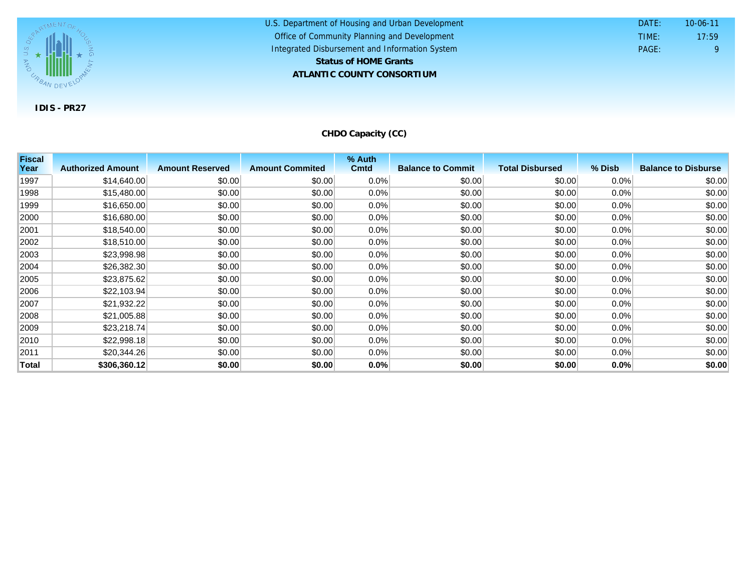

U.S. Department of Housing and Urban Development **ATLANTIC COUNTY CONSORTIUM** Office of Community Planning and Development Integrated Disbursement and Information System DATE: TIME: PAGE: 9 17:59 10-06-11 **Status of HOME Grants**

**CHDO Capacity (CC)**

| <b>Fiscal</b> |                          |                        |                        | % Auth      |                          |                        |         |                            |
|---------------|--------------------------|------------------------|------------------------|-------------|--------------------------|------------------------|---------|----------------------------|
| Year          | <b>Authorized Amount</b> | <b>Amount Reserved</b> | <b>Amount Commited</b> | <b>Cmtd</b> | <b>Balance to Commit</b> | <b>Total Disbursed</b> | % Disb  | <b>Balance to Disburse</b> |
| 1997          | \$14,640.00              | \$0.00                 | \$0.00                 | $0.0\%$     | \$0.00                   | \$0.00                 | $0.0\%$ | \$0.00                     |
| 1998          | \$15,480.00              | \$0.00                 | \$0.00                 | 0.0%        | \$0.00                   | \$0.00                 | 0.0%    | \$0.00                     |
| 1999          | \$16,650.00              | \$0.00                 | \$0.00                 | 0.0%        | \$0.00                   | \$0.00                 | 0.0%    | \$0.00                     |
| 2000          | \$16,680.00              | \$0.00                 | \$0.00                 | 0.0%        | \$0.00                   | \$0.00                 | 0.0%    | \$0.00                     |
| 2001          | \$18,540.00              | \$0.00                 | \$0.00                 | 0.0%        | \$0.00                   | \$0.00                 | 0.0%    | \$0.00                     |
| 2002          | \$18,510.00              | \$0.00                 | \$0.00                 | 0.0%        | \$0.00                   | \$0.00                 | $0.0\%$ | \$0.00                     |
| 2003          | \$23,998.98              | \$0.00                 | \$0.00                 | 0.0%        | \$0.00                   | \$0.00                 | 0.0%    | \$0.00                     |
| 2004          | \$26,382.30              | \$0.00                 | \$0.00                 | 0.0%        | \$0.00                   | \$0.00                 | 0.0%    | \$0.00                     |
| 2005          | \$23,875.62              | \$0.00                 | \$0.00                 | $0.0\%$     | \$0.00                   | \$0.00                 | 0.0%    | \$0.00                     |
| 2006          | \$22,103.94              | \$0.00                 | \$0.00                 | 0.0%        | \$0.00                   | \$0.00                 | 0.0%    | \$0.00                     |
| 2007          | \$21,932.22              | \$0.00                 | \$0.00                 | 0.0%        | \$0.00                   | \$0.00                 | $0.0\%$ | \$0.00                     |
| 2008          | \$21,005.88              | \$0.00                 | \$0.00                 | 0.0%        | \$0.00                   | \$0.00                 | $0.0\%$ | \$0.00                     |
| 2009          | \$23,218.74              | \$0.00                 | \$0.00                 | 0.0%        | \$0.00                   | \$0.00                 | 0.0%    | \$0.00                     |
| 2010          | \$22,998.18              | \$0.00                 | \$0.00                 | $0.0\%$     | \$0.00                   | \$0.00                 | $0.0\%$ | \$0.00                     |
| 2011          | \$20,344.26              | \$0.00                 | \$0.00                 | 0.0%        | \$0.00                   | \$0.00                 | $0.0\%$ | \$0.00                     |
| <b>Total</b>  | \$306,360.12             | \$0.00                 | \$0.00                 | 0.0%        | \$0.00                   | \$0.00                 | 0.0%    | \$0.00                     |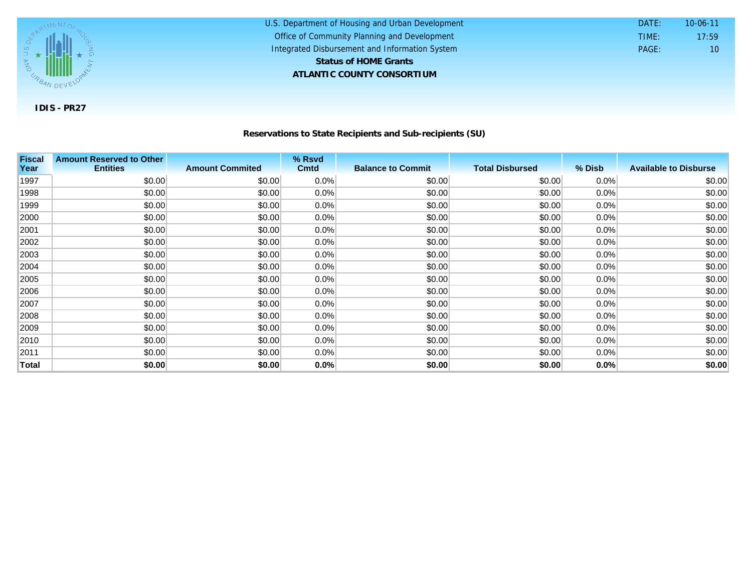

## **Reservations to State Recipients and Sub-recipients (SU)**

U.S. Department of Housing and Urban Development

 DATE: TIME:

PAGE: 10

17:59 10-06-11

Office of Community Planning and Development Integrated Disbursement and Information System

**ATLANTIC COUNTY CONSORTIUM**

**Status of HOME Grants**

| <b>Fiscal</b> | <b>Amount Reserved to Other</b> |                        | % Rsvd      |                          |                        |         |                              |
|---------------|---------------------------------|------------------------|-------------|--------------------------|------------------------|---------|------------------------------|
| Year          | <b>Entities</b>                 | <b>Amount Commited</b> | <b>Cmtd</b> | <b>Balance to Commit</b> | <b>Total Disbursed</b> | % Disb  | <b>Available to Disburse</b> |
| 1997          | \$0.00                          | \$0.00                 | 0.0%        | \$0.00                   | \$0.00                 | $0.0\%$ | \$0.00                       |
| 1998          | \$0.00                          | \$0.00                 | 0.0%        | \$0.00                   | \$0.00                 | 0.0%    | \$0.00                       |
| 1999          | \$0.00                          | \$0.00                 | 0.0%        | \$0.00                   | \$0.00                 | 0.0%    | \$0.00                       |
| 2000          | \$0.00                          | \$0.00                 | 0.0%        | \$0.00                   | \$0.00                 | 0.0%    | \$0.00                       |
| 2001          | \$0.00                          | \$0.00                 | 0.0%        | \$0.00                   | \$0.00                 | $0.0\%$ | \$0.00                       |
| 2002          | \$0.00                          | \$0.00                 | $0.0\%$     | \$0.00                   | \$0.00                 | $0.0\%$ | \$0.00                       |
| 2003          | \$0.00                          | \$0.00                 | $0.0\%$     | \$0.00                   | \$0.00                 | 0.0%    | \$0.00                       |
| 2004          | \$0.00                          | \$0.00                 | $0.0\%$     | \$0.00                   | \$0.00                 | 0.0%    | \$0.00                       |
| 2005          | \$0.00                          | \$0.00                 | $0.0\%$     | \$0.00                   | \$0.00                 | $0.0\%$ | \$0.00                       |
| 2006          | \$0.00                          | \$0.00                 | $0.0\%$     | \$0.00                   | \$0.00                 | $0.0\%$ | \$0.00                       |
| 2007          | \$0.00                          | \$0.00                 | 0.0%        | \$0.00                   | \$0.00                 | 0.0%    | \$0.00                       |
| 2008          | \$0.00                          | \$0.00                 | 0.0%        | \$0.00                   | \$0.00                 | $0.0\%$ | \$0.00                       |
| 2009          | \$0.00                          | \$0.00                 | 0.0%        | \$0.00                   | \$0.00                 | $0.0\%$ | \$0.00                       |
| 2010          | \$0.00                          | \$0.00                 | 0.0%        | \$0.00                   | \$0.00                 | $0.0\%$ | \$0.00                       |
| 2011          | \$0.00                          | \$0.00                 | 0.0%        | \$0.00                   | \$0.00                 | $0.0\%$ | \$0.00                       |
| Total         | \$0.00                          | \$0.00                 | 0.0%        | \$0.00                   | \$0.00                 | 0.0%    | \$0.00                       |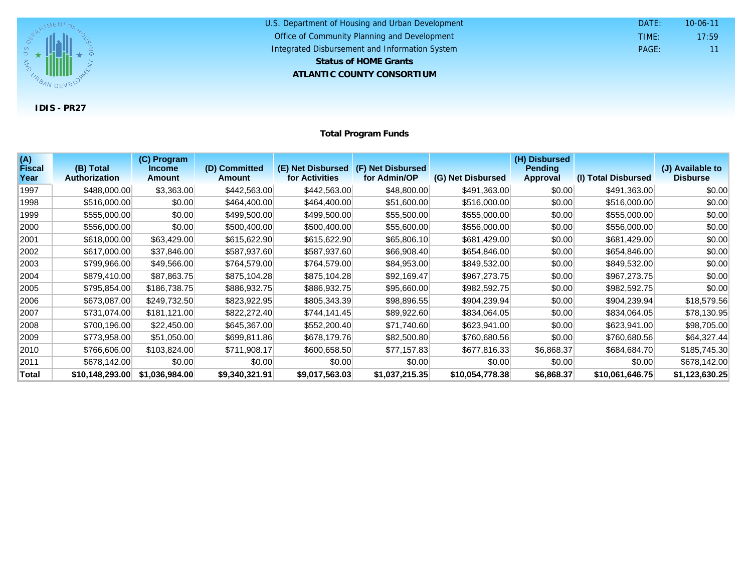

| U.S. Department of Housing and Urban Development | DATF: | $10 - 06 - 11$  |
|--------------------------------------------------|-------|-----------------|
| Office of Community Planning and Development     | TIME: | 17:59           |
| Integrated Disbursement and Information System   | PAGF: | 11 <sup>1</sup> |
| <b>Status of HOME Grants</b>                     |       |                 |
| ATLANTIC COUNTY CONSORTIUM                       |       |                 |

**Total Program Funds**

| (A)<br><b>Fiscal</b> | (B) Total            | (C) Program<br><b>Income</b> | (D) Committed  | (E) Net Disbursed (F) Net Disbursed |                |                   | (H) Disbursed<br><b>Pending</b> |                     | (J) Available to |
|----------------------|----------------------|------------------------------|----------------|-------------------------------------|----------------|-------------------|---------------------------------|---------------------|------------------|
| Year                 | <b>Authorization</b> | <b>Amount</b>                | <b>Amount</b>  | for Activities                      | for Admin/OP   | (G) Net Disbursed | Approval                        | (I) Total Disbursed | <b>Disburse</b>  |
| 1997                 | \$488,000.00         | \$3,363.00                   | \$442,563.00   | \$442,563.00                        | \$48,800.00    | \$491,363.00      | \$0.00                          | \$491,363.00        | \$0.00           |
| 1998                 | \$516,000.00         | \$0.00                       | \$464,400.00   | \$464,400.00                        | \$51,600.00    | \$516,000.00      | \$0.00                          | \$516,000.00        | \$0.00           |
| 1999                 | \$555,000.00         | \$0.00                       | \$499,500.00   | \$499,500.00                        | \$55,500.00    | \$555,000.00      | \$0.00                          | \$555,000.00        | \$0.00           |
| 2000                 | \$556,000.00         | \$0.00                       | \$500,400.00   | \$500,400.00                        | \$55,600.00    | \$556,000.00      | \$0.00                          | \$556,000.00        | \$0.00           |
| 2001                 | \$618,000.00         | \$63,429.00                  | \$615,622.90   | \$615,622.90                        | \$65,806.10    | \$681,429.00      | \$0.00                          | \$681,429.00        | \$0.00           |
| 2002                 | \$617,000.00         | \$37,846.00                  | \$587,937.60   | \$587,937.60                        | \$66,908.40    | \$654,846.00      | \$0.00                          | \$654,846.00        | \$0.00           |
| 2003                 | \$799,966.00         | \$49,566.00                  | \$764,579.00   | \$764,579.00                        | \$84,953.00    | \$849,532.00      | \$0.00                          | \$849,532.00        | \$0.00           |
| 2004                 | \$879,410.00         | \$87,863.75                  | \$875,104.28   | \$875,104.28                        | \$92,169.47    | \$967,273.75      | \$0.00                          | \$967,273.75        | \$0.00           |
| 2005                 | \$795,854.00         | \$186,738.75                 | \$886,932.75   | \$886,932.75                        | \$95,660.00    | \$982,592.75      | \$0.00                          | \$982,592.75        | \$0.00           |
| 2006                 | \$673,087.00         | \$249,732.50                 | \$823,922.95   | \$805,343.39                        | \$98,896.55    | \$904,239.94      | \$0.00                          | \$904,239.94        | \$18,579.56      |
| 2007                 | \$731,074.00         | \$181,121.00                 | \$822,272.40   | \$744,141.45                        | \$89,922.60    | \$834,064.05      | \$0.00                          | \$834,064.05        | \$78,130.95      |
| 2008                 | \$700,196.00         | \$22,450.00                  | \$645,367.00   | \$552,200.40                        | \$71,740.60    | \$623,941.00      | \$0.00                          | \$623,941.00        | \$98,705.00      |
| 2009                 | \$773,958.00         | \$51,050.00                  | \$699,811.86   | \$678,179.76                        | \$82,500.80    | \$760,680.56      | \$0.00                          | \$760,680.56        | \$64,327.44      |
| 2010                 | \$766,606.00         | \$103,824.00                 | \$711,908.17   | \$600,658.50                        | \$77,157.83    | \$677,816.33      | \$6,868.37                      | \$684,684.70        | \$185,745.30     |
| 2011                 | \$678,142.00         | \$0.00                       | \$0.00         | \$0.00                              | \$0.00         | \$0.00            | \$0.00                          | \$0.00              | \$678,142.00     |
| Total                | \$10,148,293.00      | \$1,036,984.00               | \$9,340,321.91 | \$9,017,563.03                      | \$1,037,215.35 | \$10,054,778.38   | \$6,868.37                      | \$10,061,646.75     | \$1,123,630.25   |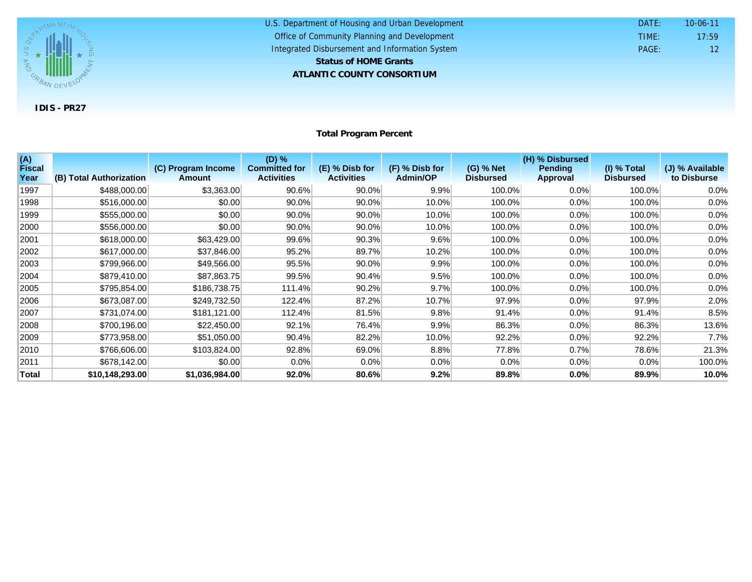

| U.S. Department of Housing and Urban Development | DATE: | $10 - 06 - 11$ |
|--------------------------------------------------|-------|----------------|
| Office of Community Planning and Development     | TIME: | 17:59          |
| Integrated Disbursement and Information System   | PAGE: |                |
| <b>Status of HOME Grants</b>                     |       |                |
| ATLANTIC COUNTY CONSORTIUM                       |       |                |

**Total Program Percent**

| (A)<br><b>Fiscal</b> |                         | (C) Program Income | $(D)$ %<br><b>Committed for</b> | (E) % Disb for    | (F) % Disb for | (G) % Net        | (H) % Disbursed<br><b>Pending</b> | $(1)$ % Total    | (J) % Available |
|----------------------|-------------------------|--------------------|---------------------------------|-------------------|----------------|------------------|-----------------------------------|------------------|-----------------|
| Year                 | (B) Total Authorization | <b>Amount</b>      | <b>Activities</b>               | <b>Activities</b> | Admin/OP       | <b>Disbursed</b> | Approval                          | <b>Disbursed</b> | to Disburse     |
| 1997                 | \$488,000.00            | \$3,363.00         | 90.6%                           | 90.0%             | 9.9%           | 100.0%           | 0.0%                              | 100.0%           | 0.0%            |
| 1998                 | \$516,000.00            | \$0.00             | 90.0%                           | $90.0\%$          | 10.0%          | 100.0%           | $0.0\%$                           | 100.0%           | 0.0%            |
| 1999                 | \$555,000.00            | \$0.00             | $90.0\%$                        | 90.0%             | 10.0%          | 100.0%           | 0.0%                              | 100.0%           | 0.0%            |
| 2000                 | \$556,000.00            | \$0.00             | 90.0%                           | 90.0%             | 10.0%          | 100.0%           | 0.0%                              | 100.0%           | 0.0%            |
| 2001                 | \$618,000.00            | \$63,429.00        | 99.6%                           | 90.3%             | 9.6%           | 100.0%           | 0.0%                              | 100.0%           | 0.0%            |
| 2002                 | \$617,000.00            | \$37,846.00        | 95.2%                           | 89.7%             | 10.2%          | 100.0%           | 0.0%                              | 100.0%           | 0.0%            |
| 2003                 | \$799,966.00            | \$49,566.00        | 95.5%                           | 90.0%             | 9.9%           | 100.0%           | 0.0%                              | 100.0%           | 0.0%            |
| 2004                 | \$879,410.00            | \$87,863.75        | 99.5%                           | 90.4%             | 9.5%           | 100.0%           | 0.0%                              | 100.0%           | 0.0%            |
| 2005                 | \$795,854.00            | \$186,738.75       | 111.4%                          | 90.2%             | 9.7%           | 100.0%           | $0.0\%$                           | 100.0%           | 0.0%            |
| 2006                 | \$673,087.00            | \$249,732.50       | 122.4%                          | 87.2%             | 10.7%          | 97.9%            | 0.0%                              | 97.9%            | 2.0%            |
| 2007                 | \$731,074.00            | \$181,121.00       | 112.4%                          | 81.5%             | 9.8%           | 91.4%            | 0.0%                              | 91.4%            | 8.5%            |
| 2008                 | \$700,196.00            | \$22,450.00        | 92.1%                           | 76.4%             | 9.9%           | 86.3%            | $0.0\%$                           | 86.3%            | 13.6%           |
| 2009                 | \$773,958.00            | \$51,050.00        | 90.4%                           | 82.2%             | 10.0%          | 92.2%            | 0.0%                              | 92.2%            | 7.7%            |
| 2010                 | \$766,606.00            | \$103,824.00       | 92.8%                           | 69.0%             | 8.8%           | 77.8%            | 0.7%                              | 78.6%            | 21.3%           |
| 2011                 | \$678,142.00            | \$0.00             | $0.0\%$                         | $0.0\%$           | $0.0\%$        | 0.0%             | 0.0%                              | $0.0\%$          | 100.0%          |
| Total                | \$10,148,293.00         | \$1,036,984.00     | 92.0%                           | 80.6%             | 9.2%           | 89.8%            | $0.0\%$                           | 89.9%            | 10.0%           |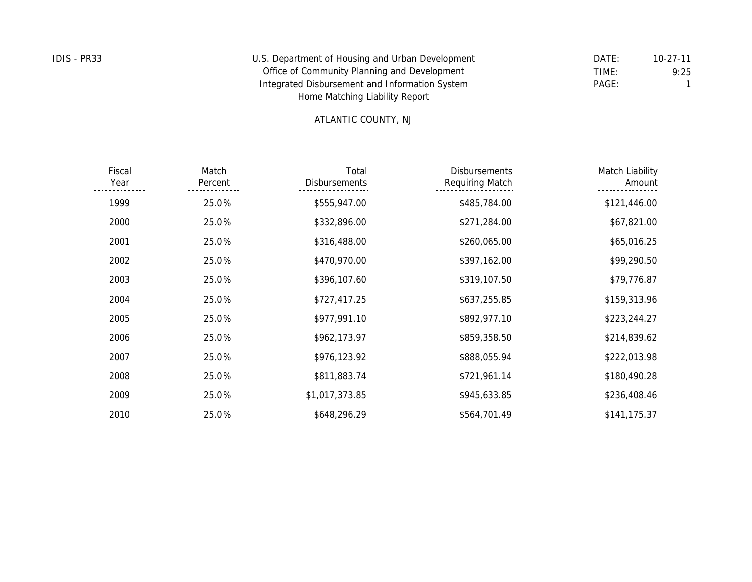| IDIS - PR33 | U.S. Department of Housing and Urban Development | DATE: | $10 - 27 - 11$ |
|-------------|--------------------------------------------------|-------|----------------|
|             | Office of Community Planning and Development     | TIME: | 9:25           |
|             | Integrated Disbursement and Information System   | PAGE: |                |
|             | Home Matching Liability Report                   |       |                |

## ATLANTIC COUNTY, NJ

| Fiscal<br>Year | Match<br>Percent | Total<br><b>Disbursements</b> | <b>Disbursements</b><br>Requiring Match | Match Liability<br>Amount |
|----------------|------------------|-------------------------------|-----------------------------------------|---------------------------|
| 1999           | 25.0%            | \$555,947.00                  | \$485,784.00                            | \$121,446.00              |
| 2000           | 25.0%            | \$332,896.00                  | \$271,284.00                            | \$67,821.00               |
| 2001           | 25.0%            | \$316,488.00                  | \$260,065.00                            | \$65,016.25               |
| 2002           | 25.0%            | \$470,970.00                  | \$397,162.00                            | \$99,290.50               |
| 2003           | 25.0%            | \$396,107.60                  | \$319,107.50                            | \$79,776.87               |
| 2004           | 25.0%            | \$727,417.25                  | \$637,255.85                            | \$159,313.96              |
| 2005           | 25.0%            | \$977,991.10                  | \$892,977.10                            | \$223,244.27              |
| 2006           | 25.0%            | \$962,173.97                  | \$859,358.50                            | \$214,839.62              |
| 2007           | 25.0%            | \$976,123.92                  | \$888,055.94                            | \$222,013.98              |
| 2008           | 25.0%            | \$811,883.74                  | \$721,961.14                            | \$180,490.28              |
| 2009           | 25.0%            | \$1,017,373.85                | \$945,633.85                            | \$236,408.46              |
| 2010           | 25.0%            | \$648,296.29                  | \$564,701.49                            | \$141,175.37              |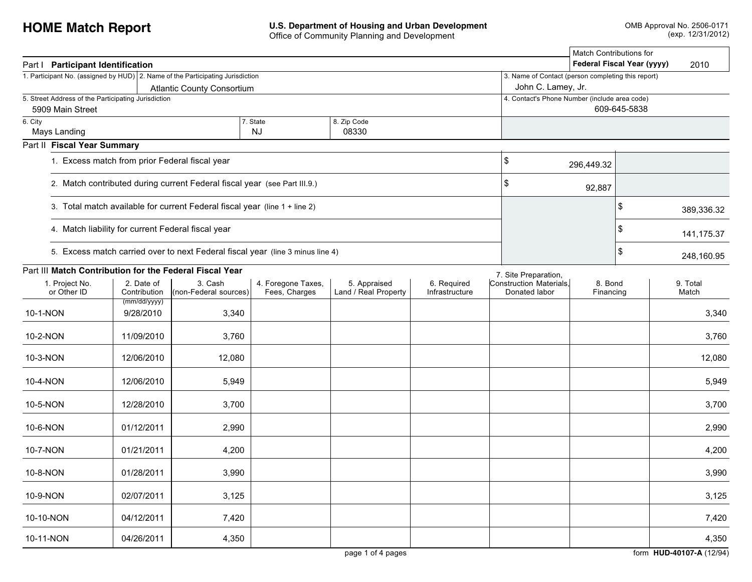| Part   Participant Identification                                              |                                                    |                                                                                |                                     |                                      |                               |                                                    | <b>Match Contributions for</b><br>Federal Fiscal Year (yyyy) |              | 2010              |
|--------------------------------------------------------------------------------|----------------------------------------------------|--------------------------------------------------------------------------------|-------------------------------------|--------------------------------------|-------------------------------|----------------------------------------------------|--------------------------------------------------------------|--------------|-------------------|
| 1. Participant No. (assigned by HUD) 2. Name of the Participating Jurisdiction |                                                    |                                                                                |                                     |                                      |                               | 3. Name of Contact (person completing this report) |                                                              |              |                   |
|                                                                                |                                                    | <b>Atlantic County Consortium</b>                                              |                                     |                                      |                               | John C. Lamey, Jr.                                 |                                                              |              |                   |
| 5. Street Address of the Participating Jurisdiction                            |                                                    |                                                                                |                                     |                                      |                               | 4. Contact's Phone Number (include area code)      |                                                              |              |                   |
| 5909 Main Street                                                               |                                                    |                                                                                |                                     |                                      |                               |                                                    |                                                              | 609-645-5838 |                   |
| 6. City                                                                        |                                                    |                                                                                | 7. State                            | 8. Zip Code                          |                               |                                                    |                                                              |              |                   |
| Mays Landing                                                                   |                                                    |                                                                                | <b>NJ</b>                           | 08330                                |                               |                                                    |                                                              |              |                   |
| Part II Fiscal Year Summary                                                    |                                                    |                                                                                |                                     |                                      |                               |                                                    |                                                              |              |                   |
|                                                                                | 1. Excess match from prior Federal fiscal year     |                                                                                |                                     |                                      |                               | \$                                                 | 296,449.32                                                   |              |                   |
|                                                                                |                                                    | 2. Match contributed during current Federal fiscal year (see Part III.9.)      |                                     |                                      |                               | \$                                                 | 92,887                                                       |              |                   |
|                                                                                |                                                    | 3. Total match available for current Federal fiscal year (line 1 + line 2)     |                                     |                                      |                               |                                                    |                                                              | \$           | 389,336.32        |
|                                                                                | 4. Match liability for current Federal fiscal year |                                                                                |                                     |                                      | \$                            | 141,175.37                                         |                                                              |              |                   |
|                                                                                |                                                    | 5. Excess match carried over to next Federal fiscal year (line 3 minus line 4) |                                     |                                      | $\sqrt{3}$                    | 248,160.95                                         |                                                              |              |                   |
| Part III Match Contribution for the Federal Fiscal Year                        |                                                    |                                                                                |                                     |                                      |                               | 7. Site Preparation,                               |                                                              |              |                   |
| 1. Project No.<br>or Other ID                                                  | 2. Date of<br>Contribution                         | 3. Cash<br>(non-Federal sources)                                               | 4. Foregone Taxes,<br>Fees, Charges | 5. Appraised<br>Land / Real Property | 6. Required<br>Infrastructure | Construction Materials.<br>Donated labor           | 8. Bond<br>Financing                                         |              | 9. Total<br>Match |
| 10-1-NON                                                                       | (mm/dd/yyyy)<br>9/28/2010                          | 3,340                                                                          |                                     |                                      |                               |                                                    |                                                              |              | 3,340             |
| 10-2-NON                                                                       | 11/09/2010                                         | 3,760                                                                          |                                     |                                      |                               |                                                    |                                                              |              | 3,760             |
| 10-3-NON                                                                       | 12/06/2010                                         | 12,080                                                                         |                                     |                                      |                               |                                                    |                                                              |              | 12,080            |
| 10-4-NON                                                                       | 12/06/2010                                         | 5,949                                                                          |                                     |                                      |                               |                                                    |                                                              |              | 5,949             |
| 10-5-NON                                                                       | 12/28/2010                                         | 3,700                                                                          |                                     |                                      |                               |                                                    |                                                              |              | 3,700             |
| 10-6-NON                                                                       | 01/12/2011                                         | 2,990                                                                          |                                     |                                      |                               |                                                    |                                                              |              | 2,990             |
| 10-7-NON                                                                       | 01/21/2011                                         | 4,200                                                                          |                                     |                                      |                               |                                                    |                                                              |              | 4,200             |
| 10-8-NON                                                                       | 01/28/2011                                         | 3,990                                                                          |                                     |                                      |                               |                                                    |                                                              |              | 3,990             |
| 10-9-NON                                                                       | 02/07/2011                                         | 3,125                                                                          |                                     |                                      |                               |                                                    |                                                              |              | 3,125             |
| 10-10-NON                                                                      | 04/12/2011                                         | 7,420                                                                          |                                     |                                      |                               |                                                    |                                                              |              | 7,420             |
| 10-11-NON                                                                      | 04/26/2011                                         | 4,350                                                                          |                                     |                                      |                               |                                                    |                                                              |              | 4,350             |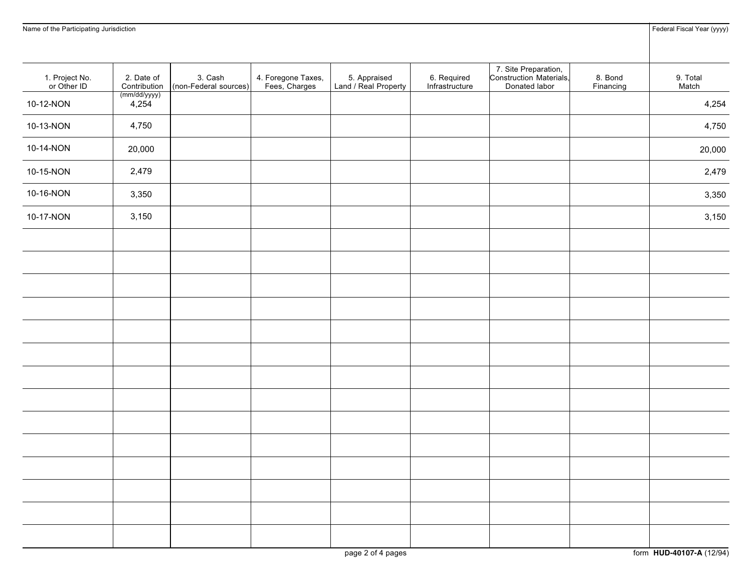| Name of the Participating Jurisdiction |                            |                                  |                                     |                                      |                               |                                                                  |                      | Federal Fiscal Year (yyyy) |
|----------------------------------------|----------------------------|----------------------------------|-------------------------------------|--------------------------------------|-------------------------------|------------------------------------------------------------------|----------------------|----------------------------|
| 1. Project No.<br>or Other ID          | 2. Date of<br>Contribution | 3. Cash<br>(non-Federal sources) | 4. Foregone Taxes,<br>Fees, Charges | 5. Appraised<br>Land / Real Property | 6. Required<br>Infrastructure | 7. Site Preparation,<br>Construction Materials,<br>Donated labor | 8. Bond<br>Financing | 9. Total<br>Match          |
| 10-12-NON                              | (mm/dd/yyyy)<br>4,254      |                                  |                                     |                                      |                               |                                                                  |                      | 4,254                      |
| 10-13-NON                              | 4,750                      |                                  |                                     |                                      |                               |                                                                  |                      | 4,750                      |
| 10-14-NON                              | 20,000                     |                                  |                                     |                                      |                               |                                                                  |                      | 20,000                     |
| 10-15-NON                              | 2,479                      |                                  |                                     |                                      |                               |                                                                  |                      | 2,479                      |
| 10-16-NON                              | 3,350                      |                                  |                                     |                                      |                               |                                                                  |                      | 3,350                      |
| 10-17-NON                              | 3,150                      |                                  |                                     |                                      |                               |                                                                  |                      | 3,150                      |
|                                        |                            |                                  |                                     |                                      |                               |                                                                  |                      |                            |
|                                        |                            |                                  |                                     |                                      |                               |                                                                  |                      |                            |
|                                        |                            |                                  |                                     |                                      |                               |                                                                  |                      |                            |
|                                        |                            |                                  |                                     |                                      |                               |                                                                  |                      |                            |
|                                        |                            |                                  |                                     |                                      |                               |                                                                  |                      |                            |
|                                        |                            |                                  |                                     |                                      |                               |                                                                  |                      |                            |
|                                        |                            |                                  |                                     |                                      |                               |                                                                  |                      |                            |
|                                        |                            |                                  |                                     |                                      |                               |                                                                  |                      |                            |
|                                        |                            |                                  |                                     |                                      |                               |                                                                  |                      |                            |
|                                        |                            |                                  |                                     |                                      |                               |                                                                  |                      |                            |
|                                        |                            |                                  |                                     |                                      |                               |                                                                  |                      |                            |
|                                        |                            |                                  |                                     |                                      |                               |                                                                  |                      |                            |
|                                        |                            |                                  |                                     |                                      |                               |                                                                  |                      |                            |
|                                        |                            |                                  |                                     |                                      |                               |                                                                  |                      |                            |